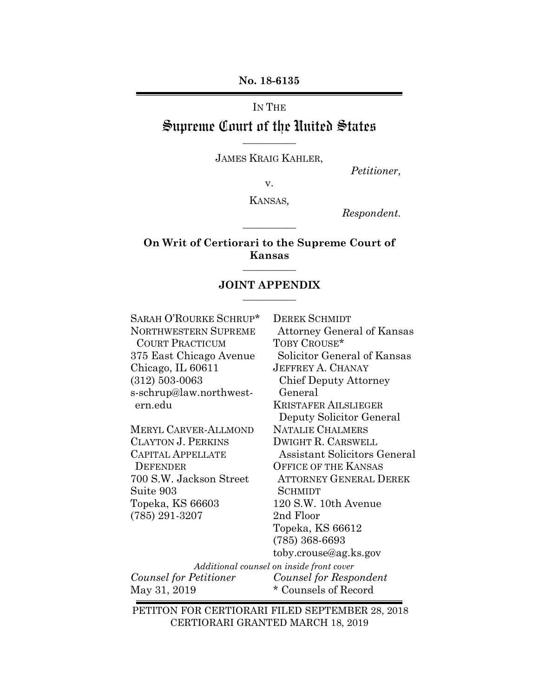**No. 18-6135**

IN THE

### Supreme Court of the United States **\_\_\_\_\_\_\_\_\_\_\_**

JAMES KRAIG KAHLER,

*Petitioner,*

v.

KANSAS*,*

**\_\_\_\_\_\_\_\_\_\_\_**

*Respondent.*

#### **On Writ of Certiorari to the Supreme Court of Kansas \_\_\_\_\_\_\_\_\_\_\_**

#### **JOINT APPENDIX \_\_\_\_\_\_\_\_\_\_\_**

SARAH O'ROURKE SCHRUP\* DEREK SCHMIDT COURT PRACTICUM TOBY CROUSE\* Chicago, IL 60611 JEFFREY A. CHANAY (312) 503-0063 Chief Deputy Attorney s-schrup@law.northwest- General ern.edu KRISTAFER AILSLIEGER

MERYL CARVER-ALLMOND NATALIE CHALMERS CLAYTON J. PERKINS DWIGHT R. CARSWELL DEFENDER OFFICE OF THE KANSAS Suite 903 SCHMIDT Topeka, KS 66603 120 S.W. 10th Avenue (785) 291-3207 2nd Floor

NORTHWESTERN SUPREME Attorney General of Kansas 375 East Chicago Avenue Solicitor General of Kansas Deputy Solicitor General CAPITAL APPELLATE Assistant Solicitors General 700 S.W. Jackson Street ATTORNEY GENERAL DEREK Topeka, KS 66612 (785) 368-6693 toby.crouse@ag.ks.gov

*Additional counsel on inside front cover Counsel for Petitioner Counsel for Respondent* May 31, 2019  $\bullet$  Counsels of Record

PETITON FOR CERTIORARI FILED SEPTEMBER 28, 2018 CERTIORARI GRANTED MARCH 18, 2019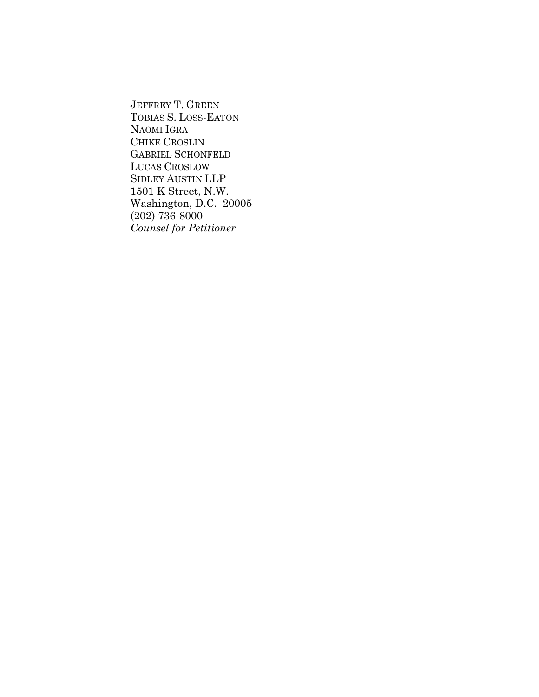JEFFREY T. GREEN TOBIAS S. LOSS-EATON NAOMI IGRA CHIKE CROSLIN GABRIEL SCHONFELD LUCAS CROSLOW SIDLEY AUSTIN LLP 1501 K Street, N.W. Washington, D.C. 20005 (202) 736-8000 *Counsel for Petitioner*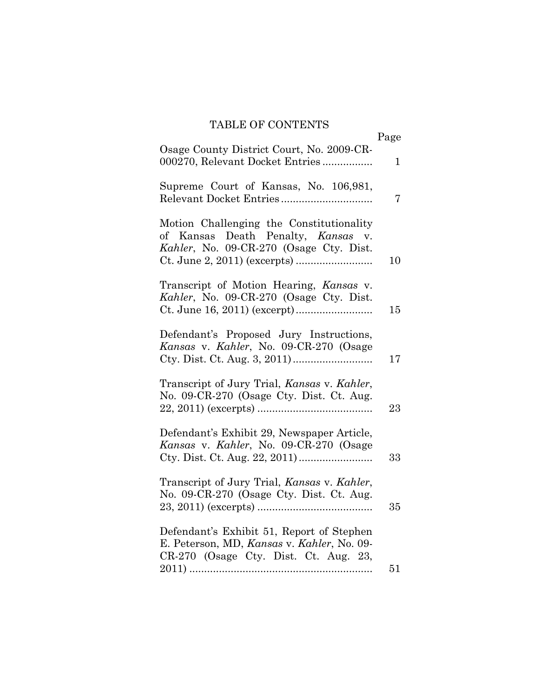### TABLE OF CONTENTS

|                                                                                                                                  | Page |
|----------------------------------------------------------------------------------------------------------------------------------|------|
| Osage County District Court, No. 2009-CR-<br>000270, Relevant Docket Entries                                                     | 1    |
| Supreme Court of Kansas, No. 106,981,                                                                                            | 7    |
| Motion Challenging the Constitutionality<br>of Kansas Death Penalty, Kansas v.<br>Kahler, No. 09-CR-270 (Osage Cty. Dist.        | 10   |
| Transcript of Motion Hearing, Kansas v.<br>Kahler, No. 09-CR-270 (Osage Cty. Dist.                                               | 15   |
| Defendant's Proposed Jury Instructions,<br>Kansas v. Kahler, No. 09-CR-270 (Osage                                                | 17   |
| Transcript of Jury Trial, Kansas v. Kahler,<br>No. 09-CR-270 (Osage Cty. Dist. Ct. Aug.                                          | 23   |
| Defendant's Exhibit 29, Newspaper Article,<br>Kansas v. Kahler, No. 09-CR-270 (Osage                                             | 33   |
| Transcript of Jury Trial, Kansas v. Kahler,<br>No. 09-CR-270 (Osage Cty. Dist. Ct. Aug.                                          | 35   |
| Defendant's Exhibit 51, Report of Stephen<br>E. Peterson, MD, Kansas v. Kahler, No. 09-<br>CR-270 (Osage Cty. Dist. Ct. Aug. 23, |      |
|                                                                                                                                  | 51   |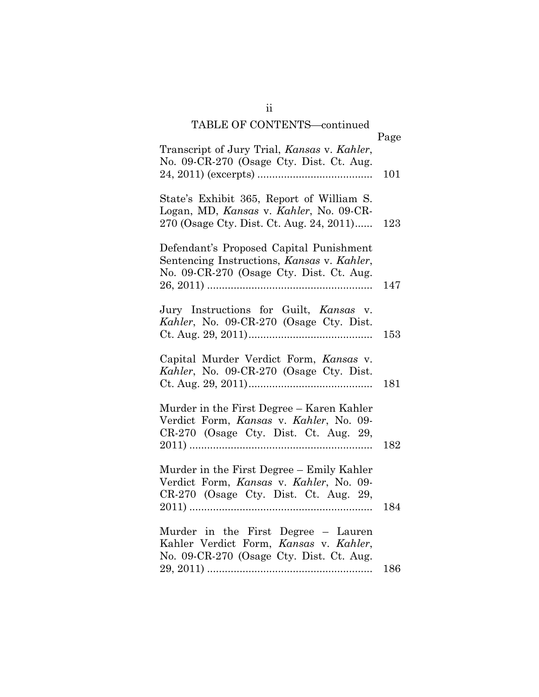### TABLE OF CONTENTS continued

| INDLE OF CONTRIG<br>contentaca                                                                                                    | Page |
|-----------------------------------------------------------------------------------------------------------------------------------|------|
| Transcript of Jury Trial, Kansas v. Kahler,<br>No. 09-CR-270 (Osage Cty. Dist. Ct. Aug.                                           | 101  |
| State's Exhibit 365, Report of William S.<br>Logan, MD, Kansas v. Kahler, No. 09-CR-<br>270 (Osage Cty. Dist. Ct. Aug. 24, 2011)  | 123  |
| Defendant's Proposed Capital Punishment<br>Sentencing Instructions, Kansas v. Kahler,<br>No. 09-CR-270 (Osage Cty. Dist. Ct. Aug. | 147  |
| Jury Instructions for Guilt, Kansas v.<br>Kahler, No. 09-CR-270 (Osage Cty. Dist.                                                 | 153  |
| Capital Murder Verdict Form, Kansas v.<br>Kahler, No. 09-CR-270 (Osage Cty. Dist.                                                 | 181  |
| Murder in the First Degree - Karen Kahler<br>Verdict Form, Kansas v. Kahler, No. 09-<br>CR-270 (Osage Cty. Dist. Ct. Aug. 29,     | 182  |
| Murder in the First Degree - Emily Kahler<br>Verdict Form, Kansas v. Kahler, No. 09-<br>CR-270 (Osage Cty. Dist. Ct. Aug. 29,     | 184  |
| Murder in the First Degree - Lauren<br>Kahler Verdict Form, Kansas v. Kahler,<br>No. 09-CR-270 (Osage Cty. Dist. Ct. Aug.         |      |
|                                                                                                                                   | 186  |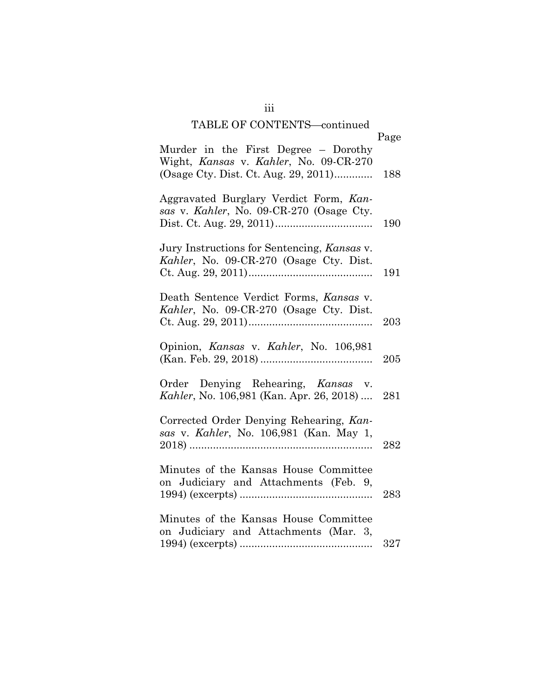### TABLE OF CONTENTS continued

| TABLE OF CONTENTS—continued                                                                                            | Page |
|------------------------------------------------------------------------------------------------------------------------|------|
| Murder in the First Degree - Dorothy<br>Wight, Kansas v. Kahler, No. 09-CR-270<br>(Osage Cty. Dist. Ct. Aug. 29, 2011) | 188  |
| Aggravated Burglary Verdict Form, Kan-<br>sas v. Kahler, No. 09-CR-270 (Osage Cty.                                     | 190  |
| Jury Instructions for Sentencing, Kansas v.<br>Kahler, No. 09-CR-270 (Osage Cty. Dist.                                 | 191  |
| Death Sentence Verdict Forms, Kansas v.<br>Kahler, No. 09-CR-270 (Osage Cty. Dist.                                     | 203  |
| Opinion, Kansas v. Kahler, No. 106,981                                                                                 | 205  |
| Order Denying Rehearing, Kansas v.<br>Kahler, No. 106,981 (Kan. Apr. 26, 2018)                                         | 281  |
| Corrected Order Denying Rehearing, Kan-<br>sas v. Kahler, No. 106,981 (Kan. May 1,                                     | 282  |
| Minutes of the Kansas House Committee<br>on Judiciary and Attachments (Feb. 9,                                         | 283  |
| Minutes of the Kansas House Committee<br>on Judiciary and Attachments (Mar. 3,                                         | 327  |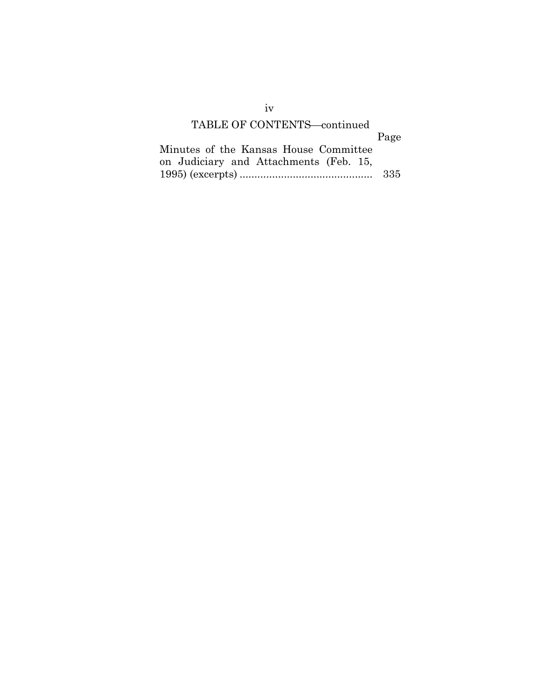#### TABLE OF CONTENTS-continued

|                                        | Page |
|----------------------------------------|------|
| Minutes of the Kansas House Committee  |      |
| on Judiciary and Attachments (Feb. 15, |      |
|                                        |      |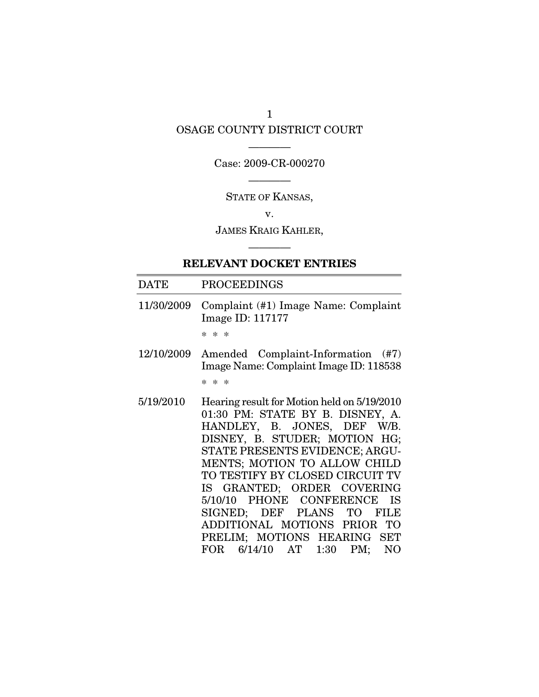# OSAGE COUNTY DISTRICT COURT

### ———— Case: 2009-CR-000270

———— STATE OF KANSAS,

v.

JAMES KRAIG KAHLER, ————

#### RELEVANT DOCKET ENTRIES

#### DATE PROCEEDINGS

11/30/2009 Complaint (#1) Image Name: Complaint Image ID: 117177

\* \* \*

- 12/10/2009 Amended Complaint-Information (#7) Image Name: Complaint Image ID: 118538 \* \* \*
- 5/19/2010 Hearing result for Motion held on 5/19/2010 01:30 PM: STATE BY B. DISNEY, A. HANDLEY, B. JONES, DEF W/B. DISNEY, B. STUDER; MOTION HG; STATE PRESENTS EVIDENCE; ARGU-MENTS; MOTION TO ALLOW CHILD TO TESTIFY BY CLOSED CIRCUIT TV IS GRANTED; ORDER COVERING 5/10/10 PHONE CONFERENCE IS SIGNED; DEF PLANS TO FILE ADDITIONAL MOTIONS PRIOR TO PRELIM; MOTIONS HEARING SET FOR 6/14/10 AT 1:30 PM; NO

1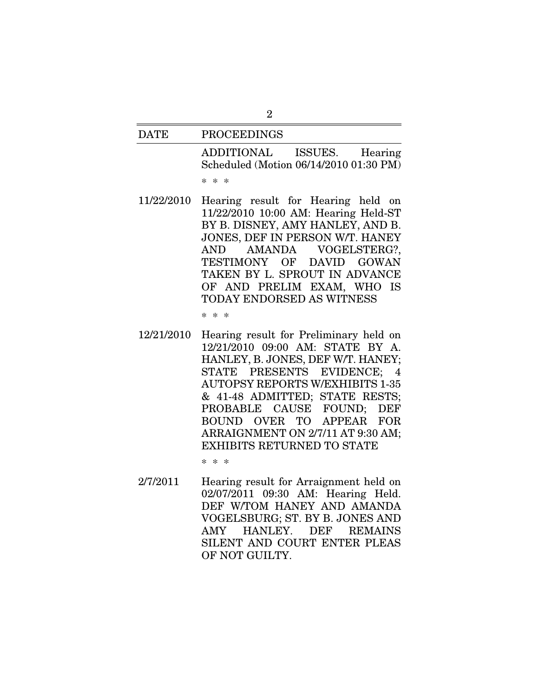| <b>DATE</b> | <b>PROCEEDINGS</b>                                                                                                    |
|-------------|-----------------------------------------------------------------------------------------------------------------------|
|             | ADDITIONAL ISSUES. Hearing<br>Scheduled (Motion 06/14/2010 01:30 PM)<br>* * *                                         |
|             | 11/22/2010 Hearing result for Hearing held on<br>11/22/2010 10:00 AM: Hearing Held-ST<br>RV R DISNEV AMV HANLEV AND R |

11/22/2010 10:00 AM: Hearing Held-ST BY B. DISNEY, AMY HANLEY, AND B. JONES, DEF IN PERSON W/T. HANEY AND AMANDA VOGELSTERG?, TESTIMONY OF DAVID GOWAN TAKEN BY L. SPROUT IN ADVANCE OF AND PRELIM EXAM, WHO IS TODAY ENDORSED AS WITNESS

\* \* \*

12/21/2010 Hearing result for Preliminary held on 12/21/2010 09:00 AM: STATE BY A. HANLEY, B. JONES, DEF W/T. HANEY; STATE PRESENTS EVIDENCE; 4 AUTOPSY REPORTS W/EXHIBITS 1-35 & 41-48 ADMITTED; STATE RESTS; PROBABLE CAUSE FOUND; DEF BOUND OVER TO APPEAR FOR ARRAIGNMENT ON 2/7/11 AT 9:30 AM; EXHIBITS RETURNED TO STATE

\* \* \*

2/7/2011 Hearing result for Arraignment held on 02/07/2011 09:30 AM: Hearing Held. DEF W/TOM HANEY AND AMANDA VOGELSBURG; ST. BY B. JONES AND AMY HANLEY. DEF REMAINS SILENT AND COURT ENTER PLEAS OF NOT GUILTY.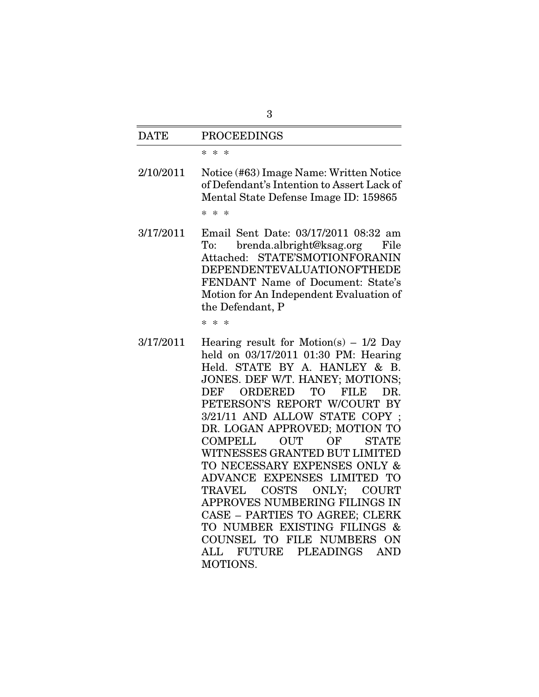| 3           |                                                                                                                                                                                                                                                                                                                                                                                                                                                                                                                                                                                                                                                                      |  |
|-------------|----------------------------------------------------------------------------------------------------------------------------------------------------------------------------------------------------------------------------------------------------------------------------------------------------------------------------------------------------------------------------------------------------------------------------------------------------------------------------------------------------------------------------------------------------------------------------------------------------------------------------------------------------------------------|--|
| <b>DATE</b> | <b>PROCEEDINGS</b>                                                                                                                                                                                                                                                                                                                                                                                                                                                                                                                                                                                                                                                   |  |
|             | $\ast$<br>$\ast$<br>$\ast$                                                                                                                                                                                                                                                                                                                                                                                                                                                                                                                                                                                                                                           |  |
| 2/10/2011   | Notice (#63) Image Name: Written Notice<br>of Defendant's Intention to Assert Lack of<br>Mental State Defense Image ID: 159865<br>* * *                                                                                                                                                                                                                                                                                                                                                                                                                                                                                                                              |  |
| 3/17/2011   | Email Sent Date: 03/17/2011 08:32 am<br>brenda.albright@ksag.org<br>File<br>To:<br>Attached: STATE'SMOTIONFORANIN<br>DEPENDENTEVALUATIONOFTHEDE<br>FENDANT Name of Document: State's<br>Motion for An Independent Evaluation of<br>the Defendant, P                                                                                                                                                                                                                                                                                                                                                                                                                  |  |
|             | $* *$<br>$\ast$                                                                                                                                                                                                                                                                                                                                                                                                                                                                                                                                                                                                                                                      |  |
| 3/17/2011   | Hearing result for Motion(s) $-1/2$ Day<br>held on 03/17/2011 01:30 PM: Hearing<br>Held. STATE BY A. HANLEY & B.<br>JONES. DEF W/T. HANEY; MOTIONS;<br>ORDERED<br>TО<br>FILB<br>DEF<br>DR.<br>PETERSON'S REPORT W/COURT BY<br>3/21/11 AND ALLOW STATE COPY;<br>DR. LOGAN APPROVED; MOTION TO<br><b>OUT</b><br>OF<br><b>COMPELL</b><br><b>STATE</b><br>WITNESSES GRANTED BUT LIMITED<br>TO NECESSARY EXPENSES ONLY &<br>ADVANCE EXPENSES LIMITED TO<br>TRAVEL COSTS ONLY; COURT<br>APPROVES NUMBERING FILINGS IN<br>CASE - PARTIES TO AGREE; CLERK<br>TO NUMBER EXISTING FILINGS &<br>COUNSEL TO FILE NUMBERS ON<br>ALL FUTURE<br>PLEADINGS<br><b>AND</b><br>MOTIONS. |  |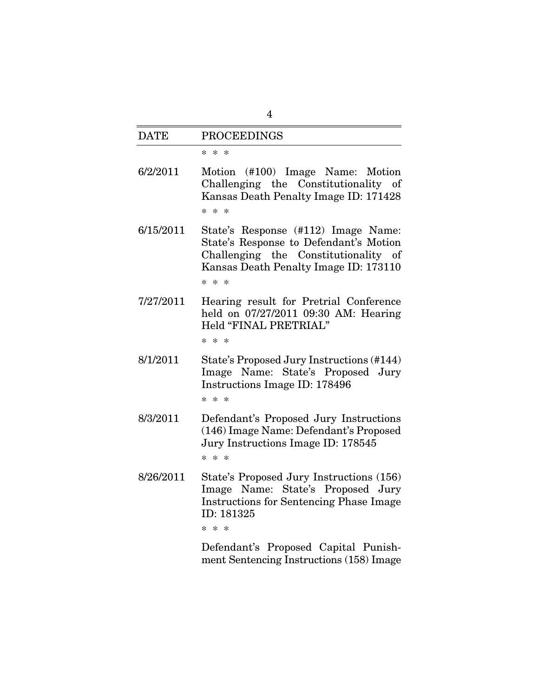| $\overline{4}$ |                                                                                                                                                                                   |  |
|----------------|-----------------------------------------------------------------------------------------------------------------------------------------------------------------------------------|--|
| <b>DATE</b>    | <b>PROCEEDINGS</b>                                                                                                                                                                |  |
|                | * * *                                                                                                                                                                             |  |
| 6/2/2011       | Motion (#100) Image Name: Motion<br>Challenging the Constitutionality of<br>Kansas Death Penalty Image ID: 171428<br>$* *$<br>$\ast$                                              |  |
| 6/15/2011      | State's Response (#112) Image Name:<br>State's Response to Defendant's Motion<br>Challenging the Constitutionality of<br>Kansas Death Penalty Image ID: 173110<br>$* *$<br>$\ast$ |  |
| 7/27/2011      | Hearing result for Pretrial Conference<br>held on 07/27/2011 09:30 AM: Hearing<br>Held "FINAL PRETRIAL"<br>* * *                                                                  |  |
| 8/1/2011       | State's Proposed Jury Instructions (#144)<br>Image Name: State's Proposed Jury<br>Instructions Image ID: 178496<br>$* * *$                                                        |  |
| 8/3/2011       | Defendant's Proposed Jury Instructions<br>(146) Image Name: Defendant's Proposed<br>Jury Instructions Image ID: 178545<br>$* * *$                                                 |  |
| 8/26/2011      | State's Proposed Jury Instructions (156)<br>Image Name: State's Proposed Jury<br><b>Instructions for Sentencing Phase Image</b><br>ID: 181325<br>* * *                            |  |
|                | Defendant's Proposed Capital Punish-                                                                                                                                              |  |

Defendant's Proposed Capital Punishment Sentencing Instructions (158) Image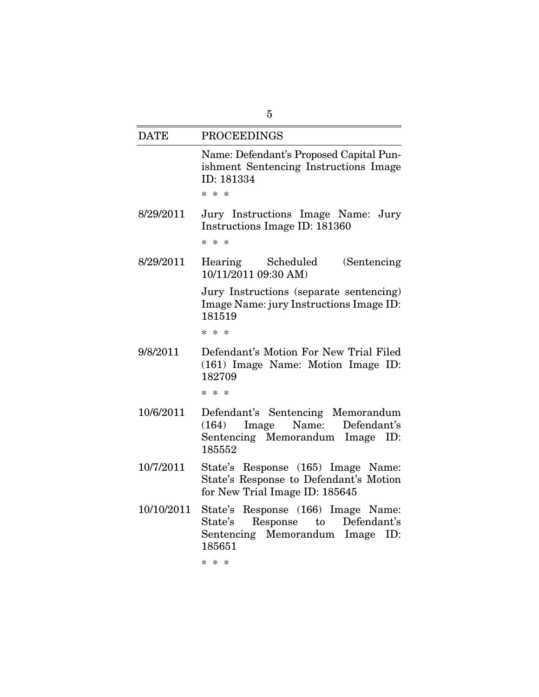| 5           |                                                                                                                                          |  |
|-------------|------------------------------------------------------------------------------------------------------------------------------------------|--|
| <b>DATE</b> | <b>PROCEEDINGS</b>                                                                                                                       |  |
|             | Name: Defendant's Proposed Capital Pun-<br>ishment Sentencing Instructions Image<br>ID: 181334<br>$* * *$                                |  |
| 8/29/2011   | Jury Instructions Image Name: Jury<br>Instructions Image ID: 181360<br>$* * *$                                                           |  |
| 8/29/2011   | Hearing Scheduled<br>(Sentencing)<br>10/11/2011 09:30 AM)                                                                                |  |
|             | Jury Instructions (separate sentencing)<br>Image Name: jury Instructions Image ID:<br>181519<br>* * *                                    |  |
| 9/8/2011    | Defendant's Motion For New Trial Filed<br>(161) Image Name: Motion Image ID:<br>182709<br>* * *                                          |  |
| 10/6/2011   | Defendant's Sentencing Memorandum<br>Name:<br>Defendant's<br>Image<br>(164)<br>Sentencing Memorandum Image ID:<br>185552                 |  |
| 10/7/2011   | State's Response (165) Image Name:<br>State's Response to Defendant's Motion<br>for New Trial Image ID: 185645                           |  |
| 10/10/2011  | State's Response (166) Image Name:<br>Response to Defendant's<br>State's<br>Sentencing Memorandum Image ID:<br>185651<br>$* *$<br>$\ast$ |  |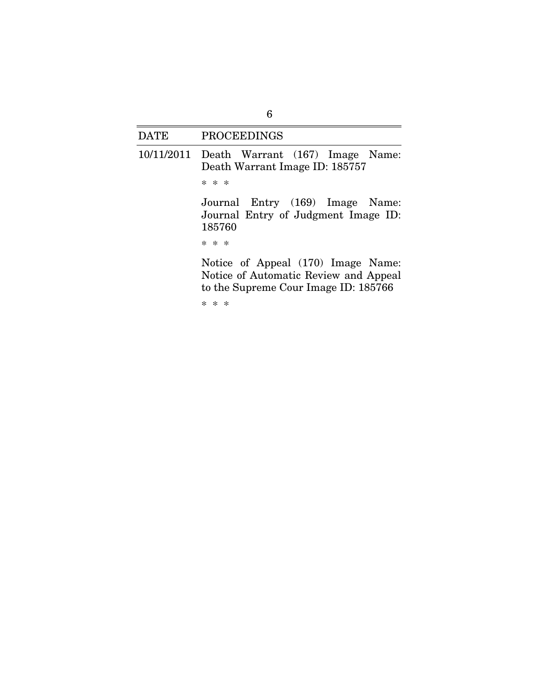### DATE PROCEEDINGS

10/11/2011 Death Warrant (167) Image Name: Death Warrant Image ID: 185757 \* \* \* Journal Entry (169) Image Name: Journal Entry of Judgment Image ID: 185760 \* \* \* Notice of Appeal (170) Image Name: Notice of Automatic Review and Appeal to the Supreme Cour Image ID: 185766

\* \* \*

6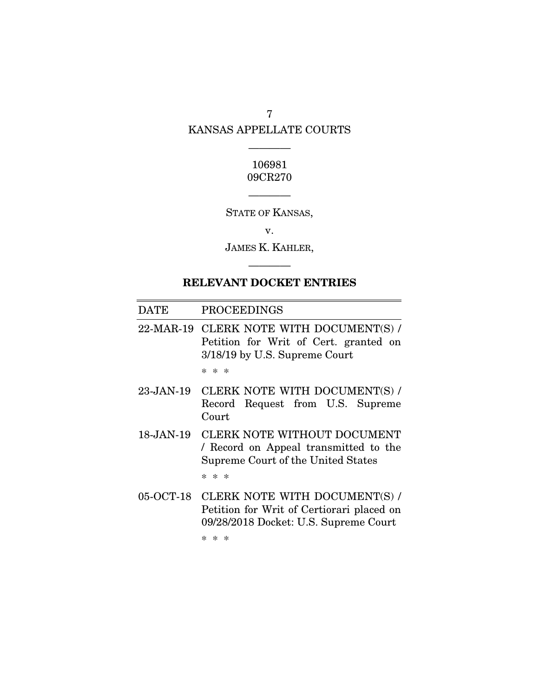# 7 KANSAS APPELLATE COURTS

————

### 106981 09CR270

————

STATE OF KANSAS,

v.

JAMES K. KAHLER,

# RELEVANT DOCKET ENTRIES

————

| <b>DATE</b>   | <b>PROCEEDINGS</b>                                                                                                  |
|---------------|---------------------------------------------------------------------------------------------------------------------|
| 22-MAR-19     | CLERK NOTE WITH DOCUMENT(S) /<br>Petition for Writ of Cert. granted on<br>3/18/19 by U.S. Supreme Court             |
|               | $* *$<br>$\ast$                                                                                                     |
| $23$ -JAN-19  | CLERK NOTE WITH DOCUMENT(S) /<br>Record Request from U.S. Supreme<br>Court                                          |
| $18 - JAN-19$ | CLERK NOTE WITHOUT DOCUMENT<br>/ Record on Appeal transmitted to the<br>Supreme Court of the United States          |
|               | $* * *$                                                                                                             |
| 05-OCT-18     | CLERK NOTE WITH DOCUMENT(S) /<br>Petition for Writ of Certiorari placed on<br>09/28/2018 Docket: U.S. Supreme Court |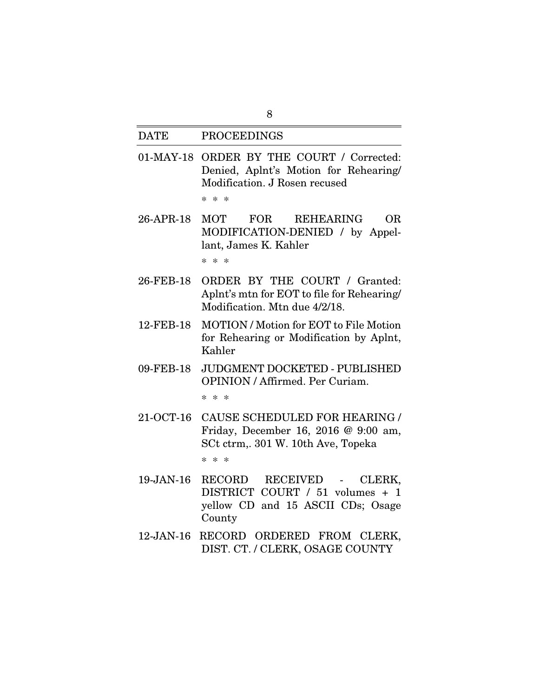#### DATE PROCEEDINGS

01-MAY-18 ORDER BY THE COURT / Corrected: Denied, Aplnt's Motion for Rehearing/ Modification. J Rosen recused

\* \* \*

- 26-APR-18 MOT FOR REHEARING OR MODIFICATION-DENIED / by Appellant, James K. Kahler \* \* \*
- 26-FEB-18 ORDER BY THE COURT / Granted: Aplnt's mtn for EOT to file for Rehearing/ Modification. Mtn due 4/2/18.
- 12-FEB-18 MOTION / Motion for EOT to File Motion for Rehearing or Modification by Aplnt, Kahler
- 09-FEB-18 JUDGMENT DOCKETED PUBLISHED OPINION / Affirmed. Per Curiam.

\* \* \*

21-OCT-16 CAUSE SCHEDULED FOR HEARING / Friday, December 16, 2016 @ 9:00 am, SCt ctrm,. 301 W. 10th Ave, Topeka

- 19-JAN-16 RECORD RECEIVED CLERK, DISTRICT COURT / 51 volumes + 1 yellow CD and 15 ASCII CDs; Osage County
- 12-JAN-16 RECORD ORDERED FROM CLERK, DIST. CT. / CLERK, OSAGE COUNTY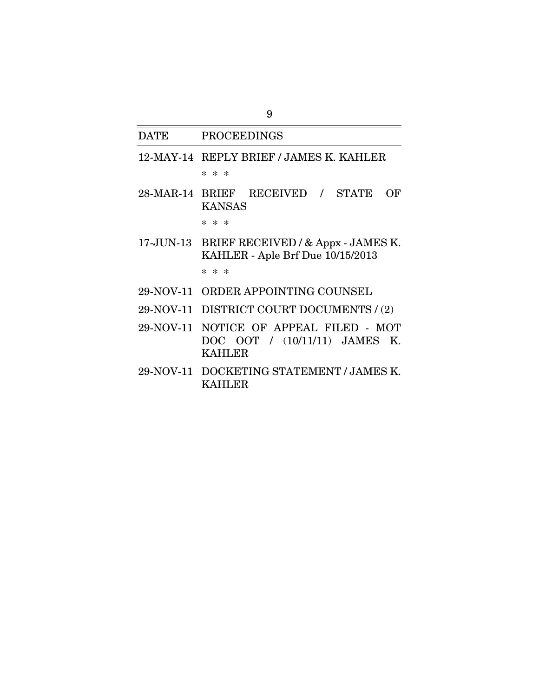#### DATE PROCEEDINGS

- 12-MAY-14 REPLY BRIEF / JAMES K. KAHLER \* \* \*
- 28-MAR-14 BRIEF RECEIVED / STATE OF KANSAS

\* \* \*

17-JUN-13 BRIEF RECEIVED / & Appx - JAMES K. KAHLER - Aple Brf Due 10/15/2013

- 29-NOV-11 ORDER APPOINTING COUNSEL
- 29-NOV-11 DISTRICT COURT DOCUMENTS / (2)
- 29-NOV-11 NOTICE OF APPEAL FILED MOT DOC OOT / (10/11/11) JAMES K. KAHLER
- 29-NOV-11 DOCKETING STATEMENT / JAMES K. KAHLER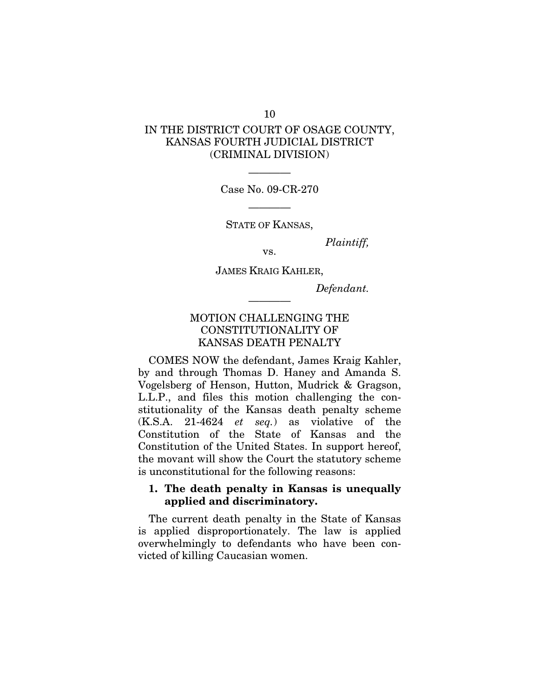### IN THE DISTRICT COURT OF OSAGE COUNTY, KANSAS FOURTH JUDICIAL DISTRICT (CRIMINAL DIVISION)

———— Case No. 09-CR-270

————

STATE OF KANSAS,

*Plaintiff,* 

JAMES KRAIG KAHLER,

————

vs.

*Defendant.* 

### MOTION CHALLENGING THE CONSTITUTIONALITY OF KANSAS DEATH PENALTY

COMES NOW the defendant, James Kraig Kahler, by and through Thomas D. Haney and Amanda S. Vogelsberg of Henson, Hutton, Mudrick & Gragson, L.L.P., and files this motion challenging the constitutionality of the Kansas death penalty scheme (K.S.A. 21-4624 *et seq.*) as violative of the Constitution of the State of Kansas and the Constitution of the United States. In support hereof, the movant will show the Court the statutory scheme is unconstitutional for the following reasons:

### 1. The death penalty in Kansas is unequally applied and discriminatory.

The current death penalty in the State of Kansas is applied disproportionately. The law is applied overwhelmingly to defendants who have been convicted of killing Caucasian women.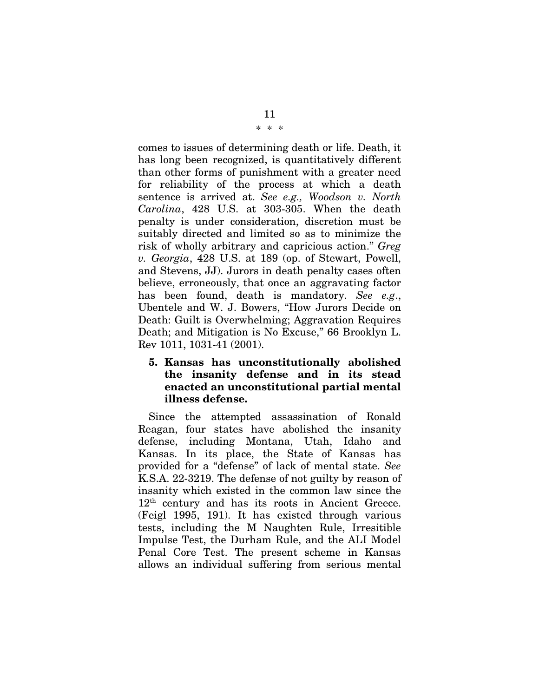#### \* \* \*

comes to issues of determining death or life. Death, it has long been recognized, is quantitatively different than other forms of punishment with a greater need for reliability of the process at which a death sentence is arrived at. *See e.g., Woodson v. North Carolina*, 428 U.S. at 303-305. When the death penalty is under consideration, discretion must be suitably directed and limited so as to minimize the risk of wholly arbitrary and capricious action." *Greg v. Georgia*, 428 U.S. at 189 (op. of Stewart, Powell, and Stevens, JJ). Jurors in death penalty cases often believe, erroneously, that once an aggravating factor has been found, death is mandatory. *See e.g*., Ubentele and W. J. Bowers, "How Jurors Decide on Death: Guilt is Overwhelming; Aggravation Requires Death; and Mitigation is No Excuse," 66 Brooklyn L. Rev 1011, 1031-41 (2001).

### 5. Kansas has unconstitutionally abolished the insanity defense and in its stead enacted an unconstitutional partial mental illness defense.

Since the attempted assassination of Ronald Reagan, four states have abolished the insanity defense, including Montana, Utah, Idaho and Kansas. In its place, the State of Kansas has provided for a "defense" of lack of mental state. *See* K.S.A. 22-3219. The defense of not guilty by reason of insanity which existed in the common law since the 12th century and has its roots in Ancient Greece. (Feigl 1995, 191). It has existed through various tests, including the M Naughten Rule, Irresitible Impulse Test, the Durham Rule, and the ALI Model Penal Core Test. The present scheme in Kansas allows an individual suffering from serious mental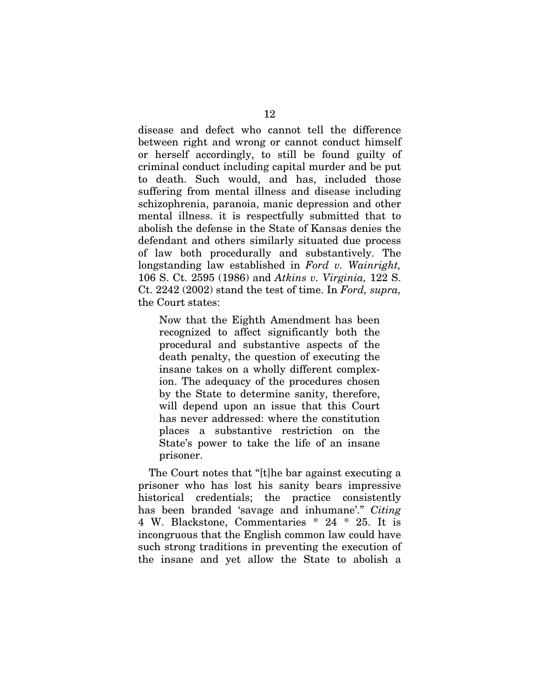disease and defect who cannot tell the difference between right and wrong or cannot conduct himself or herself accordingly, to still be found guilty of criminal conduct including capital murder and be put to death. Such would, and has, included those suffering from mental illness and disease including schizophrenia, paranoia, manic depression and other mental illness. it is respectfully submitted that to abolish the defense in the State of Kansas denies the defendant and others similarly situated due process of law both procedurally and substantively. The longstanding law established in *Ford v. Wainright,*  106 S. Ct. 2595 (1986) and *Atkins v. Virginia,* 122 S. Ct. 2242 (2002) stand the test of time. In *Ford, supra,*  the Court states:

Now that the Eighth Amendment has been recognized to affect significantly both the procedural and substantive aspects of the death penalty, the question of executing the insane takes on a wholly different complexion. The adequacy of the procedures chosen by the State to determine sanity, therefore, will depend upon an issue that this Court has never addressed: where the constitution places a substantive restriction on the State's power to take the life of an insane prisoner.

The Court notes that "[t]he bar against executing a prisoner who has lost his sanity bears impressive historical credentials; the practice consistently has been branded 'savage and inhumane'." *Citing*  4 W. Blackstone, Commentaries \* 24 \* 25. It is incongruous that the English common law could have such strong traditions in preventing the execution of the insane and yet allow the State to abolish a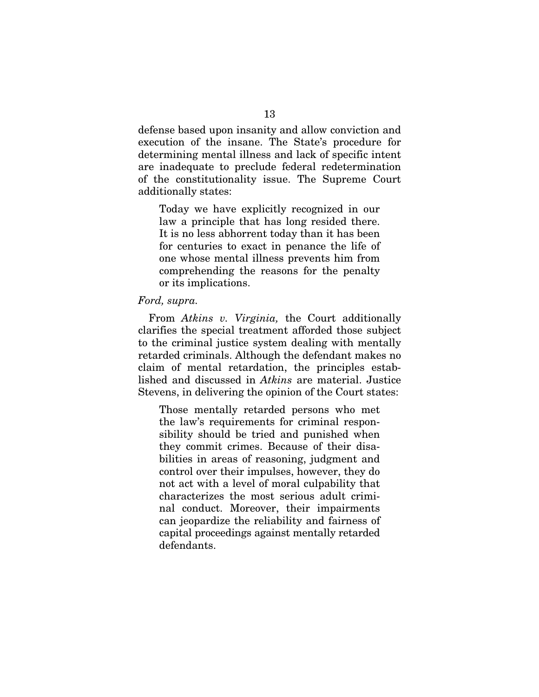defense based upon insanity and allow conviction and execution of the insane. The State's procedure for determining mental illness and lack of specific intent are inadequate to preclude federal redetermination of the constitutionality issue. The Supreme Court additionally states:

Today we have explicitly recognized in our law a principle that has long resided there. It is no less abhorrent today than it has been for centuries to exact in penance the life of one whose mental illness prevents him from comprehending the reasons for the penalty or its implications.

#### *Ford, supra.*

From *Atkins v. Virginia,* the Court additionally clarifies the special treatment afforded those subject to the criminal justice system dealing with mentally retarded criminals. Although the defendant makes no claim of mental retardation, the principles established and discussed in *Atkins* are material. Justice Stevens, in delivering the opinion of the Court states:

Those mentally retarded persons who met the law's requirements for criminal responsibility should be tried and punished when they commit crimes. Because of their disabilities in areas of reasoning, judgment and control over their impulses, however, they do not act with a level of moral culpability that characterizes the most serious adult criminal conduct. Moreover, their impairments can jeopardize the reliability and fairness of capital proceedings against mentally retarded defendants.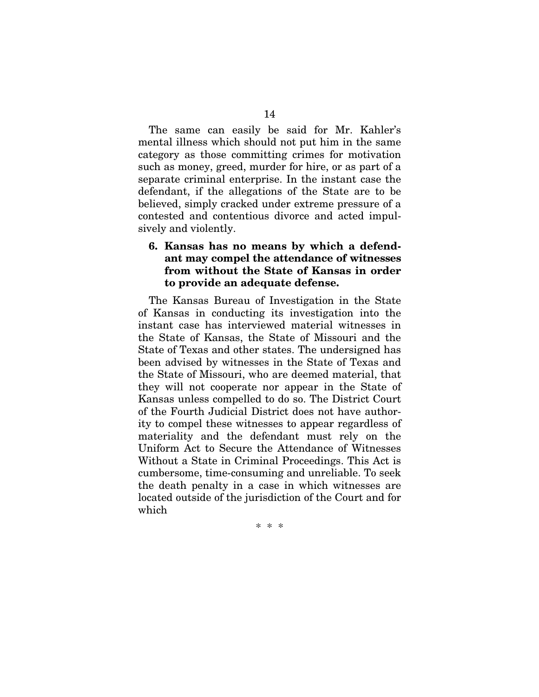The same can easily be said for Mr. Kahler's mental illness which should not put him in the same category as those committing crimes for motivation such as money, greed, murder for hire, or as part of a separate criminal enterprise. In the instant case the defendant, if the allegations of the State are to be believed, simply cracked under extreme pressure of a contested and contentious divorce and acted impulsively and violently.

### 6. Kansas has no means by which a defendant may compel the attendance of witnesses from without the State of Kansas in order to provide an adequate defense.

The Kansas Bureau of Investigation in the State of Kansas in conducting its investigation into the instant case has interviewed material witnesses in the State of Kansas, the State of Missouri and the State of Texas and other states. The undersigned has been advised by witnesses in the State of Texas and the State of Missouri, who are deemed material, that they will not cooperate nor appear in the State of Kansas unless compelled to do so. The District Court of the Fourth Judicial District does not have authority to compel these witnesses to appear regardless of materiality and the defendant must rely on the Uniform Act to Secure the Attendance of Witnesses Without a State in Criminal Proceedings. This Act is cumbersome, time-consuming and unreliable. To seek the death penalty in a case in which witnesses are located outside of the jurisdiction of the Court and for which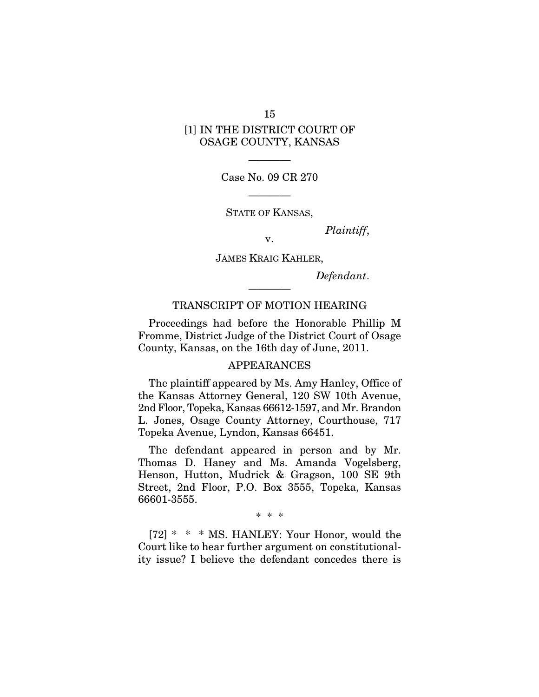### 15 [1] IN THE DISTRICT COURT OF OSAGE COUNTY, KANSAS

———— Case No. 09 CR 270

————

STATE OF KANSAS,

*Plaintiff*, v.

JAMES KRAIG KAHLER,

*Defendant*.

#### TRANSCRIPT OF MOTION HEARING

————

Proceedings had before the Honorable Phillip M Fromme, District Judge of the District Court of Osage County, Kansas, on the 16th day of June, 2011.

#### APPEARANCES

The plaintiff appeared by Ms. Amy Hanley, Office of the Kansas Attorney General, 120 SW 10th Avenue, 2nd Floor, Topeka, Kansas 66612-1597, and Mr. Brandon L. Jones, Osage County Attorney, Courthouse, 717 Topeka Avenue, Lyndon, Kansas 66451.

The defendant appeared in person and by Mr. Thomas D. Haney and Ms. Amanda Vogelsberg, Henson, Hutton, Mudrick & Gragson, 100 SE 9th Street, 2nd Floor, P.O. Box 3555, Topeka, Kansas 66601-3555.

\* \* \*

[72] \* \* \* MS. HANLEY: Your Honor, would the Court like to hear further argument on constitutionality issue? I believe the defendant concedes there is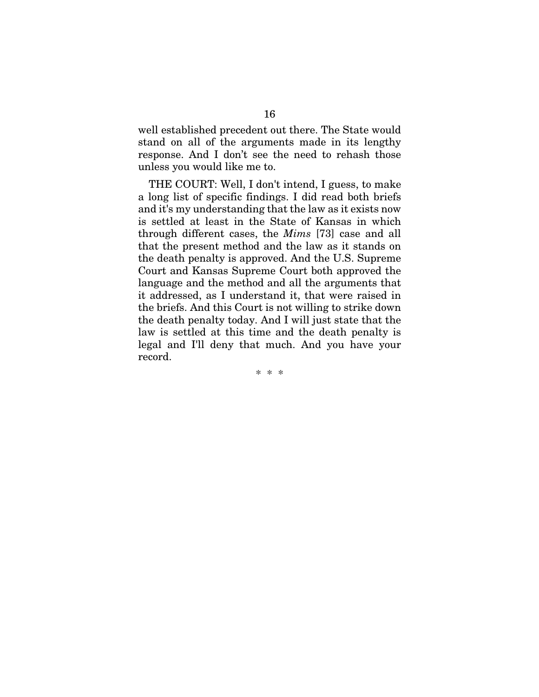well established precedent out there. The State would stand on all of the arguments made in its lengthy response. And I don't see the need to rehash those unless you would like me to.

THE COURT: Well, I don't intend, I guess, to make a long list of specific findings. I did read both briefs and it's my understanding that the law as it exists now is settled at least in the State of Kansas in which through different cases, the *Mims* [73] case and all that the present method and the law as it stands on the death penalty is approved. And the U.S. Supreme Court and Kansas Supreme Court both approved the language and the method and all the arguments that it addressed, as I understand it, that were raised in the briefs. And this Court is not willing to strike down the death penalty today. And I will just state that the law is settled at this time and the death penalty is legal and I'll deny that much. And you have your record.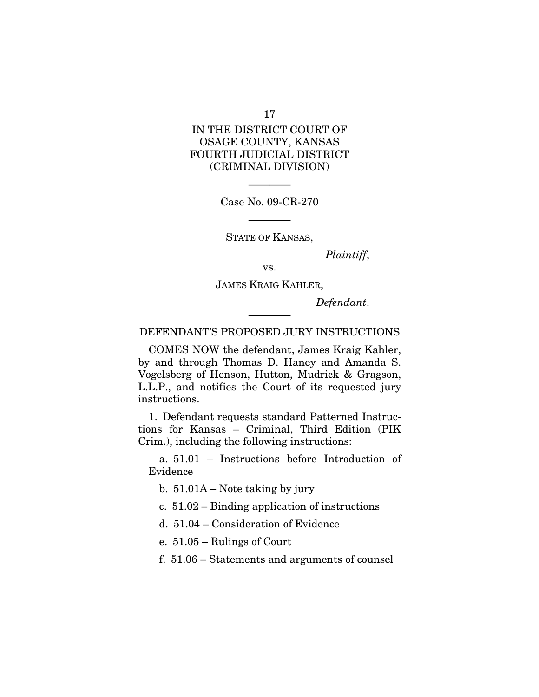17

### IN THE DISTRICT COURT OF OSAGE COUNTY, KANSAS FOURTH JUDICIAL DISTRICT (CRIMINAL DIVISION)

Case No. 09-CR-270

————

————

STATE OF KANSAS,

*Plaintiff*,

vs.

JAMES KRAIG KAHLER,

*Defendant*.

DEFENDANT'S PROPOSED JURY INSTRUCTIONS

————

COMES NOW the defendant, James Kraig Kahler, by and through Thomas D. Haney and Amanda S. Vogelsberg of Henson, Hutton, Mudrick & Gragson, L.L.P., and notifies the Court of its requested jury instructions.

1. Defendant requests standard Patterned Instructions for Kansas – Criminal, Third Edition (PIK Crim.), including the following instructions:

a. 51.01 – Instructions before Introduction of Evidence

b. 51.01A – Note taking by jury

c. 51.02 – Binding application of instructions

d. 51.04 – Consideration of Evidence

e. 51.05 – Rulings of Court

f. 51.06 – Statements and arguments of counsel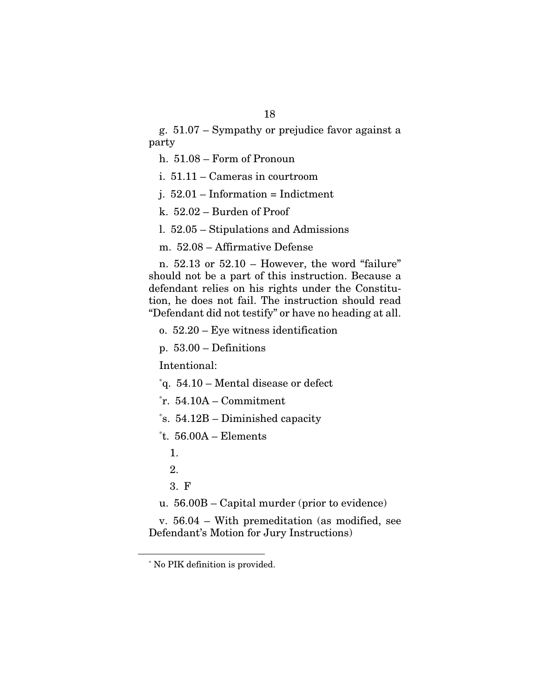g. 51.07 – Sympathy or prejudice favor against a party

h. 51.08 – Form of Pronoun

i. 51.11 – Cameras in courtroom

j. 52.01 – Information = Indictment

k. 52.02 – Burden of Proof

l. 52.05 – Stipulations and Admissions

m. 52.08 – Affirmative Defense

n. 52.13 or 52.10 – However, the word "failure" should not be a part of this instruction. Because a defendant relies on his rights under the Constitution, he does not fail. The instruction should read "Defendant did not testify" or have no heading at all.

o. 52.20 – Eye witness identification

p. 53.00 – Definitions

Intentional:

\* q. 54.10 – Mental disease or defect

\* r. 54.10A – Commitment

\* s. 54.12B – Diminished capacity

```
*
t. 56.00A – Elements
```
1.

2.

```
3. F
```
u. 56.00B – Capital murder (prior to evidence)

v. 56.04 – With premeditation (as modified, see Defendant's Motion for Jury Instructions)

 <sup>\*</sup> No PIK definition is provided.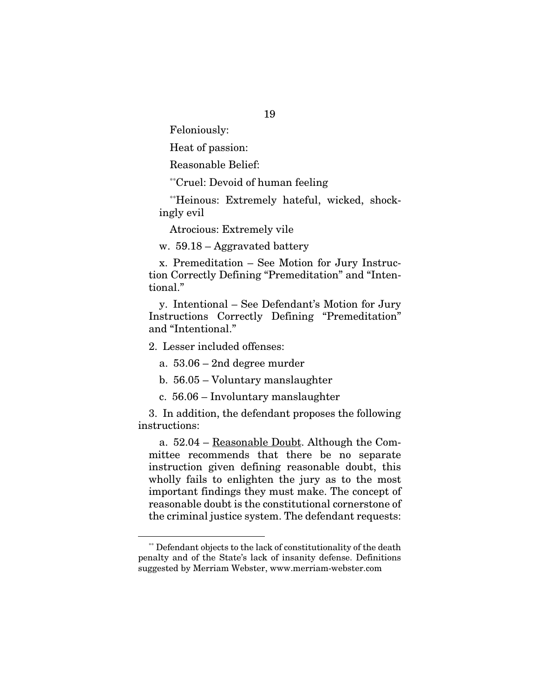Feloniously:

Heat of passion:

Reasonable Belief:

\*\*Cruel: Devoid of human feeling

\*\*Heinous: Extremely hateful, wicked, shockingly evil

Atrocious: Extremely vile

w. 59.18 – Aggravated battery

x. Premeditation – See Motion for Jury Instruction Correctly Defining "Premeditation" and "Intentional."

y. Intentional – See Defendant's Motion for Jury Instructions Correctly Defining "Premeditation" and "Intentional."

2. Lesser included offenses:

a. 53.06 – 2nd degree murder

b. 56.05 – Voluntary manslaughter

c. 56.06 – Involuntary manslaughter

3. In addition, the defendant proposes the following instructions:

a. 52.04 – Reasonable Doubt. Although the Committee recommends that there be no separate instruction given defining reasonable doubt, this wholly fails to enlighten the jury as to the most important findings they must make. The concept of reasonable doubt is the constitutional cornerstone of the criminal justice system. The defendant requests:

 <sup>\*\*</sup> Defendant objects to the lack of constitutionality of the death penalty and of the State's lack of insanity defense. Definitions suggested by Merriam Webster, www.merriam-webster.com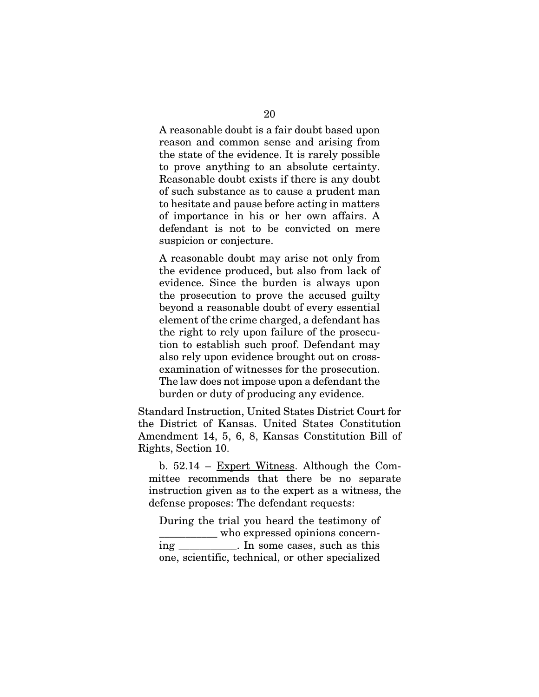A reasonable doubt is a fair doubt based upon reason and common sense and arising from the state of the evidence. It is rarely possible to prove anything to an absolute certainty. Reasonable doubt exists if there is any doubt of such substance as to cause a prudent man to hesitate and pause before acting in matters of importance in his or her own affairs. A defendant is not to be convicted on mere suspicion or conjecture.

A reasonable doubt may arise not only from the evidence produced, but also from lack of evidence. Since the burden is always upon the prosecution to prove the accused guilty beyond a reasonable doubt of every essential element of the crime charged, a defendant has the right to rely upon failure of the prosecution to establish such proof. Defendant may also rely upon evidence brought out on crossexamination of witnesses for the prosecution. The law does not impose upon a defendant the burden or duty of producing any evidence.

Standard Instruction, United States District Court for the District of Kansas. United States Constitution Amendment 14, 5, 6, 8, Kansas Constitution Bill of Rights, Section 10.

b.  $52.14$  – Expert Witness. Although the Committee recommends that there be no separate instruction given as to the expert as a witness, the defense proposes: The defendant requests:

During the trial you heard the testimony of \_\_\_\_\_\_\_\_\_\_\_ who expressed opinions concerning \_\_\_\_\_\_\_\_\_\_\_. In some cases, such as this one, scientific, technical, or other specialized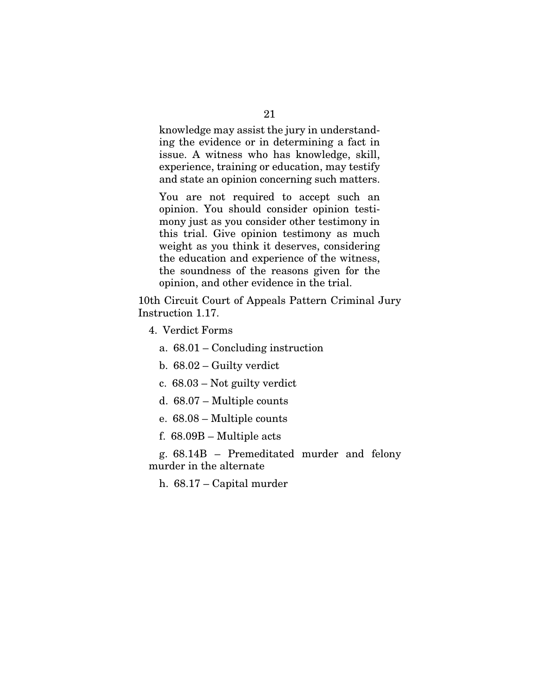knowledge may assist the jury in understanding the evidence or in determining a fact in issue. A witness who has knowledge, skill, experience, training or education, may testify and state an opinion concerning such matters.

You are not required to accept such an opinion. You should consider opinion testimony just as you consider other testimony in this trial. Give opinion testimony as much weight as you think it deserves, considering the education and experience of the witness, the soundness of the reasons given for the opinion, and other evidence in the trial.

10th Circuit Court of Appeals Pattern Criminal Jury Instruction 1.17.

4. Verdict Forms

a. 68.01 – Concluding instruction

- b. 68.02 Guilty verdict
- c. 68.03 Not guilty verdict
- d. 68.07 Multiple counts
- e. 68.08 Multiple counts
- f. 68.09B Multiple acts

g. 68.14B – Premeditated murder and felony murder in the alternate

h. 68.17 – Capital murder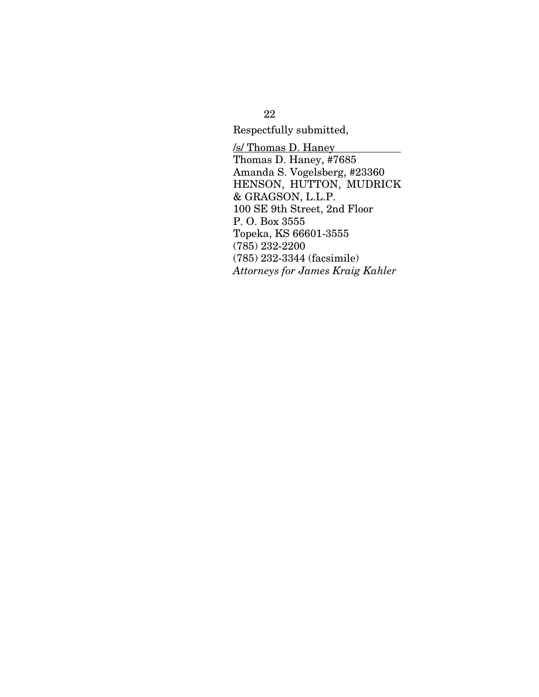Respectfully submitted,

/s/ Thomas D. Haney Thomas D. Haney, #7685 Amanda S. Vogelsberg, #23360 HENSON, HUTTON, MUDRICK & GRAGSON, L.L.P. 100 SE 9th Street, 2nd Floor P. O. Box 3555 Topeka, KS 66601-3555 (785) 232-2200 (785) 232-3344 (facsimile) *Attorneys for James Kraig Kahler* 

22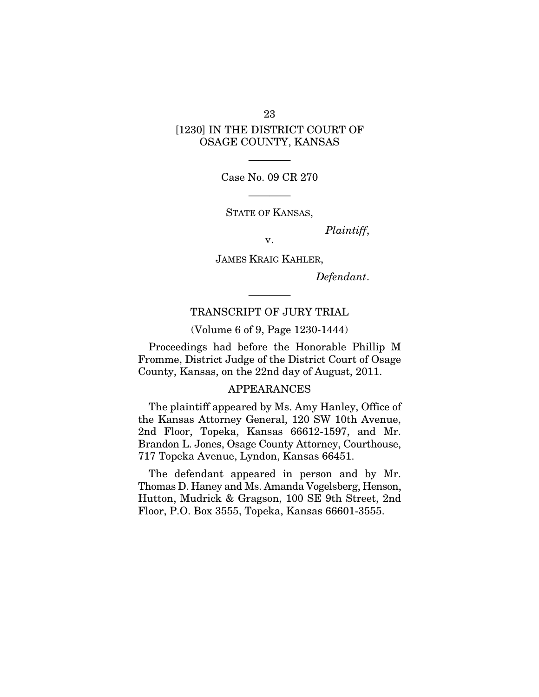# [1230] IN THE DISTRICT COURT OF OSAGE COUNTY, KANSAS

———— Case No. 09 CR 270

————

STATE OF KANSAS,

*Plaintiff*, v.

JAMES KRAIG KAHLER,

*Defendant*.

#### TRANSCRIPT OF JURY TRIAL

————

(Volume 6 of 9, Page 1230-1444)

Proceedings had before the Honorable Phillip M Fromme, District Judge of the District Court of Osage County, Kansas, on the 22nd day of August, 2011.

#### APPEARANCES

The plaintiff appeared by Ms. Amy Hanley, Office of the Kansas Attorney General, 120 SW 10th Avenue, 2nd Floor, Topeka, Kansas 66612-1597, and Mr. Brandon L. Jones, Osage County Attorney, Courthouse, 717 Topeka Avenue, Lyndon, Kansas 66451.

The defendant appeared in person and by Mr. Thomas D. Haney and Ms. Amanda Vogelsberg, Henson, Hutton, Mudrick & Gragson, 100 SE 9th Street, 2nd Floor, P.O. Box 3555, Topeka, Kansas 66601-3555.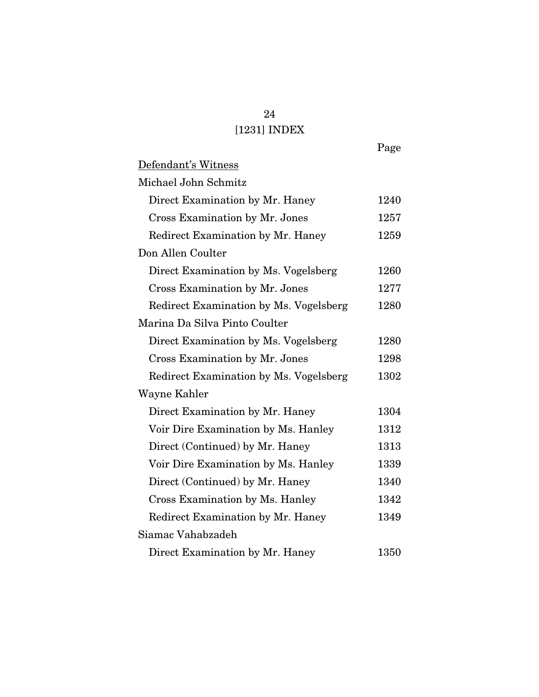# 24 [1231] INDEX

Page

| Defendant's Witness                    |      |
|----------------------------------------|------|
| Michael John Schmitz                   |      |
| Direct Examination by Mr. Haney        | 1240 |
| Cross Examination by Mr. Jones         | 1257 |
| Redirect Examination by Mr. Haney      | 1259 |
| Don Allen Coulter                      |      |
| Direct Examination by Ms. Vogelsberg   | 1260 |
| Cross Examination by Mr. Jones         | 1277 |
| Redirect Examination by Ms. Vogelsberg | 1280 |
| Marina Da Silva Pinto Coulter          |      |
| Direct Examination by Ms. Vogelsberg   | 1280 |
| Cross Examination by Mr. Jones         | 1298 |
| Redirect Examination by Ms. Vogelsberg | 1302 |
| Wayne Kahler                           |      |
| Direct Examination by Mr. Haney        | 1304 |
| Voir Dire Examination by Ms. Hanley    | 1312 |
| Direct (Continued) by Mr. Haney        | 1313 |
| Voir Dire Examination by Ms. Hanley    | 1339 |
| Direct (Continued) by Mr. Haney        | 1340 |
| Cross Examination by Ms. Hanley        | 1342 |
| Redirect Examination by Mr. Haney      | 1349 |
| Siamac Vahabzadeh                      |      |
| Direct Examination by Mr. Haney        | 1350 |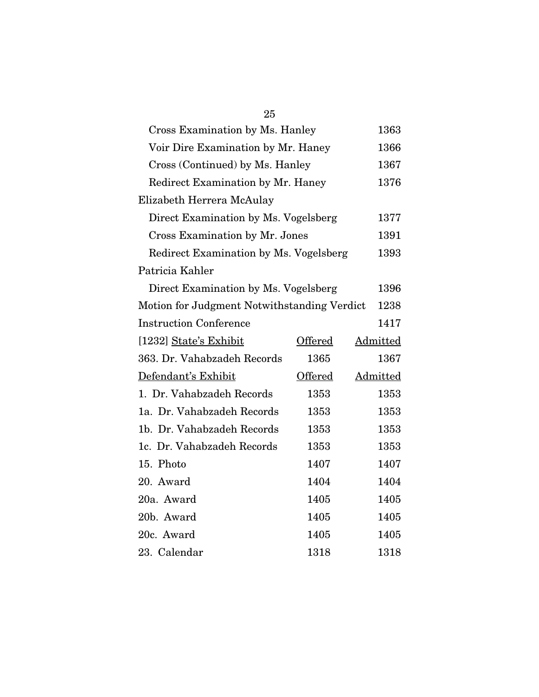| 25                                          |         |          |
|---------------------------------------------|---------|----------|
| Cross Examination by Ms. Hanley             |         | 1363     |
| Voir Dire Examination by Mr. Haney          |         | 1366     |
| Cross (Continued) by Ms. Hanley             |         | 1367     |
| Redirect Examination by Mr. Haney           |         | 1376     |
| Elizabeth Herrera McAulay                   |         |          |
| Direct Examination by Ms. Vogelsberg        |         | 1377     |
| Cross Examination by Mr. Jones              |         | 1391     |
| Redirect Examination by Ms. Vogelsberg      |         | 1393     |
| Patricia Kahler                             |         |          |
| Direct Examination by Ms. Vogelsberg        |         | 1396     |
| Motion for Judgment Notwithstanding Verdict |         | 1238     |
| <b>Instruction Conference</b>               |         | 1417     |
| [1232] State's Exhibit                      | Offered | Admitted |
| 363. Dr. Vahabzadeh Records                 | 1365    | 1367     |
| Defendant's Exhibit                         | Offered | Admitted |
| 1. Dr. Vahabzadeh Records                   | 1353    | 1353     |
| 1a. Dr. Vahabzadeh Records                  | 1353    | 1353     |
| 1b. Dr. Vahabzadeh Records                  | 1353    | 1353     |
| 1c. Dr. Vahabzadeh Records                  | 1353    | 1353     |
| 15. Photo                                   | 1407    | 1407     |
| 20. Award                                   | 1404    | 1404     |
| 20a. Award                                  | 1405    | 1405     |
| 20b. Award                                  | 1405    | 1405     |
|                                             |         |          |
| 20c. Award                                  | 1405    | 1405     |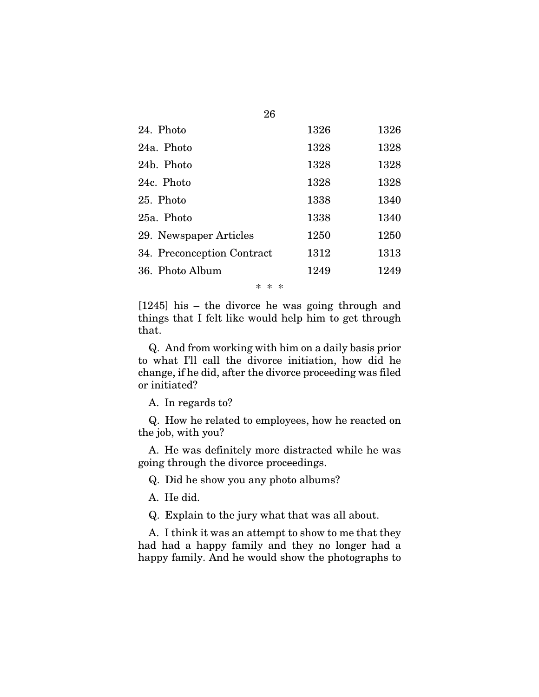| 24. Photo                  | 1326 | 1326 |
|----------------------------|------|------|
| 24a. Photo                 | 1328 | 1328 |
| 24b. Photo                 | 1328 | 1328 |
| 24c. Photo                 | 1328 | 1328 |
| 25. Photo                  | 1338 | 1340 |
| 25a. Photo                 | 1338 | 1340 |
| 29. Newspaper Articles     | 1250 | 1250 |
| 34. Preconception Contract | 1312 | 1313 |
| 36. Photo Album            | 1249 | 1249 |
|                            |      |      |

26

\* \* \*

[1245] his – the divorce he was going through and things that I felt like would help him to get through that.

Q. And from working with him on a daily basis prior to what I'll call the divorce initiation, how did he change, if he did, after the divorce proceeding was filed or initiated?

A. In regards to?

Q. How he related to employees, how he reacted on the job, with you?

A. He was definitely more distracted while he was going through the divorce proceedings.

Q. Did he show you any photo albums?

A. He did.

Q. Explain to the jury what that was all about.

A. I think it was an attempt to show to me that they had had a happy family and they no longer had a happy family. And he would show the photographs to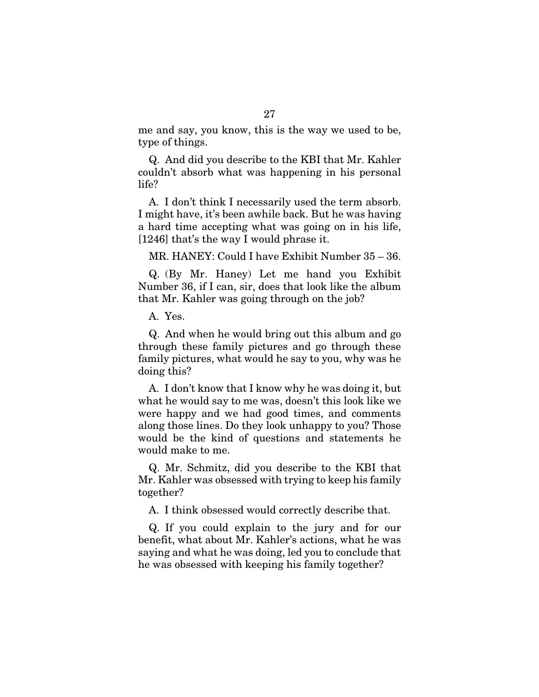me and say, you know, this is the way we used to be, type of things.

Q. And did you describe to the KBI that Mr. Kahler couldn't absorb what was happening in his personal life?

A. I don't think I necessarily used the term absorb. I might have, it's been awhile back. But he was having a hard time accepting what was going on in his life, [1246] that's the way I would phrase it.

MR. HANEY: Could I have Exhibit Number 35 – 36.

Q. (By Mr. Haney) Let me hand you Exhibit Number 36, if I can, sir, does that look like the album that Mr. Kahler was going through on the job?

A. Yes.

Q. And when he would bring out this album and go through these family pictures and go through these family pictures, what would he say to you, why was he doing this?

A. I don't know that I know why he was doing it, but what he would say to me was, doesn't this look like we were happy and we had good times, and comments along those lines. Do they look unhappy to you? Those would be the kind of questions and statements he would make to me.

Q. Mr. Schmitz, did you describe to the KBI that Mr. Kahler was obsessed with trying to keep his family together?

A. I think obsessed would correctly describe that.

Q. If you could explain to the jury and for our benefit, what about Mr. Kahler's actions, what he was saying and what he was doing, led you to conclude that he was obsessed with keeping his family together?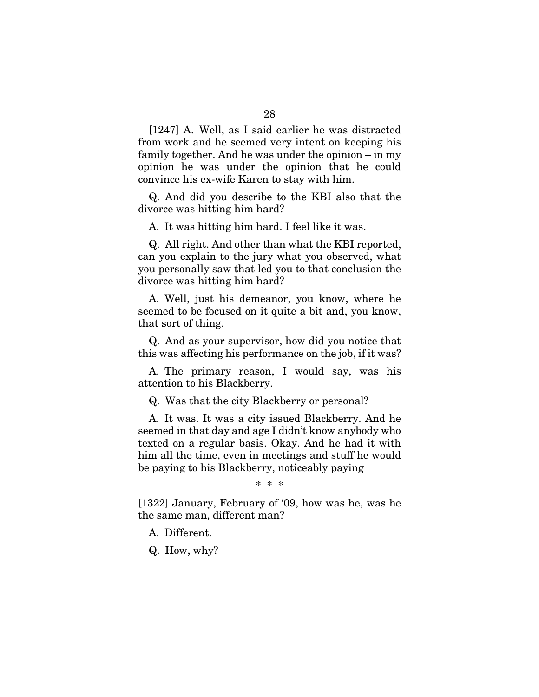[1247] A. Well, as I said earlier he was distracted from work and he seemed very intent on keeping his family together. And he was under the opinion – in my opinion he was under the opinion that he could convince his ex-wife Karen to stay with him.

Q. And did you describe to the KBI also that the divorce was hitting him hard?

A. It was hitting him hard. I feel like it was.

Q. All right. And other than what the KBI reported, can you explain to the jury what you observed, what you personally saw that led you to that conclusion the divorce was hitting him hard?

A. Well, just his demeanor, you know, where he seemed to be focused on it quite a bit and, you know, that sort of thing.

Q. And as your supervisor, how did you notice that this was affecting his performance on the job, if it was?

A. The primary reason, I would say, was his attention to his Blackberry.

Q. Was that the city Blackberry or personal?

A. It was. It was a city issued Blackberry. And he seemed in that day and age I didn't know anybody who texted on a regular basis. Okay. And he had it with him all the time, even in meetings and stuff he would be paying to his Blackberry, noticeably paying

\* \* \*

[1322] January, February of '09, how was he, was he the same man, different man?

A. Different.

Q. How, why?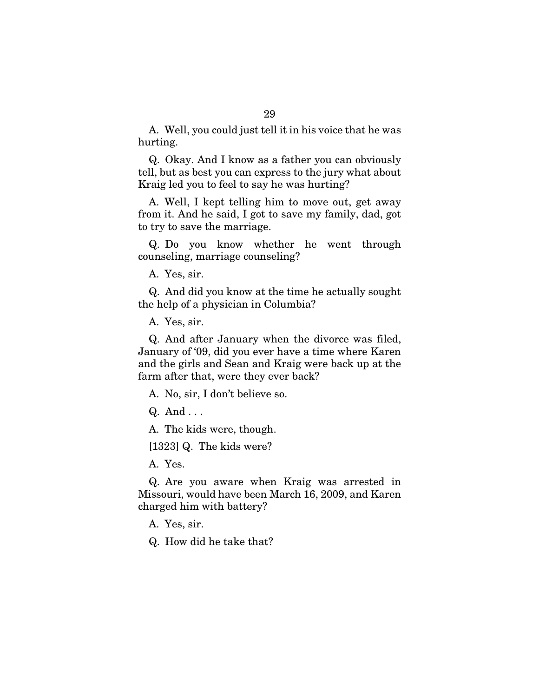A. Well, you could just tell it in his voice that he was hurting.

Q. Okay. And I know as a father you can obviously tell, but as best you can express to the jury what about Kraig led you to feel to say he was hurting?

A. Well, I kept telling him to move out, get away from it. And he said, I got to save my family, dad, got to try to save the marriage.

Q. Do you know whether he went through counseling, marriage counseling?

A. Yes, sir.

Q. And did you know at the time he actually sought the help of a physician in Columbia?

A. Yes, sir.

Q. And after January when the divorce was filed, January of '09, did you ever have a time where Karen and the girls and Sean and Kraig were back up at the farm after that, were they ever back?

A. No, sir, I don't believe so.

Q. And . . .

A. The kids were, though.

[1323] Q. The kids were?

A. Yes.

Q. Are you aware when Kraig was arrested in Missouri, would have been March 16, 2009, and Karen charged him with battery?

A. Yes, sir.

Q. How did he take that?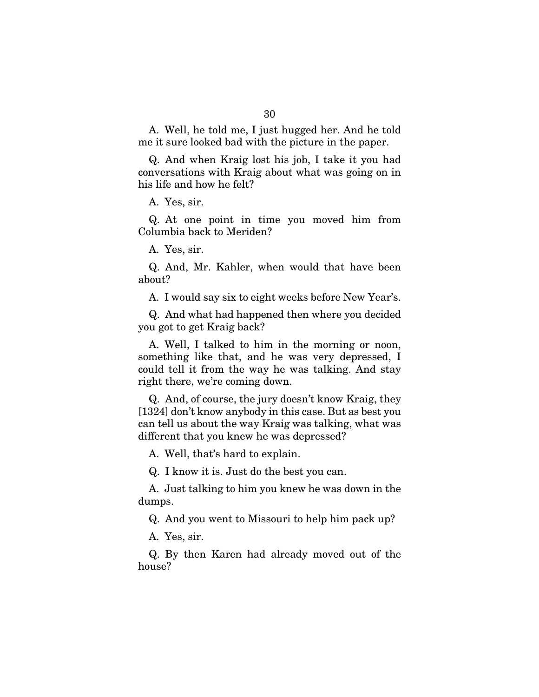A. Well, he told me, I just hugged her. And he told me it sure looked bad with the picture in the paper.

Q. And when Kraig lost his job, I take it you had conversations with Kraig about what was going on in his life and how he felt?

A. Yes, sir.

Q. At one point in time you moved him from Columbia back to Meriden?

A. Yes, sir.

Q. And, Mr. Kahler, when would that have been about?

A. I would say six to eight weeks before New Year's.

Q. And what had happened then where you decided you got to get Kraig back?

A. Well, I talked to him in the morning or noon, something like that, and he was very depressed, I could tell it from the way he was talking. And stay right there, we're coming down.

Q. And, of course, the jury doesn't know Kraig, they [1324] don't know anybody in this case. But as best you can tell us about the way Kraig was talking, what was different that you knew he was depressed?

A. Well, that's hard to explain.

Q. I know it is. Just do the best you can.

A. Just talking to him you knew he was down in the dumps.

Q. And you went to Missouri to help him pack up?

A. Yes, sir.

Q. By then Karen had already moved out of the house?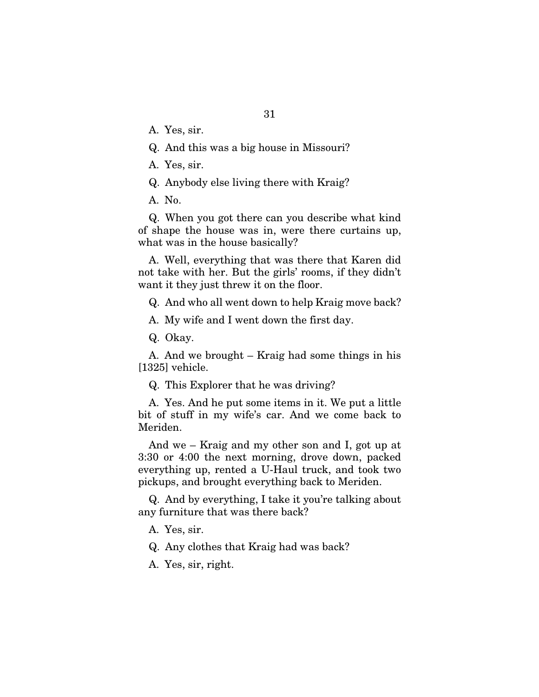A. Yes, sir.

Q. And this was a big house in Missouri?

A. Yes, sir.

Q. Anybody else living there with Kraig?

A. No.

Q. When you got there can you describe what kind of shape the house was in, were there curtains up, what was in the house basically?

A. Well, everything that was there that Karen did not take with her. But the girls' rooms, if they didn't want it they just threw it on the floor.

Q. And who all went down to help Kraig move back?

A. My wife and I went down the first day.

Q. Okay.

A. And we brought – Kraig had some things in his [1325] vehicle.

Q. This Explorer that he was driving?

A. Yes. And he put some items in it. We put a little bit of stuff in my wife's car. And we come back to Meriden.

And we – Kraig and my other son and I, got up at 3:30 or 4:00 the next morning, drove down, packed everything up, rented a U-Haul truck, and took two pickups, and brought everything back to Meriden.

Q. And by everything, I take it you're talking about any furniture that was there back?

A. Yes, sir.

Q. Any clothes that Kraig had was back?

A. Yes, sir, right.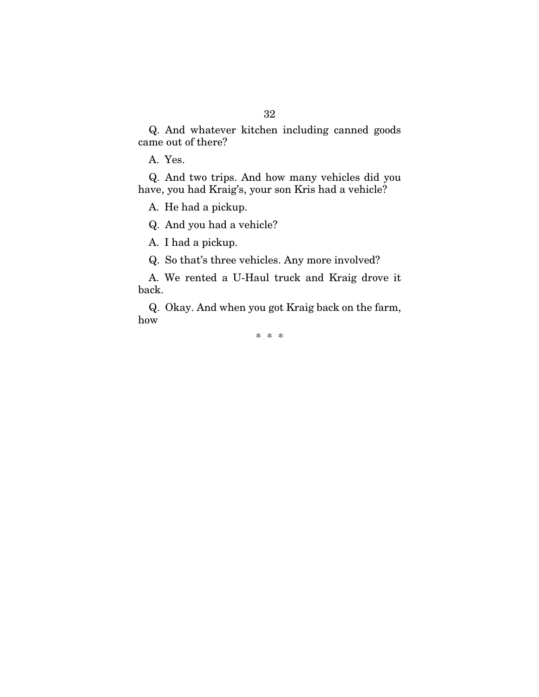Q. And whatever kitchen including canned goods came out of there?

A. Yes.

Q. And two trips. And how many vehicles did you have, you had Kraig's, your son Kris had a vehicle?

A. He had a pickup.

Q. And you had a vehicle?

A. I had a pickup.

Q. So that's three vehicles. Any more involved?

A. We rented a U-Haul truck and Kraig drove it back.

Q. Okay. And when you got Kraig back on the farm, how

\* \* \*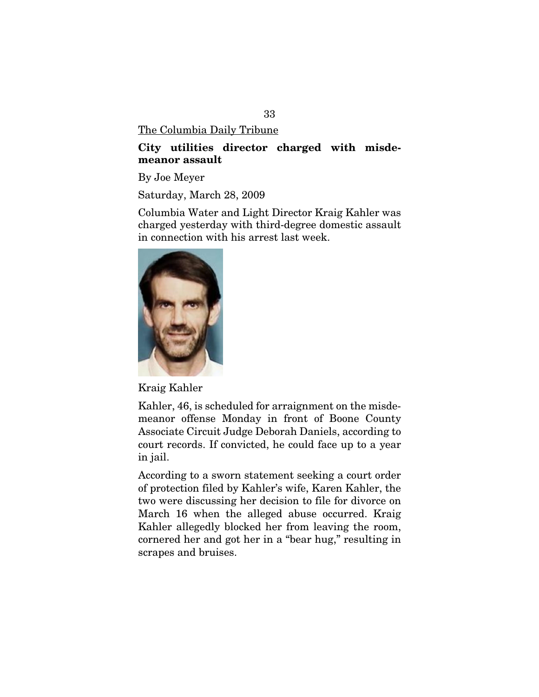The Columbia Daily Tribune

# City utilities director charged with misdemeanor assault

By Joe Meyer

Saturday, March 28, 2009

Columbia Water and Light Director Kraig Kahler was charged yesterday with third-degree domestic assault in connection with his arrest last week.



Kraig Kahler

Kahler, 46, is scheduled for arraignment on the misdemeanor offense Monday in front of Boone County Associate Circuit Judge Deborah Daniels, according to court records. If convicted, he could face up to a year in jail.

According to a sworn statement seeking a court order of protection filed by Kahler's wife, Karen Kahler, the two were discussing her decision to file for divorce on March 16 when the alleged abuse occurred. Kraig Kahler allegedly blocked her from leaving the room, cornered her and got her in a "bear hug," resulting in scrapes and bruises.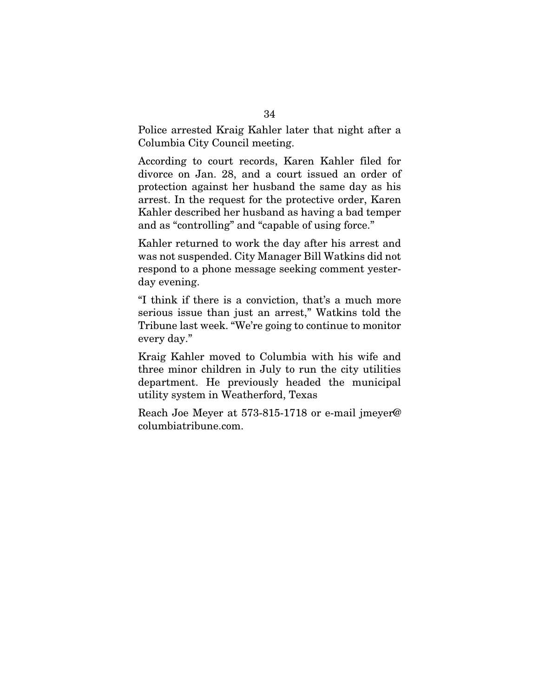Police arrested Kraig Kahler later that night after a Columbia City Council meeting.

According to court records, Karen Kahler filed for divorce on Jan. 28, and a court issued an order of protection against her husband the same day as his arrest. In the request for the protective order, Karen Kahler described her husband as having a bad temper and as "controlling" and "capable of using force."

Kahler returned to work the day after his arrest and was not suspended. City Manager Bill Watkins did not respond to a phone message seeking comment yesterday evening.

"I think if there is a conviction, that's a much more serious issue than just an arrest," Watkins told the Tribune last week. "We're going to continue to monitor every day."

Kraig Kahler moved to Columbia with his wife and three minor children in July to run the city utilities department. He previously headed the municipal utility system in Weatherford, Texas

Reach Joe Meyer at 573-815-1718 or e-mail jmeyer@ columbiatribune.com.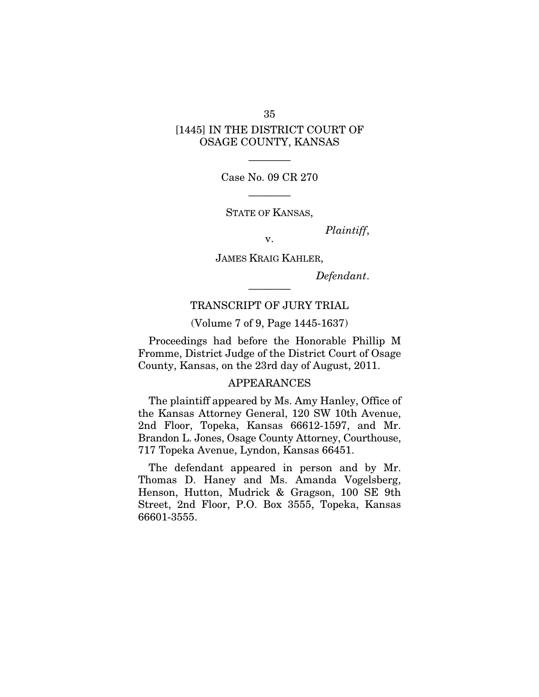# [1445] IN THE DISTRICT COURT OF OSAGE COUNTY, KANSAS

———— Case No. 09 CR 270

————

STATE OF KANSAS,

*Plaintiff*, v.

JAMES KRAIG KAHLER,

*Defendant*.

# TRANSCRIPT OF JURY TRIAL

————

(Volume 7 of 9, Page 1445-1637)

Proceedings had before the Honorable Phillip M Fromme, District Judge of the District Court of Osage County, Kansas, on the 23rd day of August, 2011.

## APPEARANCES

The plaintiff appeared by Ms. Amy Hanley, Office of the Kansas Attorney General, 120 SW 10th Avenue, 2nd Floor, Topeka, Kansas 66612-1597, and Mr. Brandon L. Jones, Osage County Attorney, Courthouse, 717 Topeka Avenue, Lyndon, Kansas 66451.

The defendant appeared in person and by Mr. Thomas D. Haney and Ms. Amanda Vogelsberg, Henson, Hutton, Mudrick & Gragson, 100 SE 9th Street, 2nd Floor, P.O. Box 3555, Topeka, Kansas 66601-3555.

35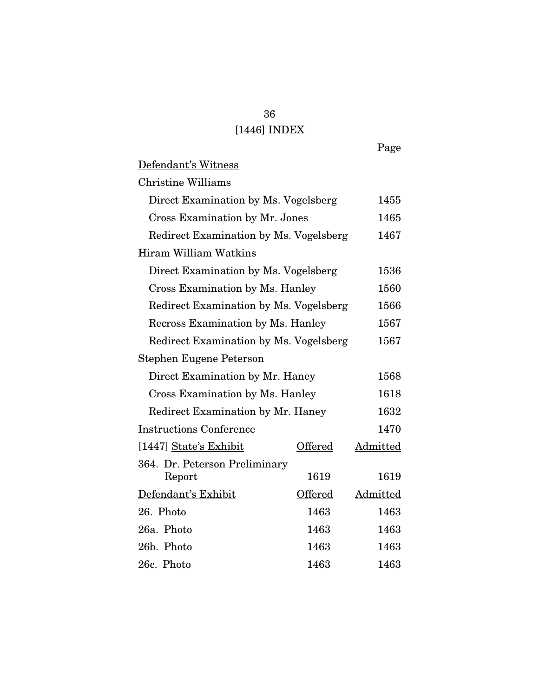# 36 [1446] INDEX

Page

Defendant's Witness

Christine Williams

| Direct Examination by Ms. Vogelsberg   |         | 1455     |
|----------------------------------------|---------|----------|
| <b>Cross Examination by Mr. Jones</b>  |         | 1465     |
| Redirect Examination by Ms. Vogelsberg |         | 1467     |
| Hiram William Watkins                  |         |          |
| Direct Examination by Ms. Vogelsberg   |         | 1536     |
| Cross Examination by Ms. Hanley        |         | 1560     |
| Redirect Examination by Ms. Vogelsberg |         | 1566     |
| Recross Examination by Ms. Hanley      |         | 1567     |
| Redirect Examination by Ms. Vogelsberg |         | 1567     |
| Stephen Eugene Peterson                |         |          |
| Direct Examination by Mr. Haney        |         | 1568     |
| Cross Examination by Ms. Hanley        |         | 1618     |
| Redirect Examination by Mr. Haney      |         | 1632     |
| <b>Instructions Conference</b>         |         | 1470     |
| [1447] State's Exhibit                 | Offered | Admitted |
| 364. Dr. Peterson Preliminary          |         |          |
| Report                                 | 1619    | 1619     |
| Defendant's Exhibit                    | Offered | Admitted |
| 26. Photo                              | 1463    | 1463     |
| 26a. Photo                             | 1463    | 1463     |
| 26b. Photo                             | 1463    | 1463     |
| 26c. Photo                             | 1463    | 1463     |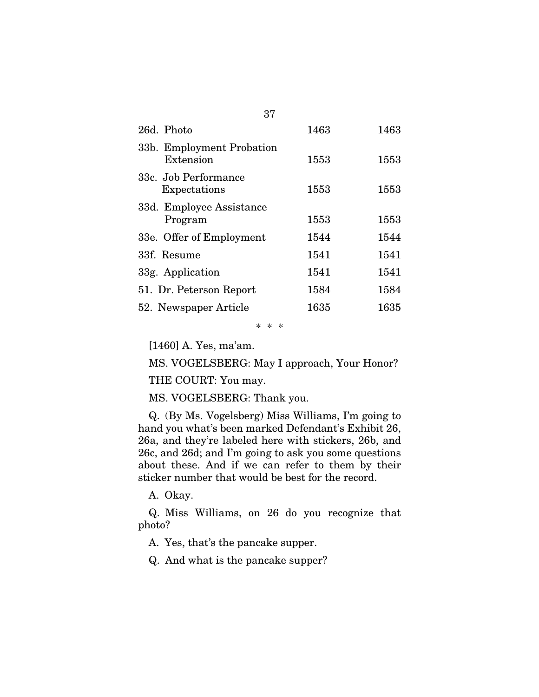| 26d. Photo                             | 1463 | 1463 |
|----------------------------------------|------|------|
| 33b. Employment Probation<br>Extension | 1553 | 1553 |
| 33c. Job Performance<br>Expectations   | 1553 | 1553 |
| 33d. Employee Assistance<br>Program    | 1553 | 1553 |
| 33e. Offer of Employment               | 1544 | 1544 |
| 33f. Resume                            | 1541 | 1541 |
| 33g. Application                       | 1541 | 1541 |
| 51. Dr. Peterson Report                | 1584 | 1584 |
| 52. Newspaper Article                  | 1635 | 1635 |

37

\* \* \*

[1460] A. Yes, ma'am.

MS. VOGELSBERG: May I approach, Your Honor?

THE COURT: You may.

MS. VOGELSBERG: Thank you.

Q. (By Ms. Vogelsberg) Miss Williams, I'm going to hand you what's been marked Defendant's Exhibit 26, 26a, and they're labeled here with stickers, 26b, and 26c, and 26d; and I'm going to ask you some questions about these. And if we can refer to them by their sticker number that would be best for the record.

A. Okay.

Q. Miss Williams, on 26 do you recognize that photo?

A. Yes, that's the pancake supper.

Q. And what is the pancake supper?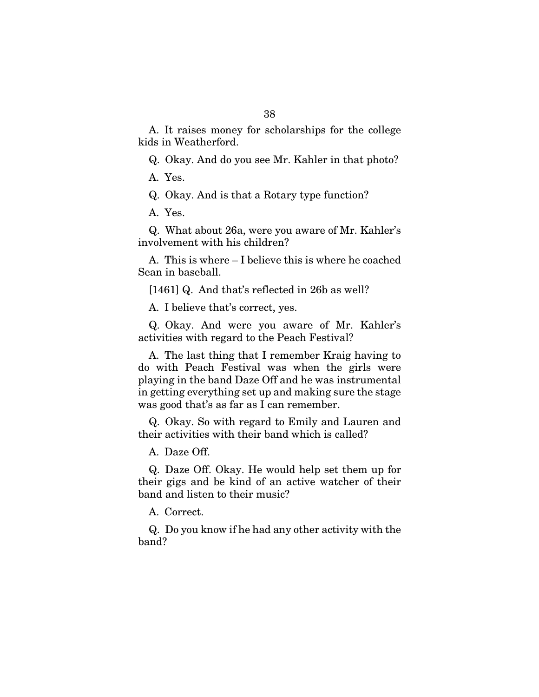A. It raises money for scholarships for the college kids in Weatherford.

Q. Okay. And do you see Mr. Kahler in that photo?

A. Yes.

Q. Okay. And is that a Rotary type function?

A. Yes.

Q. What about 26a, were you aware of Mr. Kahler's involvement with his children?

A. This is where – I believe this is where he coached Sean in baseball.

[1461] Q. And that's reflected in 26b as well?

A. I believe that's correct, yes.

Q. Okay. And were you aware of Mr. Kahler's activities with regard to the Peach Festival?

A. The last thing that I remember Kraig having to do with Peach Festival was when the girls were playing in the band Daze Off and he was instrumental in getting everything set up and making sure the stage was good that's as far as I can remember.

Q. Okay. So with regard to Emily and Lauren and their activities with their band which is called?

A. Daze Off.

Q. Daze Off. Okay. He would help set them up for their gigs and be kind of an active watcher of their band and listen to their music?

A. Correct.

Q. Do you know if he had any other activity with the band?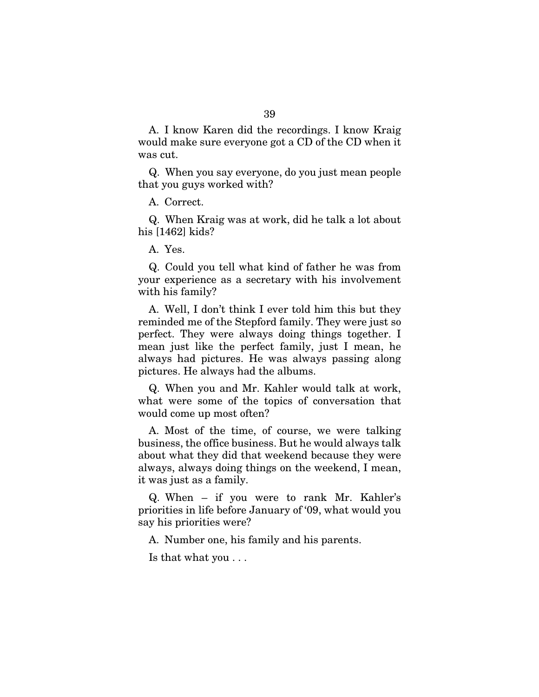A. I know Karen did the recordings. I know Kraig would make sure everyone got a CD of the CD when it was cut.

Q. When you say everyone, do you just mean people that you guys worked with?

A. Correct.

Q. When Kraig was at work, did he talk a lot about his [1462] kids?

A. Yes.

Q. Could you tell what kind of father he was from your experience as a secretary with his involvement with his family?

A. Well, I don't think I ever told him this but they reminded me of the Stepford family. They were just so perfect. They were always doing things together. I mean just like the perfect family, just I mean, he always had pictures. He was always passing along pictures. He always had the albums.

Q. When you and Mr. Kahler would talk at work, what were some of the topics of conversation that would come up most often?

A. Most of the time, of course, we were talking business, the office business. But he would always talk about what they did that weekend because they were always, always doing things on the weekend, I mean, it was just as a family.

Q. When – if you were to rank Mr. Kahler's priorities in life before January of '09, what would you say his priorities were?

A. Number one, his family and his parents.

Is that what you . . .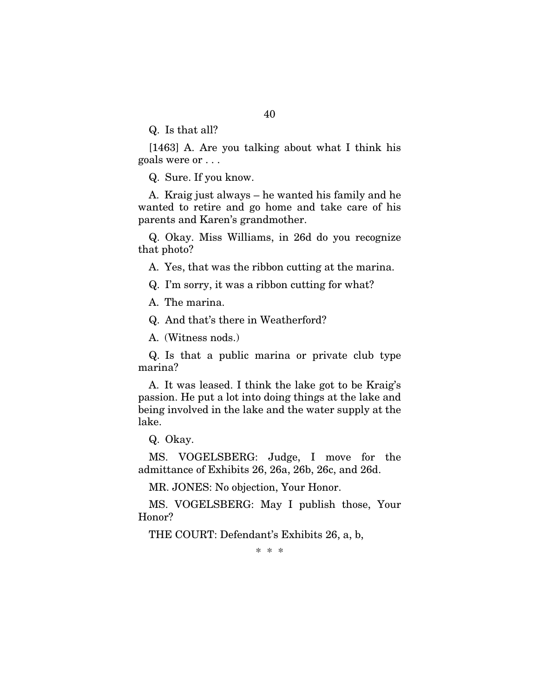Q. Is that all?

[1463] A. Are you talking about what I think his goals were or . . .

Q. Sure. If you know.

A. Kraig just always – he wanted his family and he wanted to retire and go home and take care of his parents and Karen's grandmother.

Q. Okay. Miss Williams, in 26d do you recognize that photo?

A. Yes, that was the ribbon cutting at the marina.

Q. I'm sorry, it was a ribbon cutting for what?

A. The marina.

Q. And that's there in Weatherford?

A. (Witness nods.)

Q. Is that a public marina or private club type marina?

A. It was leased. I think the lake got to be Kraig's passion. He put a lot into doing things at the lake and being involved in the lake and the water supply at the lake.

Q. Okay.

MS. VOGELSBERG: Judge, I move for the admittance of Exhibits 26, 26a, 26b, 26c, and 26d.

MR. JONES: No objection, Your Honor.

MS. VOGELSBERG: May I publish those, Your Honor?

THE COURT: Defendant's Exhibits 26, a, b,

\* \* \*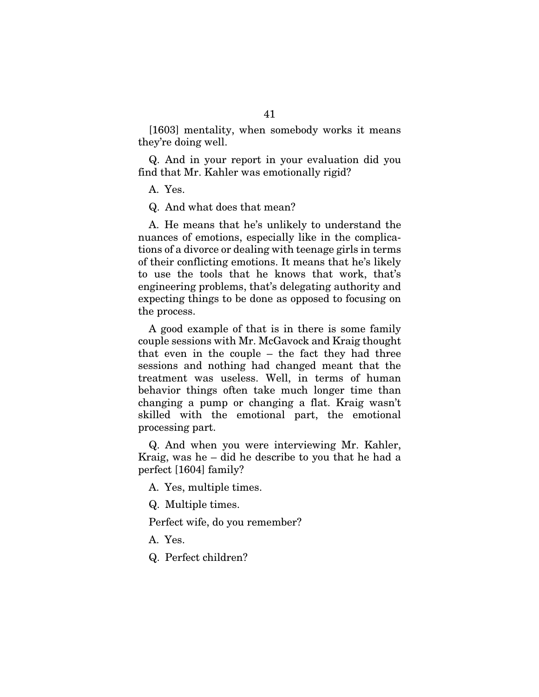[1603] mentality, when somebody works it means they're doing well.

Q. And in your report in your evaluation did you find that Mr. Kahler was emotionally rigid?

A. Yes.

Q. And what does that mean?

A. He means that he's unlikely to understand the nuances of emotions, especially like in the complications of a divorce or dealing with teenage girls in terms of their conflicting emotions. It means that he's likely to use the tools that he knows that work, that's engineering problems, that's delegating authority and expecting things to be done as opposed to focusing on the process.

A good example of that is in there is some family couple sessions with Mr. McGavock and Kraig thought that even in the couple – the fact they had three sessions and nothing had changed meant that the treatment was useless. Well, in terms of human behavior things often take much longer time than changing a pump or changing a flat. Kraig wasn't skilled with the emotional part, the emotional processing part.

Q. And when you were interviewing Mr. Kahler, Kraig, was he – did he describe to you that he had a perfect [1604] family?

A. Yes, multiple times.

Q. Multiple times.

Perfect wife, do you remember?

A. Yes.

Q. Perfect children?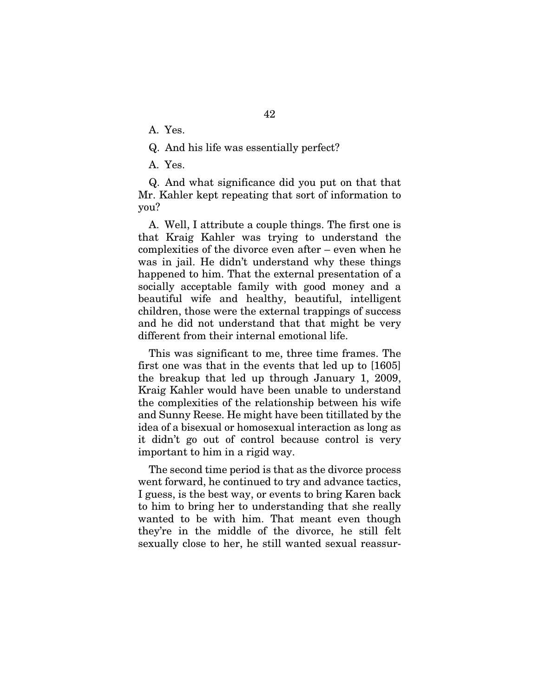A. Yes.

Q. And his life was essentially perfect?

A. Yes.

Q. And what significance did you put on that that Mr. Kahler kept repeating that sort of information to you?

A. Well, I attribute a couple things. The first one is that Kraig Kahler was trying to understand the complexities of the divorce even after – even when he was in jail. He didn't understand why these things happened to him. That the external presentation of a socially acceptable family with good money and a beautiful wife and healthy, beautiful, intelligent children, those were the external trappings of success and he did not understand that that might be very different from their internal emotional life.

This was significant to me, three time frames. The first one was that in the events that led up to [1605] the breakup that led up through January 1, 2009, Kraig Kahler would have been unable to understand the complexities of the relationship between his wife and Sunny Reese. He might have been titillated by the idea of a bisexual or homosexual interaction as long as it didn't go out of control because control is very important to him in a rigid way.

The second time period is that as the divorce process went forward, he continued to try and advance tactics, I guess, is the best way, or events to bring Karen back to him to bring her to understanding that she really wanted to be with him. That meant even though they're in the middle of the divorce, he still felt sexually close to her, he still wanted sexual reassur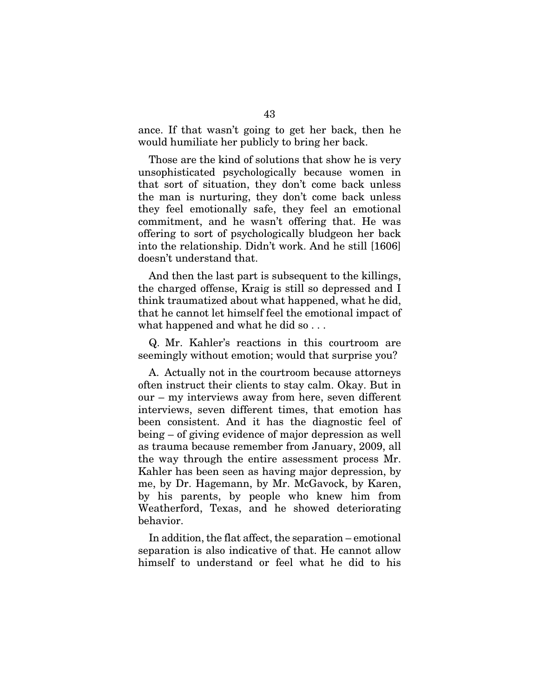ance. If that wasn't going to get her back, then he would humiliate her publicly to bring her back.

Those are the kind of solutions that show he is very unsophisticated psychologically because women in that sort of situation, they don't come back unless the man is nurturing, they don't come back unless they feel emotionally safe, they feel an emotional commitment, and he wasn't offering that. He was offering to sort of psychologically bludgeon her back into the relationship. Didn't work. And he still [1606] doesn't understand that.

And then the last part is subsequent to the killings, the charged offense, Kraig is still so depressed and I think traumatized about what happened, what he did, that he cannot let himself feel the emotional impact of what happened and what he did so...

Q. Mr. Kahler's reactions in this courtroom are seemingly without emotion; would that surprise you?

A. Actually not in the courtroom because attorneys often instruct their clients to stay calm. Okay. But in our – my interviews away from here, seven different interviews, seven different times, that emotion has been consistent. And it has the diagnostic feel of being – of giving evidence of major depression as well as trauma because remember from January, 2009, all the way through the entire assessment process Mr. Kahler has been seen as having major depression, by me, by Dr. Hagemann, by Mr. McGavock, by Karen, by his parents, by people who knew him from Weatherford, Texas, and he showed deteriorating behavior.

In addition, the flat affect, the separation – emotional separation is also indicative of that. He cannot allow himself to understand or feel what he did to his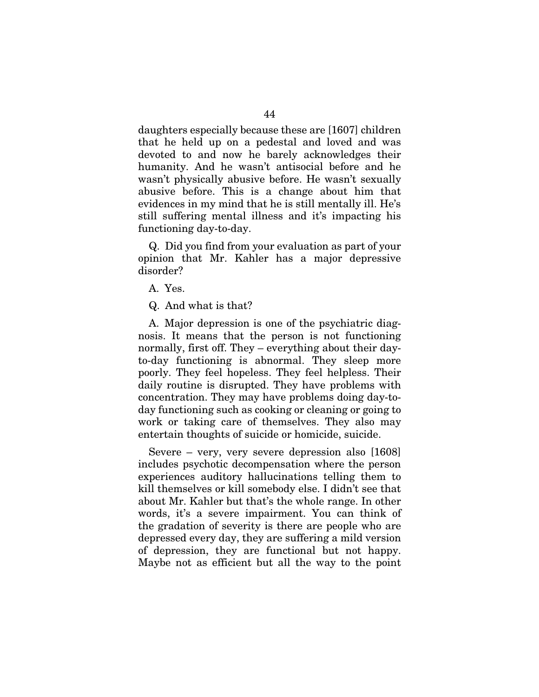daughters especially because these are [1607] children that he held up on a pedestal and loved and was devoted to and now he barely acknowledges their humanity. And he wasn't antisocial before and he wasn't physically abusive before. He wasn't sexually abusive before. This is a change about him that evidences in my mind that he is still mentally ill. He's still suffering mental illness and it's impacting his functioning day-to-day.

Q. Did you find from your evaluation as part of your opinion that Mr. Kahler has a major depressive disorder?

A. Yes.

Q. And what is that?

A. Major depression is one of the psychiatric diagnosis. It means that the person is not functioning normally, first off. They – everything about their dayto-day functioning is abnormal. They sleep more poorly. They feel hopeless. They feel helpless. Their daily routine is disrupted. They have problems with concentration. They may have problems doing day-today functioning such as cooking or cleaning or going to work or taking care of themselves. They also may entertain thoughts of suicide or homicide, suicide.

Severe – very, very severe depression also [1608] includes psychotic decompensation where the person experiences auditory hallucinations telling them to kill themselves or kill somebody else. I didn't see that about Mr. Kahler but that's the whole range. In other words, it's a severe impairment. You can think of the gradation of severity is there are people who are depressed every day, they are suffering a mild version of depression, they are functional but not happy. Maybe not as efficient but all the way to the point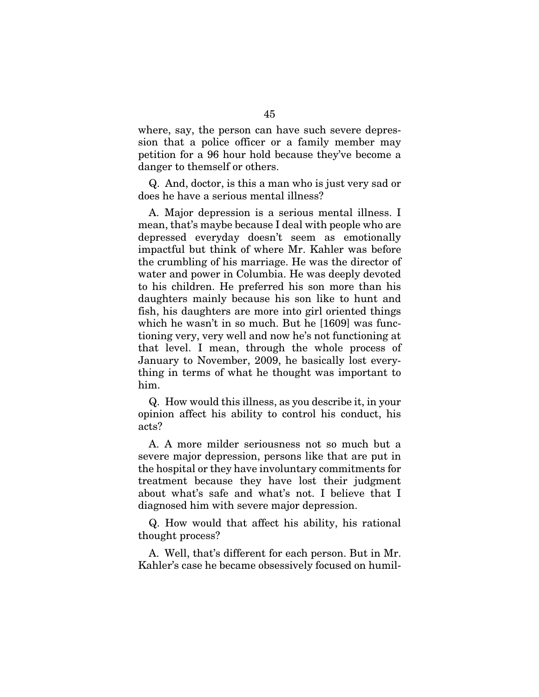where, say, the person can have such severe depression that a police officer or a family member may petition for a 96 hour hold because they've become a danger to themself or others.

Q. And, doctor, is this a man who is just very sad or does he have a serious mental illness?

A. Major depression is a serious mental illness. I mean, that's maybe because I deal with people who are depressed everyday doesn't seem as emotionally impactful but think of where Mr. Kahler was before the crumbling of his marriage. He was the director of water and power in Columbia. He was deeply devoted to his children. He preferred his son more than his daughters mainly because his son like to hunt and fish, his daughters are more into girl oriented things which he wasn't in so much. But he [1609] was functioning very, very well and now he's not functioning at that level. I mean, through the whole process of January to November, 2009, he basically lost everything in terms of what he thought was important to him.

Q. How would this illness, as you describe it, in your opinion affect his ability to control his conduct, his acts?

A. A more milder seriousness not so much but a severe major depression, persons like that are put in the hospital or they have involuntary commitments for treatment because they have lost their judgment about what's safe and what's not. I believe that I diagnosed him with severe major depression.

Q. How would that affect his ability, his rational thought process?

A. Well, that's different for each person. But in Mr. Kahler's case he became obsessively focused on humil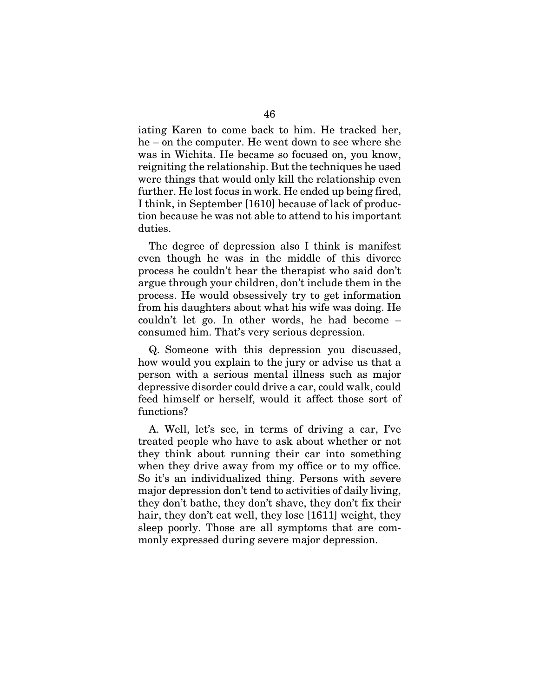iating Karen to come back to him. He tracked her, he – on the computer. He went down to see where she was in Wichita. He became so focused on, you know, reigniting the relationship. But the techniques he used were things that would only kill the relationship even further. He lost focus in work. He ended up being fired, I think, in September [1610] because of lack of production because he was not able to attend to his important duties.

The degree of depression also I think is manifest even though he was in the middle of this divorce process he couldn't hear the therapist who said don't argue through your children, don't include them in the process. He would obsessively try to get information from his daughters about what his wife was doing. He couldn't let go. In other words, he had become – consumed him. That's very serious depression.

Q. Someone with this depression you discussed, how would you explain to the jury or advise us that a person with a serious mental illness such as major depressive disorder could drive a car, could walk, could feed himself or herself, would it affect those sort of functions?

A. Well, let's see, in terms of driving a car, I've treated people who have to ask about whether or not they think about running their car into something when they drive away from my office or to my office. So it's an individualized thing. Persons with severe major depression don't tend to activities of daily living, they don't bathe, they don't shave, they don't fix their hair, they don't eat well, they lose [1611] weight, they sleep poorly. Those are all symptoms that are commonly expressed during severe major depression.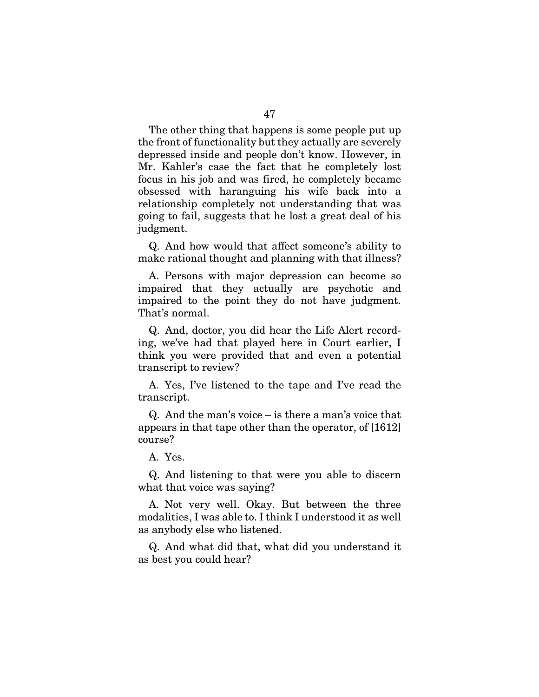The other thing that happens is some people put up the front of functionality but they actually are severely depressed inside and people don't know. However, in Mr. Kahler's case the fact that he completely lost focus in his job and was fired, he completely became obsessed with haranguing his wife back into a relationship completely not understanding that was going to fail, suggests that he lost a great deal of his judgment.

Q. And how would that affect someone's ability to make rational thought and planning with that illness?

A. Persons with major depression can become so impaired that they actually are psychotic and impaired to the point they do not have judgment. That's normal.

Q. And, doctor, you did hear the Life Alert recording, we've had that played here in Court earlier, I think you were provided that and even a potential transcript to review?

A. Yes, I've listened to the tape and I've read the transcript.

Q. And the man's voice – is there a man's voice that appears in that tape other than the operator, of [1612] course?

A. Yes.

Q. And listening to that were you able to discern what that voice was saying?

A. Not very well. Okay. But between the three modalities, I was able to. I think I understood it as well as anybody else who listened.

Q. And what did that, what did you understand it as best you could hear?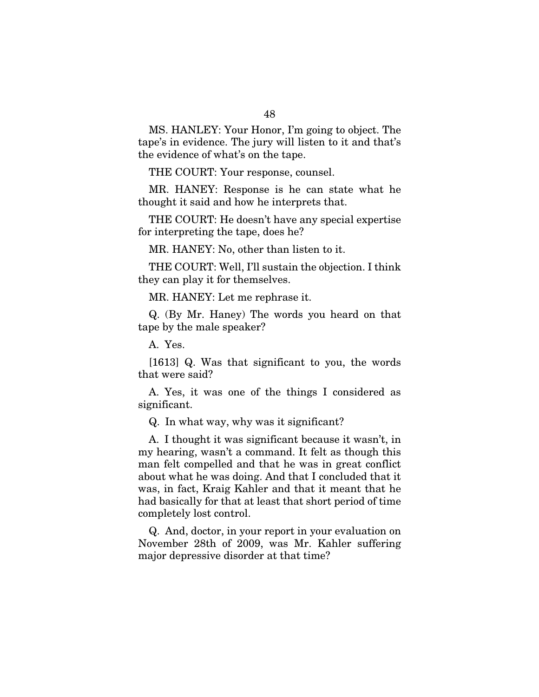MS. HANLEY: Your Honor, I'm going to object. The tape's in evidence. The jury will listen to it and that's the evidence of what's on the tape.

THE COURT: Your response, counsel.

MR. HANEY: Response is he can state what he thought it said and how he interprets that.

THE COURT: He doesn't have any special expertise for interpreting the tape, does he?

MR. HANEY: No, other than listen to it.

THE COURT: Well, I'll sustain the objection. I think they can play it for themselves.

MR. HANEY: Let me rephrase it.

Q. (By Mr. Haney) The words you heard on that tape by the male speaker?

A. Yes.

[1613] Q. Was that significant to you, the words that were said?

A. Yes, it was one of the things I considered as significant.

Q. In what way, why was it significant?

A. I thought it was significant because it wasn't, in my hearing, wasn't a command. It felt as though this man felt compelled and that he was in great conflict about what he was doing. And that I concluded that it was, in fact, Kraig Kahler and that it meant that he had basically for that at least that short period of time completely lost control.

Q. And, doctor, in your report in your evaluation on November 28th of 2009, was Mr. Kahler suffering major depressive disorder at that time?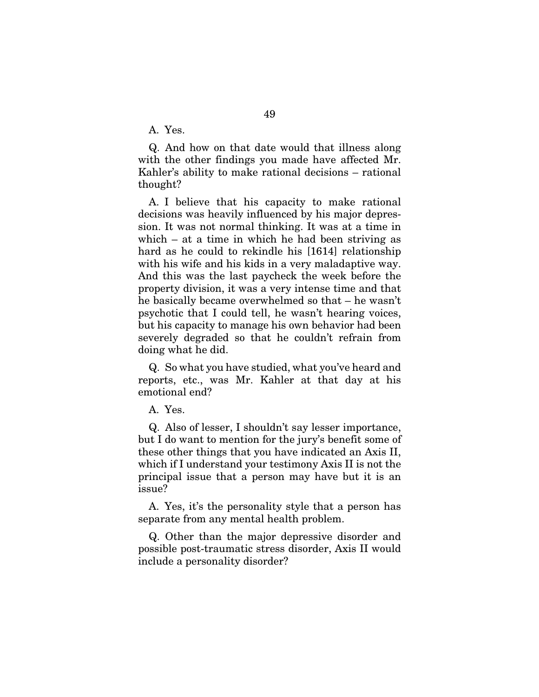A. Yes.

Q. And how on that date would that illness along with the other findings you made have affected Mr. Kahler's ability to make rational decisions – rational thought?

A. I believe that his capacity to make rational decisions was heavily influenced by his major depression. It was not normal thinking. It was at a time in which – at a time in which he had been striving as hard as he could to rekindle his [1614] relationship with his wife and his kids in a very maladaptive way. And this was the last paycheck the week before the property division, it was a very intense time and that he basically became overwhelmed so that – he wasn't psychotic that I could tell, he wasn't hearing voices, but his capacity to manage his own behavior had been severely degraded so that he couldn't refrain from doing what he did.

Q. So what you have studied, what you've heard and reports, etc., was Mr. Kahler at that day at his emotional end?

A. Yes.

Q. Also of lesser, I shouldn't say lesser importance, but I do want to mention for the jury's benefit some of these other things that you have indicated an Axis II, which if I understand your testimony Axis II is not the principal issue that a person may have but it is an issue?

A. Yes, it's the personality style that a person has separate from any mental health problem.

Q. Other than the major depressive disorder and possible post-traumatic stress disorder, Axis II would include a personality disorder?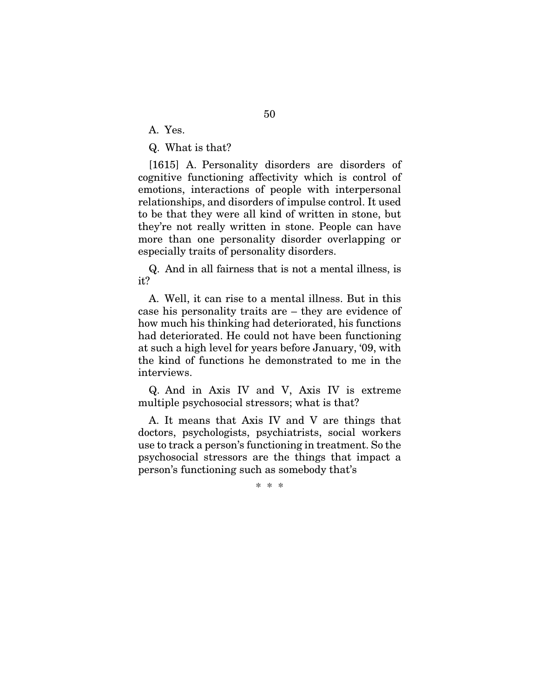A. Yes.

Q. What is that?

[1615] A. Personality disorders are disorders of cognitive functioning affectivity which is control of emotions, interactions of people with interpersonal relationships, and disorders of impulse control. It used to be that they were all kind of written in stone, but they're not really written in stone. People can have more than one personality disorder overlapping or especially traits of personality disorders.

Q. And in all fairness that is not a mental illness, is it?

A. Well, it can rise to a mental illness. But in this case his personality traits are – they are evidence of how much his thinking had deteriorated, his functions had deteriorated. He could not have been functioning at such a high level for years before January, '09, with the kind of functions he demonstrated to me in the interviews.

Q. And in Axis IV and V, Axis IV is extreme multiple psychosocial stressors; what is that?

A. It means that Axis IV and V are things that doctors, psychologists, psychiatrists, social workers use to track a person's functioning in treatment. So the psychosocial stressors are the things that impact a person's functioning such as somebody that's

\* \* \*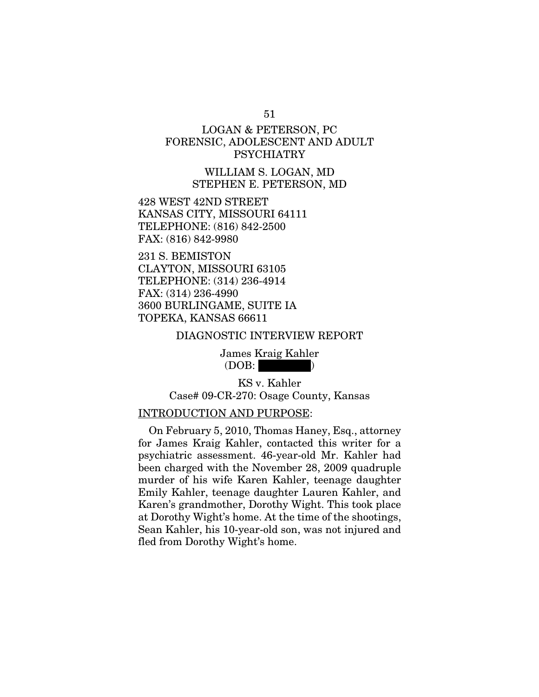# LOGAN & PETERSON, PC FORENSIC, ADOLESCENT AND ADULT PSYCHIATRY

WILLIAM S. LOGAN, MD STEPHEN E. PETERSON, MD

428 WEST 42ND STREET KANSAS CITY, MISSOURI 64111 TELEPHONE: (816) 842-2500 FAX: (816) 842-9980

231 S. BEMISTON CLAYTON, MISSOURI 63105 TELEPHONE: (314) 236-4914 FAX: (314) 236-4990 3600 BURLINGAME, SUITE IA TOPEKA, KANSAS 66611

DIAGNOSTIC INTERVIEW REPORT

James Kraig Kahler  $(DOB:$ 

KS v. Kahler Case# 09-CR-270: Osage County, Kansas

### INTRODUCTION AND PURPOSE:

On February 5, 2010, Thomas Haney, Esq., attorney for James Kraig Kahler, contacted this writer for a psychiatric assessment. 46-year-old Mr. Kahler had been charged with the November 28, 2009 quadruple murder of his wife Karen Kahler, teenage daughter Emily Kahler, teenage daughter Lauren Kahler, and Karen's grandmother, Dorothy Wight. This took place at Dorothy Wight's home. At the time of the shootings, Sean Kahler, his 10-year-old son, was not injured and fled from Dorothy Wight's home.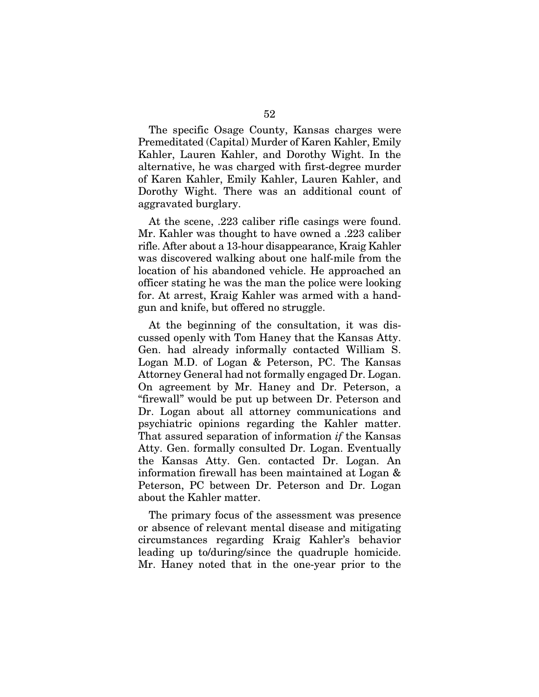The specific Osage County, Kansas charges were Premeditated (Capital) Murder of Karen Kahler, Emily Kahler, Lauren Kahler, and Dorothy Wight. In the alternative, he was charged with first-degree murder of Karen Kahler, Emily Kahler, Lauren Kahler, and Dorothy Wight. There was an additional count of aggravated burglary.

At the scene, .223 caliber rifle casings were found. Mr. Kahler was thought to have owned a .223 caliber rifle. After about a 13-hour disappearance, Kraig Kahler was discovered walking about one half-mile from the location of his abandoned vehicle. He approached an officer stating he was the man the police were looking for. At arrest, Kraig Kahler was armed with a handgun and knife, but offered no struggle.

At the beginning of the consultation, it was discussed openly with Tom Haney that the Kansas Atty. Gen. had already informally contacted William S. Logan M.D. of Logan & Peterson, PC. The Kansas Attorney General had not formally engaged Dr. Logan. On agreement by Mr. Haney and Dr. Peterson, a "firewall" would be put up between Dr. Peterson and Dr. Logan about all attorney communications and psychiatric opinions regarding the Kahler matter. That assured separation of information *if* the Kansas Atty. Gen. formally consulted Dr. Logan. Eventually the Kansas Atty. Gen. contacted Dr. Logan. An information firewall has been maintained at Logan & Peterson, PC between Dr. Peterson and Dr. Logan about the Kahler matter.

The primary focus of the assessment was presence or absence of relevant mental disease and mitigating circumstances regarding Kraig Kahler's behavior leading up to/during/since the quadruple homicide. Mr. Haney noted that in the one-year prior to the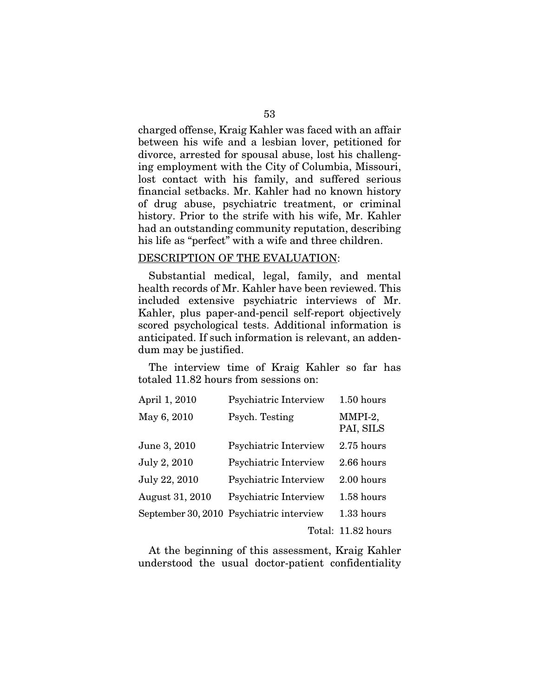charged offense, Kraig Kahler was faced with an affair between his wife and a lesbian lover, petitioned for divorce, arrested for spousal abuse, lost his challenging employment with the City of Columbia, Missouri, lost contact with his family, and suffered serious financial setbacks. Mr. Kahler had no known history of drug abuse, psychiatric treatment, or criminal history. Prior to the strife with his wife, Mr. Kahler had an outstanding community reputation, describing his life as "perfect" with a wife and three children.

## DESCRIPTION OF THE EVALUATION:

Substantial medical, legal, family, and mental health records of Mr. Kahler have been reviewed. This included extensive psychiatric interviews of Mr. Kahler, plus paper-and-pencil self-report objectively scored psychological tests. Additional information is anticipated. If such information is relevant, an addendum may be justified.

The interview time of Kraig Kahler so far has totaled 11.82 hours from sessions on:

| April 1, 2010   | Psychiatric Interview                    | 1.50 hours           |
|-----------------|------------------------------------------|----------------------|
| May 6, 2010     | Psych. Testing                           | MMPI-2,<br>PAI, SILS |
| June 3, 2010    | Psychiatric Interview                    | 2.75 hours           |
| July 2, 2010    | Psychiatric Interview                    | 2.66 hours           |
| July 22, 2010   | Psychiatric Interview                    | 2.00 hours           |
| August 31, 2010 | Psychiatric Interview                    | 1.58 hours           |
|                 | September 30, 2010 Psychiatric interview | 1.33 hours           |
|                 |                                          | Total: 11.82 hours   |

At the beginning of this assessment, Kraig Kahler understood the usual doctor-patient confidentiality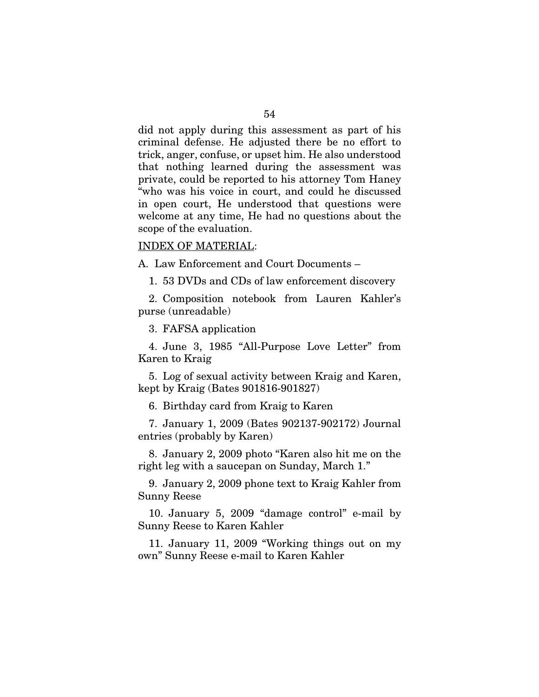did not apply during this assessment as part of his criminal defense. He adjusted there be no effort to trick, anger, confuse, or upset him. He also understood that nothing learned during the assessment was private, could be reported to his attorney Tom Haney "who was his voice in court, and could he discussed in open court, He understood that questions were welcome at any time, He had no questions about the scope of the evaluation.

#### INDEX OF MATERIAL:

A. Law Enforcement and Court Documents –

1. 53 DVDs and CDs of law enforcement discovery

2. Composition notebook from Lauren Kahler's purse (unreadable)

3. FAFSA application

4. June 3, 1985 "All-Purpose Love Letter" from Karen to Kraig

5. Log of sexual activity between Kraig and Karen, kept by Kraig (Bates 901816-901827)

6. Birthday card from Kraig to Karen

7. January 1, 2009 (Bates 902137-902172) Journal entries (probably by Karen)

8. January 2, 2009 photo "Karen also hit me on the right leg with a saucepan on Sunday, March 1."

9. January 2, 2009 phone text to Kraig Kahler from Sunny Reese

10. January 5, 2009 "damage control" e-mail by Sunny Reese to Karen Kahler

11. January 11, 2009 "Working things out on my own" Sunny Reese e-mail to Karen Kahler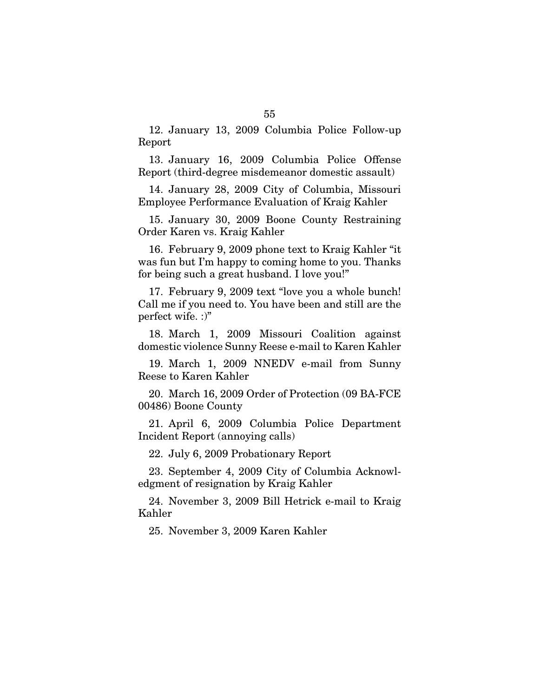12. January 13, 2009 Columbia Police Follow-up Report

13. January 16, 2009 Columbia Police Offense Report (third-degree misdemeanor domestic assault)

14. January 28, 2009 City of Columbia, Missouri Employee Performance Evaluation of Kraig Kahler

15. January 30, 2009 Boone County Restraining Order Karen vs. Kraig Kahler

16. February 9, 2009 phone text to Kraig Kahler "it was fun but I'm happy to coming home to you. Thanks for being such a great husband. I love you!"

17. February 9, 2009 text "love you a whole bunch! Call me if you need to. You have been and still are the perfect wife. :)"

18. March 1, 2009 Missouri Coalition against domestic violence Sunny Reese e-mail to Karen Kahler

19. March 1, 2009 NNEDV e-mail from Sunny Reese to Karen Kahler

20. March 16, 2009 Order of Protection (09 BA-FCE 00486) Boone County

21. April 6, 2009 Columbia Police Department Incident Report (annoying calls)

22. July 6, 2009 Probationary Report

23. September 4, 2009 City of Columbia Acknowledgment of resignation by Kraig Kahler

24. November 3, 2009 Bill Hetrick e-mail to Kraig Kahler

25. November 3, 2009 Karen Kahler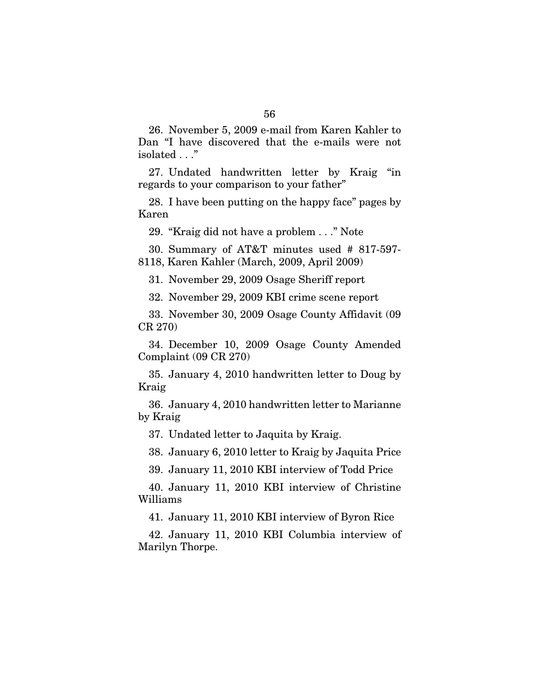26. November 5, 2009 e-mail from Karen Kahler to Dan "I have discovered that the e-mails were not isolated . . ."

27. Undated handwritten letter by Kraig "in regards to your comparison to your father"

28. I have been putting on the happy face" pages by Karen

29. "Kraig did not have a problem . . ." Note

30. Summary of AT&T minutes used # 817-597- 8118, Karen Kahler (March, 2009, April 2009)

31. November 29, 2009 Osage Sheriff report

32. November 29, 2009 KBI crime scene report

33. November 30, 2009 Osage County Affidavit (09 CR 270)

34. December 10, 2009 Osage County Amended Complaint (09 CR 270)

35. January 4, 2010 handwritten letter to Doug by Kraig

36. January 4, 2010 handwritten letter to Marianne by Kraig

37. Undated letter to Jaquita by Kraig.

38. January 6, 2010 letter to Kraig by Jaquita Price

39. January 11, 2010 KBI interview of Todd Price

40. January 11, 2010 KBI interview of Christine Williams

41. January 11, 2010 KBI interview of Byron Rice

42. January 11, 2010 KBI Columbia interview of Marilyn Thorpe.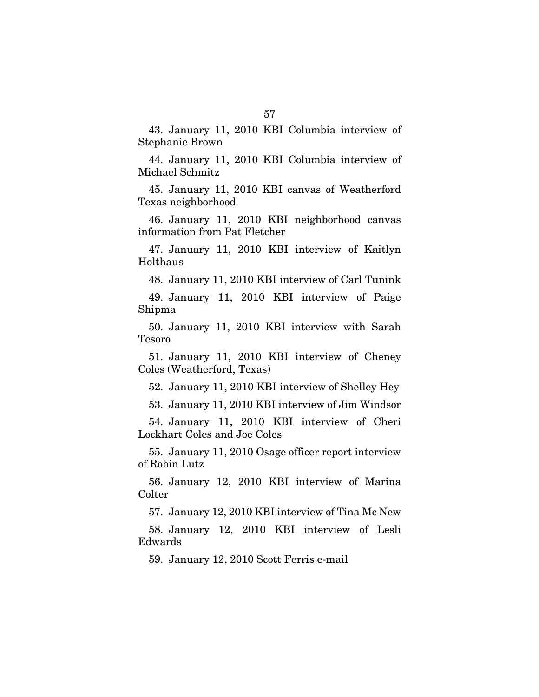43. January 11, 2010 KBI Columbia interview of Stephanie Brown

44. January 11, 2010 KBI Columbia interview of Michael Schmitz

45. January 11, 2010 KBI canvas of Weatherford Texas neighborhood

46. January 11, 2010 KBI neighborhood canvas information from Pat Fletcher

47. January 11, 2010 KBI interview of Kaitlyn Holthaus

48. January 11, 2010 KBI interview of Carl Tunink

49. January 11, 2010 KBI interview of Paige Shipma

50. January 11, 2010 KBI interview with Sarah Tesoro

51. January 11, 2010 KBI interview of Cheney Coles (Weatherford, Texas)

52. January 11, 2010 KBI interview of Shelley Hey

53. January 11, 2010 KBI interview of Jim Windsor

54. January 11, 2010 KBI interview of Cheri Lockhart Coles and Joe Coles

55. January 11, 2010 Osage officer report interview of Robin Lutz

56. January 12, 2010 KBI interview of Marina Colter

57. January 12, 2010 KBI interview of Tina Mc New

58. January 12, 2010 KBI interview of Lesli Edwards

59. January 12, 2010 Scott Ferris e-mail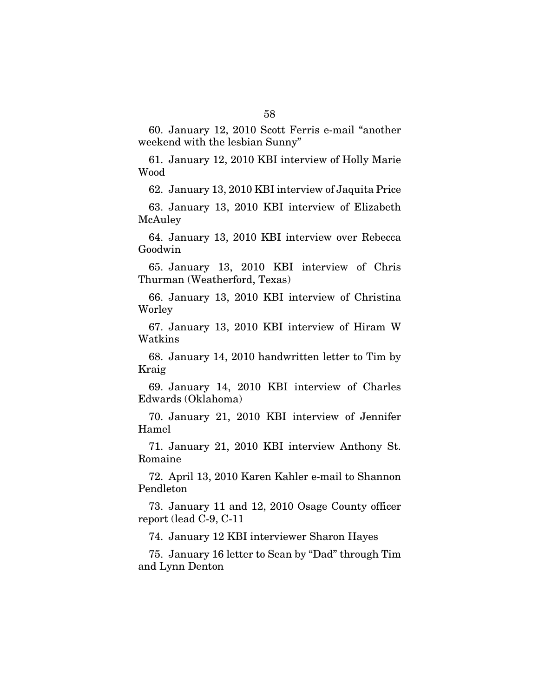60. January 12, 2010 Scott Ferris e-mail "another weekend with the lesbian Sunny"

61. January 12, 2010 KBI interview of Holly Marie Wood

62. January 13, 2010 KBI interview of Jaquita Price

63. January 13, 2010 KBI interview of Elizabeth McAuley

64. January 13, 2010 KBI interview over Rebecca Goodwin

65. January 13, 2010 KBI interview of Chris Thurman (Weatherford, Texas)

66. January 13, 2010 KBI interview of Christina Worley

67. January 13, 2010 KBI interview of Hiram W Watkins

68. January 14, 2010 handwritten letter to Tim by Kraig

69. January 14, 2010 KBI interview of Charles Edwards (Oklahoma)

70. January 21, 2010 KBI interview of Jennifer Hamel

71. January 21, 2010 KBI interview Anthony St. Romaine

72. April 13, 2010 Karen Kahler e-mail to Shannon Pendleton

73. January 11 and 12, 2010 Osage County officer report (lead C-9, C-11

74. January 12 KBI interviewer Sharon Hayes

75. January 16 letter to Sean by "Dad" through Tim and Lynn Denton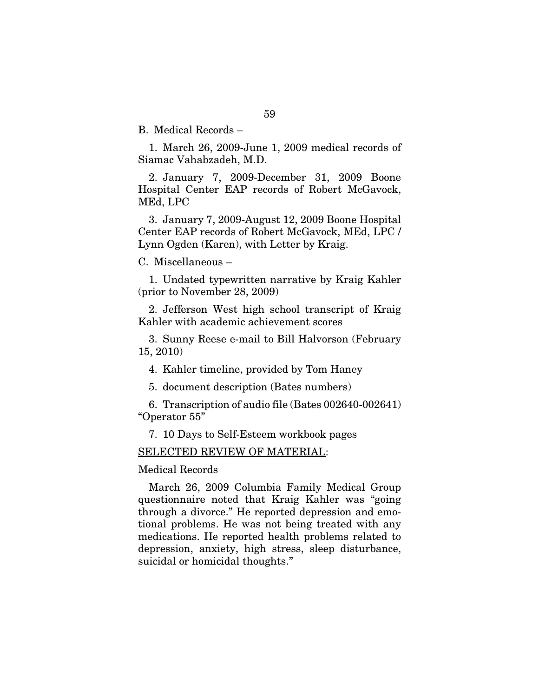B. Medical Records –

1. March 26, 2009-June 1, 2009 medical records of Siamac Vahabzadeh, M.D.

2. January 7, 2009-December 31, 2009 Boone Hospital Center EAP records of Robert McGavock, MEd, LPC

3. January 7, 2009-August 12, 2009 Boone Hospital Center EAP records of Robert McGavock, MEd, LPC / Lynn Ogden (Karen), with Letter by Kraig.

C. Miscellaneous –

1. Undated typewritten narrative by Kraig Kahler (prior to November 28, 2009)

2. Jefferson West high school transcript of Kraig Kahler with academic achievement scores

3. Sunny Reese e-mail to Bill Halvorson (February 15, 2010)

4. Kahler timeline, provided by Tom Haney

5. document description (Bates numbers)

6. Transcription of audio file (Bates 002640-002641) "Operator 55"

7. 10 Days to Self-Esteem workbook pages

SELECTED REVIEW OF MATERIAL:

Medical Records

March 26, 2009 Columbia Family Medical Group questionnaire noted that Kraig Kahler was "going through a divorce." He reported depression and emotional problems. He was not being treated with any medications. He reported health problems related to depression, anxiety, high stress, sleep disturbance, suicidal or homicidal thoughts."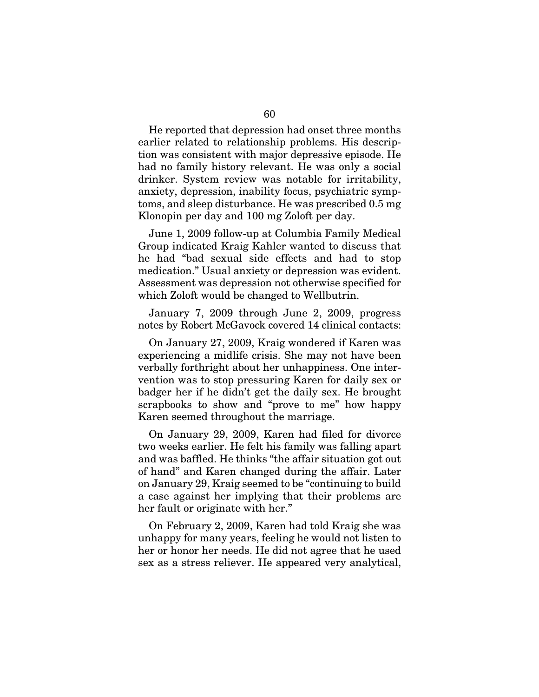He reported that depression had onset three months earlier related to relationship problems. His description was consistent with major depressive episode. He had no family history relevant. He was only a social drinker. System review was notable for irritability, anxiety, depression, inability focus, psychiatric symptoms, and sleep disturbance. He was prescribed 0.5 mg Klonopin per day and 100 mg Zoloft per day.

June 1, 2009 follow-up at Columbia Family Medical Group indicated Kraig Kahler wanted to discuss that he had "bad sexual side effects and had to stop medication." Usual anxiety or depression was evident. Assessment was depression not otherwise specified for which Zoloft would be changed to Wellbutrin.

January 7, 2009 through June 2, 2009, progress notes by Robert McGavock covered 14 clinical contacts:

On January 27, 2009, Kraig wondered if Karen was experiencing a midlife crisis. She may not have been verbally forthright about her unhappiness. One intervention was to stop pressuring Karen for daily sex or badger her if he didn't get the daily sex. He brought scrapbooks to show and "prove to me" how happy Karen seemed throughout the marriage.

On January 29, 2009, Karen had filed for divorce two weeks earlier. He felt his family was falling apart and was baffled. He thinks "the affair situation got out of hand" and Karen changed during the affair. Later on January 29, Kraig seemed to be "continuing to build a case against her implying that their problems are her fault or originate with her."

On February 2, 2009, Karen had told Kraig she was unhappy for many years, feeling he would not listen to her or honor her needs. He did not agree that he used sex as a stress reliever. He appeared very analytical,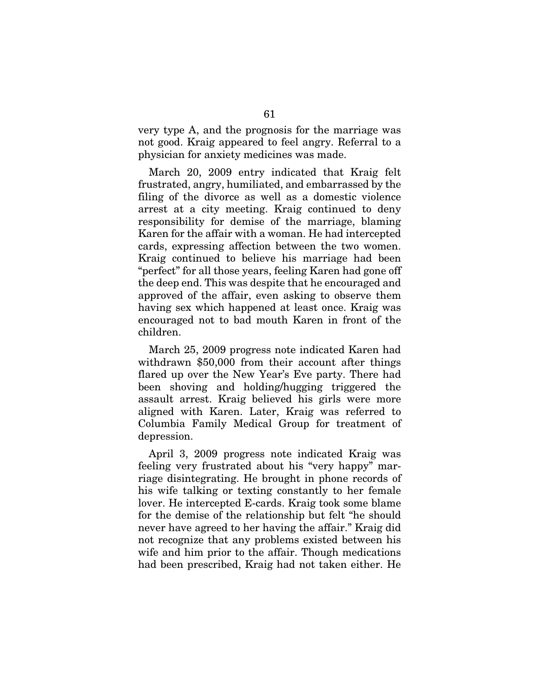very type A, and the prognosis for the marriage was not good. Kraig appeared to feel angry. Referral to a physician for anxiety medicines was made.

March 20, 2009 entry indicated that Kraig felt frustrated, angry, humiliated, and embarrassed by the filing of the divorce as well as a domestic violence arrest at a city meeting. Kraig continued to deny responsibility for demise of the marriage, blaming Karen for the affair with a woman. He had intercepted cards, expressing affection between the two women. Kraig continued to believe his marriage had been "perfect" for all those years, feeling Karen had gone off the deep end. This was despite that he encouraged and approved of the affair, even asking to observe them having sex which happened at least once. Kraig was encouraged not to bad mouth Karen in front of the children.

March 25, 2009 progress note indicated Karen had withdrawn \$50,000 from their account after things flared up over the New Year's Eve party. There had been shoving and holding/hugging triggered the assault arrest. Kraig believed his girls were more aligned with Karen. Later, Kraig was referred to Columbia Family Medical Group for treatment of depression.

April 3, 2009 progress note indicated Kraig was feeling very frustrated about his "very happy" marriage disintegrating. He brought in phone records of his wife talking or texting constantly to her female lover. He intercepted E-cards. Kraig took some blame for the demise of the relationship but felt "he should never have agreed to her having the affair." Kraig did not recognize that any problems existed between his wife and him prior to the affair. Though medications had been prescribed, Kraig had not taken either. He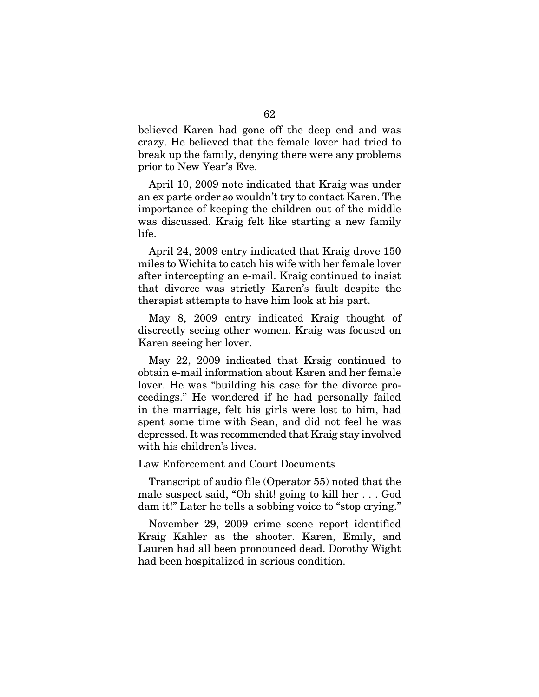believed Karen had gone off the deep end and was crazy. He believed that the female lover had tried to break up the family, denying there were any problems prior to New Year's Eve.

April 10, 2009 note indicated that Kraig was under an ex parte order so wouldn't try to contact Karen. The importance of keeping the children out of the middle was discussed. Kraig felt like starting a new family life.

April 24, 2009 entry indicated that Kraig drove 150 miles to Wichita to catch his wife with her female lover after intercepting an e-mail. Kraig continued to insist that divorce was strictly Karen's fault despite the therapist attempts to have him look at his part.

May 8, 2009 entry indicated Kraig thought of discreetly seeing other women. Kraig was focused on Karen seeing her lover.

May 22, 2009 indicated that Kraig continued to obtain e-mail information about Karen and her female lover. He was "building his case for the divorce proceedings." He wondered if he had personally failed in the marriage, felt his girls were lost to him, had spent some time with Sean, and did not feel he was depressed. It was recommended that Kraig stay involved with his children's lives.

Law Enforcement and Court Documents

Transcript of audio file (Operator 55) noted that the male suspect said, "Oh shit! going to kill her . . . God dam it!" Later he tells a sobbing voice to "stop crying."

November 29, 2009 crime scene report identified Kraig Kahler as the shooter. Karen, Emily, and Lauren had all been pronounced dead. Dorothy Wight had been hospitalized in serious condition.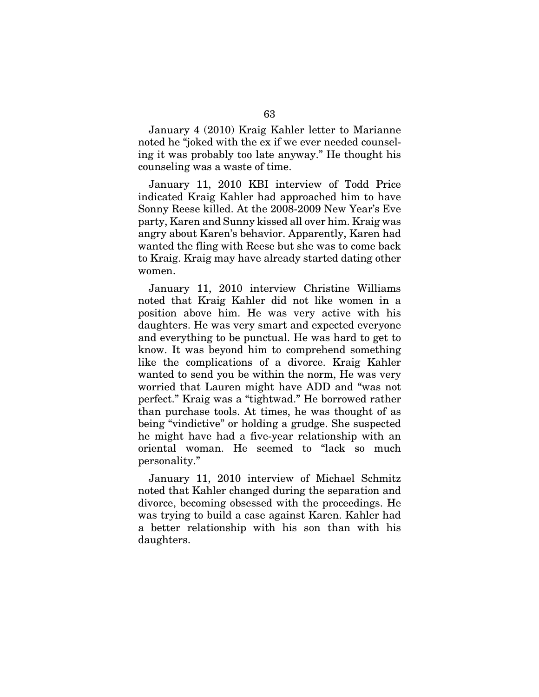January 4 (2010) Kraig Kahler letter to Marianne noted he "joked with the ex if we ever needed counseling it was probably too late anyway." He thought his counseling was a waste of time.

January 11, 2010 KBI interview of Todd Price indicated Kraig Kahler had approached him to have Sonny Reese killed. At the 2008-2009 New Year's Eve party, Karen and Sunny kissed all over him. Kraig was angry about Karen's behavior. Apparently, Karen had wanted the fling with Reese but she was to come back to Kraig. Kraig may have already started dating other women.

January 11, 2010 interview Christine Williams noted that Kraig Kahler did not like women in a position above him. He was very active with his daughters. He was very smart and expected everyone and everything to be punctual. He was hard to get to know. It was beyond him to comprehend something like the complications of a divorce. Kraig Kahler wanted to send you be within the norm, He was very worried that Lauren might have ADD and "was not perfect." Kraig was a "tightwad." He borrowed rather than purchase tools. At times, he was thought of as being "vindictive" or holding a grudge. She suspected he might have had a five-year relationship with an oriental woman. He seemed to "lack so much personality."

January 11, 2010 interview of Michael Schmitz noted that Kahler changed during the separation and divorce, becoming obsessed with the proceedings. He was trying to build a case against Karen. Kahler had a better relationship with his son than with his daughters.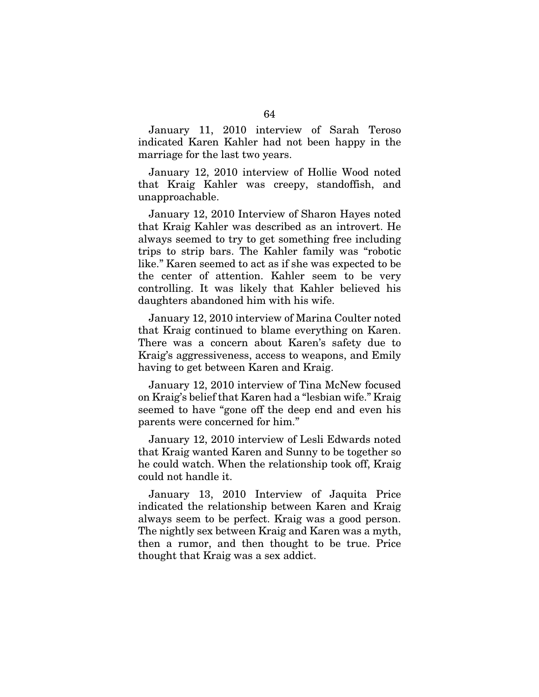January 11, 2010 interview of Sarah Teroso indicated Karen Kahler had not been happy in the marriage for the last two years.

January 12, 2010 interview of Hollie Wood noted that Kraig Kahler was creepy, standoffish, and unapproachable.

January 12, 2010 Interview of Sharon Hayes noted that Kraig Kahler was described as an introvert. He always seemed to try to get something free including trips to strip bars. The Kahler family was "robotic like." Karen seemed to act as if she was expected to be the center of attention. Kahler seem to be very controlling. It was likely that Kahler believed his daughters abandoned him with his wife.

January 12, 2010 interview of Marina Coulter noted that Kraig continued to blame everything on Karen. There was a concern about Karen's safety due to Kraig's aggressiveness, access to weapons, and Emily having to get between Karen and Kraig.

January 12, 2010 interview of Tina McNew focused on Kraig's belief that Karen had a "lesbian wife." Kraig seemed to have "gone off the deep end and even his parents were concerned for him."

January 12, 2010 interview of Lesli Edwards noted that Kraig wanted Karen and Sunny to be together so he could watch. When the relationship took off, Kraig could not handle it.

January 13, 2010 Interview of Jaquita Price indicated the relationship between Karen and Kraig always seem to be perfect. Kraig was a good person. The nightly sex between Kraig and Karen was a myth, then a rumor, and then thought to be true. Price thought that Kraig was a sex addict.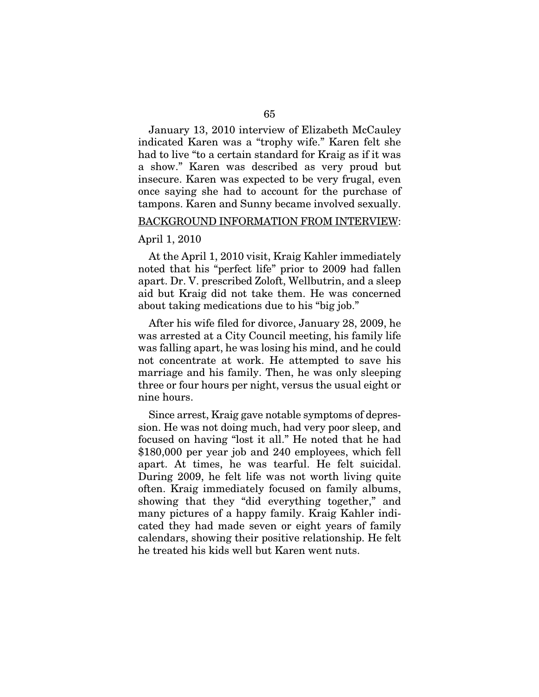January 13, 2010 interview of Elizabeth McCauley indicated Karen was a "trophy wife." Karen felt she had to live "to a certain standard for Kraig as if it was a show." Karen was described as very proud but insecure. Karen was expected to be very frugal, even once saying she had to account for the purchase of tampons. Karen and Sunny became involved sexually.

#### BACKGROUND INFORMATION FROM INTERVIEW:

#### April 1, 2010

At the April 1, 2010 visit, Kraig Kahler immediately noted that his "perfect life" prior to 2009 had fallen apart. Dr. V. prescribed Zoloft, Wellbutrin, and a sleep aid but Kraig did not take them. He was concerned about taking medications due to his "big job."

After his wife filed for divorce, January 28, 2009, he was arrested at a City Council meeting, his family life was falling apart, he was losing his mind, and he could not concentrate at work. He attempted to save his marriage and his family. Then, he was only sleeping three or four hours per night, versus the usual eight or nine hours.

Since arrest, Kraig gave notable symptoms of depression. He was not doing much, had very poor sleep, and focused on having "lost it all." He noted that he had \$180,000 per year job and 240 employees, which fell apart. At times, he was tearful. He felt suicidal. During 2009, he felt life was not worth living quite often. Kraig immediately focused on family albums, showing that they "did everything together," and many pictures of a happy family. Kraig Kahler indicated they had made seven or eight years of family calendars, showing their positive relationship. He felt he treated his kids well but Karen went nuts.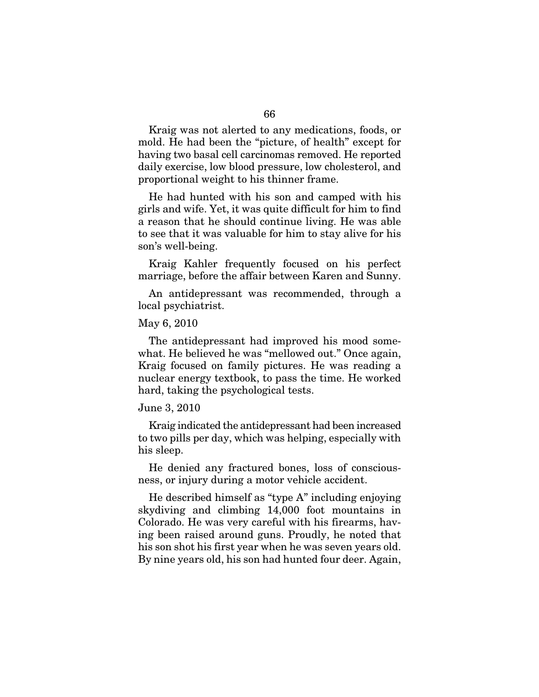Kraig was not alerted to any medications, foods, or mold. He had been the "picture, of health" except for having two basal cell carcinomas removed. He reported daily exercise, low blood pressure, low cholesterol, and proportional weight to his thinner frame.

He had hunted with his son and camped with his girls and wife. Yet, it was quite difficult for him to find a reason that he should continue living. He was able to see that it was valuable for him to stay alive for his son's well-being.

Kraig Kahler frequently focused on his perfect marriage, before the affair between Karen and Sunny.

An antidepressant was recommended, through a local psychiatrist.

## May 6, 2010

The antidepressant had improved his mood somewhat. He believed he was "mellowed out." Once again, Kraig focused on family pictures. He was reading a nuclear energy textbook, to pass the time. He worked hard, taking the psychological tests.

#### June 3, 2010

Kraig indicated the antidepressant had been increased to two pills per day, which was helping, especially with his sleep.

He denied any fractured bones, loss of consciousness, or injury during a motor vehicle accident.

He described himself as "type A" including enjoying skydiving and climbing 14,000 foot mountains in Colorado. He was very careful with his firearms, having been raised around guns. Proudly, he noted that his son shot his first year when he was seven years old. By nine years old, his son had hunted four deer. Again,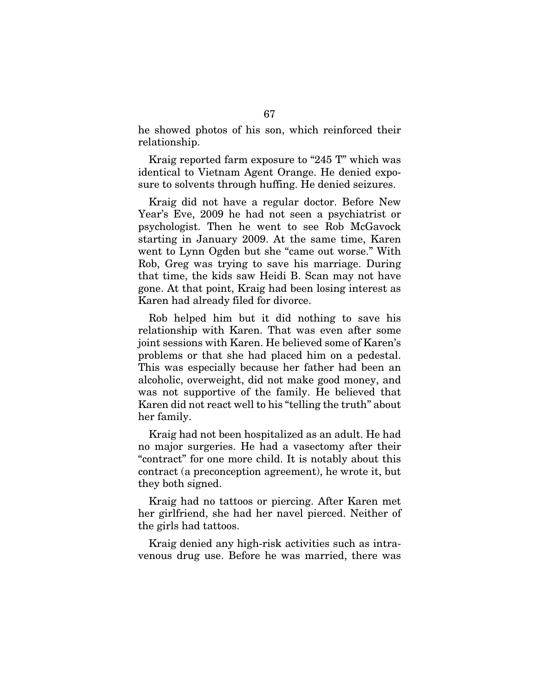he showed photos of his son, which reinforced their relationship.

Kraig reported farm exposure to "245 T" which was identical to Vietnam Agent Orange. He denied exposure to solvents through huffing. He denied seizures.

Kraig did not have a regular doctor. Before New Year's Eve, 2009 he had not seen a psychiatrist or psychologist. Then he went to see Rob McGavock starting in January 2009. At the same time, Karen went to Lynn Ogden but she "came out worse." With Rob, Greg was trying to save his marriage. During that time, the kids saw Heidi B. Scan may not have gone. At that point, Kraig had been losing interest as Karen had already filed for divorce.

Rob helped him but it did nothing to save his relationship with Karen. That was even after some joint sessions with Karen. He believed some of Karen's problems or that she had placed him on a pedestal. This was especially because her father had been an alcoholic, overweight, did not make good money, and was not supportive of the family. He believed that Karen did not react well to his "telling the truth" about her family.

Kraig had not been hospitalized as an adult. He had no major surgeries. He had a vasectomy after their "contract" for one more child. It is notably about this contract (a preconception agreement), he wrote it, but they both signed.

Kraig had no tattoos or piercing. After Karen met her girlfriend, she had her navel pierced. Neither of the girls had tattoos.

Kraig denied any high-risk activities such as intravenous drug use. Before he was married, there was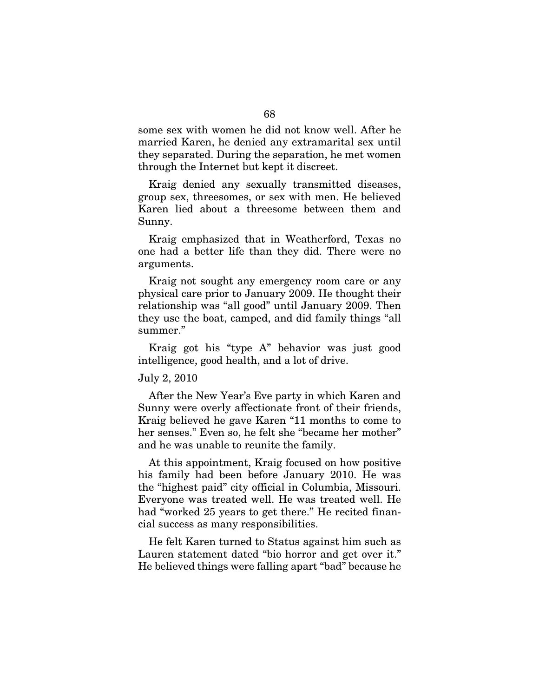some sex with women he did not know well. After he married Karen, he denied any extramarital sex until they separated. During the separation, he met women through the Internet but kept it discreet.

Kraig denied any sexually transmitted diseases, group sex, threesomes, or sex with men. He believed Karen lied about a threesome between them and Sunny.

Kraig emphasized that in Weatherford, Texas no one had a better life than they did. There were no arguments.

Kraig not sought any emergency room care or any physical care prior to January 2009. He thought their relationship was "all good" until January 2009. Then they use the boat, camped, and did family things "all summer."

Kraig got his "type A" behavior was just good intelligence, good health, and a lot of drive.

## July 2, 2010

After the New Year's Eve party in which Karen and Sunny were overly affectionate front of their friends, Kraig believed he gave Karen "11 months to come to her senses." Even so, he felt she "became her mother" and he was unable to reunite the family.

At this appointment, Kraig focused on how positive his family had been before January 2010. He was the "highest paid" city official in Columbia, Missouri. Everyone was treated well. He was treated well. He had "worked 25 years to get there." He recited financial success as many responsibilities.

He felt Karen turned to Status against him such as Lauren statement dated "bio horror and get over it." He believed things were falling apart "bad" because he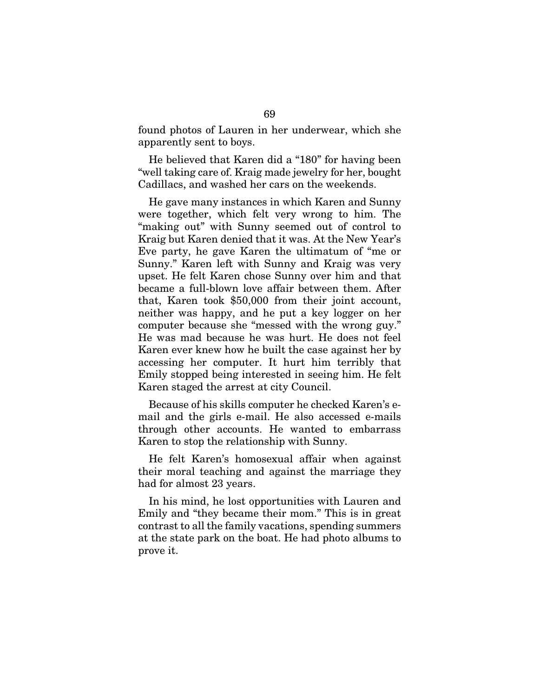found photos of Lauren in her underwear, which she apparently sent to boys.

He believed that Karen did a "180" for having been "well taking care of. Kraig made jewelry for her, bought Cadillacs, and washed her cars on the weekends.

He gave many instances in which Karen and Sunny were together, which felt very wrong to him. The "making out" with Sunny seemed out of control to Kraig but Karen denied that it was. At the New Year's Eve party, he gave Karen the ultimatum of "me or Sunny." Karen left with Sunny and Kraig was very upset. He felt Karen chose Sunny over him and that became a full-blown love affair between them. After that, Karen took \$50,000 from their joint account, neither was happy, and he put a key logger on her computer because she "messed with the wrong guy." He was mad because he was hurt. He does not feel Karen ever knew how he built the case against her by accessing her computer. It hurt him terribly that Emily stopped being interested in seeing him. He felt Karen staged the arrest at city Council.

Because of his skills computer he checked Karen's email and the girls e-mail. He also accessed e-mails through other accounts. He wanted to embarrass Karen to stop the relationship with Sunny.

He felt Karen's homosexual affair when against their moral teaching and against the marriage they had for almost 23 years.

In his mind, he lost opportunities with Lauren and Emily and "they became their mom." This is in great contrast to all the family vacations, spending summers at the state park on the boat. He had photo albums to prove it.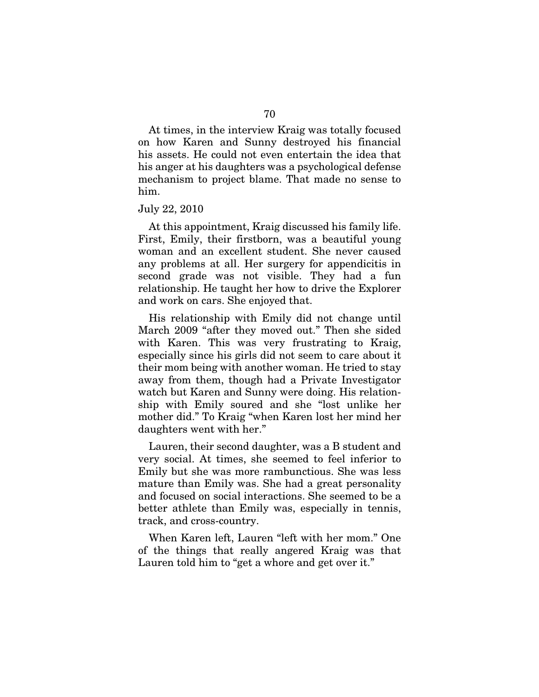At times, in the interview Kraig was totally focused on how Karen and Sunny destroyed his financial his assets. He could not even entertain the idea that his anger at his daughters was a psychological defense mechanism to project blame. That made no sense to him.

#### July 22, 2010

At this appointment, Kraig discussed his family life. First, Emily, their firstborn, was a beautiful young woman and an excellent student. She never caused any problems at all. Her surgery for appendicitis in second grade was not visible. They had a fun relationship. He taught her how to drive the Explorer and work on cars. She enjoyed that.

His relationship with Emily did not change until March 2009 "after they moved out." Then she sided with Karen. This was very frustrating to Kraig, especially since his girls did not seem to care about it their mom being with another woman. He tried to stay away from them, though had a Private Investigator watch but Karen and Sunny were doing. His relationship with Emily soured and she "lost unlike her mother did." To Kraig "when Karen lost her mind her daughters went with her."

Lauren, their second daughter, was a B student and very social. At times, she seemed to feel inferior to Emily but she was more rambunctious. She was less mature than Emily was. She had a great personality and focused on social interactions. She seemed to be a better athlete than Emily was, especially in tennis, track, and cross-country.

When Karen left, Lauren "left with her mom." One of the things that really angered Kraig was that Lauren told him to "get a whore and get over it."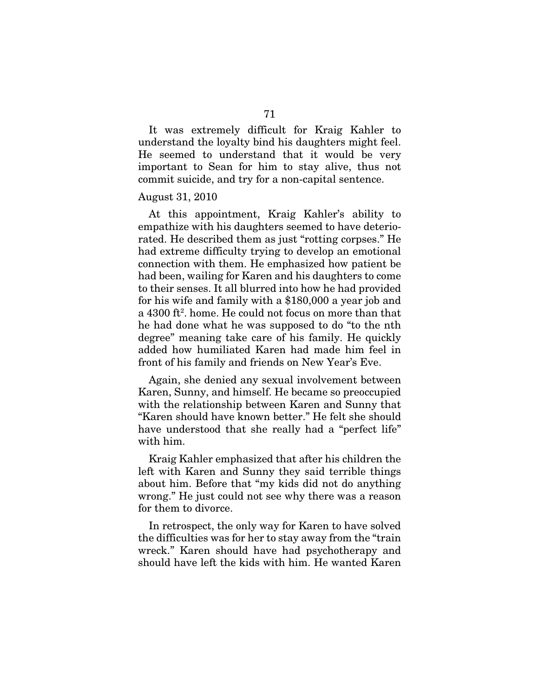It was extremely difficult for Kraig Kahler to understand the loyalty bind his daughters might feel. He seemed to understand that it would be very important to Sean for him to stay alive, thus not commit suicide, and try for a non-capital sentence.

#### August 31, 2010

At this appointment, Kraig Kahler's ability to empathize with his daughters seemed to have deteriorated. He described them as just "rotting corpses." He had extreme difficulty trying to develop an emotional connection with them. He emphasized how patient be had been, wailing for Karen and his daughters to come to their senses. It all blurred into how he had provided for his wife and family with a \$180,000 a year job and a 4300 ft2 . home. He could not focus on more than that he had done what he was supposed to do "to the nth degree" meaning take care of his family. He quickly added how humiliated Karen had made him feel in front of his family and friends on New Year's Eve.

Again, she denied any sexual involvement between Karen, Sunny, and himself. He became so preoccupied with the relationship between Karen and Sunny that "Karen should have known better." He felt she should have understood that she really had a "perfect life" with him.

Kraig Kahler emphasized that after his children the left with Karen and Sunny they said terrible things about him. Before that "my kids did not do anything wrong." He just could not see why there was a reason for them to divorce.

In retrospect, the only way for Karen to have solved the difficulties was for her to stay away from the "train wreck." Karen should have had psychotherapy and should have left the kids with him. He wanted Karen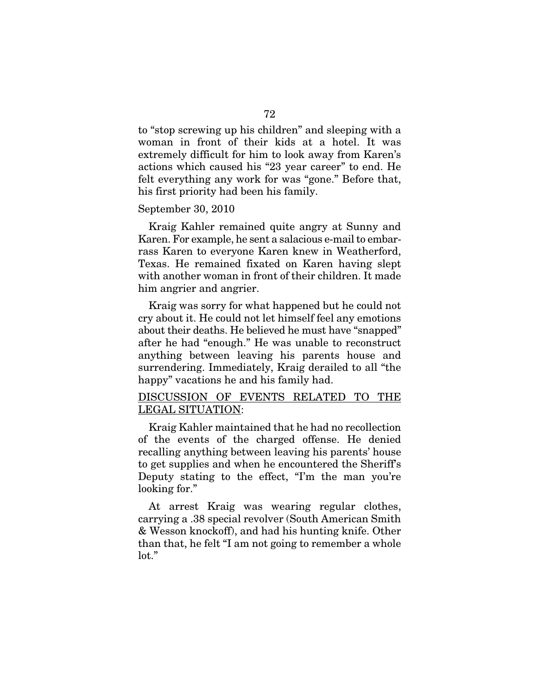to "stop screwing up his children" and sleeping with a woman in front of their kids at a hotel. It was extremely difficult for him to look away from Karen's actions which caused his "23 year career" to end. He felt everything any work for was "gone." Before that, his first priority had been his family.

### September 30, 2010

Kraig Kahler remained quite angry at Sunny and Karen. For example, he sent a salacious e-mail to embarrass Karen to everyone Karen knew in Weatherford, Texas. He remained fixated on Karen having slept with another woman in front of their children. It made him angrier and angrier.

Kraig was sorry for what happened but he could not cry about it. He could not let himself feel any emotions about their deaths. He believed he must have "snapped" after he had "enough." He was unable to reconstruct anything between leaving his parents house and surrendering. Immediately, Kraig derailed to all "the happy" vacations he and his family had.

# DISCUSSION OF EVENTS RELATED TO THE LEGAL SITUATION:

Kraig Kahler maintained that he had no recollection of the events of the charged offense. He denied recalling anything between leaving his parents' house to get supplies and when he encountered the Sheriff's Deputy stating to the effect, "I'm the man you're looking for."

At arrest Kraig was wearing regular clothes, carrying a .38 special revolver (South American Smith & Wesson knockoff), and had his hunting knife. Other than that, he felt "I am not going to remember a whole lot."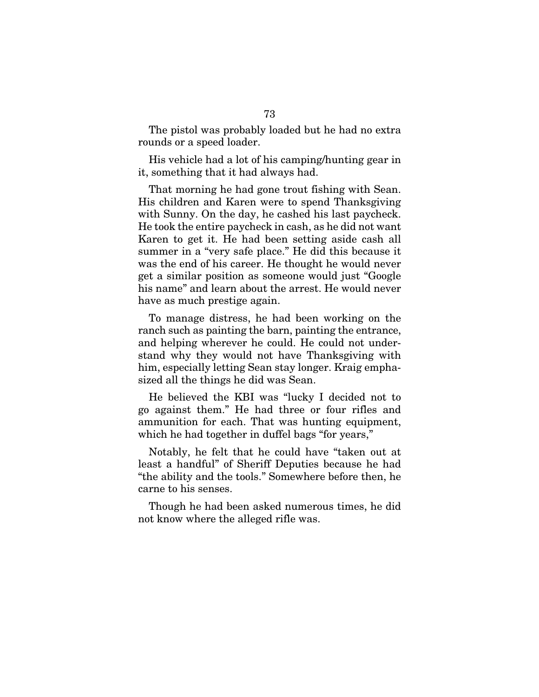The pistol was probably loaded but he had no extra rounds or a speed loader.

His vehicle had a lot of his camping/hunting gear in it, something that it had always had.

That morning he had gone trout fishing with Sean. His children and Karen were to spend Thanksgiving with Sunny. On the day, he cashed his last paycheck. He took the entire paycheck in cash, as he did not want Karen to get it. He had been setting aside cash all summer in a "very safe place." He did this because it was the end of his career. He thought he would never get a similar position as someone would just "Google his name" and learn about the arrest. He would never have as much prestige again.

To manage distress, he had been working on the ranch such as painting the barn, painting the entrance, and helping wherever he could. He could not understand why they would not have Thanksgiving with him, especially letting Sean stay longer. Kraig emphasized all the things he did was Sean.

He believed the KBI was "lucky I decided not to go against them." He had three or four rifles and ammunition for each. That was hunting equipment, which he had together in duffel bags "for years,"

Notably, he felt that he could have "taken out at least a handful" of Sheriff Deputies because he had "the ability and the tools." Somewhere before then, he carne to his senses.

Though he had been asked numerous times, he did not know where the alleged rifle was.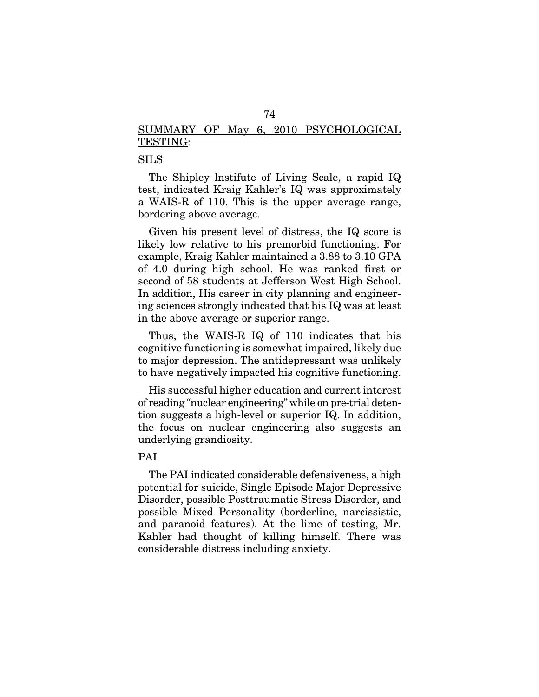# SUMMARY OF May 6, 2010 PSYCHOLOGICAL TESTING:

# SILS

The Shipley lnstifute of Living Scale, a rapid IQ test, indicated Kraig Kahler's IQ was approximately a WAIS-R of 110. This is the upper average range, bordering above averagc.

Given his present level of distress, the IQ score is likely low relative to his premorbid functioning. For example, Kraig Kahler maintained a 3.88 to 3.10 GPA of 4.0 during high school. He was ranked first or second of 58 students at Jefferson West High School. In addition, His career in city planning and engineering sciences strongly indicated that his IQ was at least in the above average or superior range.

Thus, the WAIS-R IQ of 110 indicates that his cognitive functioning is somewhat impaired, likely due to major depression. The antidepressant was unlikely to have negatively impacted his cognitive functioning.

His successful higher education and current interest of reading "nuclear engineering" while on pre-trial detention suggests a high-level or superior IQ. In addition, the focus on nuclear engineering also suggests an underlying grandiosity.

# PAI

The PAI indicated considerable defensiveness, a high potential for suicide, Single Episode Major Depressive Disorder, possible Posttraumatic Stress Disorder, and possible Mixed Personality (borderline, narcissistic, and paranoid features). At the lime of testing, Mr. Kahler had thought of killing himself. There was considerable distress including anxiety.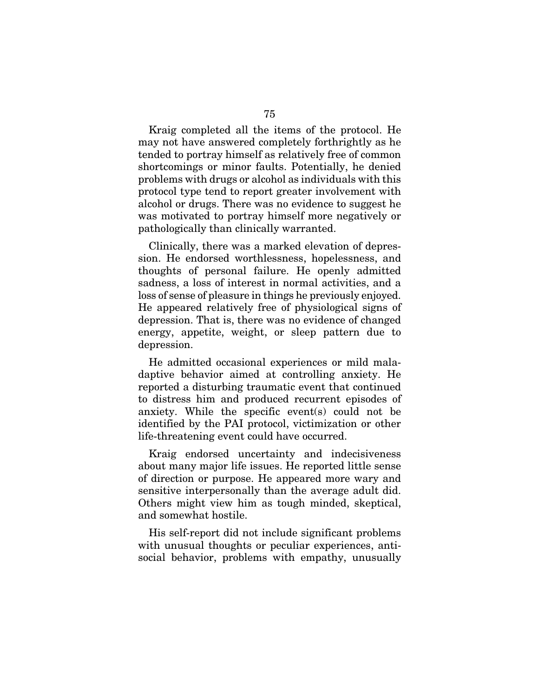Kraig completed all the items of the protocol. He may not have answered completely forthrightly as he tended to portray himself as relatively free of common shortcomings or minor faults. Potentially, he denied problems with drugs or alcohol as individuals with this protocol type tend to report greater involvement with alcohol or drugs. There was no evidence to suggest he was motivated to portray himself more negatively or pathologically than clinically warranted.

Clinically, there was a marked elevation of depression. He endorsed worthlessness, hopelessness, and thoughts of personal failure. He openly admitted sadness, a loss of interest in normal activities, and a loss of sense of pleasure in things he previously enjoyed. He appeared relatively free of physiological signs of depression. That is, there was no evidence of changed energy, appetite, weight, or sleep pattern due to depression.

He admitted occasional experiences or mild maladaptive behavior aimed at controlling anxiety. He reported a disturbing traumatic event that continued to distress him and produced recurrent episodes of anxiety. While the specific event(s) could not be identified by the PAI protocol, victimization or other life-threatening event could have occurred.

Kraig endorsed uncertainty and indecisiveness about many major life issues. He reported little sense of direction or purpose. He appeared more wary and sensitive interpersonally than the average adult did. Others might view him as tough minded, skeptical, and somewhat hostile.

His self-report did not include significant problems with unusual thoughts or peculiar experiences, antisocial behavior, problems with empathy, unusually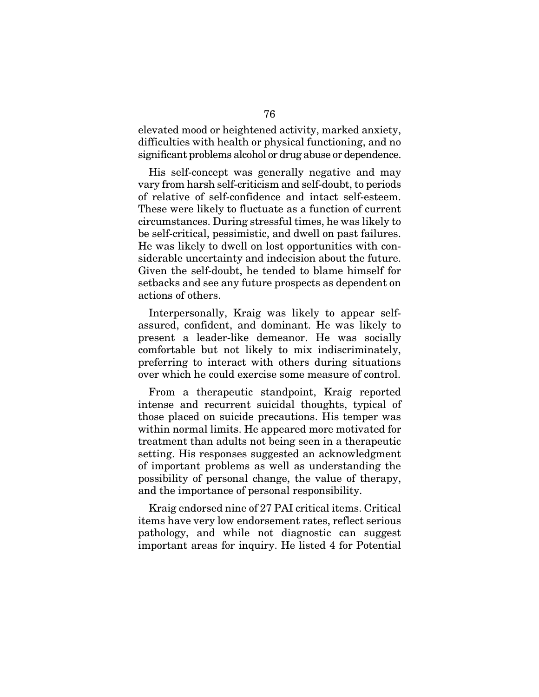elevated mood or heightened activity, marked anxiety, difficulties with health or physical functioning, and no significant problems alcohol or drug abuse or dependence.

His self-concept was generally negative and may vary from harsh self-criticism and self-doubt, to periods of relative of self-confidence and intact self-esteem. These were likely to fluctuate as a function of current circumstances. During stressful times, he was likely to be self-critical, pessimistic, and dwell on past failures. He was likely to dwell on lost opportunities with considerable uncertainty and indecision about the future. Given the self-doubt, he tended to blame himself for setbacks and see any future prospects as dependent on actions of others.

Interpersonally, Kraig was likely to appear selfassured, confident, and dominant. He was likely to present a leader-like demeanor. He was socially comfortable but not likely to mix indiscriminately, preferring to interact with others during situations over which he could exercise some measure of control.

From a therapeutic standpoint, Kraig reported intense and recurrent suicidal thoughts, typical of those placed on suicide precautions. His temper was within normal limits. He appeared more motivated for treatment than adults not being seen in a therapeutic setting. His responses suggested an acknowledgment of important problems as well as understanding the possibility of personal change, the value of therapy, and the importance of personal responsibility.

Kraig endorsed nine of 27 PAI critical items. Critical items have very low endorsement rates, reflect serious pathology, and while not diagnostic can suggest important areas for inquiry. He listed 4 for Potential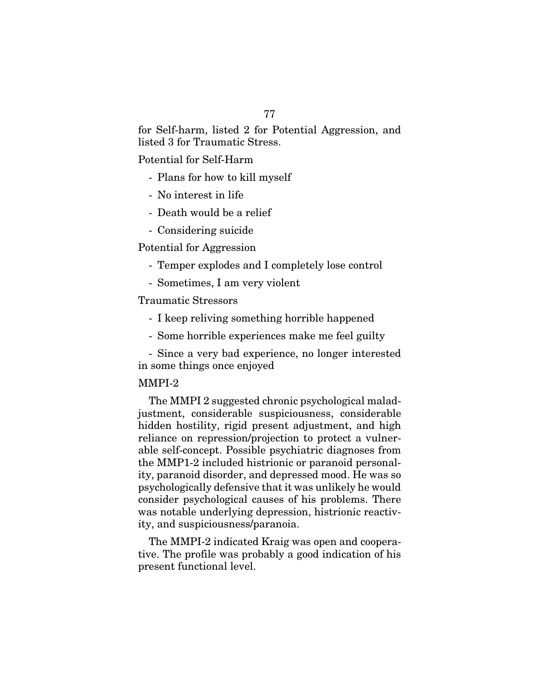for Self-harm, listed 2 for Potential Aggression, and listed 3 for Traumatic Stress.

Potential for Self-Harm

- Plans for how to kill myself
- No interest in life
- Death would be a relief
- Considering suicide

Potential for Aggression

- Temper explodes and I completely lose control
- Sometimes, I am very violent

# Traumatic Stressors

- I keep reliving something horrible happened
- Some horrible experiences make me feel guilty

- Since a very bad experience, no longer interested in some things once enjoyed

# MMPI-2

The MMPI 2 suggested chronic psychological maladjustment, considerable suspiciousness, considerable hidden hostility, rigid present adjustment, and high reliance on repression/projection to protect a vulnerable self-concept. Possible psychiatric diagnoses from the MMP1-2 included histrionic or paranoid personality, paranoid disorder, and depressed mood. He was so psychologically defensive that it was unlikely he would consider psychological causes of his problems. There was notable underlying depression, histrionic reactivity, and suspiciousness/paranoia.

The MMPI-2 indicated Kraig was open and cooperative. The profile was probably a good indication of his present functional level.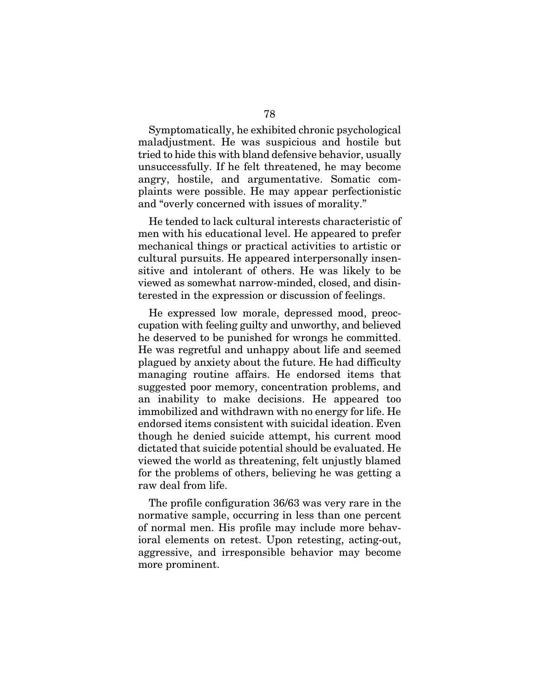Symptomatically, he exhibited chronic psychological maladjustment. He was suspicious and hostile but tried to hide this with bland defensive behavior, usually unsuccessfully. If he felt threatened, he may become angry, hostile, and argumentative. Somatic complaints were possible. He may appear perfectionistic and "overly concerned with issues of morality."

He tended to lack cultural interests characteristic of men with his educational level. He appeared to prefer mechanical things or practical activities to artistic or cultural pursuits. He appeared interpersonally insensitive and intolerant of others. He was likely to be viewed as somewhat narrow-minded, closed, and disinterested in the expression or discussion of feelings.

He expressed low morale, depressed mood, preoccupation with feeling guilty and unworthy, and believed he deserved to be punished for wrongs he committed. He was regretful and unhappy about life and seemed plagued by anxiety about the future. He had difficulty managing routine affairs. He endorsed items that suggested poor memory, concentration problems, and an inability to make decisions. He appeared too immobilized and withdrawn with no energy for life. He endorsed items consistent with suicidal ideation. Even though he denied suicide attempt, his current mood dictated that suicide potential should be evaluated. He viewed the world as threatening, felt unjustly blamed for the problems of others, believing he was getting a raw deal from life.

The profile configuration 36/63 was very rare in the normative sample, occurring in less than one percent of normal men. His profile may include more behavioral elements on retest. Upon retesting, acting-out, aggressive, and irresponsible behavior may become more prominent.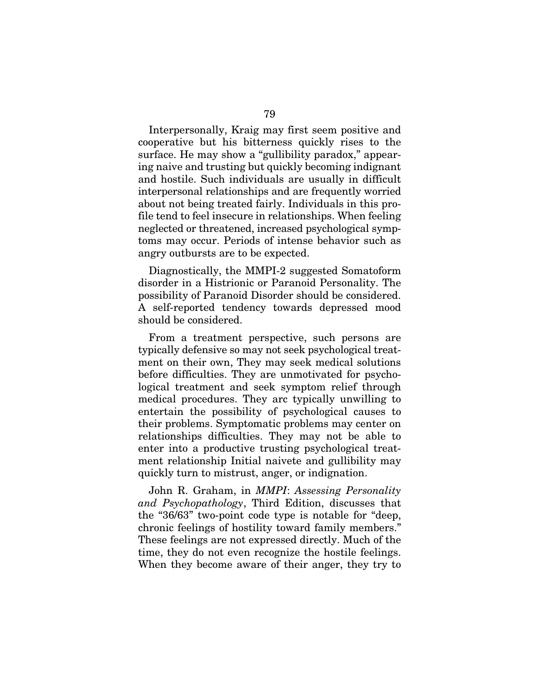Interpersonally, Kraig may first seem positive and cooperative but his bitterness quickly rises to the surface. He may show a "gullibility paradox," appearing naive and trusting but quickly becoming indignant and hostile. Such individuals are usually in difficult interpersonal relationships and are frequently worried about not being treated fairly. Individuals in this profile tend to feel insecure in relationships. When feeling neglected or threatened, increased psychological symptoms may occur. Periods of intense behavior such as angry outbursts are to be expected.

Diagnostically, the MMPI-2 suggested Somatoform disorder in a Histrionic or Paranoid Personality. The possibility of Paranoid Disorder should be considered. A self-reported tendency towards depressed mood should be considered.

From a treatment perspective, such persons are typically defensive so may not seek psychological treatment on their own, They may seek medical solutions before difficulties. They are unmotivated for psychological treatment and seek symptom relief through medical procedures. They arc typically unwilling to entertain the possibility of psychological causes to their problems. Symptomatic problems may center on relationships difficulties. They may not be able to enter into a productive trusting psychological treatment relationship Initial naivete and gullibility may quickly turn to mistrust, anger, or indignation.

John R. Graham, in *MMPI*: *Assessing Personality and Psychopathology*, Third Edition, discusses that the "36/63" two-point code type is notable for "deep, chronic feelings of hostility toward family members." These feelings are not expressed directly. Much of the time, they do not even recognize the hostile feelings. When they become aware of their anger, they try to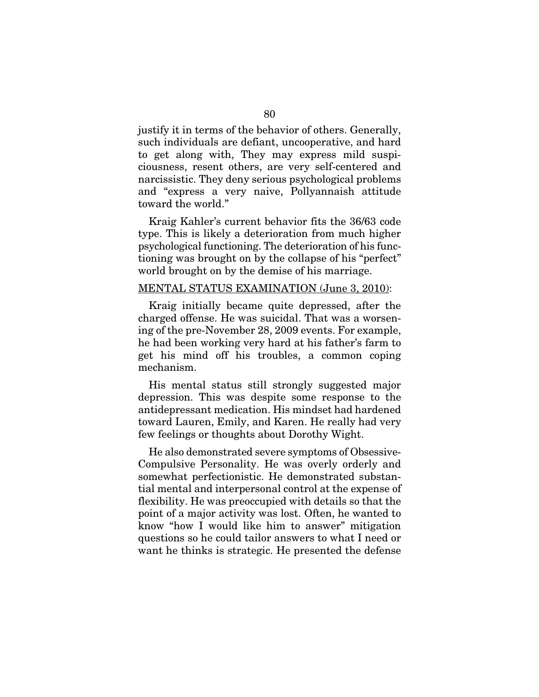justify it in terms of the behavior of others. Generally, such individuals are defiant, uncooperative, and hard to get along with, They may express mild suspiciousness, resent others, are very self-centered and narcissistic. They deny serious psychological problems and "express a very naive, Pollyannaish attitude toward the world."

Kraig Kahler's current behavior fits the 36/63 code type. This is likely a deterioration from much higher psychological functioning. The deterioration of his functioning was brought on by the collapse of his "perfect" world brought on by the demise of his marriage.

## MENTAL STATUS EXAMINATION (June 3, 2010):

Kraig initially became quite depressed, after the charged offense. He was suicidal. That was a worsening of the pre-November 28, 2009 events. For example, he had been working very hard at his father's farm to get his mind off his troubles, a common coping mechanism.

His mental status still strongly suggested major depression. This was despite some response to the antidepressant medication. His mindset had hardened toward Lauren, Emily, and Karen. He really had very few feelings or thoughts about Dorothy Wight.

He also demonstrated severe symptoms of Obsessive-Compulsive Personality. He was overly orderly and somewhat perfectionistic. He demonstrated substantial mental and interpersonal control at the expense of flexibility. He was preoccupied with details so that the point of a major activity was lost. Often, he wanted to know "how I would like him to answer" mitigation questions so he could tailor answers to what I need or want he thinks is strategic. He presented the defense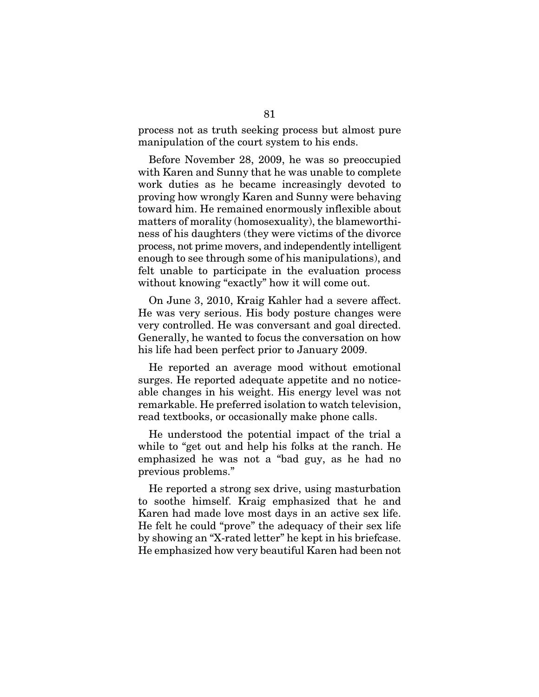process not as truth seeking process but almost pure manipulation of the court system to his ends.

Before November 28, 2009, he was so preoccupied with Karen and Sunny that he was unable to complete work duties as he became increasingly devoted to proving how wrongly Karen and Sunny were behaving toward him. He remained enormously inflexible about matters of morality (homosexuality), the blameworthiness of his daughters (they were victims of the divorce process, not prime movers, and independently intelligent enough to see through some of his manipulations), and felt unable to participate in the evaluation process without knowing "exactly" how it will come out.

On June 3, 2010, Kraig Kahler had a severe affect. He was very serious. His body posture changes were very controlled. He was conversant and goal directed. Generally, he wanted to focus the conversation on how his life had been perfect prior to January 2009.

He reported an average mood without emotional surges. He reported adequate appetite and no noticeable changes in his weight. His energy level was not remarkable. He preferred isolation to watch television, read textbooks, or occasionally make phone calls.

He understood the potential impact of the trial a while to "get out and help his folks at the ranch. He emphasized he was not a "bad guy, as he had no previous problems."

He reported a strong sex drive, using masturbation to soothe himself. Kraig emphasized that he and Karen had made love most days in an active sex life. He felt he could "prove" the adequacy of their sex life by showing an "X-rated letter" he kept in his briefcase. He emphasized how very beautiful Karen had been not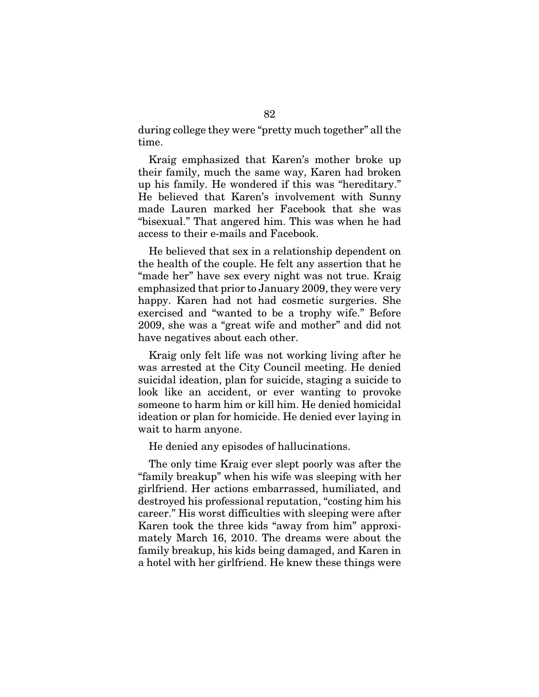during college they were "pretty much together" all the time.

Kraig emphasized that Karen's mother broke up their family, much the same way, Karen had broken up his family. He wondered if this was "hereditary." He believed that Karen's involvement with Sunny made Lauren marked her Facebook that she was "bisexual." That angered him. This was when he had access to their e-mails and Facebook.

He believed that sex in a relationship dependent on the health of the couple. He felt any assertion that he "made her" have sex every night was not true. Kraig emphasized that prior to January 2009, they were very happy. Karen had not had cosmetic surgeries. She exercised and "wanted to be a trophy wife." Before 2009, she was a "great wife and mother" and did not have negatives about each other.

Kraig only felt life was not working living after he was arrested at the City Council meeting. He denied suicidal ideation, plan for suicide, staging a suicide to look like an accident, or ever wanting to provoke someone to harm him or kill him. He denied homicidal ideation or plan for homicide. He denied ever laying in wait to harm anyone.

He denied any episodes of hallucinations.

The only time Kraig ever slept poorly was after the "family breakup" when his wife was sleeping with her girlfriend. Her actions embarrassed, humiliated, and destroyed his professional reputation, "costing him his career." His worst difficulties with sleeping were after Karen took the three kids "away from him" approximately March 16, 2010. The dreams were about the family breakup, his kids being damaged, and Karen in a hotel with her girlfriend. He knew these things were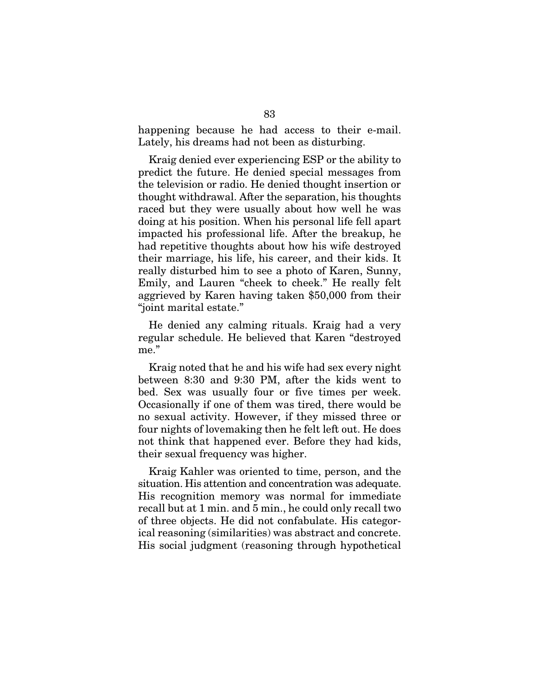happening because he had access to their e-mail. Lately, his dreams had not been as disturbing.

Kraig denied ever experiencing ESP or the ability to predict the future. He denied special messages from the television or radio. He denied thought insertion or thought withdrawal. After the separation, his thoughts raced but they were usually about how well he was doing at his position. When his personal life fell apart impacted his professional life. After the breakup, he had repetitive thoughts about how his wife destroyed their marriage, his life, his career, and their kids. It really disturbed him to see a photo of Karen, Sunny, Emily, and Lauren "cheek to cheek." He really felt aggrieved by Karen having taken \$50,000 from their "joint marital estate."

He denied any calming rituals. Kraig had a very regular schedule. He believed that Karen "destroyed me."

Kraig noted that he and his wife had sex every night between 8:30 and 9:30 PM, after the kids went to bed. Sex was usually four or five times per week. Occasionally if one of them was tired, there would be no sexual activity. However, if they missed three or four nights of lovemaking then he felt left out. He does not think that happened ever. Before they had kids, their sexual frequency was higher.

Kraig Kahler was oriented to time, person, and the situation. His attention and concentration was adequate. His recognition memory was normal for immediate recall but at 1 min. and 5 min., he could only recall two of three objects. He did not confabulate. His categorical reasoning (similarities) was abstract and concrete. His social judgment (reasoning through hypothetical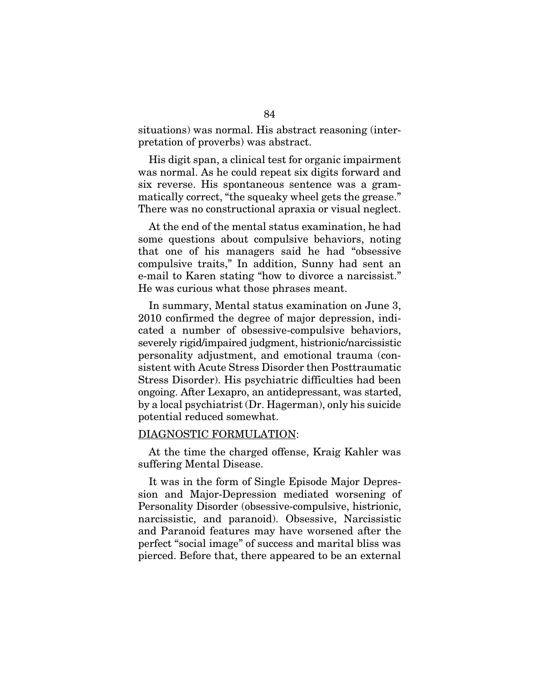situations) was normal. His abstract reasoning (interpretation of proverbs) was abstract.

His digit span, a clinical test for organic impairment was normal. As he could repeat six digits forward and six reverse. His spontaneous sentence was a grammatically correct, "the squeaky wheel gets the grease." There was no constructional apraxia or visual neglect.

At the end of the mental status examination, he had some questions about compulsive behaviors, noting that one of his managers said he had "obsessive compulsive traits," In addition, Sunny had sent an e-mail to Karen stating "how to divorce a narcissist." He was curious what those phrases meant.

In summary, Mental status examination on June 3, 2010 confirmed the degree of major depression, indicated a number of obsessive-compulsive behaviors, severely rigid/impaired judgment, histrionic/narcissistic personality adjustment, and emotional trauma (consistent with Acute Stress Disorder then Posttraumatic Stress Disorder). His psychiatric difficulties had been ongoing. After Lexapro, an antidepressant, was started, by a local psychiatrist (Dr. Hagerman), only his suicide potential reduced somewhat.

#### DIAGNOSTIC FORMULATION:

At the time the charged offense, Kraig Kahler was suffering Mental Disease.

It was in the form of Single Episode Major Depression and Major-Depression mediated worsening of Personality Disorder (obsessive-compulsive, histrionic, narcissistic, and paranoid). Obsessive, Narcissistic and Paranoid features may have worsened after the perfect "social image" of success and marital bliss was pierced. Before that, there appeared to be an external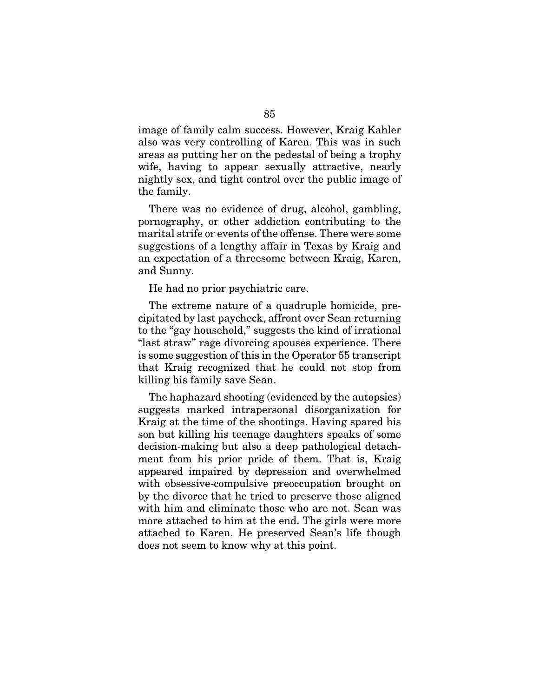image of family calm success. However, Kraig Kahler also was very controlling of Karen. This was in such areas as putting her on the pedestal of being a trophy wife, having to appear sexually attractive, nearly nightly sex, and tight control over the public image of the family.

There was no evidence of drug, alcohol, gambling, pornography, or other addiction contributing to the marital strife or events of the offense. There were some suggestions of a lengthy affair in Texas by Kraig and an expectation of a threesome between Kraig, Karen, and Sunny.

He had no prior psychiatric care.

The extreme nature of a quadruple homicide, precipitated by last paycheck, affront over Sean returning to the "gay household," suggests the kind of irrational "last straw" rage divorcing spouses experience. There is some suggestion of this in the Operator 55 transcript that Kraig recognized that he could not stop from killing his family save Sean.

The haphazard shooting (evidenced by the autopsies) suggests marked intrapersonal disorganization for Kraig at the time of the shootings. Having spared his son but killing his teenage daughters speaks of some decision-making but also a deep pathological detachment from his prior pride of them. That is, Kraig appeared impaired by depression and overwhelmed with obsessive-compulsive preoccupation brought on by the divorce that he tried to preserve those aligned with him and eliminate those who are not. Sean was more attached to him at the end. The girls were more attached to Karen. He preserved Sean's life though does not seem to know why at this point.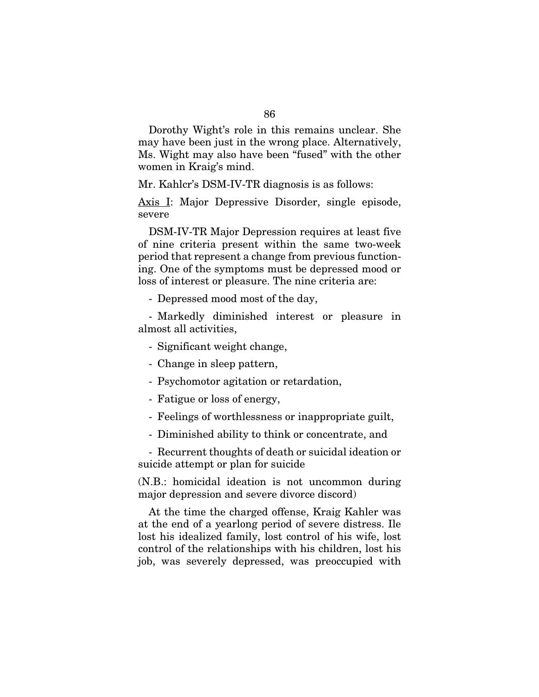Dorothy Wight's role in this remains unclear. She may have been just in the wrong place. Alternatively, Ms. Wight may also have been "fused" with the other women in Kraig's mind.

Mr. Kahlcr's DSM-IV-TR diagnosis is as follows:

Axis I: Major Depressive Disorder, single episode, severe

DSM-IV-TR Major Depression requires at least five of nine criteria present within the same two-week period that represent a change from previous functioning. One of the symptoms must be depressed mood or loss of interest or pleasure. The nine criteria are:

- Depressed mood most of the day,

- Markedly diminished interest or pleasure in almost all activities,

- Significant weight change,
- Change in sleep pattern,
- Psychomotor agitation or retardation,
- Fatigue or loss of energy,
- Feelings of worthlessness or inappropriate guilt,
- Diminished ability to think or concentrate, and

- Recurrent thoughts of death or suicidal ideation or suicide attempt or plan for suicide

(N.B.: homicidal ideation is not uncommon during major depression and severe divorce discord)

At the time the charged offense, Kraig Kahler was at the end of a yearlong period of severe distress. Ile lost his idealized family, lost control of his wife, lost control of the relationships with his children, lost his job, was severely depressed, was preoccupied with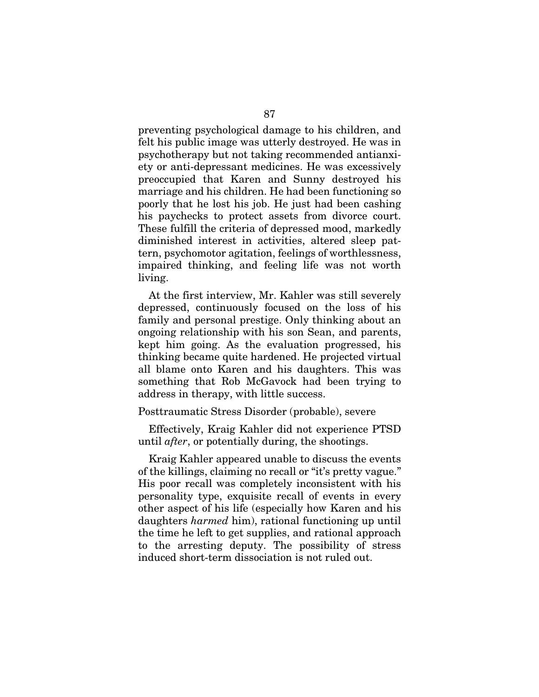preventing psychological damage to his children, and felt his public image was utterly destroyed. He was in psychotherapy but not taking recommended antianxiety or anti-depressant medicines. He was excessively preoccupied that Karen and Sunny destroyed his marriage and his children. He had been functioning so poorly that he lost his job. He just had been cashing his paychecks to protect assets from divorce court. These fulfill the criteria of depressed mood, markedly diminished interest in activities, altered sleep pattern, psychomotor agitation, feelings of worthlessness, impaired thinking, and feeling life was not worth living.

At the first interview, Mr. Kahler was still severely depressed, continuously focused on the loss of his family and personal prestige. Only thinking about an ongoing relationship with his son Sean, and parents, kept him going. As the evaluation progressed, his thinking became quite hardened. He projected virtual all blame onto Karen and his daughters. This was something that Rob McGavock had been trying to address in therapy, with little success.

Posttraumatic Stress Disorder (probable), severe

Effectively, Kraig Kahler did not experience PTSD until *after*, or potentially during, the shootings.

Kraig Kahler appeared unable to discuss the events of the killings, claiming no recall or "it's pretty vague." His poor recall was completely inconsistent with his personality type, exquisite recall of events in every other aspect of his life (especially how Karen and his daughters *harmed* him), rational functioning up until the time he left to get supplies, and rational approach to the arresting deputy. The possibility of stress induced short-term dissociation is not ruled out.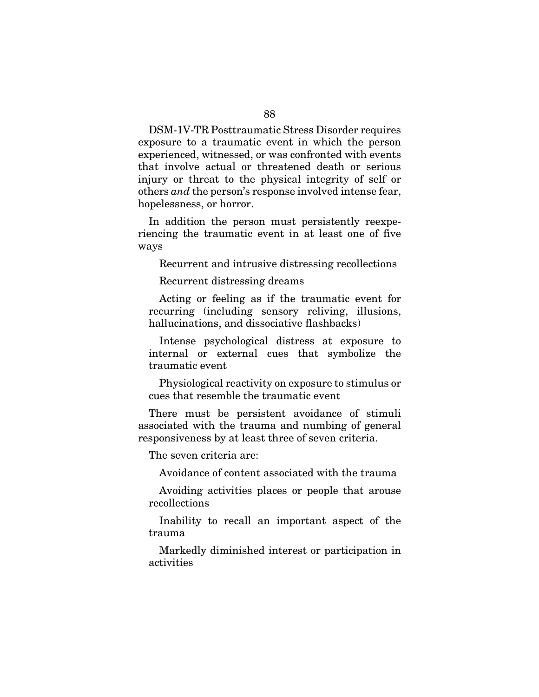DSM-1V-TR Posttraumatic Stress Disorder requires exposure to a traumatic event in which the person experienced, witnessed, or was confronted with events that involve actual or threatened death or serious injury or threat to the physical integrity of self or others *and* the person's response involved intense fear, hopelessness, or horror.

In addition the person must persistently reexperiencing the traumatic event in at least one of five ways

Recurrent and intrusive distressing recollections

Recurrent distressing dreams

Acting or feeling as if the traumatic event for recurring (including sensory reliving, illusions, hallucinations, and dissociative flashbacks)

Intense psychological distress at exposure to internal or external cues that symbolize the traumatic event

Physiological reactivity on exposure to stimulus or cues that resemble the traumatic event

There must be persistent avoidance of stimuli associated with the trauma and numbing of general responsiveness by at least three of seven criteria.

The seven criteria are:

Avoidance of content associated with the trauma

Avoiding activities places or people that arouse recollections

Inability to recall an important aspect of the trauma

Markedly diminished interest or participation in activities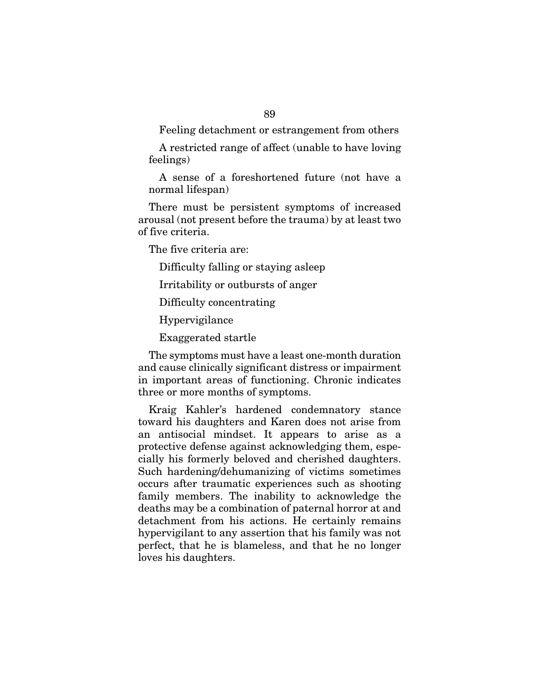Feeling detachment or estrangement from others

A restricted range of affect (unable to have loving feelings)

A sense of a foreshortened future (not have a normal lifespan)

There must be persistent symptoms of increased arousal (not present before the trauma) by at least two of five criteria.

The five criteria are:

Difficulty falling or staying asleep

Irritability or outbursts of anger

Difficulty concentrating

Hypervigilance

Exaggerated startle

The symptoms must have a least one-month duration and cause clinically significant distress or impairment in important areas of functioning. Chronic indicates three or more months of symptoms.

Kraig Kahler's hardened condemnatory stance toward his daughters and Karen does not arise from an antisocial mindset. It appears to arise as a protective defense against acknowledging them, especially his formerly beloved and cherished daughters. Such hardening/dehumanizing of victims sometimes occurs after traumatic experiences such as shooting family members. The inability to acknowledge the deaths may be a combination of paternal horror at and detachment from his actions. He certainly remains hypervigilant to any assertion that his family was not perfect, that he is blameless, and that he no longer loves his daughters.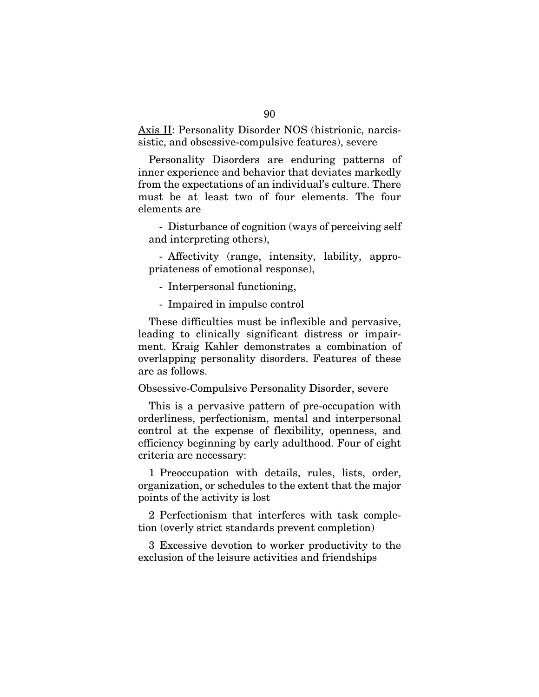Axis II: Personality Disorder NOS (histrionic, narcissistic, and obsessive-compulsive features), severe

Personality Disorders are enduring patterns of inner experience and behavior that deviates markedly from the expectations of an individual's culture. There must be at least two of four elements. The four elements are

- Disturbance of cognition (ways of perceiving self and interpreting others),

- Affectivity (range, intensity, lability, appropriateness of emotional response),

- Interpersonal functioning,

- Impaired in impulse control

These difficulties must be inflexible and pervasive, leading to clinically significant distress or impairment. Kraig Kahler demonstrates a combination of overlapping personality disorders. Features of these are as follows.

### Obsessive-Compulsive Personality Disorder, severe

This is a pervasive pattern of pre-occupation with orderliness, perfectionism, mental and interpersonal control at the expense of flexibility, openness, and efficiency beginning by early adulthood. Four of eight criteria are necessary:

1 Preoccupation with details, rules, lists, order, organization, or schedules to the extent that the major points of the activity is lost

2 Perfectionism that interferes with task completion (overly strict standards prevent completion)

3 Excessive devotion to worker productivity to the exclusion of the leisure activities and friendships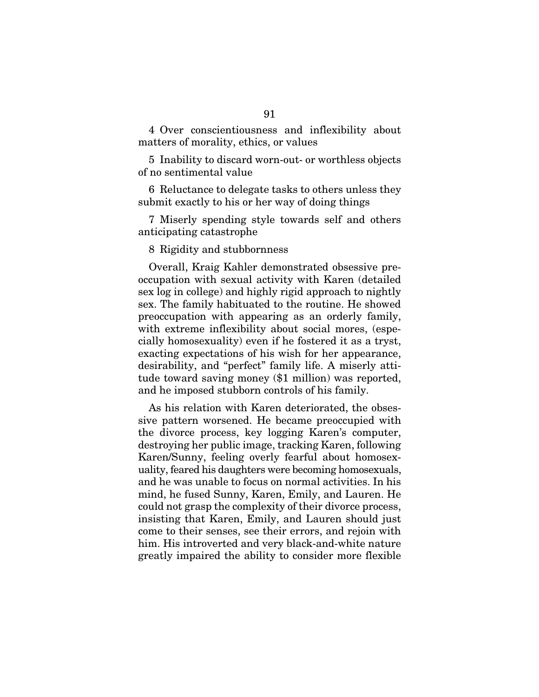4 Over conscientiousness and inflexibility about matters of morality, ethics, or values

5 Inability to discard worn-out- or worthless objects of no sentimental value

6 Reluctance to delegate tasks to others unless they submit exactly to his or her way of doing things

7 Miserly spending style towards self and others anticipating catastrophe

8 Rigidity and stubbornness

Overall, Kraig Kahler demonstrated obsessive preoccupation with sexual activity with Karen (detailed sex log in college) and highly rigid approach to nightly sex. The family habituated to the routine. He showed preoccupation with appearing as an orderly family, with extreme inflexibility about social mores, (especially homosexuality) even if he fostered it as a tryst, exacting expectations of his wish for her appearance, desirability, and "perfect" family life. A miserly attitude toward saving money (\$1 million) was reported, and he imposed stubborn controls of his family.

As his relation with Karen deteriorated, the obsessive pattern worsened. He became preoccupied with the divorce process, key logging Karen's computer, destroying her public image, tracking Karen, following Karen/Sunny, feeling overly fearful about homosexuality, feared his daughters were becoming homosexuals, and he was unable to focus on normal activities. In his mind, he fused Sunny, Karen, Emily, and Lauren. He could not grasp the complexity of their divorce process, insisting that Karen, Emily, and Lauren should just come to their senses, see their errors, and rejoin with him. His introverted and very black-and-white nature greatly impaired the ability to consider more flexible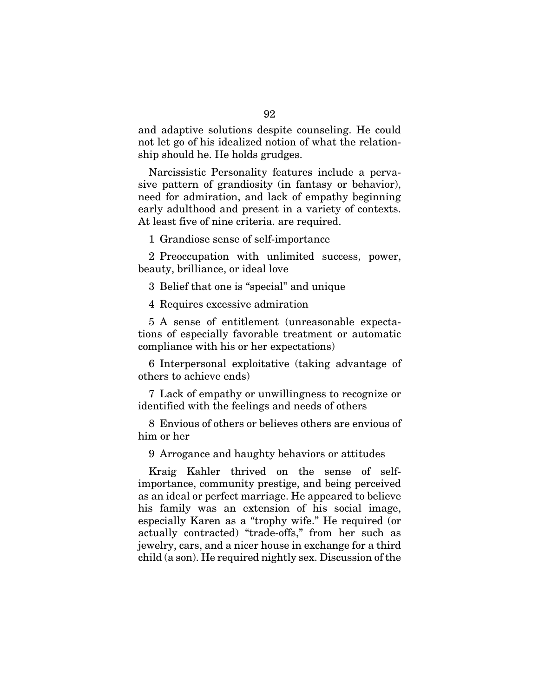and adaptive solutions despite counseling. He could not let go of his idealized notion of what the relationship should he. He holds grudges.

Narcissistic Personality features include a pervasive pattern of grandiosity (in fantasy or behavior), need for admiration, and lack of empathy beginning early adulthood and present in a variety of contexts. At least five of nine criteria. are required.

1 Grandiose sense of self-importance

2 Preoccupation with unlimited success, power, beauty, brilliance, or ideal love

3 Belief that one is "special" and unique

4 Requires excessive admiration

5 A sense of entitlement (unreasonable expectations of especially favorable treatment or automatic compliance with his or her expectations)

6 Interpersonal exploitative (taking advantage of others to achieve ends)

7 Lack of empathy or unwillingness to recognize or identified with the feelings and needs of others

8 Envious of others or believes others are envious of him or her

9 Arrogance and haughty behaviors or attitudes

Kraig Kahler thrived on the sense of selfimportance, community prestige, and being perceived as an ideal or perfect marriage. He appeared to believe his family was an extension of his social image, especially Karen as a "trophy wife." He required (or actually contracted) "trade-offs," from her such as jewelry, cars, and a nicer house in exchange for a third child (a son). He required nightly sex. Discussion of the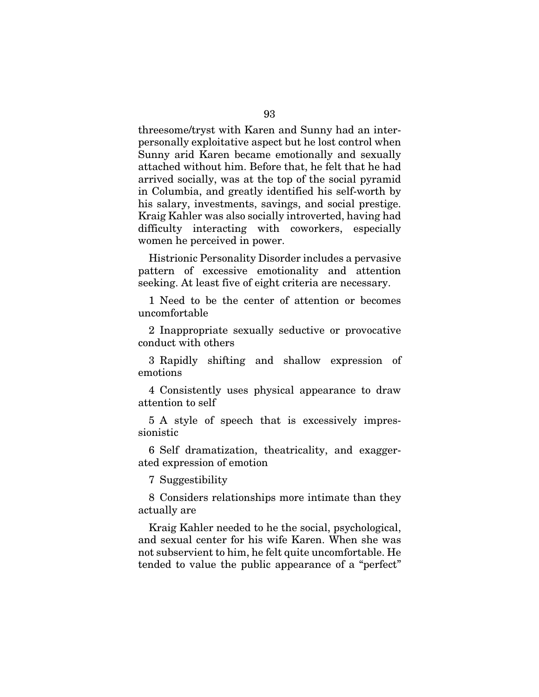threesome/tryst with Karen and Sunny had an interpersonally exploitative aspect but he lost control when Sunny arid Karen became emotionally and sexually attached without him. Before that, he felt that he had arrived socially, was at the top of the social pyramid in Columbia, and greatly identified his self-worth by his salary, investments, savings, and social prestige. Kraig Kahler was also socially introverted, having had difficulty interacting with coworkers, especially women he perceived in power.

Histrionic Personality Disorder includes a pervasive pattern of excessive emotionality and attention seeking. At least five of eight criteria are necessary.

1 Need to be the center of attention or becomes uncomfortable

2 Inappropriate sexually seductive or provocative conduct with others

3 Rapidly shifting and shallow expression of emotions

4 Consistently uses physical appearance to draw attention to self

5 A style of speech that is excessively impressionistic

6 Self dramatization, theatricality, and exaggerated expression of emotion

7 Suggestibility

8 Considers relationships more intimate than they actually are

Kraig Kahler needed to he the social, psychological, and sexual center for his wife Karen. When she was not subservient to him, he felt quite uncomfortable. He tended to value the public appearance of a "perfect"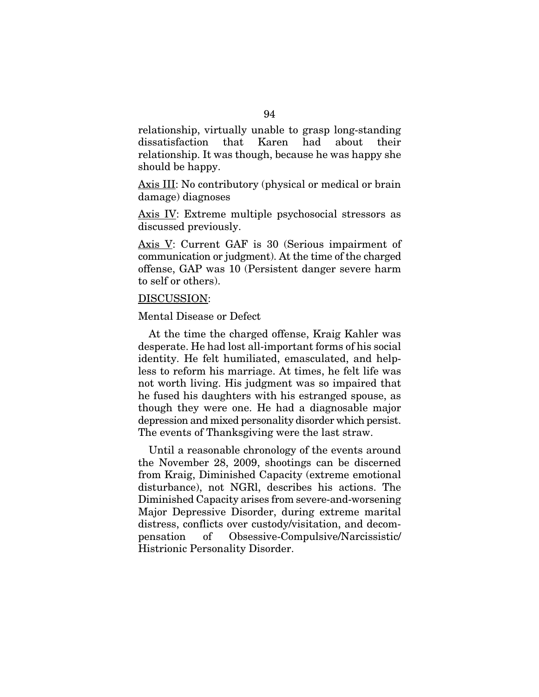relationship, virtually unable to grasp long-standing dissatisfaction that Karen had about their relationship. It was though, because he was happy she should be happy.

Axis III: No contributory (physical or medical or brain damage) diagnoses

Axis IV: Extreme multiple psychosocial stressors as discussed previously.

Axis V: Current GAF is 30 (Serious impairment of communication or judgment). At the time of the charged offense, GAP was 10 (Persistent danger severe harm to self or others).

## DISCUSSION:

## Mental Disease or Defect

At the time the charged offense, Kraig Kahler was desperate. He had lost all-important forms of his social identity. He felt humiliated, emasculated, and helpless to reform his marriage. At times, he felt life was not worth living. His judgment was so impaired that he fused his daughters with his estranged spouse, as though they were one. He had a diagnosable major depression and mixed personality disorder which persist. The events of Thanksgiving were the last straw.

Until a reasonable chronology of the events around the November 28, 2009, shootings can be discerned from Kraig, Diminished Capacity (extreme emotional disturbance), not NGRl, describes his actions. The Diminished Capacity arises from severe-and-worsening Major Depressive Disorder, during extreme marital distress, conflicts over custody/visitation, and decompensation of Obsessive-Compulsive/Narcissistic/ Histrionic Personality Disorder.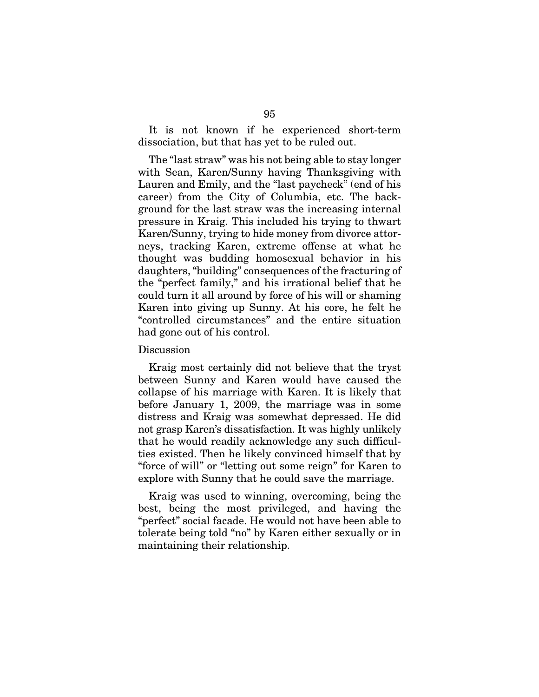It is not known if he experienced short-term dissociation, but that has yet to be ruled out.

The "last straw" was his not being able to stay longer with Sean, Karen/Sunny having Thanksgiving with Lauren and Emily, and the "last paycheck" (end of his career) from the City of Columbia, etc. The background for the last straw was the increasing internal pressure in Kraig. This included his trying to thwart Karen/Sunny, trying to hide money from divorce attorneys, tracking Karen, extreme offense at what he thought was budding homosexual behavior in his daughters, "building" consequences of the fracturing of the "perfect family," and his irrational belief that he could turn it all around by force of his will or shaming Karen into giving up Sunny. At his core, he felt he "controlled circumstances" and the entire situation had gone out of his control.

### Discussion

Kraig most certainly did not believe that the tryst between Sunny and Karen would have caused the collapse of his marriage with Karen. It is likely that before January 1, 2009, the marriage was in some distress and Kraig was somewhat depressed. He did not grasp Karen's dissatisfaction. It was highly unlikely that he would readily acknowledge any such difficulties existed. Then he likely convinced himself that by "force of will" or "letting out some reign" for Karen to explore with Sunny that he could save the marriage.

Kraig was used to winning, overcoming, being the best, being the most privileged, and having the "perfect" social facade. He would not have been able to tolerate being told "no" by Karen either sexually or in maintaining their relationship.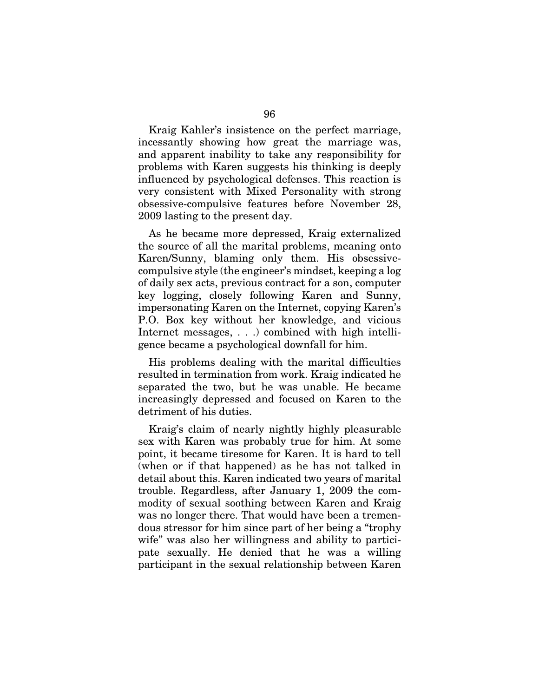Kraig Kahler's insistence on the perfect marriage, incessantly showing how great the marriage was, and apparent inability to take any responsibility for problems with Karen suggests his thinking is deeply influenced by psychological defenses. This reaction is very consistent with Mixed Personality with strong obsessive-compulsive features before November 28, 2009 lasting to the present day.

As he became more depressed, Kraig externalized the source of all the marital problems, meaning onto Karen/Sunny, blaming only them. His obsessivecompulsive style (the engineer's mindset, keeping a log of daily sex acts, previous contract for a son, computer key logging, closely following Karen and Sunny, impersonating Karen on the Internet, copying Karen's P.O. Box key without her knowledge, and vicious Internet messages, . . .) combined with high intelligence became a psychological downfall for him.

His problems dealing with the marital difficulties resulted in termination from work. Kraig indicated he separated the two, but he was unable. He became increasingly depressed and focused on Karen to the detriment of his duties.

Kraig's claim of nearly nightly highly pleasurable sex with Karen was probably true for him. At some point, it became tiresome for Karen. It is hard to tell (when or if that happened) as he has not talked in detail about this. Karen indicated two years of marital trouble. Regardless, after January 1, 2009 the commodity of sexual soothing between Karen and Kraig was no longer there. That would have been a tremendous stressor for him since part of her being a "trophy wife" was also her willingness and ability to participate sexually. He denied that he was a willing participant in the sexual relationship between Karen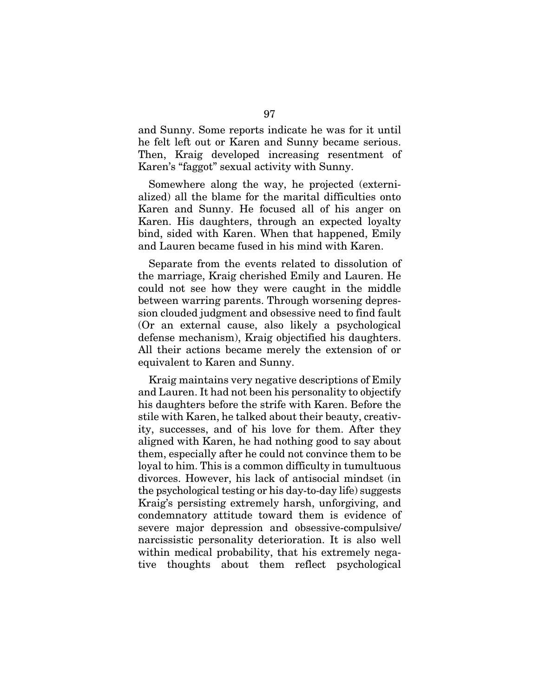and Sunny. Some reports indicate he was for it until he felt left out or Karen and Sunny became serious. Then, Kraig developed increasing resentment of Karen's "faggot" sexual activity with Sunny.

Somewhere along the way, he projected (externialized) all the blame for the marital difficulties onto Karen and Sunny. He focused all of his anger on Karen. His daughters, through an expected loyalty bind, sided with Karen. When that happened, Emily and Lauren became fused in his mind with Karen.

Separate from the events related to dissolution of the marriage, Kraig cherished Emily and Lauren. He could not see how they were caught in the middle between warring parents. Through worsening depression clouded judgment and obsessive need to find fault (Or an external cause, also likely a psychological defense mechanism), Kraig objectified his daughters. All their actions became merely the extension of or equivalent to Karen and Sunny.

Kraig maintains very negative descriptions of Emily and Lauren. It had not been his personality to objectify his daughters before the strife with Karen. Before the stile with Karen, he talked about their beauty, creativity, successes, and of his love for them. After they aligned with Karen, he had nothing good to say about them, especially after he could not convince them to be loyal to him. This is a common difficulty in tumultuous divorces. However, his lack of antisocial mindset (in the psychological testing or his day-to-day life) suggests Kraig's persisting extremely harsh, unforgiving, and condemnatory attitude toward them is evidence of severe major depression and obsessive-compulsive/ narcissistic personality deterioration. It is also well within medical probability, that his extremely negative thoughts about them reflect psychological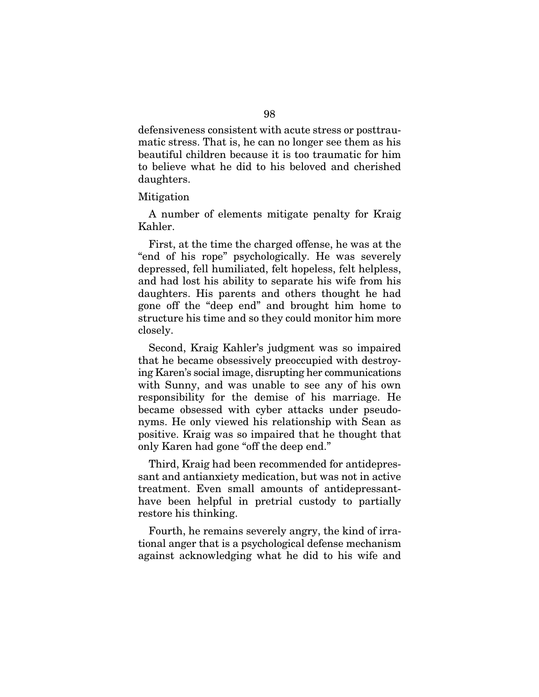defensiveness consistent with acute stress or posttraumatic stress. That is, he can no longer see them as his beautiful children because it is too traumatic for him to believe what he did to his beloved and cherished daughters.

#### Mitigation

A number of elements mitigate penalty for Kraig Kahler.

First, at the time the charged offense, he was at the "end of his rope" psychologically. He was severely depressed, fell humiliated, felt hopeless, felt helpless, and had lost his ability to separate his wife from his daughters. His parents and others thought he had gone off the "deep end" and brought him home to structure his time and so they could monitor him more closely.

Second, Kraig Kahler's judgment was so impaired that he became obsessively preoccupied with destroying Karen's social image, disrupting her communications with Sunny, and was unable to see any of his own responsibility for the demise of his marriage. He became obsessed with cyber attacks under pseudonyms. He only viewed his relationship with Sean as positive. Kraig was so impaired that he thought that only Karen had gone "off the deep end."

Third, Kraig had been recommended for antidepressant and antianxiety medication, but was not in active treatment. Even small amounts of antidepressanthave been helpful in pretrial custody to partially restore his thinking.

Fourth, he remains severely angry, the kind of irrational anger that is a psychological defense mechanism against acknowledging what he did to his wife and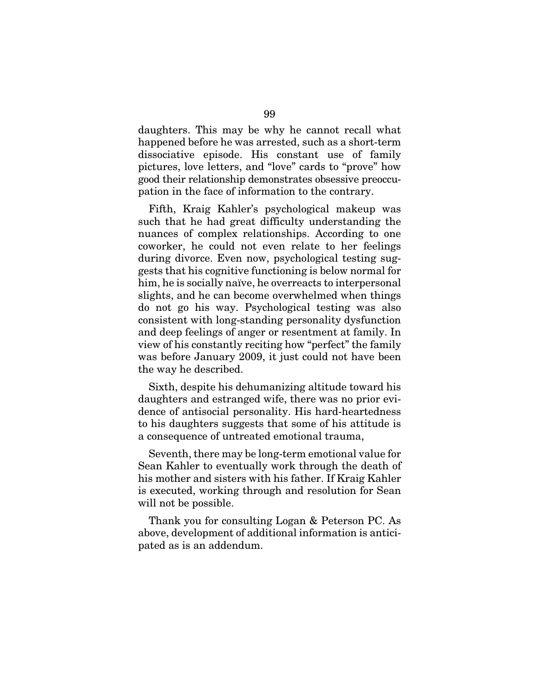daughters. This may be why he cannot recall what happened before he was arrested, such as a short-term dissociative episode. His constant use of family pictures, love letters, and "love" cards to "prove" how good their relationship demonstrates obsessive preoccupation in the face of information to the contrary.

Fifth, Kraig Kahler's psychological makeup was such that he had great difficulty understanding the nuances of complex relationships. According to one coworker, he could not even relate to her feelings during divorce. Even now, psychological testing suggests that his cognitive functioning is below normal for him, he is socially naïve, he overreacts to interpersonal slights, and he can become overwhelmed when things do not go his way. Psychological testing was also consistent with long-standing personality dysfunction and deep feelings of anger or resentment at family. In view of his constantly reciting how "perfect" the family was before January 2009, it just could not have been the way he described.

Sixth, despite his dehumanizing altitude toward his daughters and estranged wife, there was no prior evidence of antisocial personality. His hard-heartedness to his daughters suggests that some of his attitude is a consequence of untreated emotional trauma,

Seventh, there may be long-term emotional value for Sean Kahler to eventually work through the death of his mother and sisters with his father. If Kraig Kahler is executed, working through and resolution for Sean will not be possible.

Thank you for consulting Logan & Peterson PC. As above, development of additional information is anticipated as is an addendum.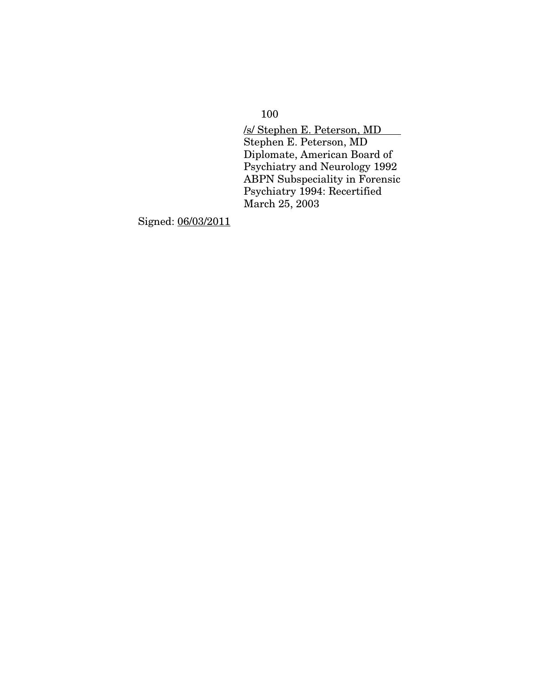100

/s/ Stephen E. Peterson, MD Stephen E. Peterson, MD Diplomate, American Board of Psychiatry and Neurology 1992 ABPN Subspeciality in Forensic Psychiatry 1994: Recertified March 25, 2003

Signed: 06/03/2011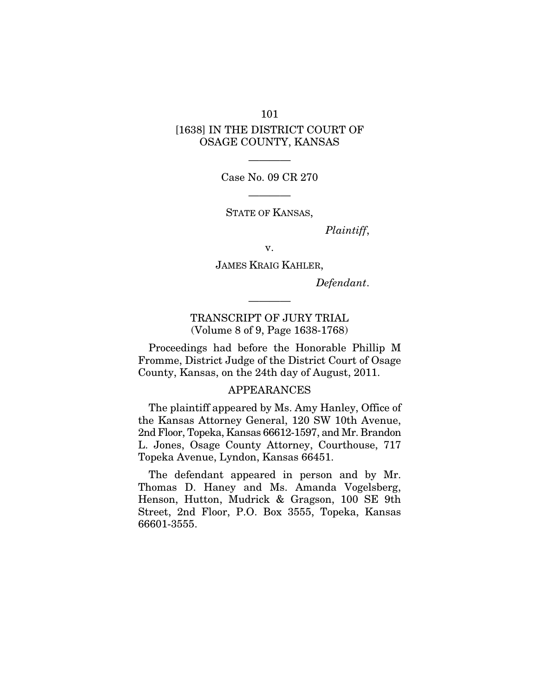# 101 [1638] IN THE DISTRICT COURT OF OSAGE COUNTY, KANSAS

———— Case No. 09 CR 270

————

STATE OF KANSAS,

*Plaintiff*,

v.

JAMES KRAIG KAHLER,

*Defendant*.

TRANSCRIPT OF JURY TRIAL (Volume 8 of 9, Page 1638-1768)

————

Proceedings had before the Honorable Phillip M Fromme, District Judge of the District Court of Osage County, Kansas, on the 24th day of August, 2011.

## APPEARANCES

The plaintiff appeared by Ms. Amy Hanley, Office of the Kansas Attorney General, 120 SW 10th Avenue, 2nd Floor, Topeka, Kansas 66612-1597, and Mr. Brandon L. Jones, Osage County Attorney, Courthouse, 717 Topeka Avenue, Lyndon, Kansas 66451.

The defendant appeared in person and by Mr. Thomas D. Haney and Ms. Amanda Vogelsberg, Henson, Hutton, Mudrick & Gragson, 100 SE 9th Street, 2nd Floor, P.O. Box 3555, Topeka, Kansas 66601-3555.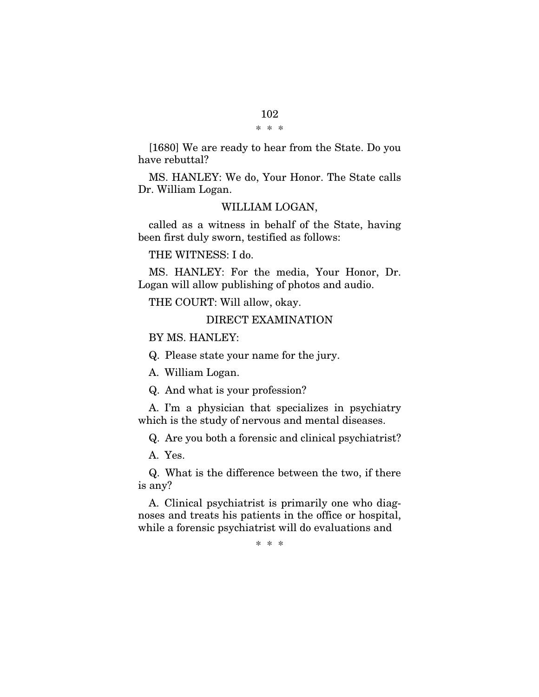[1680] We are ready to hear from the State. Do you have rebuttal?

MS. HANLEY: We do, Your Honor. The State calls Dr. William Logan.

# WILLIAM LOGAN,

called as a witness in behalf of the State, having been first duly sworn, testified as follows:

THE WITNESS: I do.

MS. HANLEY: For the media, Your Honor, Dr. Logan will allow publishing of photos and audio.

THE COURT: Will allow, okay.

DIRECT EXAMINATION

BY MS. HANLEY:

Q. Please state your name for the jury.

A. William Logan.

Q. And what is your profession?

A. I'm a physician that specializes in psychiatry which is the study of nervous and mental diseases.

Q. Are you both a forensic and clinical psychiatrist?

A. Yes.

Q. What is the difference between the two, if there is any?

A. Clinical psychiatrist is primarily one who diagnoses and treats his patients in the office or hospital, while a forensic psychiatrist will do evaluations and

\* \* \*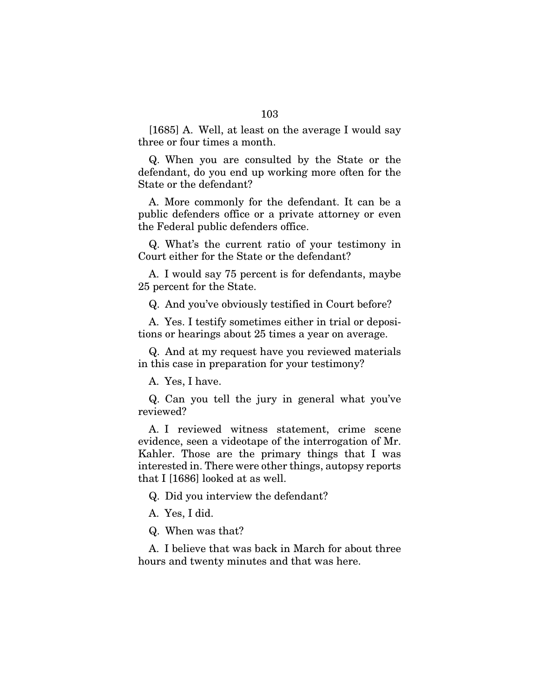[1685] A. Well, at least on the average I would say three or four times a month.

Q. When you are consulted by the State or the defendant, do you end up working more often for the State or the defendant?

A. More commonly for the defendant. It can be a public defenders office or a private attorney or even the Federal public defenders office.

Q. What's the current ratio of your testimony in Court either for the State or the defendant?

A. I would say 75 percent is for defendants, maybe 25 percent for the State.

Q. And you've obviously testified in Court before?

A. Yes. I testify sometimes either in trial or depositions or hearings about 25 times a year on average.

Q. And at my request have you reviewed materials in this case in preparation for your testimony?

A. Yes, I have.

Q. Can you tell the jury in general what you've reviewed?

A. I reviewed witness statement, crime scene evidence, seen a videotape of the interrogation of Mr. Kahler. Those are the primary things that I was interested in. There were other things, autopsy reports that I [1686] looked at as well.

Q. Did you interview the defendant?

A. Yes, I did.

Q. When was that?

A. I believe that was back in March for about three hours and twenty minutes and that was here.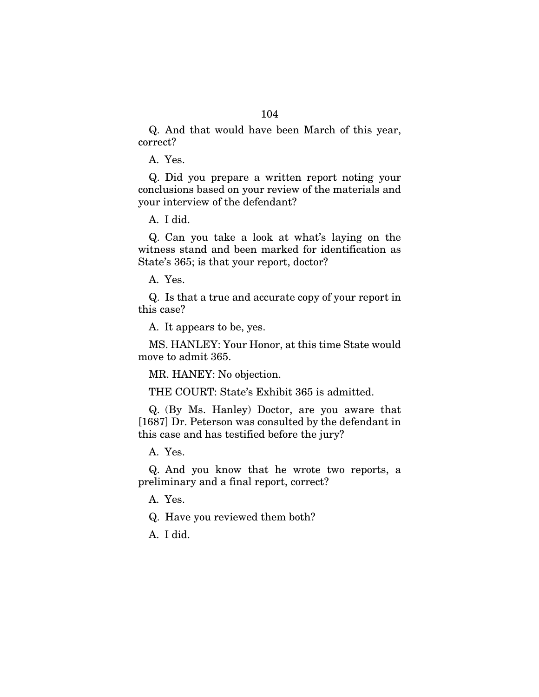Q. And that would have been March of this year, correct?

A. Yes.

Q. Did you prepare a written report noting your conclusions based on your review of the materials and your interview of the defendant?

A. I did.

Q. Can you take a look at what's laying on the witness stand and been marked for identification as State's 365; is that your report, doctor?

A. Yes.

Q. Is that a true and accurate copy of your report in this case?

A. It appears to be, yes.

MS. HANLEY: Your Honor, at this time State would move to admit 365.

MR. HANEY: No objection.

THE COURT: State's Exhibit 365 is admitted.

Q. (By Ms. Hanley) Doctor, are you aware that [1687] Dr. Peterson was consulted by the defendant in this case and has testified before the jury?

A. Yes.

Q. And you know that he wrote two reports, a preliminary and a final report, correct?

A. Yes.

Q. Have you reviewed them both?

A. I did.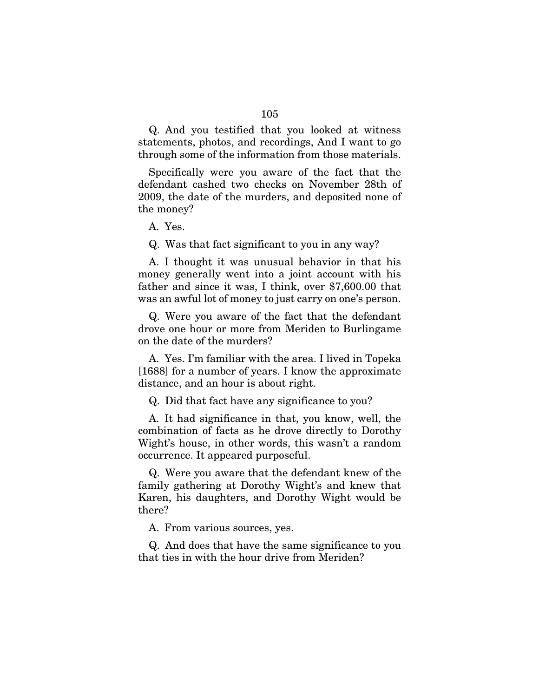Q. And you testified that you looked at witness statements, photos, and recordings, And I want to go through some of the information from those materials.

Specifically were you aware of the fact that the defendant cashed two checks on November 28th of 2009, the date of the murders, and deposited none of the money?

A. Yes.

Q. Was that fact significant to you in any way?

A. I thought it was unusual behavior in that his money generally went into a joint account with his father and since it was, I think, over \$7,600.00 that was an awful lot of money to just carry on one's person.

Q. Were you aware of the fact that the defendant drove one hour or more from Meriden to Burlingame on the date of the murders?

A. Yes. I'm familiar with the area. I lived in Topeka [1688] for a number of years. I know the approximate distance, and an hour is about right.

Q. Did that fact have any significance to you?

A. It had significance in that, you know, well, the combination of facts as he drove directly to Dorothy Wight's house, in other words, this wasn't a random occurrence. It appeared purposeful.

Q. Were you aware that the defendant knew of the family gathering at Dorothy Wight's and knew that Karen, his daughters, and Dorothy Wight would be there?

A. From various sources, yes.

Q. And does that have the same significance to you that ties in with the hour drive from Meriden?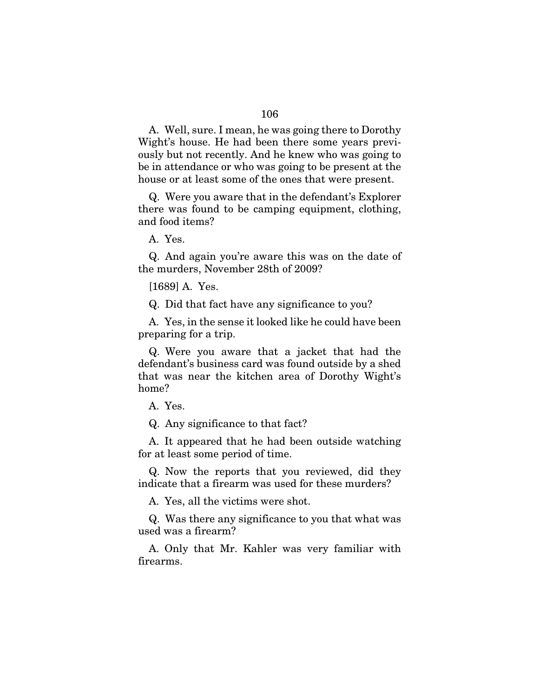A. Well, sure. I mean, he was going there to Dorothy Wight's house. He had been there some years previously but not recently. And he knew who was going to be in attendance or who was going to be present at the house or at least some of the ones that were present.

Q. Were you aware that in the defendant's Explorer there was found to be camping equipment, clothing, and food items?

A. Yes.

Q. And again you're aware this was on the date of the murders, November 28th of 2009?

[1689] A. Yes.

Q. Did that fact have any significance to you?

A. Yes, in the sense it looked like he could have been preparing for a trip.

Q. Were you aware that a jacket that had the defendant's business card was found outside by a shed that was near the kitchen area of Dorothy Wight's home?

A. Yes.

Q. Any significance to that fact?

A. It appeared that he had been outside watching for at least some period of time.

Q. Now the reports that you reviewed, did they indicate that a firearm was used for these murders?

A. Yes, all the victims were shot.

Q. Was there any significance to you that what was used was a firearm?

A. Only that Mr. Kahler was very familiar with firearms.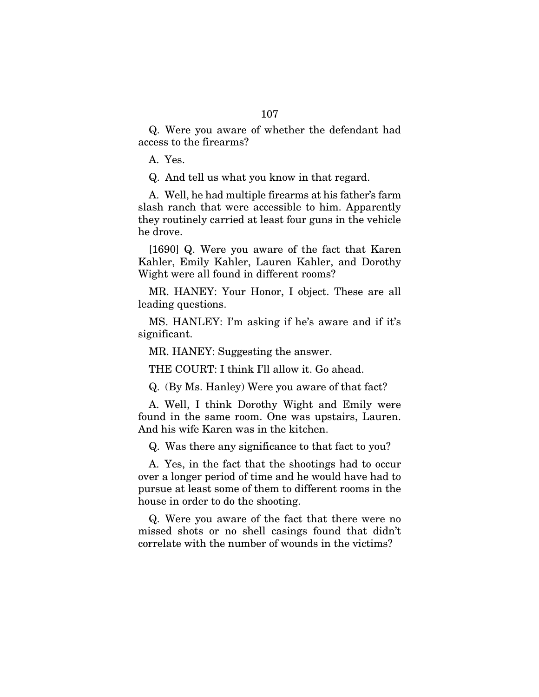Q. Were you aware of whether the defendant had access to the firearms?

A. Yes.

Q. And tell us what you know in that regard.

A. Well, he had multiple firearms at his father's farm slash ranch that were accessible to him. Apparently they routinely carried at least four guns in the vehicle he drove.

[1690] Q. Were you aware of the fact that Karen Kahler, Emily Kahler, Lauren Kahler, and Dorothy Wight were all found in different rooms?

MR. HANEY: Your Honor, I object. These are all leading questions.

MS. HANLEY: I'm asking if he's aware and if it's significant.

MR. HANEY: Suggesting the answer.

THE COURT: I think I'll allow it. Go ahead.

Q. (By Ms. Hanley) Were you aware of that fact?

A. Well, I think Dorothy Wight and Emily were found in the same room. One was upstairs, Lauren. And his wife Karen was in the kitchen.

Q. Was there any significance to that fact to you?

A. Yes, in the fact that the shootings had to occur over a longer period of time and he would have had to pursue at least some of them to different rooms in the house in order to do the shooting.

Q. Were you aware of the fact that there were no missed shots or no shell casings found that didn't correlate with the number of wounds in the victims?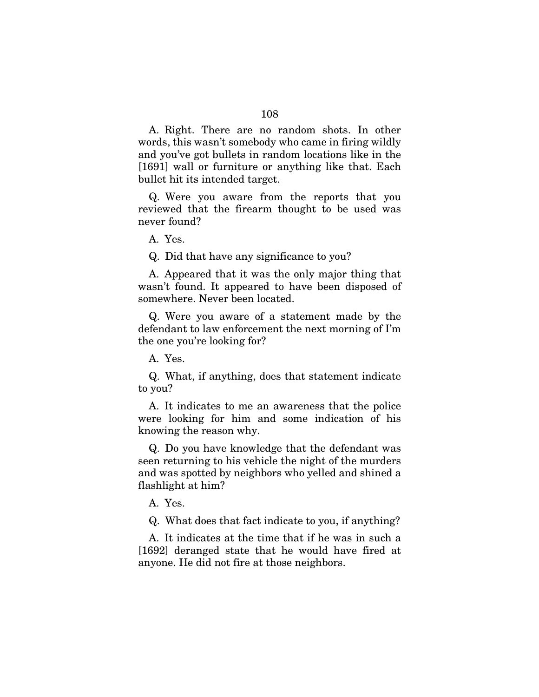A. Right. There are no random shots. In other words, this wasn't somebody who came in firing wildly and you've got bullets in random locations like in the [1691] wall or furniture or anything like that. Each bullet hit its intended target.

Q. Were you aware from the reports that you reviewed that the firearm thought to be used was never found?

A. Yes.

Q. Did that have any significance to you?

A. Appeared that it was the only major thing that wasn't found. It appeared to have been disposed of somewhere. Never been located.

Q. Were you aware of a statement made by the defendant to law enforcement the next morning of I'm the one you're looking for?

A. Yes.

Q. What, if anything, does that statement indicate to you?

A. It indicates to me an awareness that the police were looking for him and some indication of his knowing the reason why.

Q. Do you have knowledge that the defendant was seen returning to his vehicle the night of the murders and was spotted by neighbors who yelled and shined a flashlight at him?

A. Yes.

Q. What does that fact indicate to you, if anything?

A. It indicates at the time that if he was in such a [1692] deranged state that he would have fired at anyone. He did not fire at those neighbors.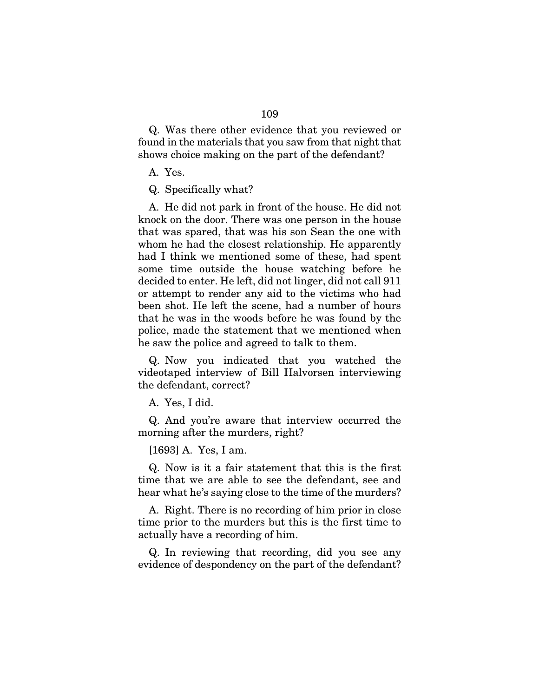Q. Was there other evidence that you reviewed or found in the materials that you saw from that night that shows choice making on the part of the defendant?

A. Yes.

Q. Specifically what?

A. He did not park in front of the house. He did not knock on the door. There was one person in the house that was spared, that was his son Sean the one with whom he had the closest relationship. He apparently had I think we mentioned some of these, had spent some time outside the house watching before he decided to enter. He left, did not linger, did not call 911 or attempt to render any aid to the victims who had been shot. He left the scene, had a number of hours that he was in the woods before he was found by the police, made the statement that we mentioned when he saw the police and agreed to talk to them.

Q. Now you indicated that you watched the videotaped interview of Bill Halvorsen interviewing the defendant, correct?

A. Yes, I did.

Q. And you're aware that interview occurred the morning after the murders, right?

[1693] A. Yes, I am.

Q. Now is it a fair statement that this is the first time that we are able to see the defendant, see and hear what he's saying close to the time of the murders?

A. Right. There is no recording of him prior in close time prior to the murders but this is the first time to actually have a recording of him.

Q. In reviewing that recording, did you see any evidence of despondency on the part of the defendant?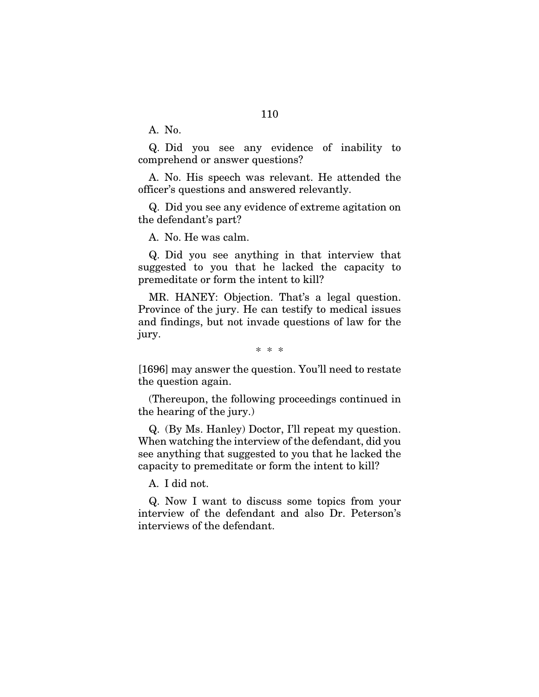A. No.

Q. Did you see any evidence of inability to comprehend or answer questions?

A. No. His speech was relevant. He attended the officer's questions and answered relevantly.

Q. Did you see any evidence of extreme agitation on the defendant's part?

A. No. He was calm.

Q. Did you see anything in that interview that suggested to you that he lacked the capacity to premeditate or form the intent to kill?

MR. HANEY: Objection. That's a legal question. Province of the jury. He can testify to medical issues and findings, but not invade questions of law for the jury.

[1696] may answer the question. You'll need to restate the question again.

(Thereupon, the following proceedings continued in the hearing of the jury.)

Q. (By Ms. Hanley) Doctor, I'll repeat my question. When watching the interview of the defendant, did you see anything that suggested to you that he lacked the capacity to premeditate or form the intent to kill?

A. I did not.

Q. Now I want to discuss some topics from your interview of the defendant and also Dr. Peterson's interviews of the defendant.

<sup>\* \* \*</sup>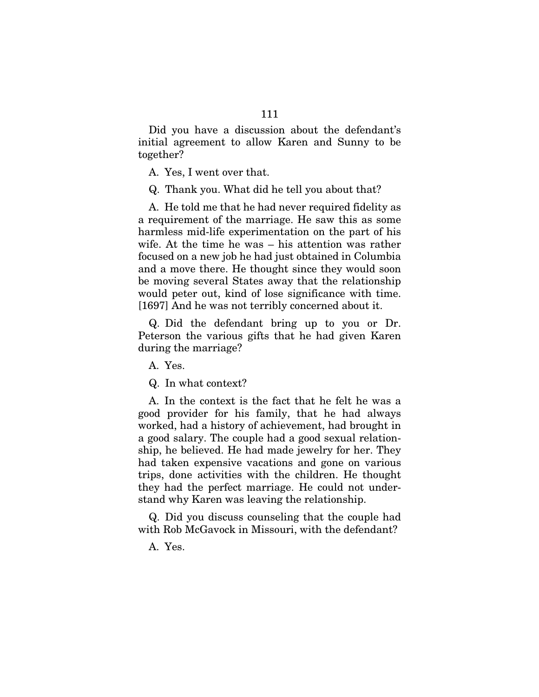Did you have a discussion about the defendant's initial agreement to allow Karen and Sunny to be together?

A. Yes, I went over that.

Q. Thank you. What did he tell you about that?

A. He told me that he had never required fidelity as a requirement of the marriage. He saw this as some harmless mid-life experimentation on the part of his wife. At the time he was – his attention was rather focused on a new job he had just obtained in Columbia and a move there. He thought since they would soon be moving several States away that the relationship would peter out, kind of lose significance with time. [1697] And he was not terribly concerned about it.

Q. Did the defendant bring up to you or Dr. Peterson the various gifts that he had given Karen during the marriage?

A. Yes.

Q. In what context?

A. In the context is the fact that he felt he was a good provider for his family, that he had always worked, had a history of achievement, had brought in a good salary. The couple had a good sexual relationship, he believed. He had made jewelry for her. They had taken expensive vacations and gone on various trips, done activities with the children. He thought they had the perfect marriage. He could not understand why Karen was leaving the relationship.

Q. Did you discuss counseling that the couple had with Rob McGavock in Missouri, with the defendant?

A. Yes.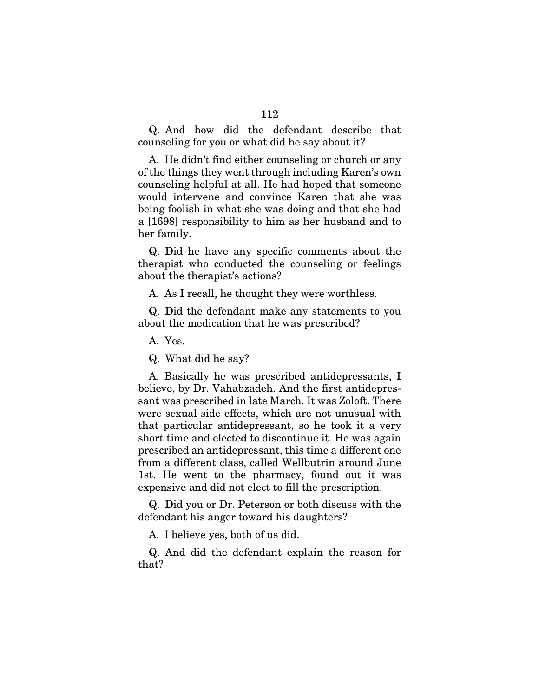Q. And how did the defendant describe that counseling for you or what did he say about it?

A. He didn't find either counseling or church or any of the things they went through including Karen's own counseling helpful at all. He had hoped that someone would intervene and convince Karen that she was being foolish in what she was doing and that she had a [1698] responsibility to him as her husband and to her family.

Q. Did he have any specific comments about the therapist who conducted the counseling or feelings about the therapist's actions?

A. As I recall, he thought they were worthless.

Q. Did the defendant make any statements to you about the medication that he was prescribed?

A. Yes.

Q. What did he say?

A. Basically he was prescribed antidepressants, I believe, by Dr. Vahabzadeh. And the first antidepressant was prescribed in late March. It was Zoloft. There were sexual side effects, which are not unusual with that particular antidepressant, so he took it a very short time and elected to discontinue it. He was again prescribed an antidepressant, this time a different one from a different class, called Wellbutrin around June 1st. He went to the pharmacy, found out it was expensive and did not elect to fill the prescription.

Q. Did you or Dr. Peterson or both discuss with the defendant his anger toward his daughters?

A. I believe yes, both of us did.

Q. And did the defendant explain the reason for that?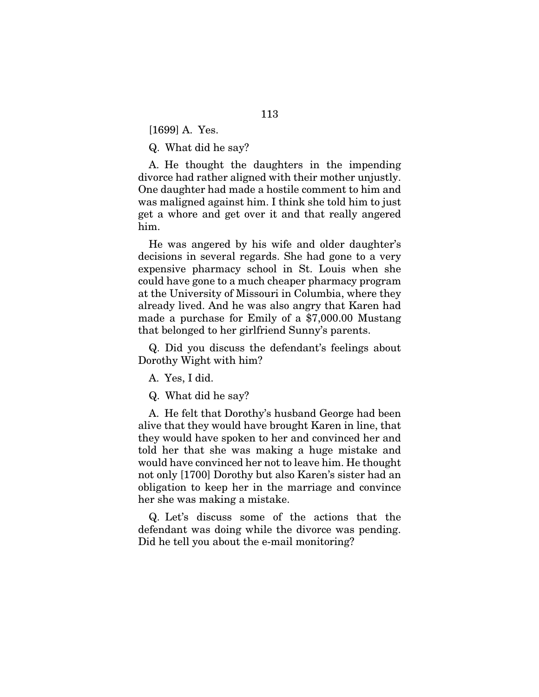[1699] A. Yes.

Q. What did he say?

A. He thought the daughters in the impending divorce had rather aligned with their mother unjustly. One daughter had made a hostile comment to him and was maligned against him. I think she told him to just get a whore and get over it and that really angered him.

He was angered by his wife and older daughter's decisions in several regards. She had gone to a very expensive pharmacy school in St. Louis when she could have gone to a much cheaper pharmacy program at the University of Missouri in Columbia, where they already lived. And he was also angry that Karen had made a purchase for Emily of a \$7,000.00 Mustang that belonged to her girlfriend Sunny's parents.

Q. Did you discuss the defendant's feelings about Dorothy Wight with him?

A. Yes, I did.

Q. What did he say?

A. He felt that Dorothy's husband George had been alive that they would have brought Karen in line, that they would have spoken to her and convinced her and told her that she was making a huge mistake and would have convinced her not to leave him. He thought not only [1700] Dorothy but also Karen's sister had an obligation to keep her in the marriage and convince her she was making a mistake.

Q. Let's discuss some of the actions that the defendant was doing while the divorce was pending. Did he tell you about the e-mail monitoring?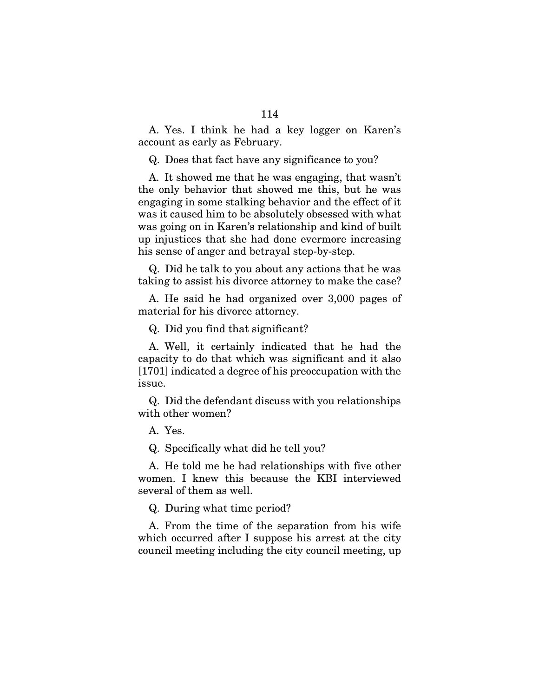A. Yes. I think he had a key logger on Karen's account as early as February.

Q. Does that fact have any significance to you?

A. It showed me that he was engaging, that wasn't the only behavior that showed me this, but he was engaging in some stalking behavior and the effect of it was it caused him to be absolutely obsessed with what was going on in Karen's relationship and kind of built up injustices that she had done evermore increasing his sense of anger and betrayal step-by-step.

Q. Did he talk to you about any actions that he was taking to assist his divorce attorney to make the case?

A. He said he had organized over 3,000 pages of material for his divorce attorney.

Q. Did you find that significant?

A. Well, it certainly indicated that he had the capacity to do that which was significant and it also [1701] indicated a degree of his preoccupation with the issue.

Q. Did the defendant discuss with you relationships with other women?

A. Yes.

Q. Specifically what did he tell you?

A. He told me he had relationships with five other women. I knew this because the KBI interviewed several of them as well.

Q. During what time period?

A. From the time of the separation from his wife which occurred after I suppose his arrest at the city council meeting including the city council meeting, up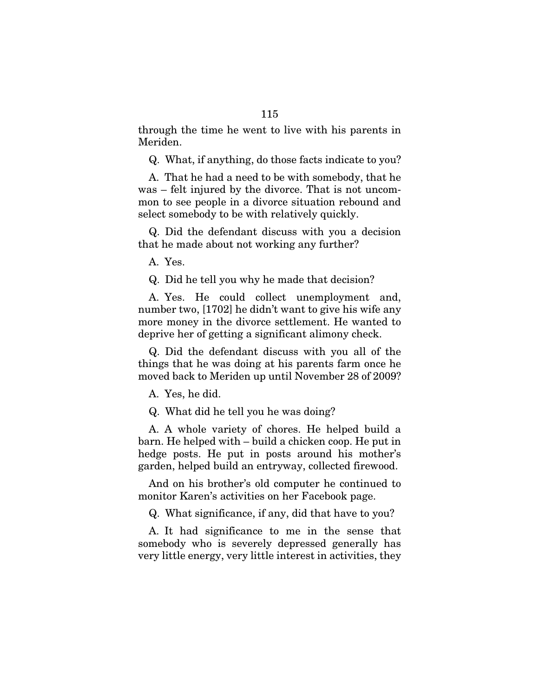through the time he went to live with his parents in Meriden.

Q. What, if anything, do those facts indicate to you?

A. That he had a need to be with somebody, that he was – felt injured by the divorce. That is not uncommon to see people in a divorce situation rebound and select somebody to be with relatively quickly.

Q. Did the defendant discuss with you a decision that he made about not working any further?

A. Yes.

Q. Did he tell you why he made that decision?

A. Yes. He could collect unemployment and, number two, [1702] he didn't want to give his wife any more money in the divorce settlement. He wanted to deprive her of getting a significant alimony check.

Q. Did the defendant discuss with you all of the things that he was doing at his parents farm once he moved back to Meriden up until November 28 of 2009?

A. Yes, he did.

Q. What did he tell you he was doing?

A. A whole variety of chores. He helped build a barn. He helped with – build a chicken coop. He put in hedge posts. He put in posts around his mother's garden, helped build an entryway, collected firewood.

And on his brother's old computer he continued to monitor Karen's activities on her Facebook page.

Q. What significance, if any, did that have to you?

A. It had significance to me in the sense that somebody who is severely depressed generally has very little energy, very little interest in activities, they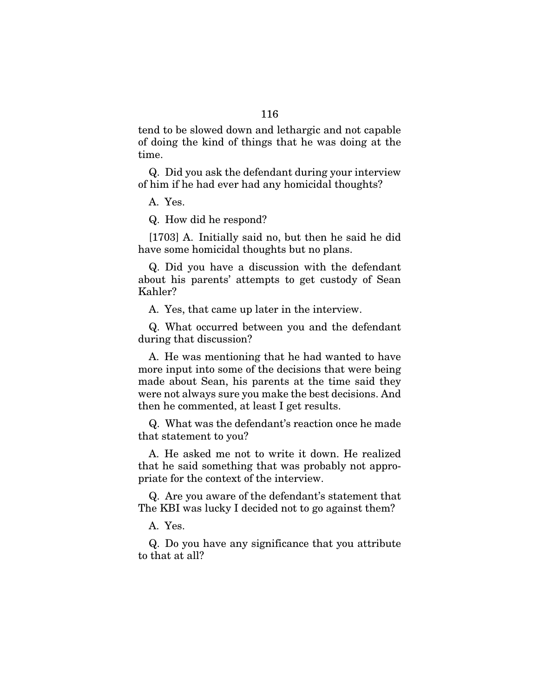tend to be slowed down and lethargic and not capable of doing the kind of things that he was doing at the time.

Q. Did you ask the defendant during your interview of him if he had ever had any homicidal thoughts?

A. Yes.

Q. How did he respond?

[1703] A. Initially said no, but then he said he did have some homicidal thoughts but no plans.

Q. Did you have a discussion with the defendant about his parents' attempts to get custody of Sean Kahler?

A. Yes, that came up later in the interview.

Q. What occurred between you and the defendant during that discussion?

A. He was mentioning that he had wanted to have more input into some of the decisions that were being made about Sean, his parents at the time said they were not always sure you make the best decisions. And then he commented, at least I get results.

Q. What was the defendant's reaction once he made that statement to you?

A. He asked me not to write it down. He realized that he said something that was probably not appropriate for the context of the interview.

Q. Are you aware of the defendant's statement that The KBI was lucky I decided not to go against them?

A. Yes.

Q. Do you have any significance that you attribute to that at all?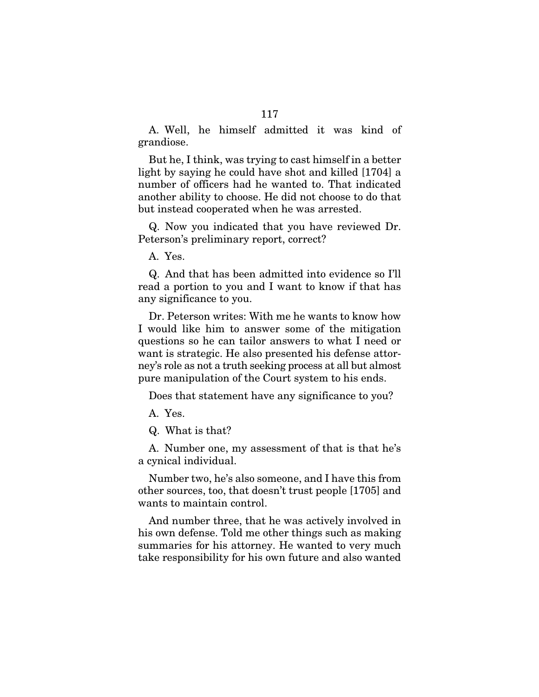A. Well, he himself admitted it was kind of grandiose.

But he, I think, was trying to cast himself in a better light by saying he could have shot and killed [1704] a number of officers had he wanted to. That indicated another ability to choose. He did not choose to do that but instead cooperated when he was arrested.

Q. Now you indicated that you have reviewed Dr. Peterson's preliminary report, correct?

A. Yes.

Q. And that has been admitted into evidence so I'll read a portion to you and I want to know if that has any significance to you.

Dr. Peterson writes: With me he wants to know how I would like him to answer some of the mitigation questions so he can tailor answers to what I need or want is strategic. He also presented his defense attorney's role as not a truth seeking process at all but almost pure manipulation of the Court system to his ends.

Does that statement have any significance to you?

A. Yes.

Q. What is that?

A. Number one, my assessment of that is that he's a cynical individual.

Number two, he's also someone, and I have this from other sources, too, that doesn't trust people [1705] and wants to maintain control.

And number three, that he was actively involved in his own defense. Told me other things such as making summaries for his attorney. He wanted to very much take responsibility for his own future and also wanted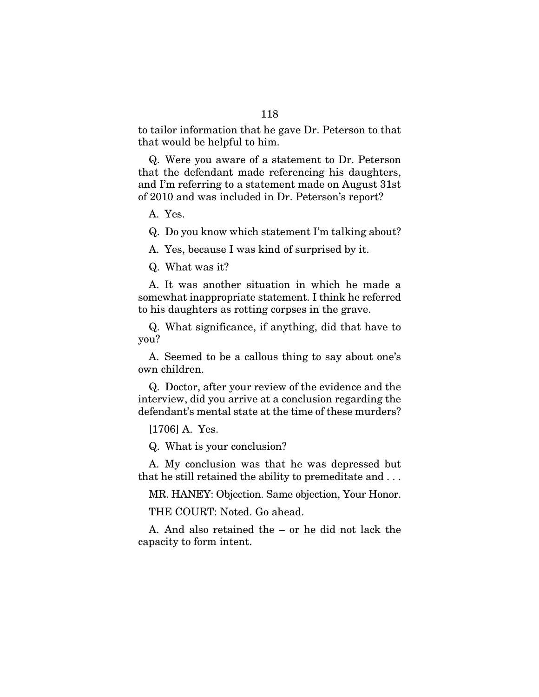to tailor information that he gave Dr. Peterson to that that would be helpful to him.

Q. Were you aware of a statement to Dr. Peterson that the defendant made referencing his daughters, and I'm referring to a statement made on August 31st of 2010 and was included in Dr. Peterson's report?

A. Yes.

Q. Do you know which statement I'm talking about?

A. Yes, because I was kind of surprised by it.

Q. What was it?

A. It was another situation in which he made a somewhat inappropriate statement. I think he referred to his daughters as rotting corpses in the grave.

Q. What significance, if anything, did that have to you?

A. Seemed to be a callous thing to say about one's own children.

Q. Doctor, after your review of the evidence and the interview, did you arrive at a conclusion regarding the defendant's mental state at the time of these murders?

[1706] A. Yes.

Q. What is your conclusion?

A. My conclusion was that he was depressed but that he still retained the ability to premeditate and . . .

MR. HANEY: Objection. Same objection, Your Honor.

THE COURT: Noted. Go ahead.

A. And also retained the – or he did not lack the capacity to form intent.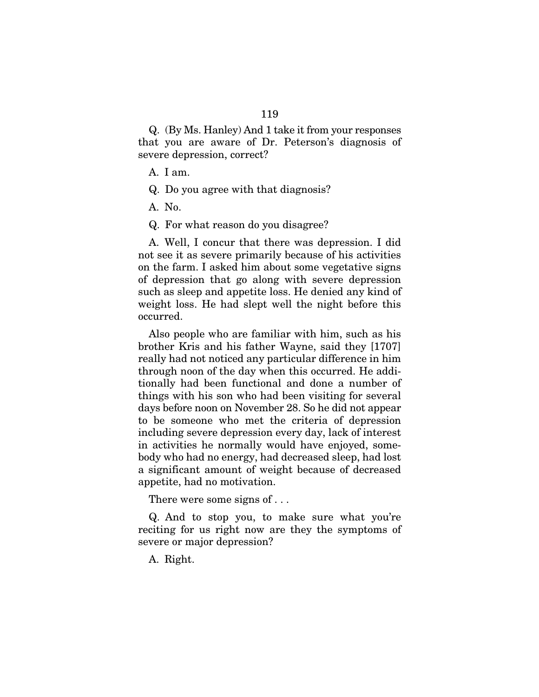Q. (By Ms. Hanley) And 1 take it from your responses that you are aware of Dr. Peterson's diagnosis of severe depression, correct?

A. I am.

Q. Do you agree with that diagnosis?

A. No.

Q. For what reason do you disagree?

A. Well, I concur that there was depression. I did not see it as severe primarily because of his activities on the farm. I asked him about some vegetative signs of depression that go along with severe depression such as sleep and appetite loss. He denied any kind of weight loss. He had slept well the night before this occurred.

Also people who are familiar with him, such as his brother Kris and his father Wayne, said they [1707] really had not noticed any particular difference in him through noon of the day when this occurred. He additionally had been functional and done a number of things with his son who had been visiting for several days before noon on November 28. So he did not appear to be someone who met the criteria of depression including severe depression every day, lack of interest in activities he normally would have enjoyed, somebody who had no energy, had decreased sleep, had lost a significant amount of weight because of decreased appetite, had no motivation.

There were some signs of . . .

Q. And to stop you, to make sure what you're reciting for us right now are they the symptoms of severe or major depression?

A. Right.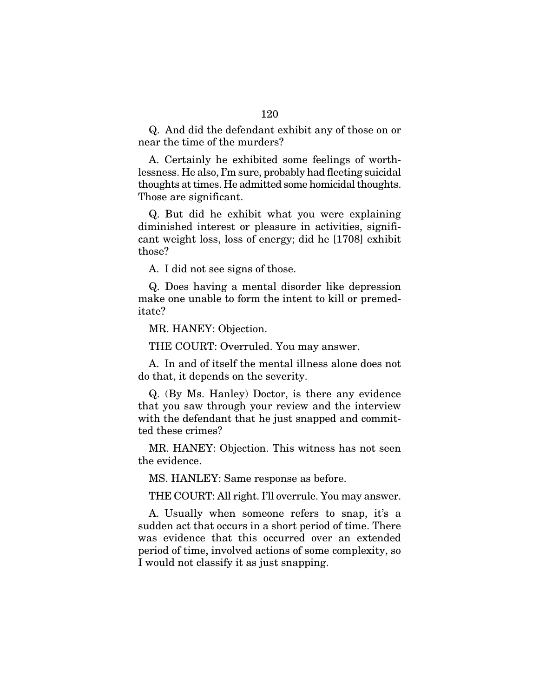Q. And did the defendant exhibit any of those on or near the time of the murders?

A. Certainly he exhibited some feelings of worthlessness. He also, I'm sure, probably had fleeting suicidal thoughts at times. He admitted some homicidal thoughts. Those are significant.

Q. But did he exhibit what you were explaining diminished interest or pleasure in activities, significant weight loss, loss of energy; did he [1708] exhibit those?

A. I did not see signs of those.

Q. Does having a mental disorder like depression make one unable to form the intent to kill or premeditate?

MR. HANEY: Objection.

THE COURT: Overruled. You may answer.

A. In and of itself the mental illness alone does not do that, it depends on the severity.

Q. (By Ms. Hanley) Doctor, is there any evidence that you saw through your review and the interview with the defendant that he just snapped and committed these crimes?

MR. HANEY: Objection. This witness has not seen the evidence.

MS. HANLEY: Same response as before.

THE COURT: All right. I'll overrule. You may answer.

A. Usually when someone refers to snap, it's a sudden act that occurs in a short period of time. There was evidence that this occurred over an extended period of time, involved actions of some complexity, so I would not classify it as just snapping.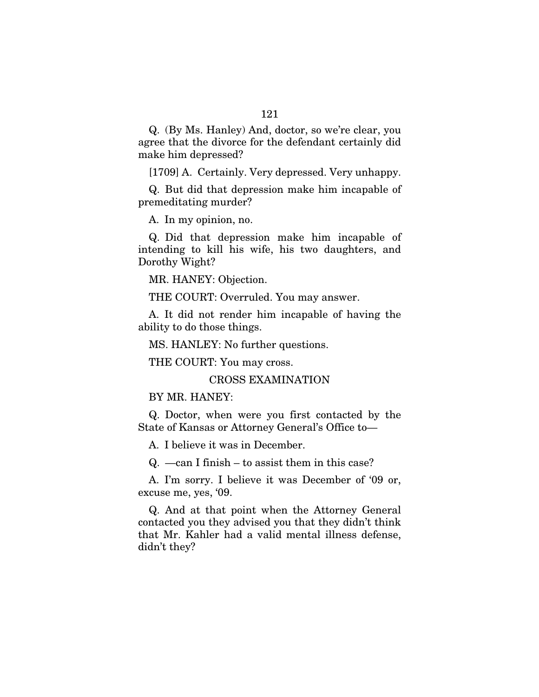Q. (By Ms. Hanley) And, doctor, so we're clear, you agree that the divorce for the defendant certainly did make him depressed?

[1709] A. Certainly. Very depressed. Very unhappy.

Q. But did that depression make him incapable of premeditating murder?

A. In my opinion, no.

Q. Did that depression make him incapable of intending to kill his wife, his two daughters, and Dorothy Wight?

MR. HANEY: Objection.

THE COURT: Overruled. You may answer.

A. It did not render him incapable of having the ability to do those things.

MS. HANLEY: No further questions.

THE COURT: You may cross.

CROSS EXAMINATION

BY MR. HANEY:

Q. Doctor, when were you first contacted by the State of Kansas or Attorney General's Office to—

A. I believe it was in December.

Q. —can I finish – to assist them in this case?

A. I'm sorry. I believe it was December of '09 or, excuse me, yes, '09.

Q. And at that point when the Attorney General contacted you they advised you that they didn't think that Mr. Kahler had a valid mental illness defense, didn't they?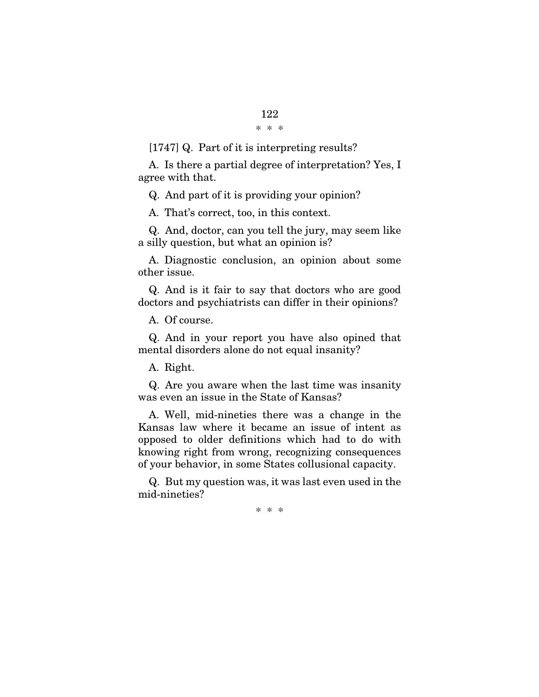\* \* \*

[1747] Q. Part of it is interpreting results?

A. Is there a partial degree of interpretation? Yes, I agree with that.

Q. And part of it is providing your opinion?

A. That's correct, too, in this context.

Q. And, doctor, can you tell the jury, may seem like a silly question, but what an opinion is?

A. Diagnostic conclusion, an opinion about some other issue.

Q. And is it fair to say that doctors who are good doctors and psychiatrists can differ in their opinions?

A. Of course.

Q. And in your report you have also opined that mental disorders alone do not equal insanity?

A. Right.

Q. Are you aware when the last time was insanity was even an issue in the State of Kansas?

A. Well, mid-nineties there was a change in the Kansas law where it became an issue of intent as opposed to older definitions which had to do with knowing right from wrong, recognizing consequences of your behavior, in some States collusional capacity.

Q. But my question was, it was last even used in the mid-nineties?

\* \* \*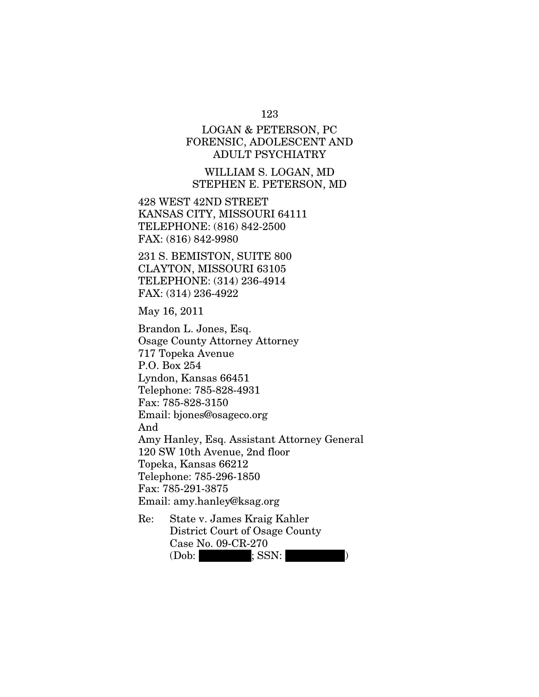## 123

## LOGAN & PETERSON, PC FORENSIC, ADOLESCENT AND ADULT PSYCHIATRY

WILLIAM S. LOGAN, MD STEPHEN E. PETERSON, MD

428 WEST 42ND STREET KANSAS CITY, MISSOURI 64111 TELEPHONE: (816) 842-2500 FAX: (816) 842-9980

231 S. BEMISTON, SUITE 800 CLAYTON, MISSOURI 63105 TELEPHONE: (314) 236-4914 FAX: (314) 236-4922

May 16, 2011

Brandon L. Jones, Esq. Osage County Attorney Attorney 717 Topeka Avenue P.O. Box 254 Lyndon, Kansas 66451 Telephone: 785-828-4931 Fax: 785-828-3150 Email: bjones@osageco.org And Amy Hanley, Esq. Assistant Attorney General 120 SW 10th Avenue, 2nd floor Topeka, Kansas 66212 Telephone: 785-296-1850 Fax: 785-291-3875 Email: amy.hanley@ksag.org

Re: State v. James Kraig Kahler District Court of Osage County Case No. 09-CR-270  $(20ob: ; SSN:$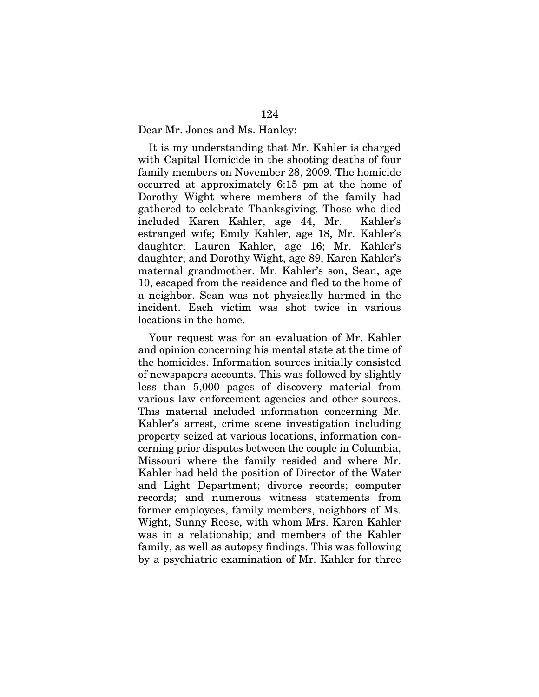Dear Mr. Jones and Ms. Hanley:

It is my understanding that Mr. Kahler is charged with Capital Homicide in the shooting deaths of four family members on November 28, 2009. The homicide occurred at approximately 6:15 pm at the home of Dorothy Wight where members of the family had gathered to celebrate Thanksgiving. Those who died included Karen Kahler, age 44, Mr. Kahler's estranged wife; Emily Kahler, age 18, Mr. Kahler's daughter; Lauren Kahler, age 16; Mr. Kahler's daughter; and Dorothy Wight, age 89, Karen Kahler's maternal grandmother. Mr. Kahler's son, Sean, age 10, escaped from the residence and fled to the home of a neighbor. Sean was not physically harmed in the incident. Each victim was shot twice in various locations in the home.

Your request was for an evaluation of Mr. Kahler and opinion concerning his mental state at the time of the homicides. Information sources initially consisted of newspapers accounts. This was followed by slightly less than 5,000 pages of discovery material from various law enforcement agencies and other sources. This material included information concerning Mr. Kahler's arrest, crime scene investigation including property seized at various locations, information concerning prior disputes between the couple in Columbia, Missouri where the family resided and where Mr. Kahler had held the position of Director of the Water and Light Department; divorce records; computer records; and numerous witness statements from former employees, family members, neighbors of Ms. Wight, Sunny Reese, with whom Mrs. Karen Kahler was in a relationship; and members of the Kahler family, as well as autopsy findings. This was following by a psychiatric examination of Mr. Kahler for three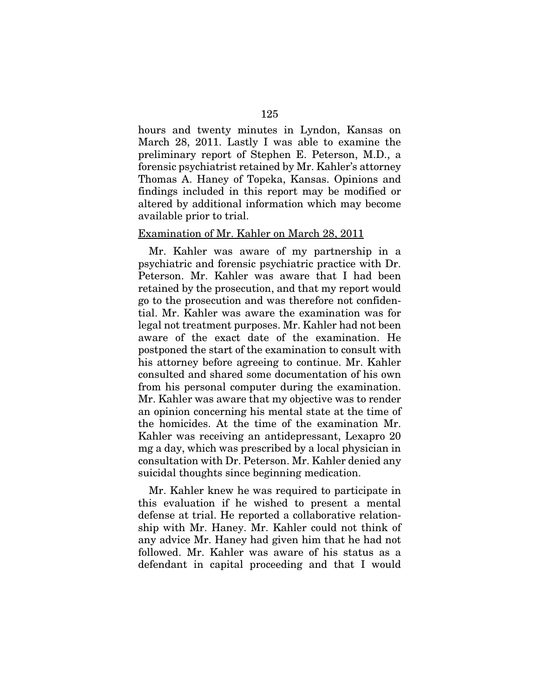hours and twenty minutes in Lyndon, Kansas on March 28, 2011. Lastly I was able to examine the preliminary report of Stephen E. Peterson, M.D., a forensic psychiatrist retained by Mr. Kahler's attorney Thomas A. Haney of Topeka, Kansas. Opinions and findings included in this report may be modified or altered by additional information which may become available prior to trial.

## Examination of Mr. Kahler on March 28, 2011

Mr. Kahler was aware of my partnership in a psychiatric and forensic psychiatric practice with Dr. Peterson. Mr. Kahler was aware that I had been retained by the prosecution, and that my report would go to the prosecution and was therefore not confidential. Mr. Kahler was aware the examination was for legal not treatment purposes. Mr. Kahler had not been aware of the exact date of the examination. He postponed the start of the examination to consult with his attorney before agreeing to continue. Mr. Kahler consulted and shared some documentation of his own from his personal computer during the examination. Mr. Kahler was aware that my objective was to render an opinion concerning his mental state at the time of the homicides. At the time of the examination Mr. Kahler was receiving an antidepressant, Lexapro 20 mg a day, which was prescribed by a local physician in consultation with Dr. Peterson. Mr. Kahler denied any suicidal thoughts since beginning medication.

Mr. Kahler knew he was required to participate in this evaluation if he wished to present a mental defense at trial. He reported a collaborative relationship with Mr. Haney. Mr. Kahler could not think of any advice Mr. Haney had given him that he had not followed. Mr. Kahler was aware of his status as a defendant in capital proceeding and that I would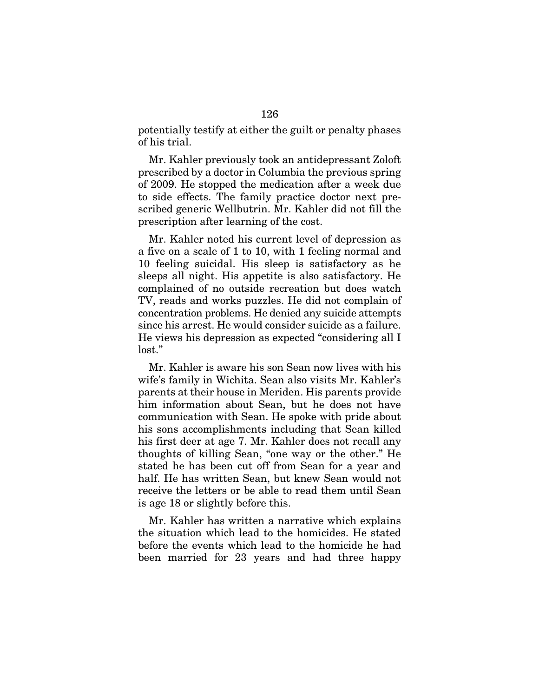potentially testify at either the guilt or penalty phases of his trial.

Mr. Kahler previously took an antidepressant Zoloft prescribed by a doctor in Columbia the previous spring of 2009. He stopped the medication after a week due to side effects. The family practice doctor next prescribed generic Wellbutrin. Mr. Kahler did not fill the prescription after learning of the cost.

Mr. Kahler noted his current level of depression as a five on a scale of 1 to 10, with 1 feeling normal and 10 feeling suicidal. His sleep is satisfactory as he sleeps all night. His appetite is also satisfactory. He complained of no outside recreation but does watch TV, reads and works puzzles. He did not complain of concentration problems. He denied any suicide attempts since his arrest. He would consider suicide as a failure. He views his depression as expected "considering all I lost."

Mr. Kahler is aware his son Sean now lives with his wife's family in Wichita. Sean also visits Mr. Kahler's parents at their house in Meriden. His parents provide him information about Sean, but he does not have communication with Sean. He spoke with pride about his sons accomplishments including that Sean killed his first deer at age 7. Mr. Kahler does not recall any thoughts of killing Sean, "one way or the other." He stated he has been cut off from Sean for a year and half. He has written Sean, but knew Sean would not receive the letters or be able to read them until Sean is age 18 or slightly before this.

Mr. Kahler has written a narrative which explains the situation which lead to the homicides. He stated before the events which lead to the homicide he had been married for 23 years and had three happy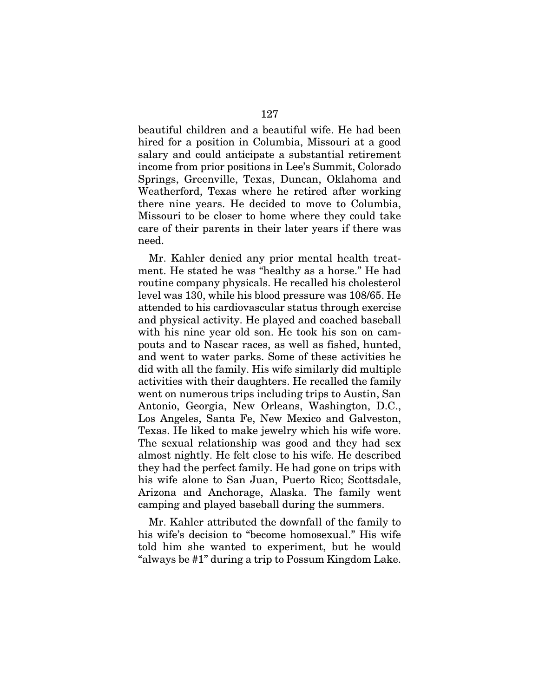beautiful children and a beautiful wife. He had been hired for a position in Columbia, Missouri at a good salary and could anticipate a substantial retirement income from prior positions in Lee's Summit, Colorado Springs, Greenville, Texas, Duncan, Oklahoma and Weatherford, Texas where he retired after working there nine years. He decided to move to Columbia, Missouri to be closer to home where they could take care of their parents in their later years if there was need.

Mr. Kahler denied any prior mental health treatment. He stated he was "healthy as a horse." He had routine company physicals. He recalled his cholesterol level was 130, while his blood pressure was 108/65. He attended to his cardiovascular status through exercise and physical activity. He played and coached baseball with his nine year old son. He took his son on campouts and to Nascar races, as well as fished, hunted, and went to water parks. Some of these activities he did with all the family. His wife similarly did multiple activities with their daughters. He recalled the family went on numerous trips including trips to Austin, San Antonio, Georgia, New Orleans, Washington, D.C., Los Angeles, Santa Fe, New Mexico and Galveston, Texas. He liked to make jewelry which his wife wore. The sexual relationship was good and they had sex almost nightly. He felt close to his wife. He described they had the perfect family. He had gone on trips with his wife alone to San Juan, Puerto Rico; Scottsdale, Arizona and Anchorage, Alaska. The family went camping and played baseball during the summers.

Mr. Kahler attributed the downfall of the family to his wife's decision to "become homosexual." His wife told him she wanted to experiment, but he would "always be #1" during a trip to Possum Kingdom Lake.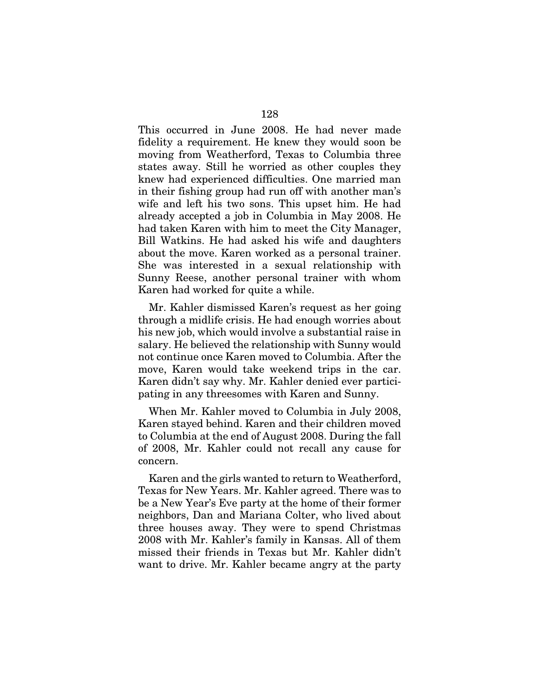This occurred in June 2008. He had never made fidelity a requirement. He knew they would soon be moving from Weatherford, Texas to Columbia three states away. Still he worried as other couples they knew had experienced difficulties. One married man in their fishing group had run off with another man's wife and left his two sons. This upset him. He had already accepted a job in Columbia in May 2008. He had taken Karen with him to meet the City Manager, Bill Watkins. He had asked his wife and daughters about the move. Karen worked as a personal trainer. She was interested in a sexual relationship with Sunny Reese, another personal trainer with whom Karen had worked for quite a while.

Mr. Kahler dismissed Karen's request as her going through a midlife crisis. He had enough worries about his new job, which would involve a substantial raise in salary. He believed the relationship with Sunny would not continue once Karen moved to Columbia. After the move, Karen would take weekend trips in the car. Karen didn't say why. Mr. Kahler denied ever participating in any threesomes with Karen and Sunny.

When Mr. Kahler moved to Columbia in July 2008, Karen stayed behind. Karen and their children moved to Columbia at the end of August 2008. During the fall of 2008, Mr. Kahler could not recall any cause for concern.

Karen and the girls wanted to return to Weatherford, Texas for New Years. Mr. Kahler agreed. There was to be a New Year's Eve party at the home of their former neighbors, Dan and Mariana Colter, who lived about three houses away. They were to spend Christmas 2008 with Mr. Kahler's family in Kansas. All of them missed their friends in Texas but Mr. Kahler didn't want to drive. Mr. Kahler became angry at the party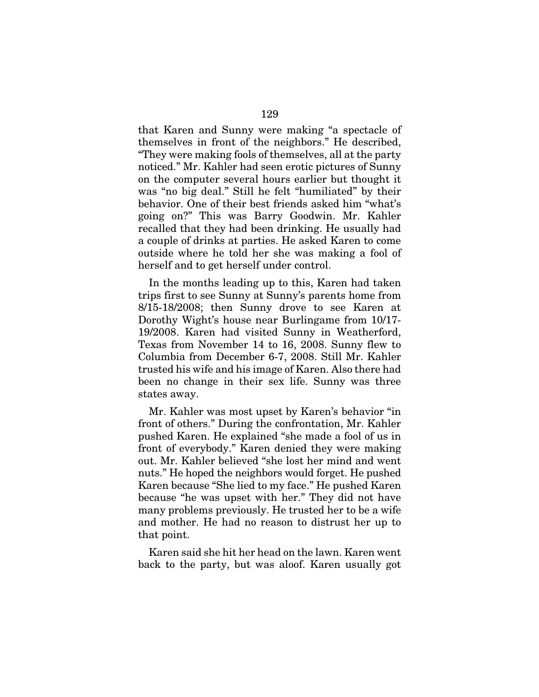that Karen and Sunny were making "a spectacle of themselves in front of the neighbors." He described, "They were making fools of themselves, all at the party noticed." Mr. Kahler had seen erotic pictures of Sunny on the computer several hours earlier but thought it was "no big deal." Still he felt "humiliated" by their behavior. One of their best friends asked him "what's going on?" This was Barry Goodwin. Mr. Kahler recalled that they had been drinking. He usually had a couple of drinks at parties. He asked Karen to come outside where he told her she was making a fool of herself and to get herself under control.

In the months leading up to this, Karen had taken trips first to see Sunny at Sunny's parents home from 8/15-18/2008; then Sunny drove to see Karen at Dorothy Wight's house near Burlingame from 10/17- 19/2008. Karen had visited Sunny in Weatherford, Texas from November 14 to 16, 2008. Sunny flew to Columbia from December 6-7, 2008. Still Mr. Kahler trusted his wife and his image of Karen. Also there had been no change in their sex life. Sunny was three states away.

Mr. Kahler was most upset by Karen's behavior "in front of others." During the confrontation, Mr. Kahler pushed Karen. He explained "she made a fool of us in front of everybody." Karen denied they were making out. Mr. Kahler believed "she lost her mind and went nuts." He hoped the neighbors would forget. He pushed Karen because "She lied to my face." He pushed Karen because "he was upset with her." They did not have many problems previously. He trusted her to be a wife and mother. He had no reason to distrust her up to that point.

Karen said she hit her head on the lawn. Karen went back to the party, but was aloof. Karen usually got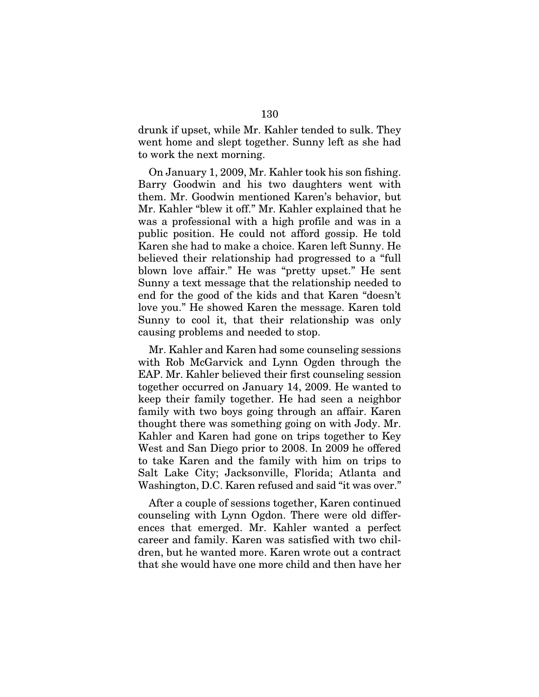drunk if upset, while Mr. Kahler tended to sulk. They went home and slept together. Sunny left as she had to work the next morning.

On January 1, 2009, Mr. Kahler took his son fishing. Barry Goodwin and his two daughters went with them. Mr. Goodwin mentioned Karen's behavior, but Mr. Kahler "blew it off." Mr. Kahler explained that he was a professional with a high profile and was in a public position. He could not afford gossip. He told Karen she had to make a choice. Karen left Sunny. He believed their relationship had progressed to a "full blown love affair." He was "pretty upset." He sent Sunny a text message that the relationship needed to end for the good of the kids and that Karen "doesn't love you." He showed Karen the message. Karen told Sunny to cool it, that their relationship was only causing problems and needed to stop.

Mr. Kahler and Karen had some counseling sessions with Rob McGarvick and Lynn Ogden through the EAP. Mr. Kahler believed their first counseling session together occurred on January 14, 2009. He wanted to keep their family together. He had seen a neighbor family with two boys going through an affair. Karen thought there was something going on with Jody. Mr. Kahler and Karen had gone on trips together to Key West and San Diego prior to 2008. In 2009 he offered to take Karen and the family with him on trips to Salt Lake City; Jacksonville, Florida; Atlanta and Washington, D.C. Karen refused and said "it was over."

After a couple of sessions together, Karen continued counseling with Lynn Ogdon. There were old differences that emerged. Mr. Kahler wanted a perfect career and family. Karen was satisfied with two children, but he wanted more. Karen wrote out a contract that she would have one more child and then have her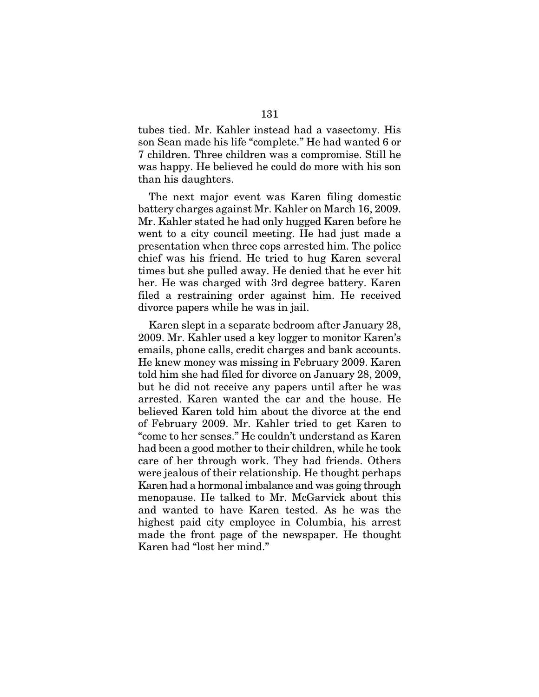tubes tied. Mr. Kahler instead had a vasectomy. His son Sean made his life "complete." He had wanted 6 or 7 children. Three children was a compromise. Still he was happy. He believed he could do more with his son than his daughters.

The next major event was Karen filing domestic battery charges against Mr. Kahler on March 16, 2009. Mr. Kahler stated he had only hugged Karen before he went to a city council meeting. He had just made a presentation when three cops arrested him. The police chief was his friend. He tried to hug Karen several times but she pulled away. He denied that he ever hit her. He was charged with 3rd degree battery. Karen filed a restraining order against him. He received divorce papers while he was in jail.

Karen slept in a separate bedroom after January 28, 2009. Mr. Kahler used a key logger to monitor Karen's emails, phone calls, credit charges and bank accounts. He knew money was missing in February 2009. Karen told him she had filed for divorce on January 28, 2009, but he did not receive any papers until after he was arrested. Karen wanted the car and the house. He believed Karen told him about the divorce at the end of February 2009. Mr. Kahler tried to get Karen to "come to her senses." He couldn't understand as Karen had been a good mother to their children, while he took care of her through work. They had friends. Others were jealous of their relationship. He thought perhaps Karen had a hormonal imbalance and was going through menopause. He talked to Mr. McGarvick about this and wanted to have Karen tested. As he was the highest paid city employee in Columbia, his arrest made the front page of the newspaper. He thought Karen had "lost her mind."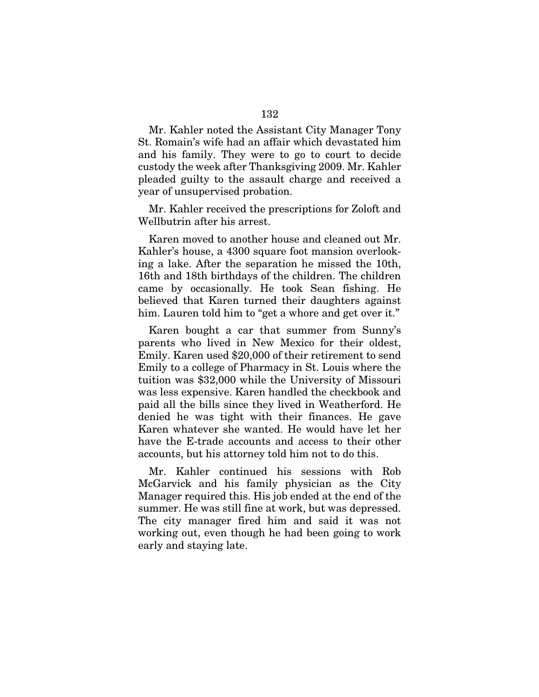Mr. Kahler noted the Assistant City Manager Tony St. Romain's wife had an affair which devastated him and his family. They were to go to court to decide custody the week after Thanksgiving 2009. Mr. Kahler pleaded guilty to the assault charge and received a year of unsupervised probation.

Mr. Kahler received the prescriptions for Zoloft and Wellbutrin after his arrest.

Karen moved to another house and cleaned out Mr. Kahler's house, a 4300 square foot mansion overlooking a lake. After the separation he missed the 10th, 16th and 18th birthdays of the children. The children came by occasionally. He took Sean fishing. He believed that Karen turned their daughters against him. Lauren told him to "get a whore and get over it."

Karen bought a car that summer from Sunny's parents who lived in New Mexico for their oldest, Emily. Karen used \$20,000 of their retirement to send Emily to a college of Pharmacy in St. Louis where the tuition was \$32,000 while the University of Missouri was less expensive. Karen handled the checkbook and paid all the bills since they lived in Weatherford. He denied he was tight with their finances. He gave Karen whatever she wanted. He would have let her have the E-trade accounts and access to their other accounts, but his attorney told him not to do this.

Mr. Kahler continued his sessions with Rob McGarvick and his family physician as the City Manager required this. His job ended at the end of the summer. He was still fine at work, but was depressed. The city manager fired him and said it was not working out, even though he had been going to work early and staying late.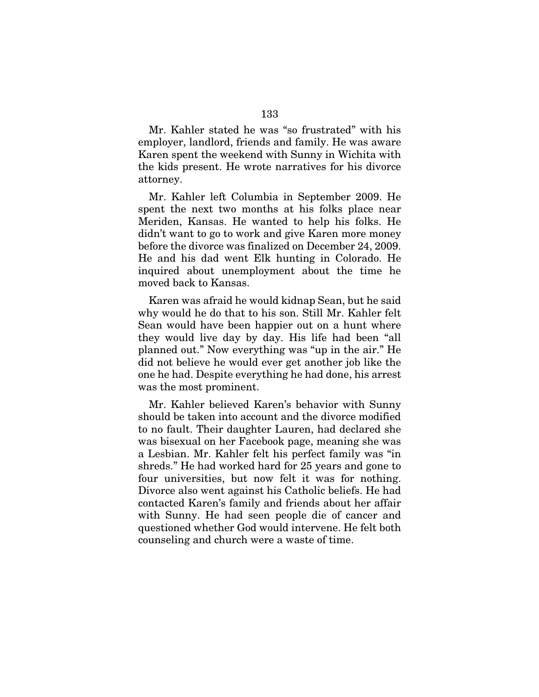Mr. Kahler stated he was "so frustrated" with his employer, landlord, friends and family. He was aware Karen spent the weekend with Sunny in Wichita with the kids present. He wrote narratives for his divorce attorney.

Mr. Kahler left Columbia in September 2009. He spent the next two months at his folks place near Meriden, Kansas. He wanted to help his folks. He didn't want to go to work and give Karen more money before the divorce was finalized on December 24, 2009. He and his dad went Elk hunting in Colorado. He inquired about unemployment about the time he moved back to Kansas.

Karen was afraid he would kidnap Sean, but he said why would he do that to his son. Still Mr. Kahler felt Sean would have been happier out on a hunt where they would live day by day. His life had been "all planned out." Now everything was "up in the air." He did not believe he would ever get another job like the one he had. Despite everything he had done, his arrest was the most prominent.

Mr. Kahler believed Karen's behavior with Sunny should be taken into account and the divorce modified to no fault. Their daughter Lauren, had declared she was bisexual on her Facebook page, meaning she was a Lesbian. Mr. Kahler felt his perfect family was "in shreds." He had worked hard for 25 years and gone to four universities, but now felt it was for nothing. Divorce also went against his Catholic beliefs. He had contacted Karen's family and friends about her affair with Sunny. He had seen people die of cancer and questioned whether God would intervene. He felt both counseling and church were a waste of time.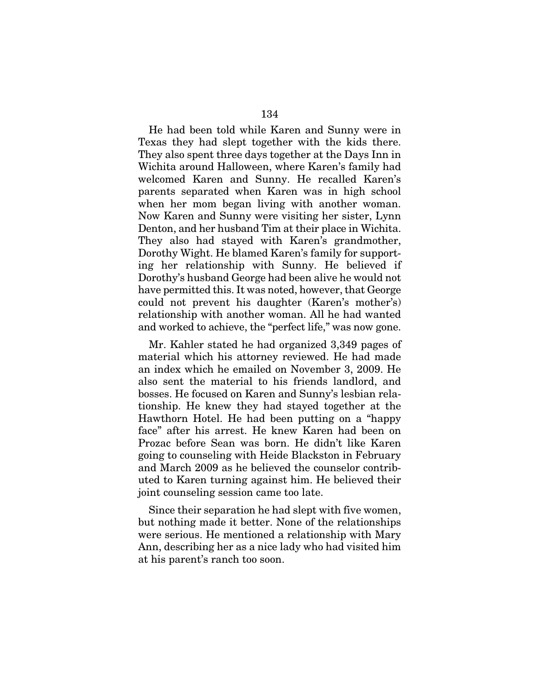He had been told while Karen and Sunny were in Texas they had slept together with the kids there. They also spent three days together at the Days Inn in Wichita around Halloween, where Karen's family had welcomed Karen and Sunny. He recalled Karen's parents separated when Karen was in high school when her mom began living with another woman. Now Karen and Sunny were visiting her sister, Lynn Denton, and her husband Tim at their place in Wichita. They also had stayed with Karen's grandmother, Dorothy Wight. He blamed Karen's family for supporting her relationship with Sunny. He believed if Dorothy's husband George had been alive he would not have permitted this. It was noted, however, that George could not prevent his daughter (Karen's mother's) relationship with another woman. All he had wanted and worked to achieve, the "perfect life," was now gone.

Mr. Kahler stated he had organized 3,349 pages of material which his attorney reviewed. He had made an index which he emailed on November 3, 2009. He also sent the material to his friends landlord, and bosses. He focused on Karen and Sunny's lesbian relationship. He knew they had stayed together at the Hawthorn Hotel. He had been putting on a "happy face" after his arrest. He knew Karen had been on Prozac before Sean was born. He didn't like Karen going to counseling with Heide Blackston in February and March 2009 as he believed the counselor contributed to Karen turning against him. He believed their joint counseling session came too late.

Since their separation he had slept with five women, but nothing made it better. None of the relationships were serious. He mentioned a relationship with Mary Ann, describing her as a nice lady who had visited him at his parent's ranch too soon.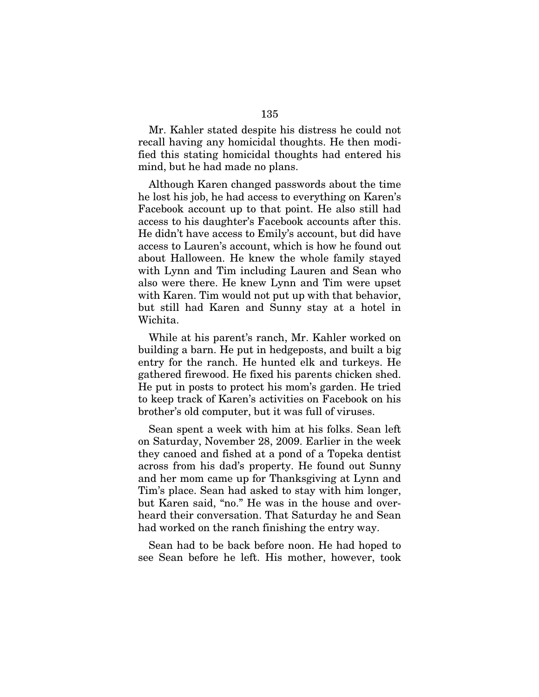Mr. Kahler stated despite his distress he could not recall having any homicidal thoughts. He then modified this stating homicidal thoughts had entered his mind, but he had made no plans.

Although Karen changed passwords about the time he lost his job, he had access to everything on Karen's Facebook account up to that point. He also still had access to his daughter's Facebook accounts after this. He didn't have access to Emily's account, but did have access to Lauren's account, which is how he found out about Halloween. He knew the whole family stayed with Lynn and Tim including Lauren and Sean who also were there. He knew Lynn and Tim were upset with Karen. Tim would not put up with that behavior, but still had Karen and Sunny stay at a hotel in Wichita.

While at his parent's ranch, Mr. Kahler worked on building a barn. He put in hedgeposts, and built a big entry for the ranch. He hunted elk and turkeys. He gathered firewood. He fixed his parents chicken shed. He put in posts to protect his mom's garden. He tried to keep track of Karen's activities on Facebook on his brother's old computer, but it was full of viruses.

Sean spent a week with him at his folks. Sean left on Saturday, November 28, 2009. Earlier in the week they canoed and fished at a pond of a Topeka dentist across from his dad's property. He found out Sunny and her mom came up for Thanksgiving at Lynn and Tim's place. Sean had asked to stay with him longer, but Karen said, "no." He was in the house and overheard their conversation. That Saturday he and Sean had worked on the ranch finishing the entry way.

Sean had to be back before noon. He had hoped to see Sean before he left. His mother, however, took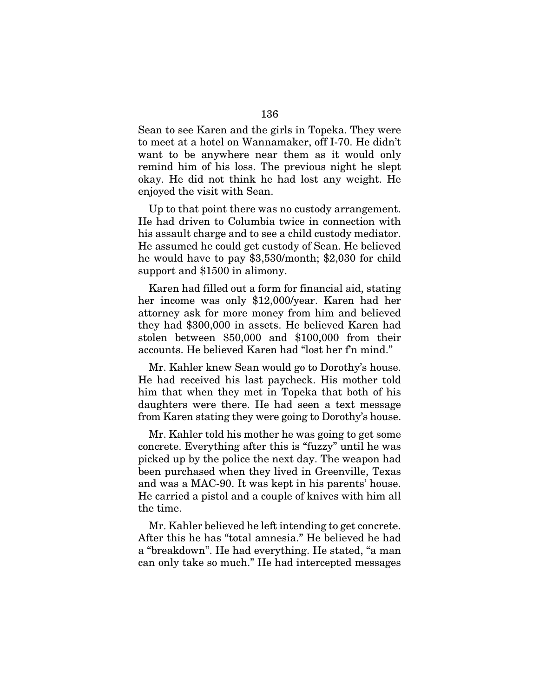Sean to see Karen and the girls in Topeka. They were to meet at a hotel on Wannamaker, off I-70. He didn't want to be anywhere near them as it would only remind him of his loss. The previous night he slept okay. He did not think he had lost any weight. He enjoyed the visit with Sean.

Up to that point there was no custody arrangement. He had driven to Columbia twice in connection with his assault charge and to see a child custody mediator. He assumed he could get custody of Sean. He believed he would have to pay \$3,530/month; \$2,030 for child support and \$1500 in alimony.

Karen had filled out a form for financial aid, stating her income was only \$12,000/year. Karen had her attorney ask for more money from him and believed they had \$300,000 in assets. He believed Karen had stolen between \$50,000 and \$100,000 from their accounts. He believed Karen had "lost her f'n mind."

Mr. Kahler knew Sean would go to Dorothy's house. He had received his last paycheck. His mother told him that when they met in Topeka that both of his daughters were there. He had seen a text message from Karen stating they were going to Dorothy's house.

Mr. Kahler told his mother he was going to get some concrete. Everything after this is "fuzzy" until he was picked up by the police the next day. The weapon had been purchased when they lived in Greenville, Texas and was a MAC-90. It was kept in his parents' house. He carried a pistol and a couple of knives with him all the time.

Mr. Kahler believed he left intending to get concrete. After this he has "total amnesia." He believed he had a "breakdown". He had everything. He stated, "a man can only take so much." He had intercepted messages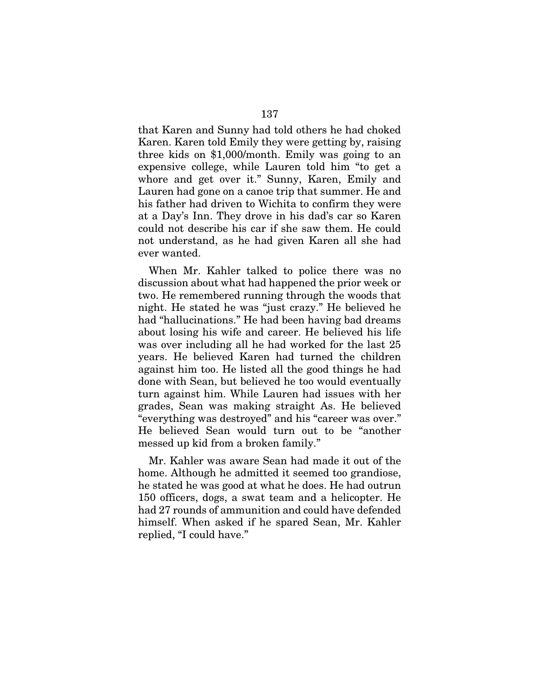that Karen and Sunny had told others he had choked Karen. Karen told Emily they were getting by, raising three kids on \$1,000/month. Emily was going to an expensive college, while Lauren told him "to get a whore and get over it." Sunny, Karen, Emily and Lauren had gone on a canoe trip that summer. He and his father had driven to Wichita to confirm they were at a Day's Inn. They drove in his dad's car so Karen could not describe his car if she saw them. He could not understand, as he had given Karen all she had ever wanted.

When Mr. Kahler talked to police there was no discussion about what had happened the prior week or two. He remembered running through the woods that night. He stated he was "just crazy." He believed he had "hallucinations." He had been having bad dreams about losing his wife and career. He believed his life was over including all he had worked for the last 25 years. He believed Karen had turned the children against him too. He listed all the good things he had done with Sean, but believed he too would eventually turn against him. While Lauren had issues with her grades, Sean was making straight As. He believed "everything was destroyed" and his "career was over." He believed Sean would turn out to be "another messed up kid from a broken family."

Mr. Kahler was aware Sean had made it out of the home. Although he admitted it seemed too grandiose, he stated he was good at what he does. He had outrun 150 officers, dogs, a swat team and a helicopter. He had 27 rounds of ammunition and could have defended himself. When asked if he spared Sean, Mr. Kahler replied, "I could have."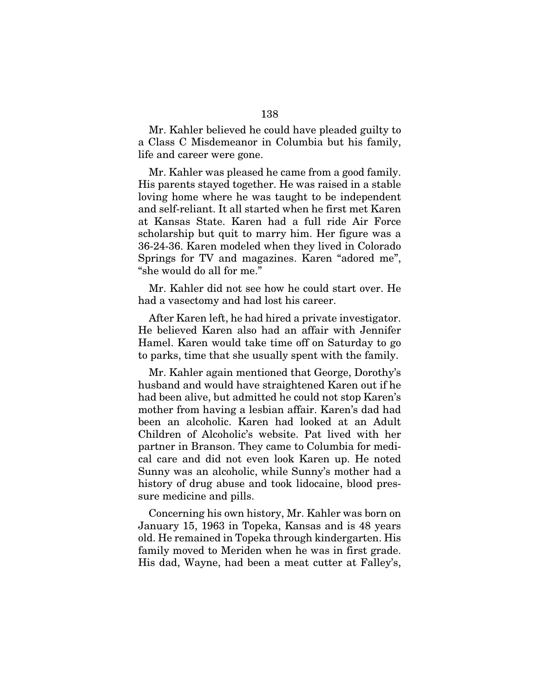Mr. Kahler believed he could have pleaded guilty to a Class C Misdemeanor in Columbia but his family, life and career were gone.

Mr. Kahler was pleased he came from a good family. His parents stayed together. He was raised in a stable loving home where he was taught to be independent and self-reliant. It all started when he first met Karen at Kansas State. Karen had a full ride Air Force scholarship but quit to marry him. Her figure was a 36-24-36. Karen modeled when they lived in Colorado Springs for TV and magazines. Karen "adored me", "she would do all for me."

Mr. Kahler did not see how he could start over. He had a vasectomy and had lost his career.

After Karen left, he had hired a private investigator. He believed Karen also had an affair with Jennifer Hamel. Karen would take time off on Saturday to go to parks, time that she usually spent with the family.

Mr. Kahler again mentioned that George, Dorothy's husband and would have straightened Karen out if he had been alive, but admitted he could not stop Karen's mother from having a lesbian affair. Karen's dad had been an alcoholic. Karen had looked at an Adult Children of Alcoholic's website. Pat lived with her partner in Branson. They came to Columbia for medical care and did not even look Karen up. He noted Sunny was an alcoholic, while Sunny's mother had a history of drug abuse and took lidocaine, blood pressure medicine and pills.

Concerning his own history, Mr. Kahler was born on January 15, 1963 in Topeka, Kansas and is 48 years old. He remained in Topeka through kindergarten. His family moved to Meriden when he was in first grade. His dad, Wayne, had been a meat cutter at Falley's,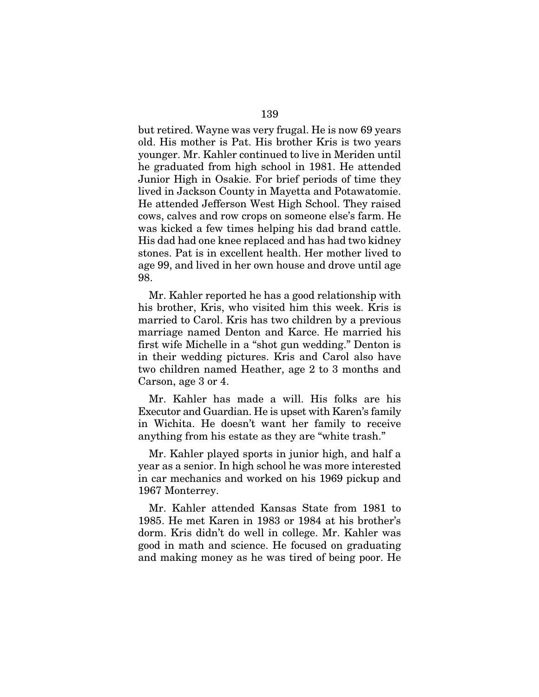but retired. Wayne was very frugal. He is now 69 years old. His mother is Pat. His brother Kris is two years younger. Mr. Kahler continued to live in Meriden until he graduated from high school in 1981. He attended Junior High in Osakie. For brief periods of time they lived in Jackson County in Mayetta and Potawatomie. He attended Jefferson West High School. They raised cows, calves and row crops on someone else's farm. He was kicked a few times helping his dad brand cattle. His dad had one knee replaced and has had two kidney stones. Pat is in excellent health. Her mother lived to age 99, and lived in her own house and drove until age 98.

Mr. Kahler reported he has a good relationship with his brother, Kris, who visited him this week. Kris is married to Carol. Kris has two children by a previous marriage named Denton and Karce. He married his first wife Michelle in a "shot gun wedding." Denton is in their wedding pictures. Kris and Carol also have two children named Heather, age 2 to 3 months and Carson, age 3 or 4.

Mr. Kahler has made a will. His folks are his Executor and Guardian. He is upset with Karen's family in Wichita. He doesn't want her family to receive anything from his estate as they are "white trash."

Mr. Kahler played sports in junior high, and half a year as a senior. In high school he was more interested in car mechanics and worked on his 1969 pickup and 1967 Monterrey.

Mr. Kahler attended Kansas State from 1981 to 1985. He met Karen in 1983 or 1984 at his brother's dorm. Kris didn't do well in college. Mr. Kahler was good in math and science. He focused on graduating and making money as he was tired of being poor. He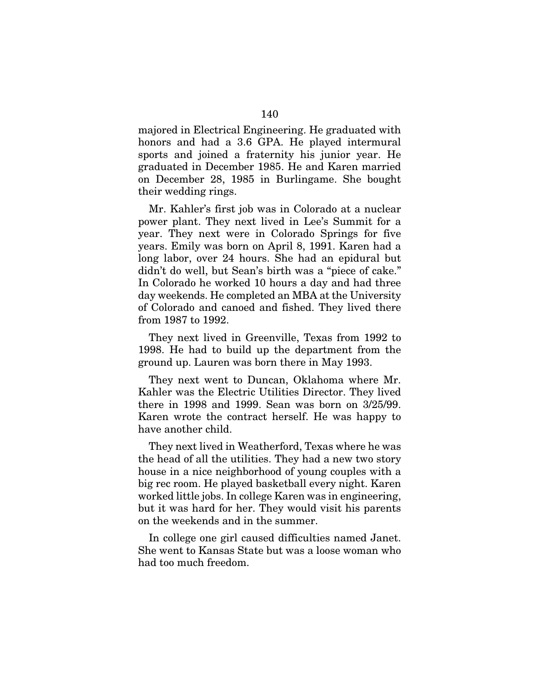majored in Electrical Engineering. He graduated with honors and had a 3.6 GPA. He played intermural sports and joined a fraternity his junior year. He graduated in December 1985. He and Karen married on December 28, 1985 in Burlingame. She bought their wedding rings.

Mr. Kahler's first job was in Colorado at a nuclear power plant. They next lived in Lee's Summit for a year. They next were in Colorado Springs for five years. Emily was born on April 8, 1991. Karen had a long labor, over 24 hours. She had an epidural but didn't do well, but Sean's birth was a "piece of cake." In Colorado he worked 10 hours a day and had three day weekends. He completed an MBA at the University of Colorado and canoed and fished. They lived there from 1987 to 1992.

They next lived in Greenville, Texas from 1992 to 1998. He had to build up the department from the ground up. Lauren was born there in May 1993.

They next went to Duncan, Oklahoma where Mr. Kahler was the Electric Utilities Director. They lived there in 1998 and 1999. Sean was born on 3/25/99. Karen wrote the contract herself. He was happy to have another child.

They next lived in Weatherford, Texas where he was the head of all the utilities. They had a new two story house in a nice neighborhood of young couples with a big rec room. He played basketball every night. Karen worked little jobs. In college Karen was in engineering, but it was hard for her. They would visit his parents on the weekends and in the summer.

In college one girl caused difficulties named Janet. She went to Kansas State but was a loose woman who had too much freedom.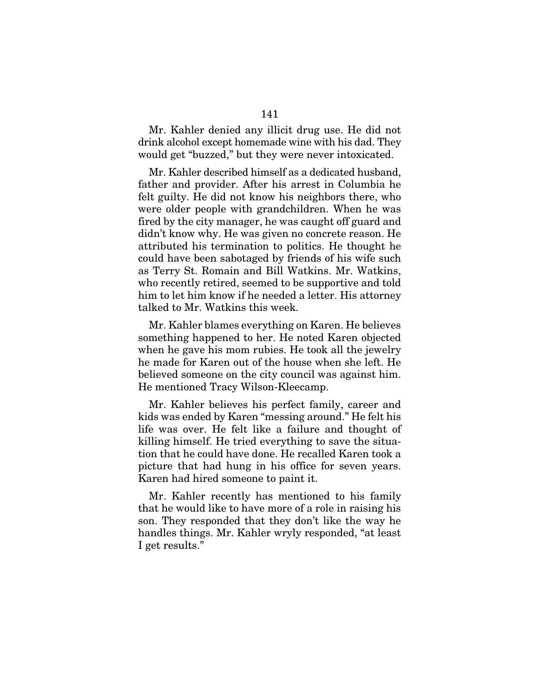Mr. Kahler denied any illicit drug use. He did not drink alcohol except homemade wine with his dad. They would get "buzzed," but they were never intoxicated.

Mr. Kahler described himself as a dedicated husband, father and provider. After his arrest in Columbia he felt guilty. He did not know his neighbors there, who were older people with grandchildren. When he was fired by the city manager, he was caught off guard and didn't know why. He was given no concrete reason. He attributed his termination to politics. He thought he could have been sabotaged by friends of his wife such as Terry St. Romain and Bill Watkins. Mr. Watkins, who recently retired, seemed to be supportive and told him to let him know if he needed a letter. His attorney talked to Mr. Watkins this week.

Mr. Kahler blames everything on Karen. He believes something happened to her. He noted Karen objected when he gave his mom rubies. He took all the jewelry he made for Karen out of the house when she left. He believed someone on the city council was against him. He mentioned Tracy Wilson-Kleecamp.

Mr. Kahler believes his perfect family, career and kids was ended by Karen "messing around." He felt his life was over. He felt like a failure and thought of killing himself. He tried everything to save the situation that he could have done. He recalled Karen took a picture that had hung in his office for seven years. Karen had hired someone to paint it.

Mr. Kahler recently has mentioned to his family that he would like to have more of a role in raising his son. They responded that they don't like the way he handles things. Mr. Kahler wryly responded, "at least I get results."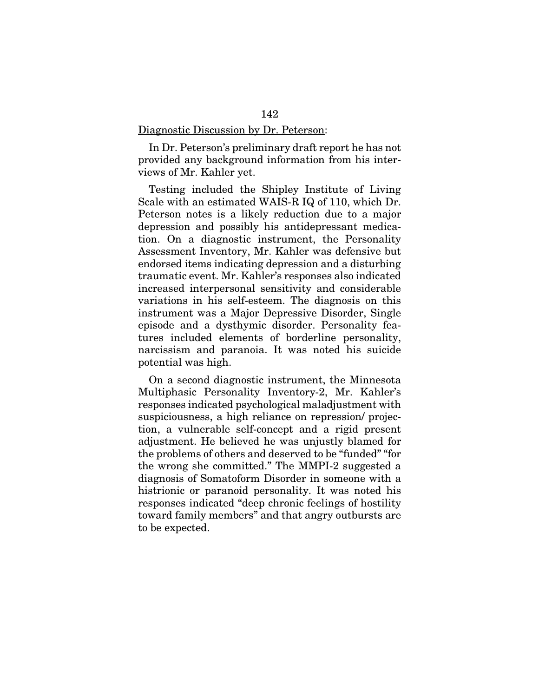## Diagnostic Discussion by Dr. Peterson:

In Dr. Peterson's preliminary draft report he has not provided any background information from his interviews of Mr. Kahler yet.

Testing included the Shipley Institute of Living Scale with an estimated WAIS-R IQ of 110, which Dr. Peterson notes is a likely reduction due to a major depression and possibly his antidepressant medication. On a diagnostic instrument, the Personality Assessment Inventory, Mr. Kahler was defensive but endorsed items indicating depression and a disturbing traumatic event. Mr. Kahler's responses also indicated increased interpersonal sensitivity and considerable variations in his self-esteem. The diagnosis on this instrument was a Major Depressive Disorder, Single episode and a dysthymic disorder. Personality features included elements of borderline personality, narcissism and paranoia. It was noted his suicide potential was high.

On a second diagnostic instrument, the Minnesota Multiphasic Personality Inventory-2, Mr. Kahler's responses indicated psychological maladjustment with suspiciousness, a high reliance on repression/ projection, a vulnerable self-concept and a rigid present adjustment. He believed he was unjustly blamed for the problems of others and deserved to be "funded" "for the wrong she committed." The MMPI-2 suggested a diagnosis of Somatoform Disorder in someone with a histrionic or paranoid personality. It was noted his responses indicated "deep chronic feelings of hostility toward family members" and that angry outbursts are to be expected.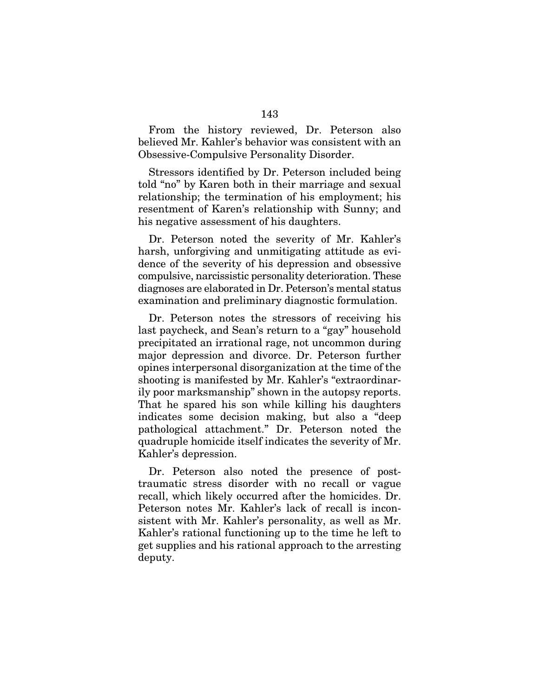From the history reviewed, Dr. Peterson also believed Mr. Kahler's behavior was consistent with an Obsessive-Compulsive Personality Disorder.

Stressors identified by Dr. Peterson included being told "no" by Karen both in their marriage and sexual relationship; the termination of his employment; his resentment of Karen's relationship with Sunny; and his negative assessment of his daughters.

Dr. Peterson noted the severity of Mr. Kahler's harsh, unforgiving and unmitigating attitude as evidence of the severity of his depression and obsessive compulsive, narcissistic personality deterioration. These diagnoses are elaborated in Dr. Peterson's mental status examination and preliminary diagnostic formulation.

Dr. Peterson notes the stressors of receiving his last paycheck, and Sean's return to a "gay" household precipitated an irrational rage, not uncommon during major depression and divorce. Dr. Peterson further opines interpersonal disorganization at the time of the shooting is manifested by Mr. Kahler's "extraordinarily poor marksmanship" shown in the autopsy reports. That he spared his son while killing his daughters indicates some decision making, but also a "deep pathological attachment." Dr. Peterson noted the quadruple homicide itself indicates the severity of Mr. Kahler's depression.

Dr. Peterson also noted the presence of posttraumatic stress disorder with no recall or vague recall, which likely occurred after the homicides. Dr. Peterson notes Mr. Kahler's lack of recall is inconsistent with Mr. Kahler's personality, as well as Mr. Kahler's rational functioning up to the time he left to get supplies and his rational approach to the arresting deputy.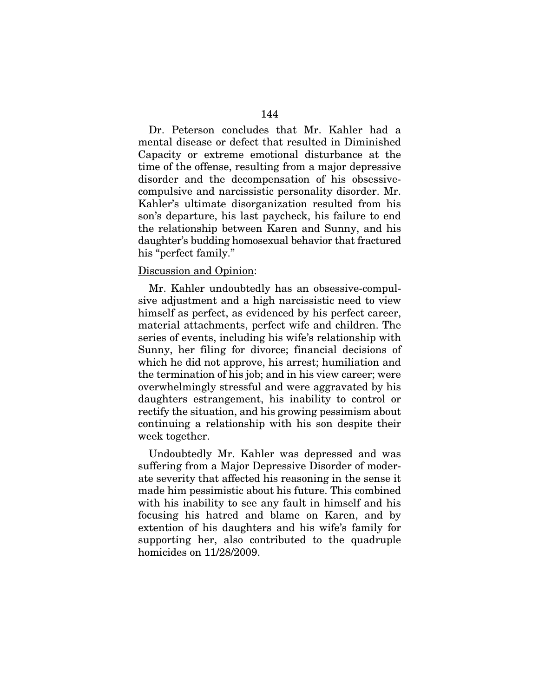Dr. Peterson concludes that Mr. Kahler had a mental disease or defect that resulted in Diminished Capacity or extreme emotional disturbance at the time of the offense, resulting from a major depressive disorder and the decompensation of his obsessivecompulsive and narcissistic personality disorder. Mr. Kahler's ultimate disorganization resulted from his son's departure, his last paycheck, his failure to end the relationship between Karen and Sunny, and his daughter's budding homosexual behavior that fractured his "perfect family."

## Discussion and Opinion:

Mr. Kahler undoubtedly has an obsessive-compulsive adjustment and a high narcissistic need to view himself as perfect, as evidenced by his perfect career, material attachments, perfect wife and children. The series of events, including his wife's relationship with Sunny, her filing for divorce; financial decisions of which he did not approve, his arrest; humiliation and the termination of his job; and in his view career; were overwhelmingly stressful and were aggravated by his daughters estrangement, his inability to control or rectify the situation, and his growing pessimism about continuing a relationship with his son despite their week together.

Undoubtedly Mr. Kahler was depressed and was suffering from a Major Depressive Disorder of moderate severity that affected his reasoning in the sense it made him pessimistic about his future. This combined with his inability to see any fault in himself and his focusing his hatred and blame on Karen, and by extention of his daughters and his wife's family for supporting her, also contributed to the quadruple homicides on 11/28/2009.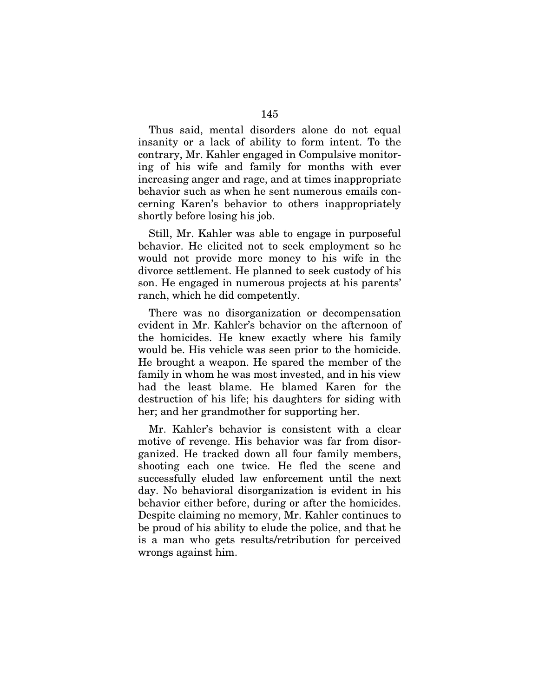Thus said, mental disorders alone do not equal insanity or a lack of ability to form intent. To the contrary, Mr. Kahler engaged in Compulsive monitoring of his wife and family for months with ever increasing anger and rage, and at times inappropriate behavior such as when he sent numerous emails concerning Karen's behavior to others inappropriately shortly before losing his job.

Still, Mr. Kahler was able to engage in purposeful behavior. He elicited not to seek employment so he would not provide more money to his wife in the divorce settlement. He planned to seek custody of his son. He engaged in numerous projects at his parents' ranch, which he did competently.

There was no disorganization or decompensation evident in Mr. Kahler's behavior on the afternoon of the homicides. He knew exactly where his family would be. His vehicle was seen prior to the homicide. He brought a weapon. He spared the member of the family in whom he was most invested, and in his view had the least blame. He blamed Karen for the destruction of his life; his daughters for siding with her; and her grandmother for supporting her.

Mr. Kahler's behavior is consistent with a clear motive of revenge. His behavior was far from disorganized. He tracked down all four family members, shooting each one twice. He fled the scene and successfully eluded law enforcement until the next day. No behavioral disorganization is evident in his behavior either before, during or after the homicides. Despite claiming no memory, Mr. Kahler continues to be proud of his ability to elude the police, and that he is a man who gets results/retribution for perceived wrongs against him.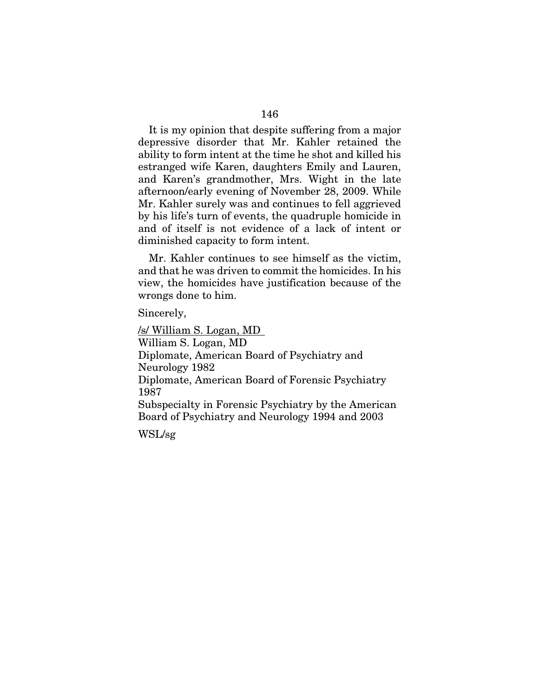It is my opinion that despite suffering from a major depressive disorder that Mr. Kahler retained the ability to form intent at the time he shot and killed his estranged wife Karen, daughters Emily and Lauren, and Karen's grandmother, Mrs. Wight in the late afternoon/early evening of November 28, 2009. While Mr. Kahler surely was and continues to fell aggrieved by his life's turn of events, the quadruple homicide in and of itself is not evidence of a lack of intent or diminished capacity to form intent.

Mr. Kahler continues to see himself as the victim, and that he was driven to commit the homicides. In his view, the homicides have justification because of the wrongs done to him.

Sincerely,

/s/ William S. Logan, MD William S. Logan, MD Diplomate, American Board of Psychiatry and Neurology 1982 Diplomate, American Board of Forensic Psychiatry 1987 Subspecialty in Forensic Psychiatry by the American Board of Psychiatry and Neurology 1994 and 2003

WSL/sg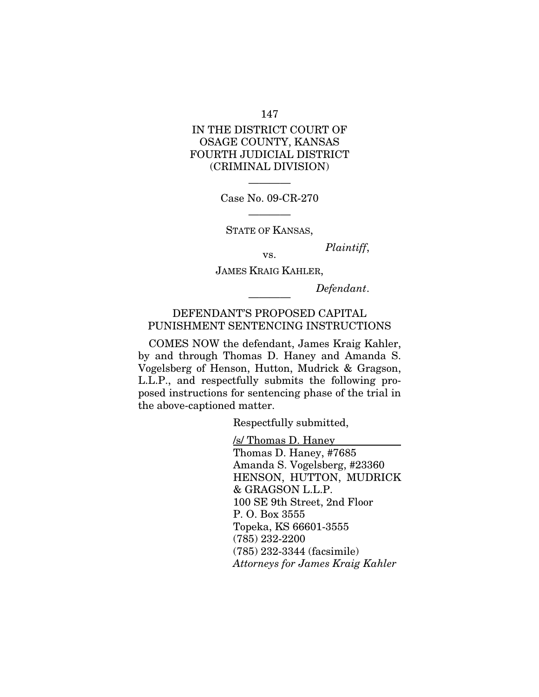147

# IN THE DISTRICT COURT OF OSAGE COUNTY, KANSAS FOURTH JUDICIAL DISTRICT (CRIMINAL DIVISION)

———— Case No. 09-CR-270

———— STATE OF KANSAS,

*Plaintiff*, vs.

JAMES KRAIG KAHLER,

 $Define$ 

## DEFENDANT'S PROPOSED CAPITAL PUNISHMENT SENTENCING INSTRUCTIONS

COMES NOW the defendant, James Kraig Kahler, by and through Thomas D. Haney and Amanda S. Vogelsberg of Henson, Hutton, Mudrick & Gragson, L.L.P., and respectfully submits the following proposed instructions for sentencing phase of the trial in the above-captioned matter.

Respectfully submitted,

/s/ Thomas D. Haney

Thomas D. Haney, #7685 Amanda S. Vogelsberg, #23360 HENSON, HUTTON, MUDRICK & GRAGSON L.L.P. 100 SE 9th Street, 2nd Floor P. O. Box 3555 Topeka, KS 66601-3555 (785) 232-2200 (785) 232-3344 (facsimile) *Attorneys for James Kraig Kahler*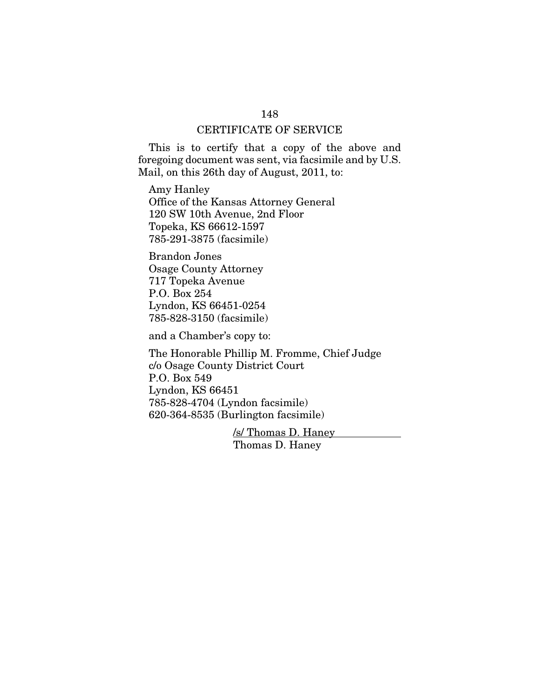## CERTIFICATE OF SERVICE

This is to certify that a copy of the above and foregoing document was sent, via facsimile and by U.S. Mail, on this 26th day of August, 2011, to:

Amy Hanley Office of the Kansas Attorney General 120 SW 10th Avenue, 2nd Floor Topeka, KS 66612-1597 785-291-3875 (facsimile)

Brandon Jones Osage County Attorney 717 Topeka Avenue P.O. Box 254 Lyndon, KS 66451-0254 785-828-3150 (facsimile)

and a Chamber's copy to:

The Honorable Phillip M. Fromme, Chief Judge c/o Osage County District Court P.O. Box 549 Lyndon, KS 66451 785-828-4704 (Lyndon facsimile) 620-364-8535 (Burlington facsimile)

> /s/ Thomas D. Haney Thomas D. Haney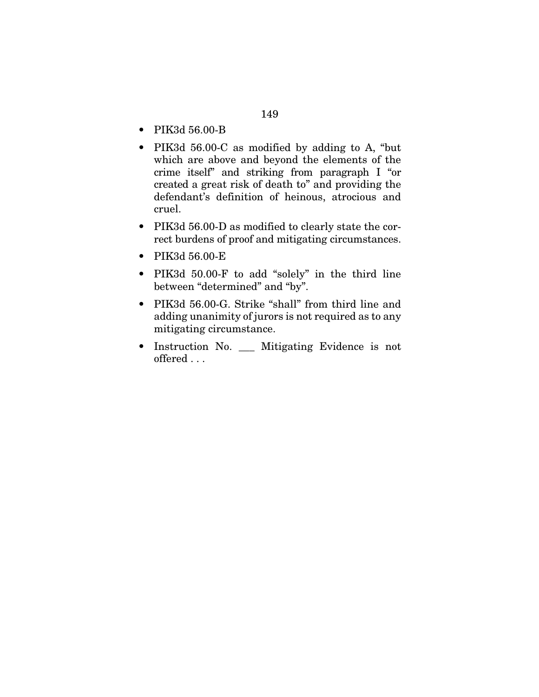- PIK3d 56.00-B
- PIK3d 56.00-C as modified by adding to A, "but which are above and beyond the elements of the crime itself" and striking from paragraph I "or created a great risk of death to" and providing the defendant's definition of heinous, atrocious and cruel.
- PIK3d 56.00-D as modified to clearly state the correct burdens of proof and mitigating circumstances.
- PIK3d 56.00-E
- PIK3d 50.00-F to add "solely" in the third line between "determined" and "by".
- PIK3d 56.00-G. Strike "shall" from third line and adding unanimity of jurors is not required as to any mitigating circumstance.
- Instruction No. \_\_\_ Mitigating Evidence is not offered . . .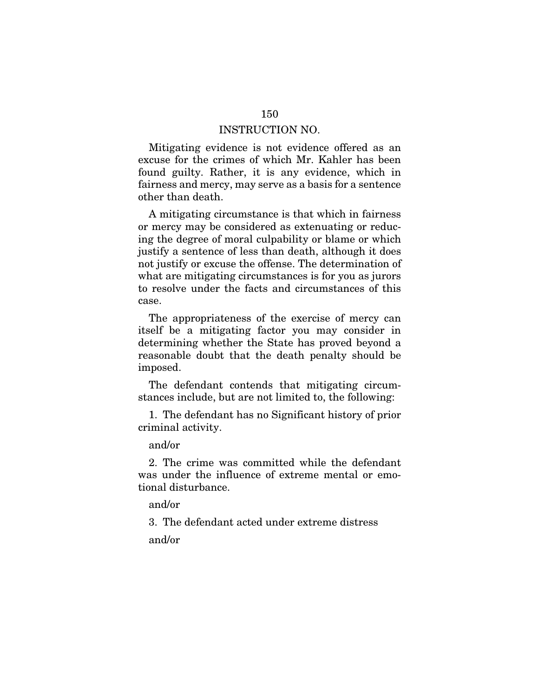Mitigating evidence is not evidence offered as an excuse for the crimes of which Mr. Kahler has been found guilty. Rather, it is any evidence, which in fairness and mercy, may serve as a basis for a sentence other than death.

A mitigating circumstance is that which in fairness or mercy may be considered as extenuating or reducing the degree of moral culpability or blame or which justify a sentence of less than death, although it does not justify or excuse the offense. The determination of what are mitigating circumstances is for you as jurors to resolve under the facts and circumstances of this case.

The appropriateness of the exercise of mercy can itself be a mitigating factor you may consider in determining whether the State has proved beyond a reasonable doubt that the death penalty should be imposed.

The defendant contends that mitigating circumstances include, but are not limited to, the following:

1. The defendant has no Significant history of prior criminal activity.

and/or

2. The crime was committed while the defendant was under the influence of extreme mental or emotional disturbance.

and/or

3. The defendant acted under extreme distress and/or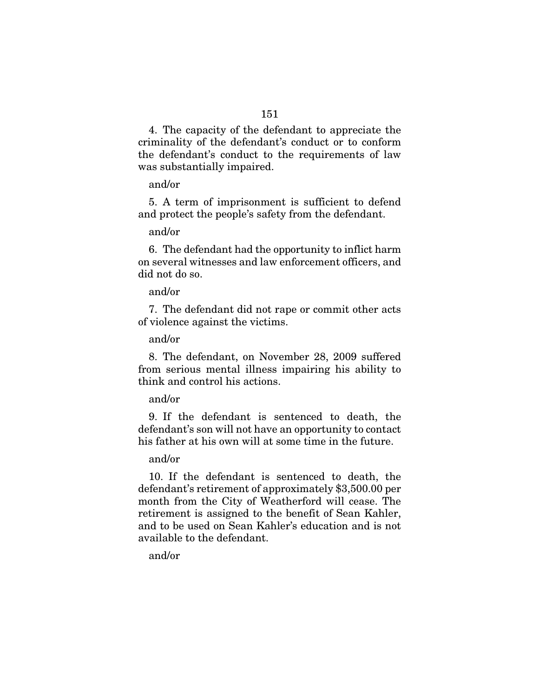4. The capacity of the defendant to appreciate the criminality of the defendant's conduct or to conform the defendant's conduct to the requirements of law was substantially impaired.

#### and/or

5. A term of imprisonment is sufficient to defend and protect the people's safety from the defendant.

## and/or

6. The defendant had the opportunity to inflict harm on several witnesses and law enforcement officers, and did not do so.

## and/or

7. The defendant did not rape or commit other acts of violence against the victims.

## and/or

8. The defendant, on November 28, 2009 suffered from serious mental illness impairing his ability to think and control his actions.

## and/or

9. If the defendant is sentenced to death, the defendant's son will not have an opportunity to contact his father at his own will at some time in the future.

## and/or

10. If the defendant is sentenced to death, the defendant's retirement of approximately \$3,500.00 per month from the City of Weatherford will cease. The retirement is assigned to the benefit of Sean Kahler, and to be used on Sean Kahler's education and is not available to the defendant.

## and/or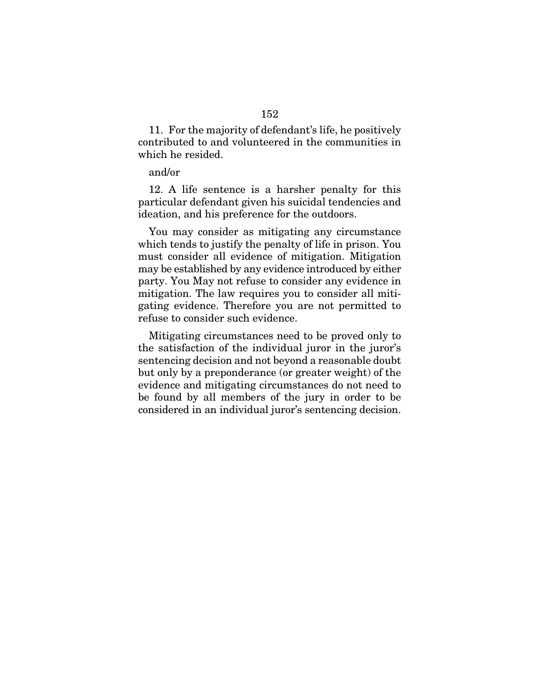11. For the majority of defendant's life, he positively contributed to and volunteered in the communities in which he resided.

#### and/or

12. A life sentence is a harsher penalty for this particular defendant given his suicidal tendencies and ideation, and his preference for the outdoors.

You may consider as mitigating any circumstance which tends to justify the penalty of life in prison. You must consider all evidence of mitigation. Mitigation may be established by any evidence introduced by either party. You May not refuse to consider any evidence in mitigation. The law requires you to consider all mitigating evidence. Therefore you are not permitted to refuse to consider such evidence.

Mitigating circumstances need to be proved only to the satisfaction of the individual juror in the juror's sentencing decision and not beyond a reasonable doubt but only by a preponderance (or greater weight) of the evidence and mitigating circumstances do not need to be found by all members of the jury in order to be considered in an individual juror's sentencing decision.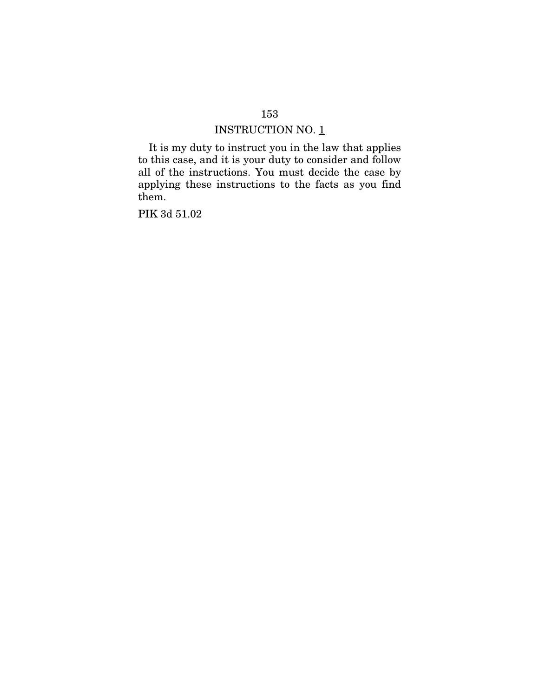It is my duty to instruct you in the law that applies to this case, and it is your duty to consider and follow all of the instructions. You must decide the case by applying these instructions to the facts as you find them.

PIK 3d 51.02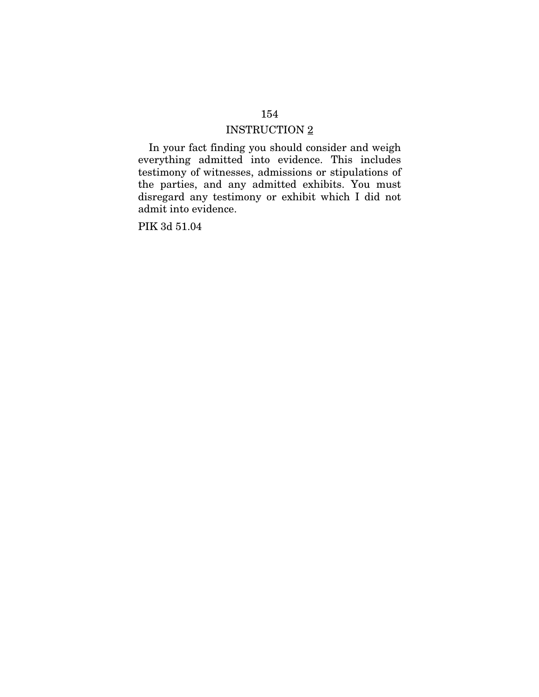# INSTRUCTION 2

In your fact finding you should consider and weigh everything admitted into evidence. This includes testimony of witnesses, admissions or stipulations of the parties, and any admitted exhibits. You must disregard any testimony or exhibit which I did not admit into evidence.

PIK 3d 51.04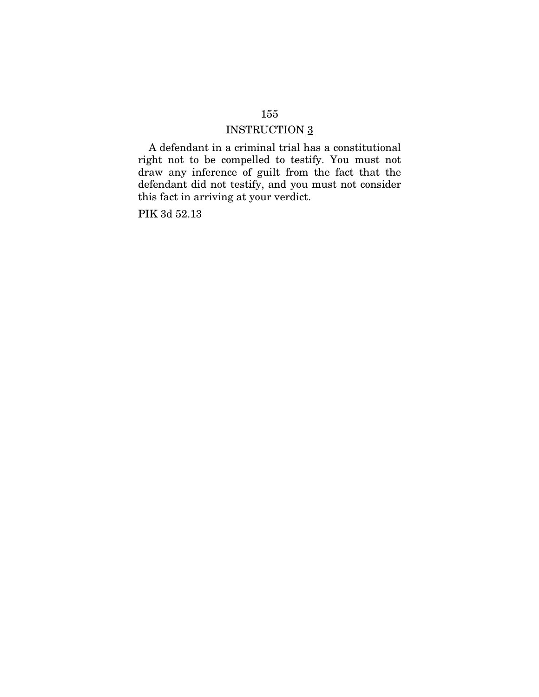# INSTRUCTION 3

A defendant in a criminal trial has a constitutional right not to be compelled to testify. You must not draw any inference of guilt from the fact that the defendant did not testify, and you must not consider this fact in arriving at your verdict.

PIK 3d 52.13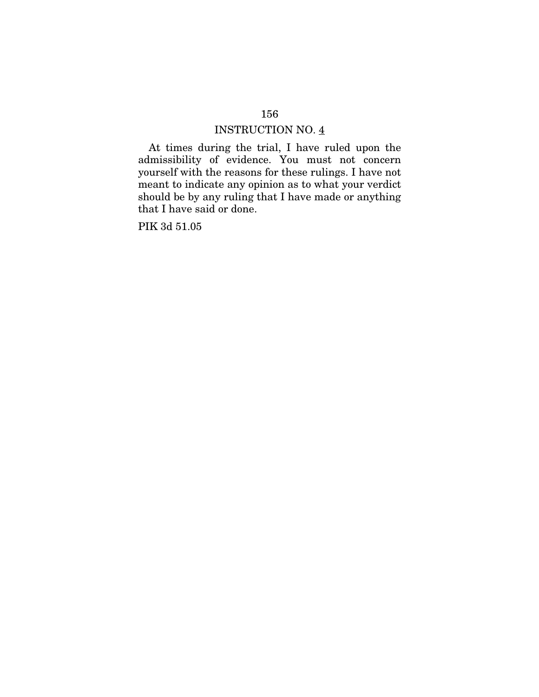At times during the trial, I have ruled upon the admissibility of evidence. You must not concern yourself with the reasons for these rulings. I have not meant to indicate any opinion as to what your verdict should be by any ruling that I have made or anything that I have said or done.

PIK 3d 51.05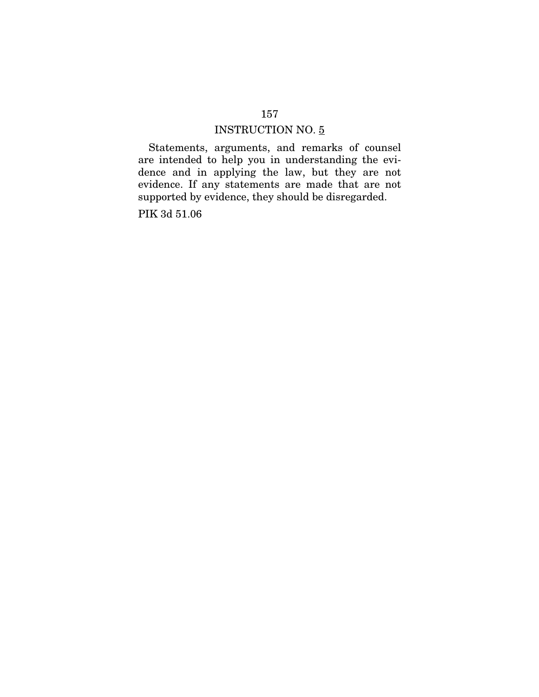Statements, arguments, and remarks of counsel are intended to help you in understanding the evidence and in applying the law, but they are not evidence. If any statements are made that are not supported by evidence, they should be disregarded.

PIK 3d 51.06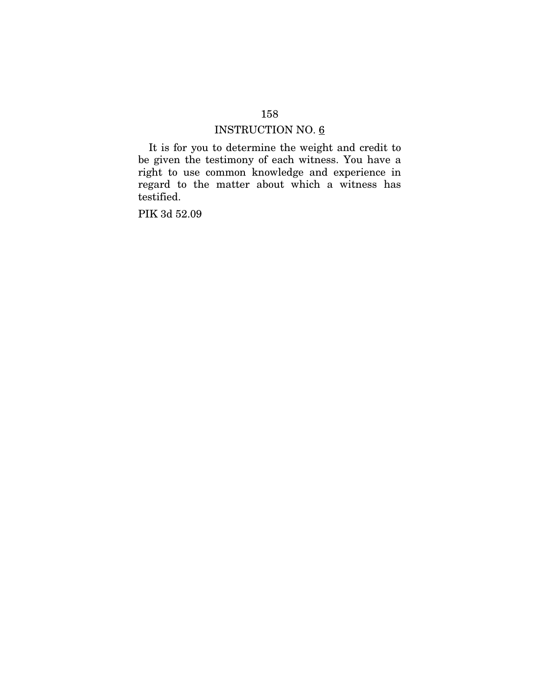It is for you to determine the weight and credit to be given the testimony of each witness. You have a right to use common knowledge and experience in regard to the matter about which a witness has testified.

PIK 3d 52.09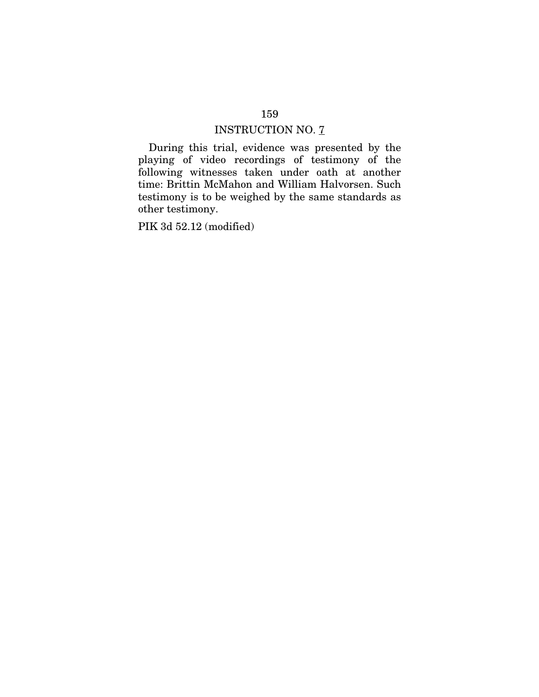During this trial, evidence was presented by the playing of video recordings of testimony of the following witnesses taken under oath at another time: Brittin McMahon and William Halvorsen. Such testimony is to be weighed by the same standards as other testimony.

PIK 3d 52.12 (modified)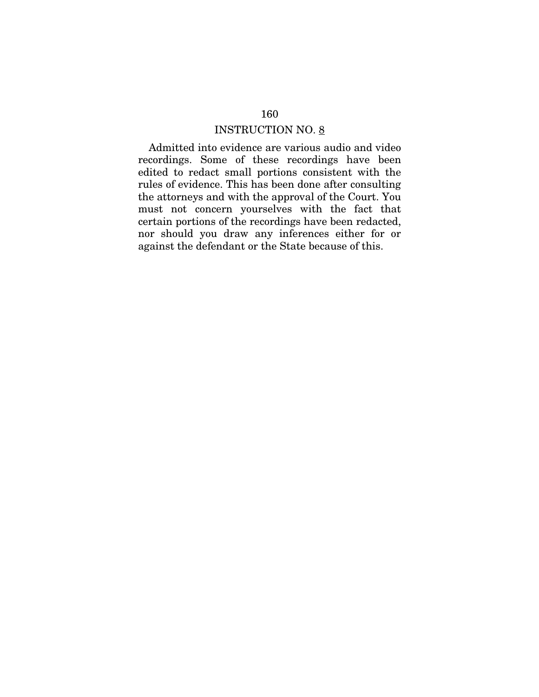Admitted into evidence are various audio and video recordings. Some of these recordings have been edited to redact small portions consistent with the rules of evidence. This has been done after consulting the attorneys and with the approval of the Court. You must not concern yourselves with the fact that certain portions of the recordings have been redacted, nor should you draw any inferences either for or against the defendant or the State because of this.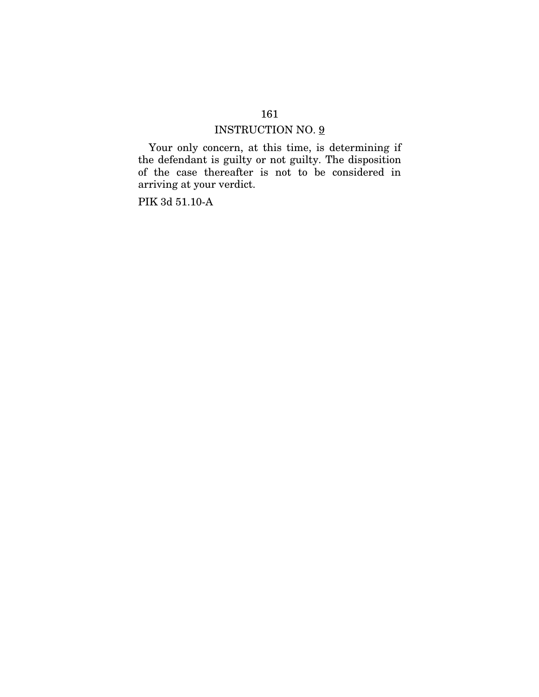# INSTRUCTION NO.  $\underline{9}$

Your only concern, at this time, is determining if the defendant is guilty or not guilty. The disposition of the case thereafter is not to be considered in arriving at your verdict.

PIK 3d 51.10-A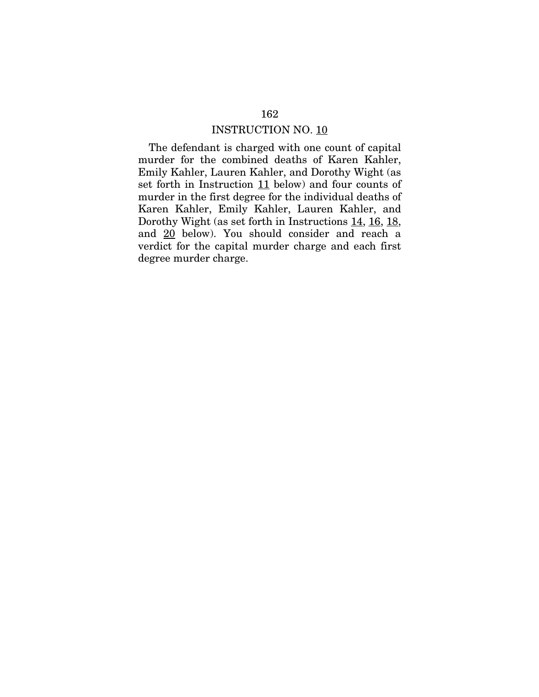The defendant is charged with one count of capital murder for the combined deaths of Karen Kahler, Emily Kahler, Lauren Kahler, and Dorothy Wight (as set forth in Instruction 11 below) and four counts of murder in the first degree for the individual deaths of Karen Kahler, Emily Kahler, Lauren Kahler, and Dorothy Wight (as set forth in Instructions 14, 16, 18, and 20 below). You should consider and reach a verdict for the capital murder charge and each first degree murder charge.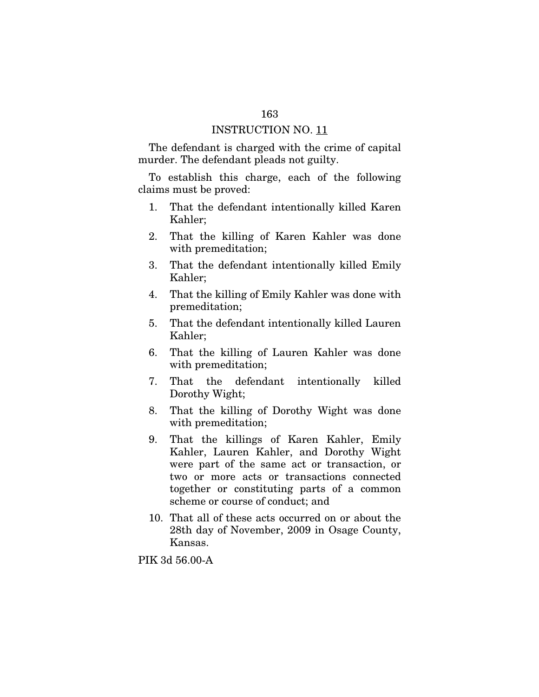The defendant is charged with the crime of capital murder. The defendant pleads not guilty.

To establish this charge, each of the following claims must be proved:

- 1. That the defendant intentionally killed Karen Kahler;
- 2. That the killing of Karen Kahler was done with premeditation;
- 3. That the defendant intentionally killed Emily Kahler;
- 4. That the killing of Emily Kahler was done with premeditation;
- 5. That the defendant intentionally killed Lauren Kahler;
- 6. That the killing of Lauren Kahler was done with premeditation;
- 7. That the defendant intentionally killed Dorothy Wight;
- 8. That the killing of Dorothy Wight was done with premeditation;
- 9. That the killings of Karen Kahler, Emily Kahler, Lauren Kahler, and Dorothy Wight were part of the same act or transaction, or two or more acts or transactions connected together or constituting parts of a common scheme or course of conduct; and
- 10. That all of these acts occurred on or about the 28th day of November, 2009 in Osage County, Kansas.

PIK 3d 56.00-A

#### 163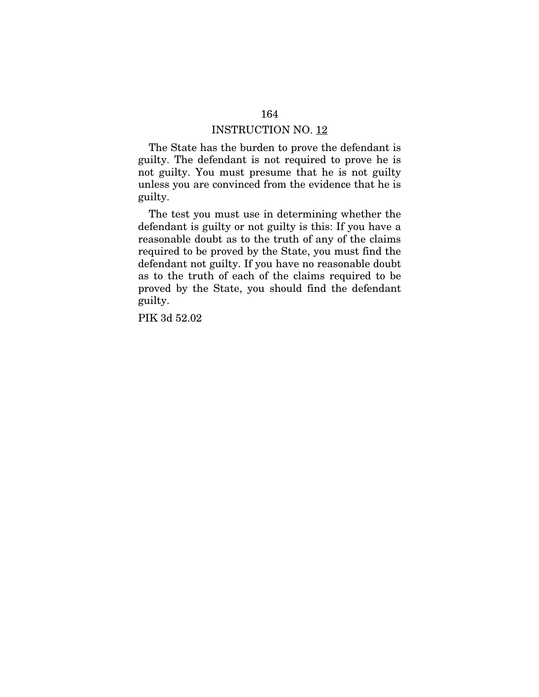The State has the burden to prove the defendant is guilty. The defendant is not required to prove he is not guilty. You must presume that he is not guilty unless you are convinced from the evidence that he is guilty.

The test you must use in determining whether the defendant is guilty or not guilty is this: If you have a reasonable doubt as to the truth of any of the claims required to be proved by the State, you must find the defendant not guilty. If you have no reasonable doubt as to the truth of each of the claims required to be proved by the State, you should find the defendant guilty.

PIK 3d 52.02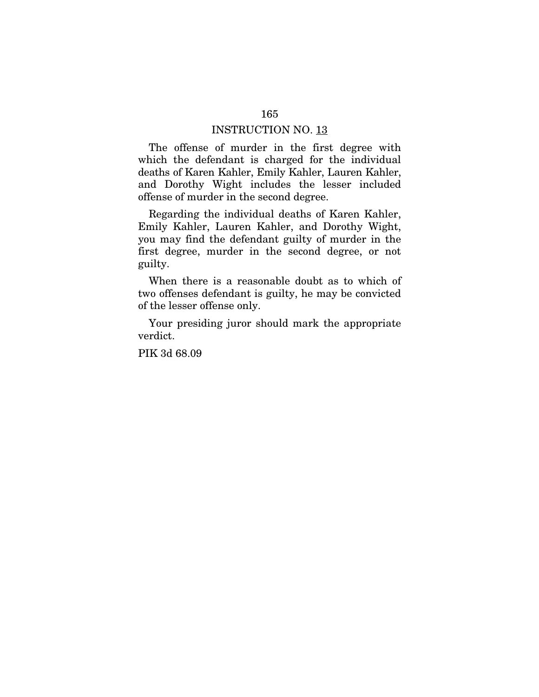The offense of murder in the first degree with which the defendant is charged for the individual deaths of Karen Kahler, Emily Kahler, Lauren Kahler, and Dorothy Wight includes the lesser included offense of murder in the second degree.

Regarding the individual deaths of Karen Kahler, Emily Kahler, Lauren Kahler, and Dorothy Wight, you may find the defendant guilty of murder in the first degree, murder in the second degree, or not guilty.

When there is a reasonable doubt as to which of two offenses defendant is guilty, he may be convicted of the lesser offense only.

Your presiding juror should mark the appropriate verdict.

PIK 3d 68.09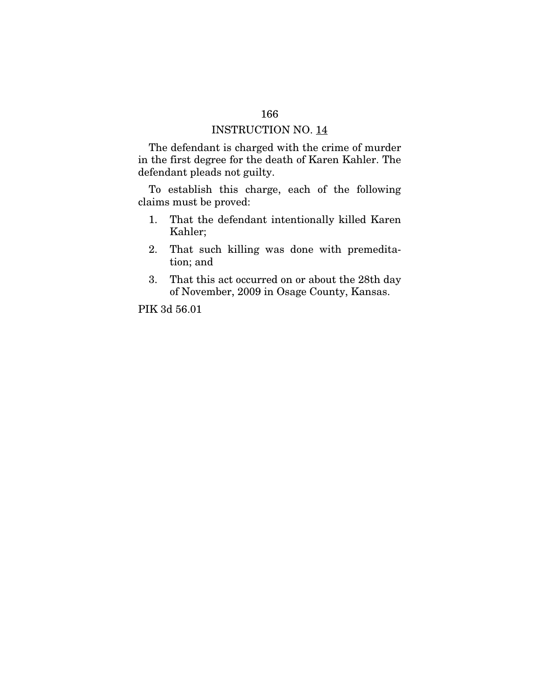The defendant is charged with the crime of murder in the first degree for the death of Karen Kahler. The defendant pleads not guilty.

To establish this charge, each of the following claims must be proved:

- 1. That the defendant intentionally killed Karen Kahler;
- 2. That such killing was done with premeditation; and
- 3. That this act occurred on or about the 28th day of November, 2009 in Osage County, Kansas.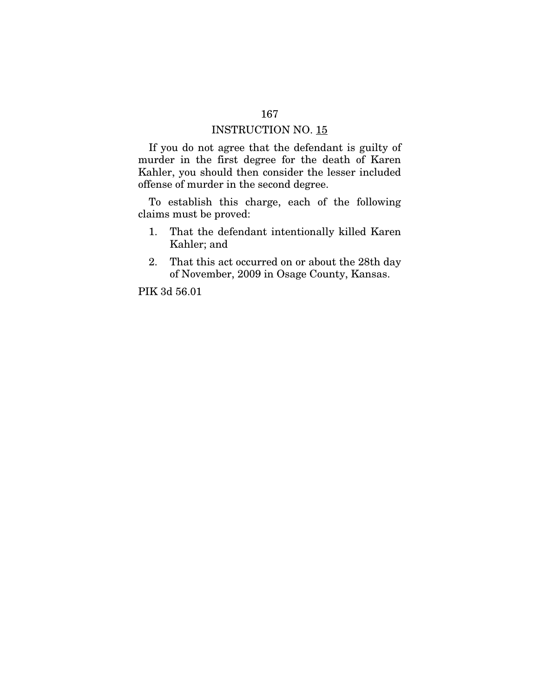If you do not agree that the defendant is guilty of murder in the first degree for the death of Karen Kahler, you should then consider the lesser included offense of murder in the second degree.

To establish this charge, each of the following claims must be proved:

- 1. That the defendant intentionally killed Karen Kahler; and
- 2. That this act occurred on or about the 28th day of November, 2009 in Osage County, Kansas.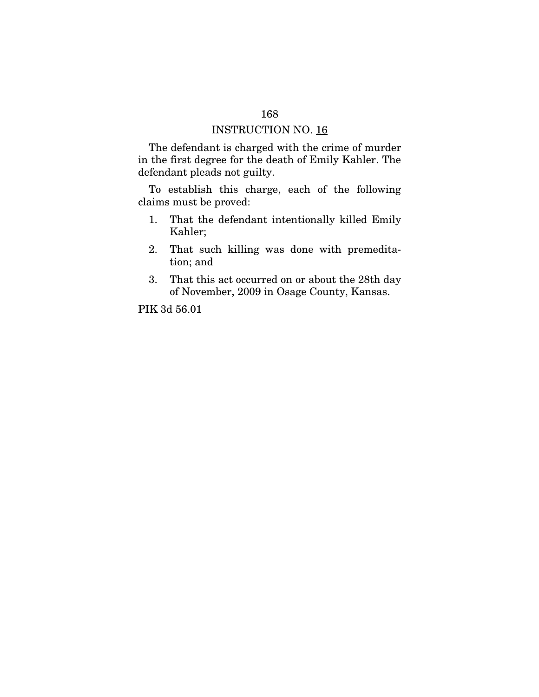The defendant is charged with the crime of murder in the first degree for the death of Emily Kahler. The defendant pleads not guilty.

To establish this charge, each of the following claims must be proved:

- 1. That the defendant intentionally killed Emily Kahler;
- 2. That such killing was done with premeditation; and
- 3. That this act occurred on or about the 28th day of November, 2009 in Osage County, Kansas.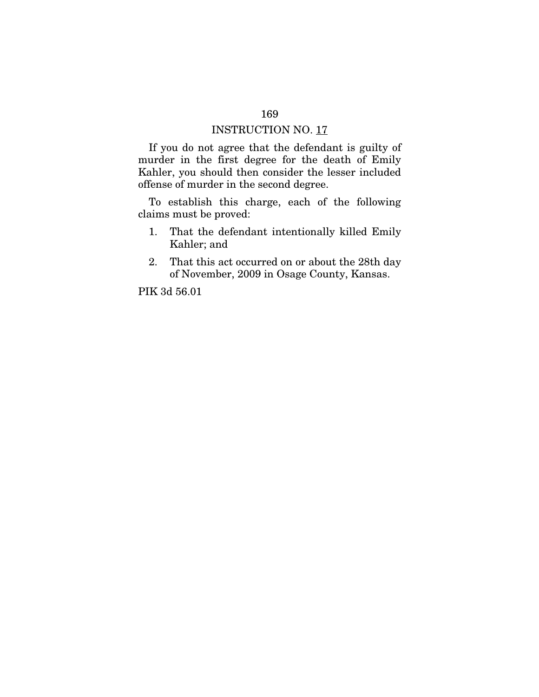If you do not agree that the defendant is guilty of murder in the first degree for the death of Emily Kahler, you should then consider the lesser included offense of murder in the second degree.

To establish this charge, each of the following claims must be proved:

- 1. That the defendant intentionally killed Emily Kahler; and
- 2. That this act occurred on or about the 28th day of November, 2009 in Osage County, Kansas.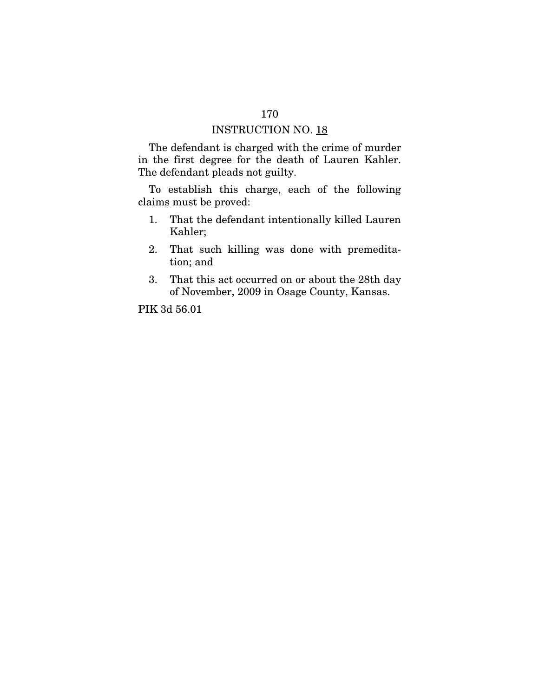The defendant is charged with the crime of murder in the first degree for the death of Lauren Kahler. The defendant pleads not guilty.

To establish this charge, each of the following claims must be proved:

- 1. That the defendant intentionally killed Lauren Kahler;
- 2. That such killing was done with premeditation; and
- 3. That this act occurred on or about the 28th day of November, 2009 in Osage County, Kansas.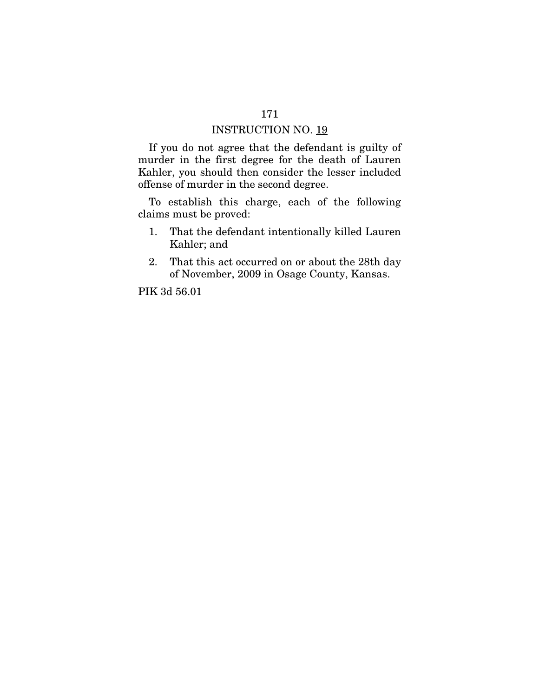If you do not agree that the defendant is guilty of murder in the first degree for the death of Lauren Kahler, you should then consider the lesser included offense of murder in the second degree.

To establish this charge, each of the following claims must be proved:

- 1. That the defendant intentionally killed Lauren Kahler; and
- 2. That this act occurred on or about the 28th day of November, 2009 in Osage County, Kansas.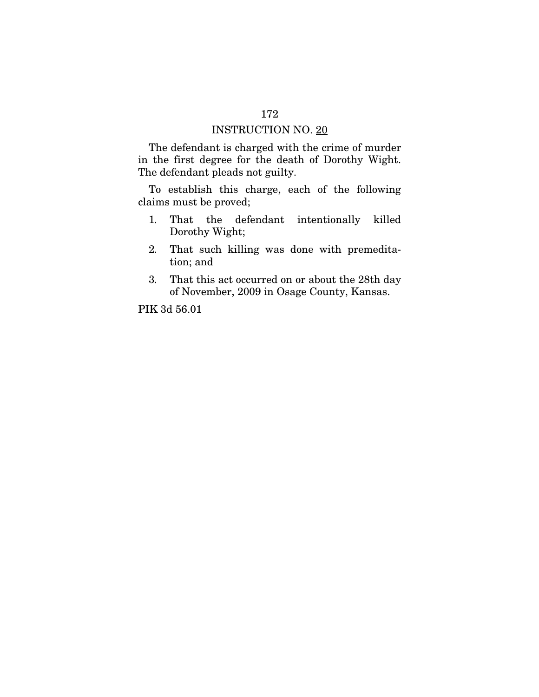The defendant is charged with the crime of murder in the first degree for the death of Dorothy Wight. The defendant pleads not guilty.

To establish this charge, each of the following claims must be proved;

- 1. That the defendant intentionally killed Dorothy Wight;
- 2. That such killing was done with premeditation; and
- 3. That this act occurred on or about the 28th day of November, 2009 in Osage County, Kansas.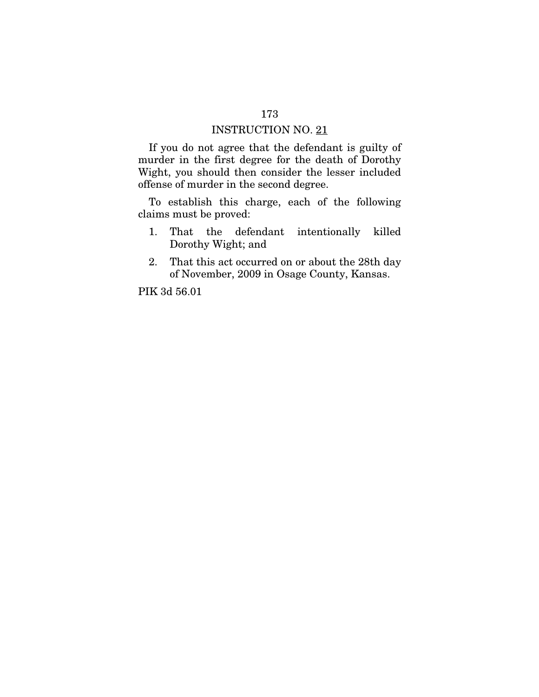If you do not agree that the defendant is guilty of murder in the first degree for the death of Dorothy Wight, you should then consider the lesser included offense of murder in the second degree.

To establish this charge, each of the following claims must be proved:

- 1. That the defendant intentionally killed Dorothy Wight; and
- 2. That this act occurred on or about the 28th day of November, 2009 in Osage County, Kansas.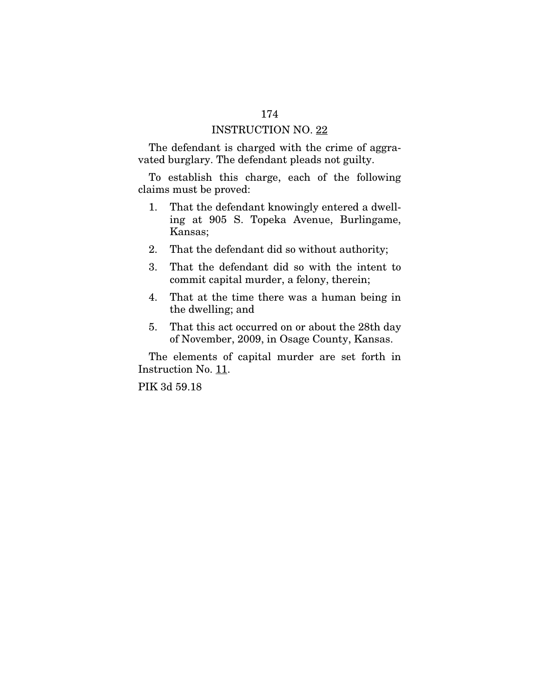The defendant is charged with the crime of aggravated burglary. The defendant pleads not guilty.

To establish this charge, each of the following claims must be proved:

- 1. That the defendant knowingly entered a dwelling at 905 S. Topeka Avenue, Burlingame, Kansas;
- 2. That the defendant did so without authority;
- 3. That the defendant did so with the intent to commit capital murder, a felony, therein;
- 4. That at the time there was a human being in the dwelling; and
- 5. That this act occurred on or about the 28th day of November, 2009, in Osage County, Kansas.

The elements of capital murder are set forth in Instruction No. 11.

PIK 3d 59.18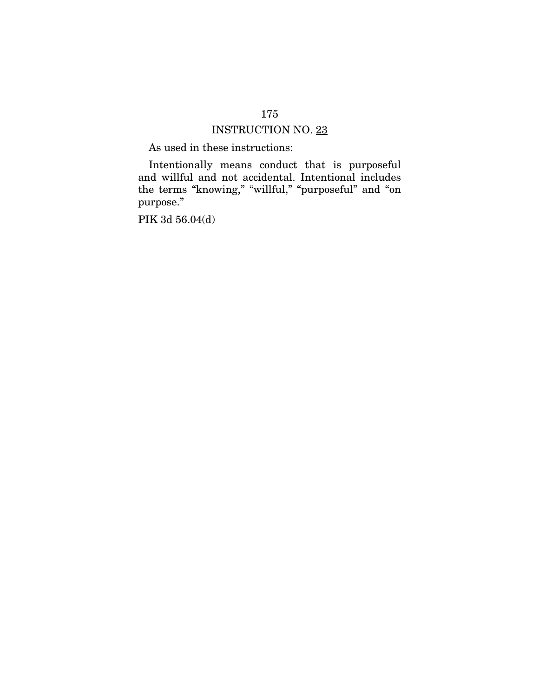As used in these instructions:

Intentionally means conduct that is purposeful and willful and not accidental. Intentional includes the terms "knowing," "willful," "purposeful" and "on purpose."

PIK 3d 56.04(d)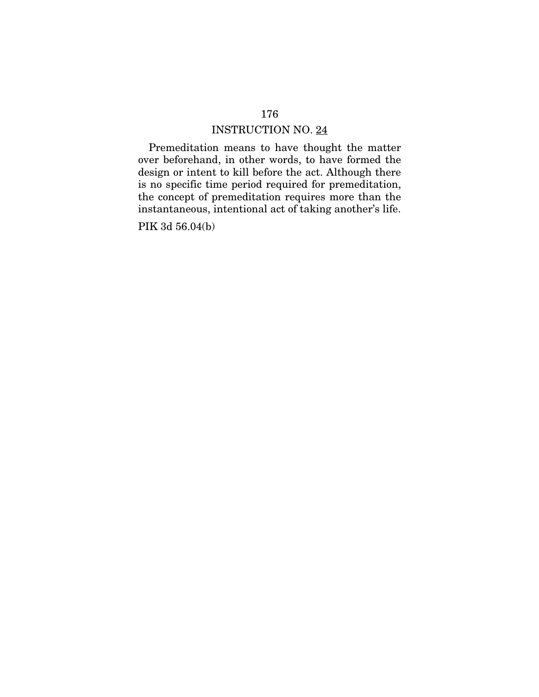Premeditation means to have thought the matter over beforehand, in other words, to have formed the design or intent to kill before the act. Although there is no specific time period required for premeditation, the concept of premeditation requires more than the instantaneous, intentional act of taking another's life.

PIK 3d 56.04(b)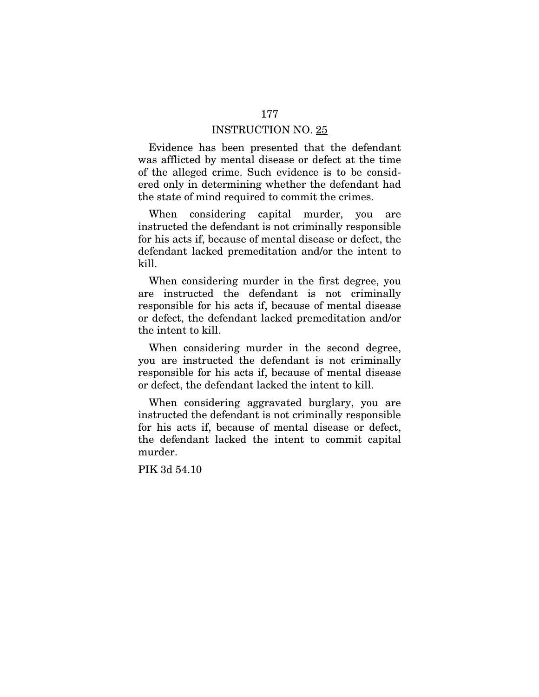Evidence has been presented that the defendant was afflicted by mental disease or defect at the time of the alleged crime. Such evidence is to be considered only in determining whether the defendant had the state of mind required to commit the crimes.

When considering capital murder, you are instructed the defendant is not criminally responsible for his acts if, because of mental disease or defect, the defendant lacked premeditation and/or the intent to kill.

When considering murder in the first degree, you are instructed the defendant is not criminally responsible for his acts if, because of mental disease or defect, the defendant lacked premeditation and/or the intent to kill.

When considering murder in the second degree, you are instructed the defendant is not criminally responsible for his acts if, because of mental disease or defect, the defendant lacked the intent to kill.

When considering aggravated burglary, you are instructed the defendant is not criminally responsible for his acts if, because of mental disease or defect, the defendant lacked the intent to commit capital murder.

PIK 3d 54.10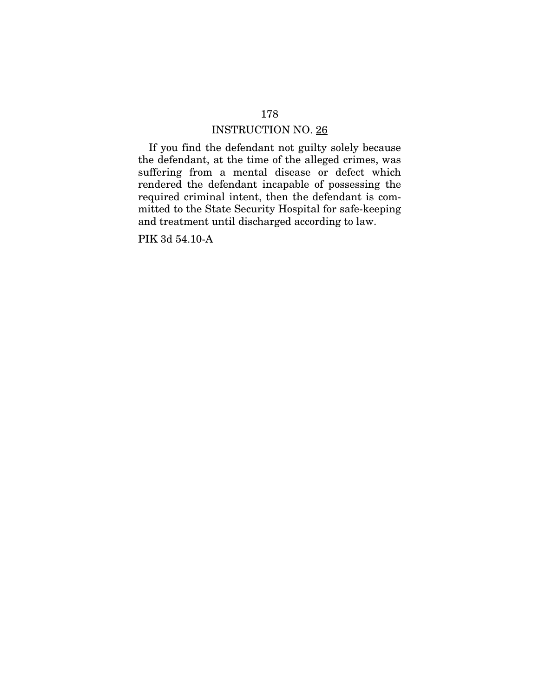If you find the defendant not guilty solely because the defendant, at the time of the alleged crimes, was suffering from a mental disease or defect which rendered the defendant incapable of possessing the required criminal intent, then the defendant is committed to the State Security Hospital for safe-keeping and treatment until discharged according to law.

PIK 3d 54.10-A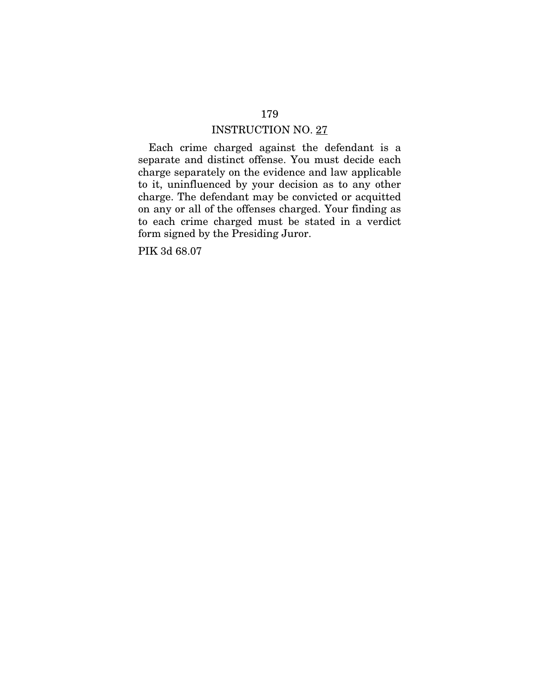Each crime charged against the defendant is a separate and distinct offense. You must decide each charge separately on the evidence and law applicable to it, uninfluenced by your decision as to any other charge. The defendant may be convicted or acquitted on any or all of the offenses charged. Your finding as to each crime charged must be stated in a verdict form signed by the Presiding Juror.

PIK 3d 68.07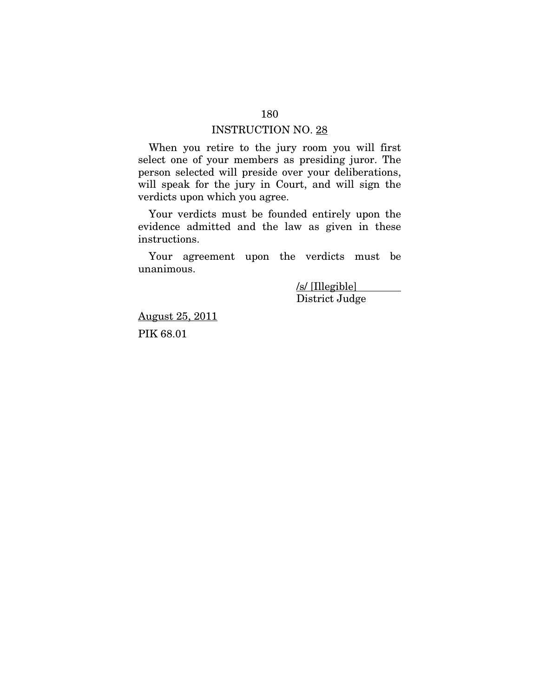When you retire to the jury room you will first select one of your members as presiding juror. The person selected will preside over your deliberations, will speak for the jury in Court, and will sign the verdicts upon which you agree.

Your verdicts must be founded entirely upon the evidence admitted and the law as given in these instructions.

Your agreement upon the verdicts must be unanimous.

> /s/ [Illegible] District Judge

August 25, 2011 PIK 68.01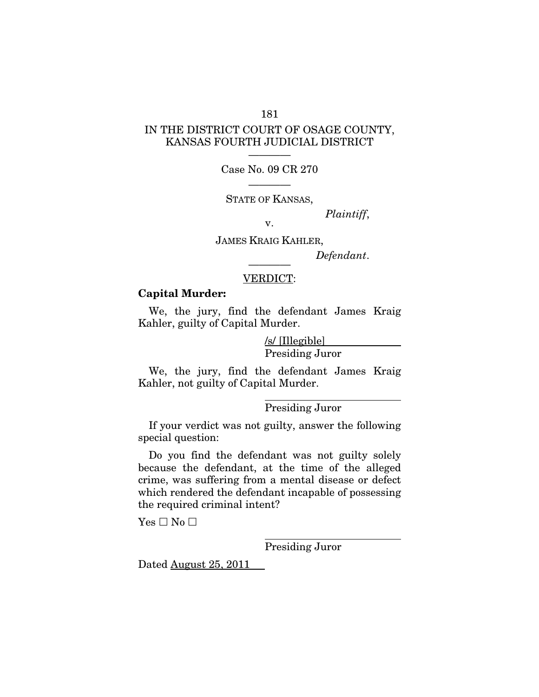## IN THE DISTRICT COURT OF OSAGE COUNTY, KANSAS FOURTH JUDICIAL DISTRICT

181

———— Case No. 09 CR 270

———— STATE OF KANSAS,

*Plaintiff*, v.

JAMES KRAIG KAHLER,

 $Define$ 

#### VERDICT:

#### Capital Murder:

We, the jury, find the defendant James Kraig Kahler, guilty of Capital Murder.

> /s/ [Illegible] Presiding Juror

We, the jury, find the defendant James Kraig Kahler, not guilty of Capital Murder.

 $\overline{a}$ 

Presiding Juror

If your verdict was not guilty, answer the following special question:

Do you find the defendant was not guilty solely because the defendant, at the time of the alleged crime, was suffering from a mental disease or defect which rendered the defendant incapable of possessing the required criminal intent?

 $\overline{a}$ 

 $Yes \Box No \Box$ 

Presiding Juror

Dated August 25, 2011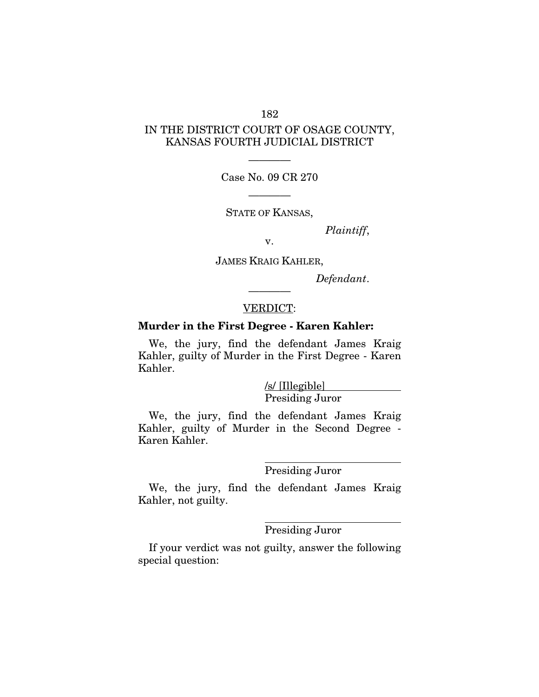## IN THE DISTRICT COURT OF OSAGE COUNTY, KANSAS FOURTH JUDICIAL DISTRICT

———— Case No. 09 CR 270

————

STATE OF KANSAS,

*Plaintiff*,

v.

JAMES KRAIG KAHLER,

*Defendant*.

## ———— VERDICT:

## Murder in the First Degree - Karen Kahler:

We, the jury, find the defendant James Kraig Kahler, guilty of Murder in the First Degree - Karen Kahler.

> /s/ [Illegible] Presiding Juror

We, the jury, find the defendant James Kraig Kahler, guilty of Murder in the Second Degree - Karen Kahler.

 $\overline{a}$ 

#### Presiding Juror

We, the jury, find the defendant James Kraig Kahler, not guilty.

 $\overline{a}$ 

#### Presiding Juror

If your verdict was not guilty, answer the following special question: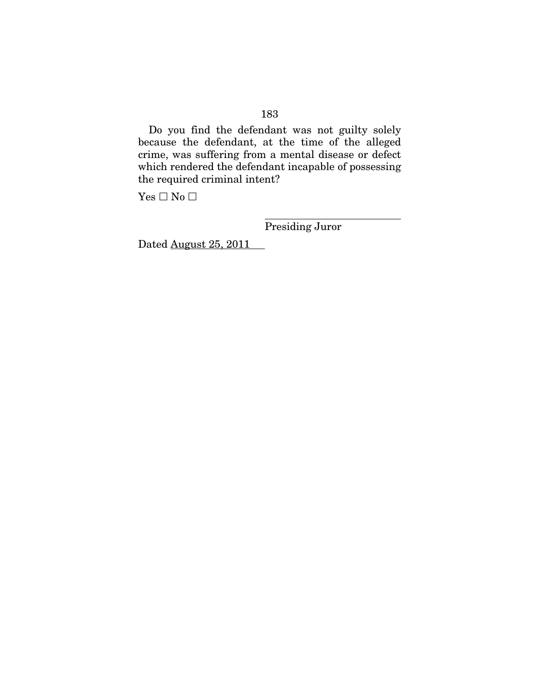Do you find the defendant was not guilty solely because the defendant, at the time of the alleged crime, was suffering from a mental disease or defect which rendered the defendant incapable of possessing the required criminal intent?

 $\overline{a}$ 

 $Yes \Box No \Box$ 

Presiding Juror

Dated August 25, 2011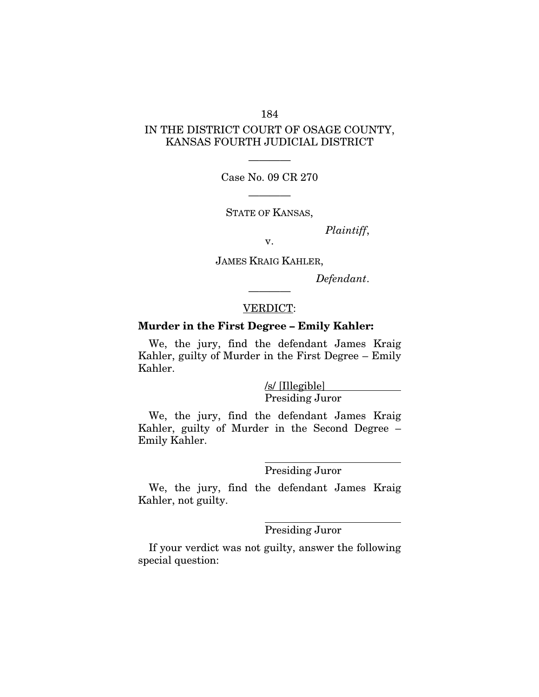## IN THE DISTRICT COURT OF OSAGE COUNTY, KANSAS FOURTH JUDICIAL DISTRICT

———— Case No. 09 CR 270

————

STATE OF KANSAS,

*Plaintiff*,

v.

JAMES KRAIG KAHLER,

*Defendant*.

#### VERDICT:

————

## Murder in the First Degree – Emily Kahler:

We, the jury, find the defendant James Kraig Kahler, guilty of Murder in the First Degree – Emily Kahler.

> /s/ [Illegible] Presiding Juror

We, the jury, find the defendant James Kraig Kahler, guilty of Murder in the Second Degree – Emily Kahler.

 $\overline{a}$ 

#### Presiding Juror

We, the jury, find the defendant James Kraig Kahler, not guilty.

 $\overline{a}$ 

#### Presiding Juror

If your verdict was not guilty, answer the following special question: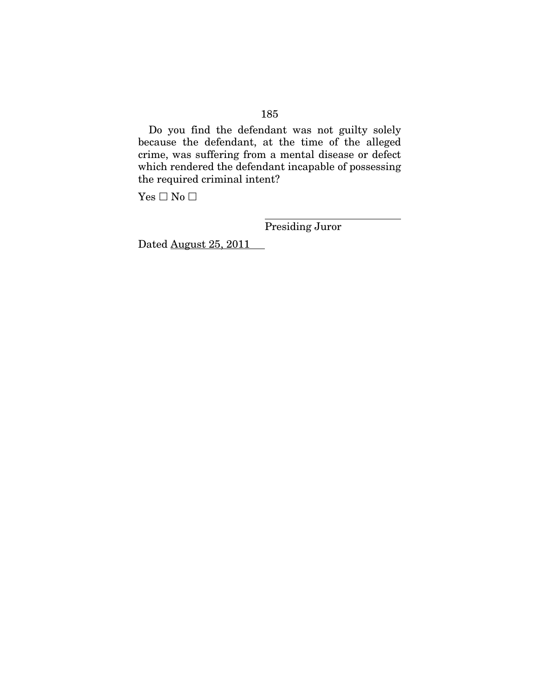Do you find the defendant was not guilty solely because the defendant, at the time of the alleged crime, was suffering from a mental disease or defect which rendered the defendant incapable of possessing the required criminal intent?

 $\overline{a}$ 

 $Yes \Box No \Box$ 

Presiding Juror

Dated August 25, 2011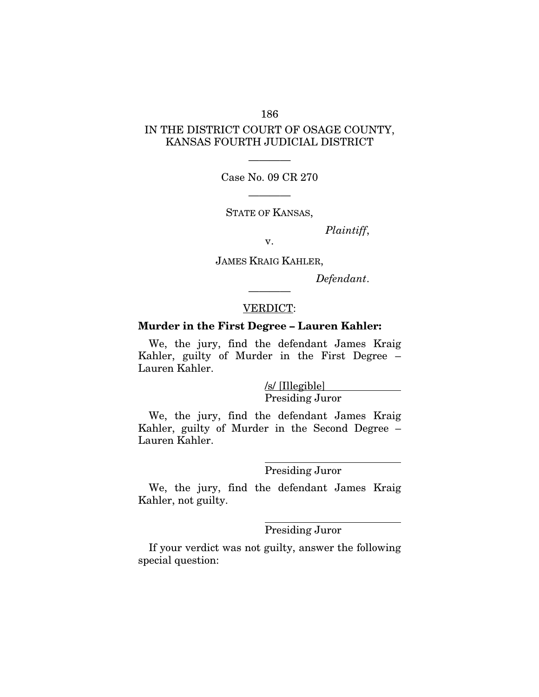## IN THE DISTRICT COURT OF OSAGE COUNTY, KANSAS FOURTH JUDICIAL DISTRICT

———— Case No. 09 CR 270

————

STATE OF KANSAS,

*Plaintiff*,

v.

JAMES KRAIG KAHLER,

*Defendant*.

#### VERDICT:

————

## Murder in the First Degree – Lauren Kahler:

We, the jury, find the defendant James Kraig Kahler, guilty of Murder in the First Degree – Lauren Kahler.

> /s/ [Illegible] Presiding Juror

We, the jury, find the defendant James Kraig Kahler, guilty of Murder in the Second Degree – Lauren Kahler.

 $\overline{a}$ 

#### Presiding Juror

We, the jury, find the defendant James Kraig Kahler, not guilty.

 $\overline{a}$ 

## Presiding Juror

If your verdict was not guilty, answer the following special question: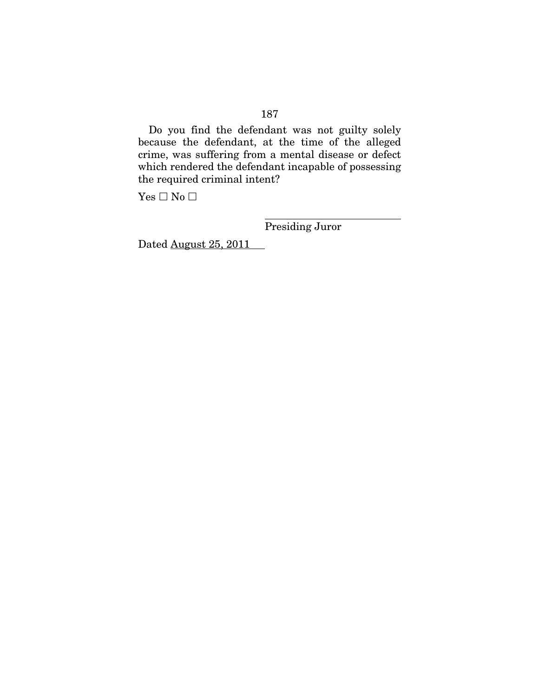Do you find the defendant was not guilty solely because the defendant, at the time of the alleged crime, was suffering from a mental disease or defect which rendered the defendant incapable of possessing the required criminal intent?

 $\overline{a}$ 

 $Yes \Box No \Box$ 

Presiding Juror

Dated August 25, 2011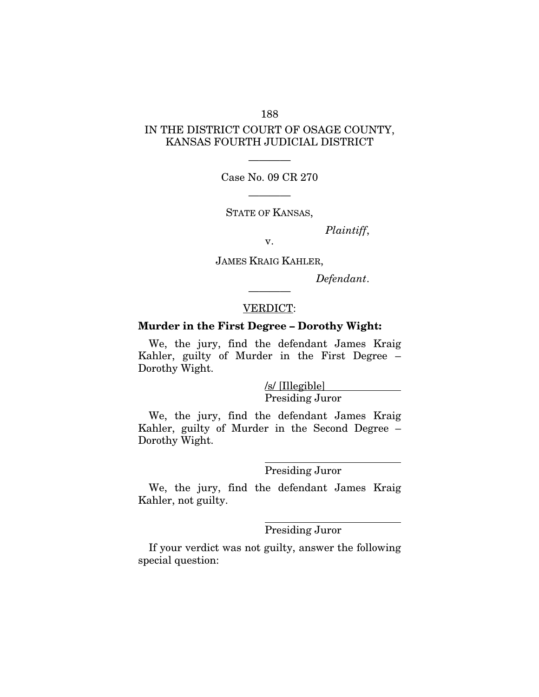## IN THE DISTRICT COURT OF OSAGE COUNTY, KANSAS FOURTH JUDICIAL DISTRICT

———— Case No. 09 CR 270

————

STATE OF KANSAS,

*Plaintiff*,

v.

JAMES KRAIG KAHLER,

*Defendant*.

#### VERDICT:

————

#### Murder in the First Degree – Dorothy Wight:

We, the jury, find the defendant James Kraig Kahler, guilty of Murder in the First Degree – Dorothy Wight.

> /s/ [Illegible] Presiding Juror

We, the jury, find the defendant James Kraig Kahler, guilty of Murder in the Second Degree – Dorothy Wight.

 $\overline{a}$ 

#### Presiding Juror

We, the jury, find the defendant James Kraig Kahler, not guilty.

 $\overline{a}$ 

#### Presiding Juror

If your verdict was not guilty, answer the following special question: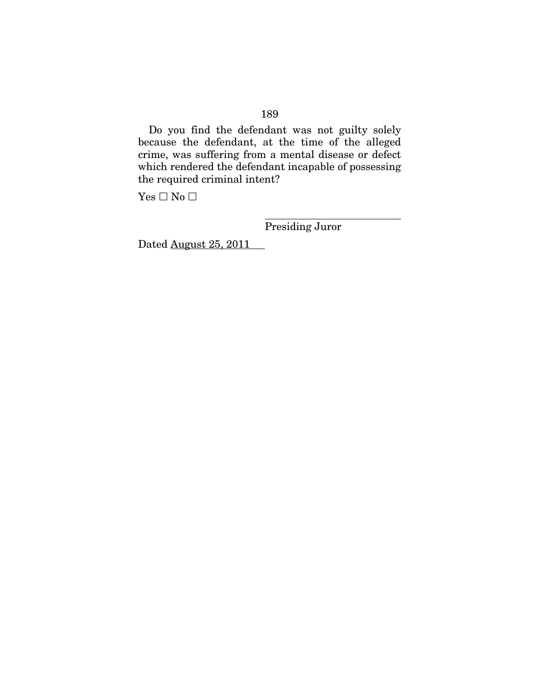Do you find the defendant was not guilty solely because the defendant, at the time of the alleged crime, was suffering from a mental disease or defect which rendered the defendant incapable of possessing the required criminal intent?

 $\overline{a}$ 

 $Yes \Box No \Box$ 

Presiding Juror

Dated August 25, 2011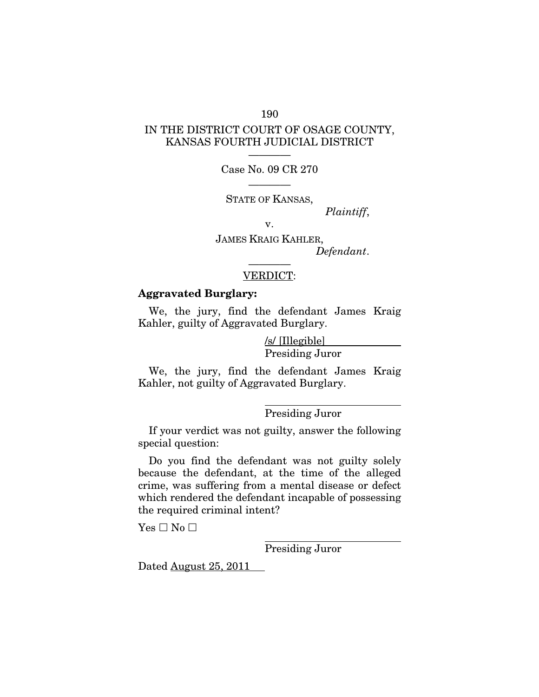## IN THE DISTRICT COURT OF OSAGE COUNTY, KANSAS FOURTH JUDICIAL DISTRICT

———— Case No. 09 CR 270

———— STATE OF KANSAS,

*Plaintiff*,

v.

JAMES KRAIG KAHLER, *Defendant*. ————

#### VERDICT:

## Aggravated Burglary:

We, the jury, find the defendant James Kraig Kahler, guilty of Aggravated Burglary.

> /s/ [Illegible] Presiding Juror

We, the jury, find the defendant James Kraig Kahler, not guilty of Aggravated Burglary.

 $\overline{a}$ 

Presiding Juror

If your verdict was not guilty, answer the following special question:

Do you find the defendant was not guilty solely because the defendant, at the time of the alleged crime, was suffering from a mental disease or defect which rendered the defendant incapable of possessing the required criminal intent?

 $Yes \Box No \Box$ 

Presiding Juror

Dated August 25, 2011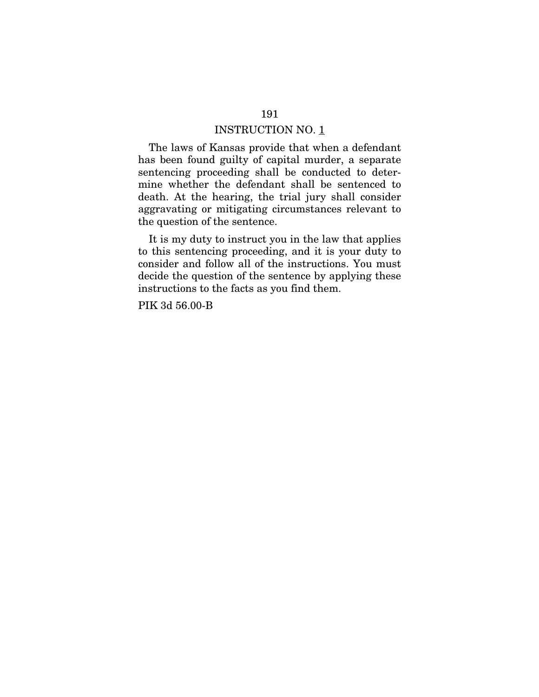The laws of Kansas provide that when a defendant has been found guilty of capital murder, a separate sentencing proceeding shall be conducted to determine whether the defendant shall be sentenced to death. At the hearing, the trial jury shall consider aggravating or mitigating circumstances relevant to the question of the sentence.

It is my duty to instruct you in the law that applies to this sentencing proceeding, and it is your duty to consider and follow all of the instructions. You must decide the question of the sentence by applying these instructions to the facts as you find them.

PIK 3d 56.00-B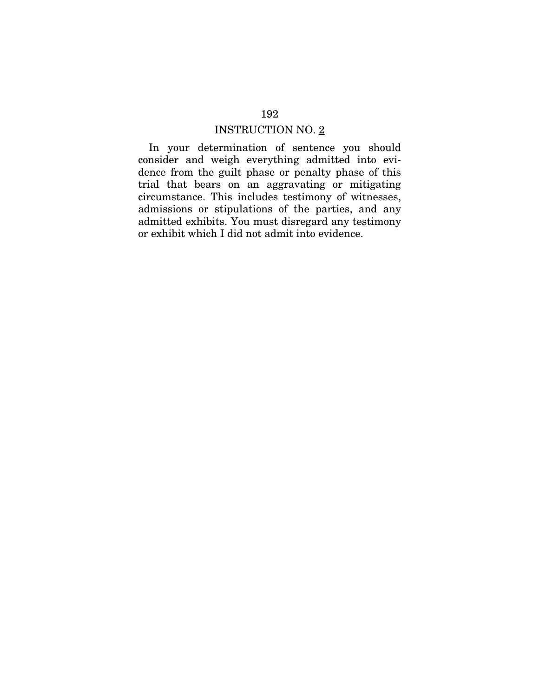In your determination of sentence you should consider and weigh everything admitted into evidence from the guilt phase or penalty phase of this trial that bears on an aggravating or mitigating circumstance. This includes testimony of witnesses, admissions or stipulations of the parties, and any admitted exhibits. You must disregard any testimony or exhibit which I did not admit into evidence.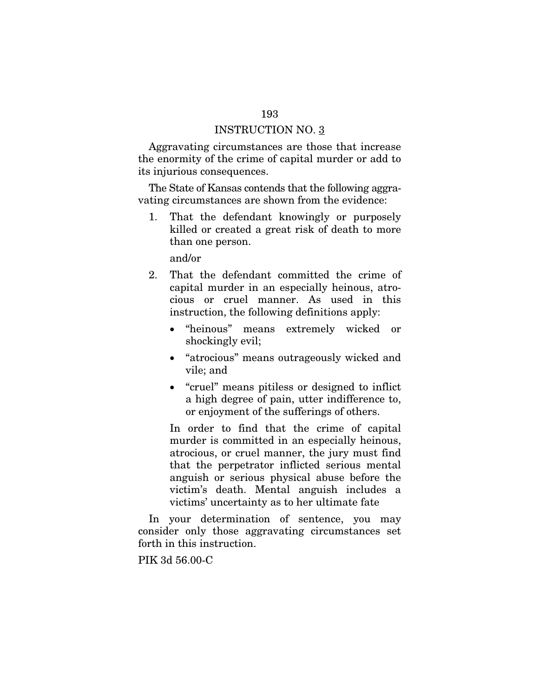Aggravating circumstances are those that increase the enormity of the crime of capital murder or add to its injurious consequences.

The State of Kansas contends that the following aggravating circumstances are shown from the evidence:

1. That the defendant knowingly or purposely killed or created a great risk of death to more than one person.

and/or

- 2. That the defendant committed the crime of capital murder in an especially heinous, atrocious or cruel manner. As used in this instruction, the following definitions apply:
	- "heinous" means extremely wicked or shockingly evil;
	- "atrocious" means outrageously wicked and vile; and
	- "cruel" means pitiless or designed to inflict a high degree of pain, utter indifference to, or enjoyment of the sufferings of others.

In order to find that the crime of capital murder is committed in an especially heinous, atrocious, or cruel manner, the jury must find that the perpetrator inflicted serious mental anguish or serious physical abuse before the victim's death. Mental anguish includes a victims' uncertainty as to her ultimate fate

In your determination of sentence, you may consider only those aggravating circumstances set forth in this instruction.

PIK 3d 56.00-C

#### 193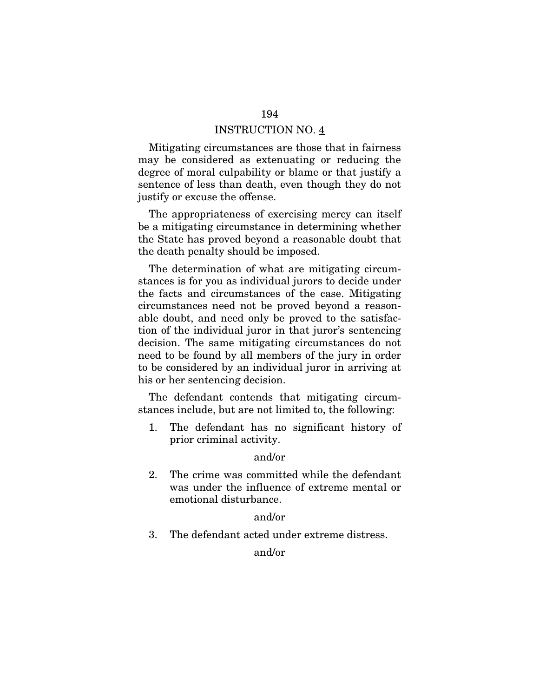Mitigating circumstances are those that in fairness may be considered as extenuating or reducing the degree of moral culpability or blame or that justify a sentence of less than death, even though they do not justify or excuse the offense.

The appropriateness of exercising mercy can itself be a mitigating circumstance in determining whether the State has proved beyond a reasonable doubt that the death penalty should be imposed.

The determination of what are mitigating circumstances is for you as individual jurors to decide under the facts and circumstances of the case. Mitigating circumstances need not be proved beyond a reasonable doubt, and need only be proved to the satisfaction of the individual juror in that juror's sentencing decision. The same mitigating circumstances do not need to be found by all members of the jury in order to be considered by an individual juror in arriving at his or her sentencing decision.

The defendant contends that mitigating circumstances include, but are not limited to, the following:

1. The defendant has no significant history of prior criminal activity.

#### and/or

2. The crime was committed while the defendant was under the influence of extreme mental or emotional disturbance.

#### and/or

3. The defendant acted under extreme distress.

and/or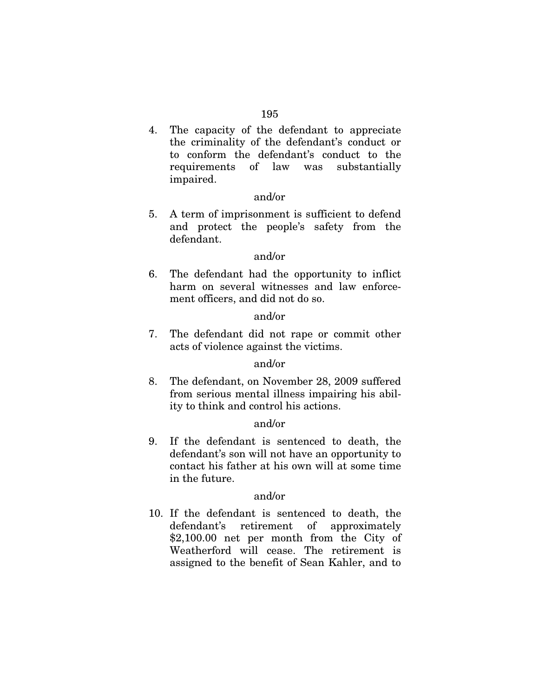4. The capacity of the defendant to appreciate the criminality of the defendant's conduct or to conform the defendant's conduct to the requirements of law was substantially impaired.

#### and/or

5. A term of imprisonment is sufficient to defend and protect the people's safety from the defendant.

#### and/or

6. The defendant had the opportunity to inflict harm on several witnesses and law enforcement officers, and did not do so.

## and/or

7. The defendant did not rape or commit other acts of violence against the victims.

#### and/or

8. The defendant, on November 28, 2009 suffered from serious mental illness impairing his ability to think and control his actions.

## and/or

9. If the defendant is sentenced to death, the defendant's son will not have an opportunity to contact his father at his own will at some time in the future.

## and/or

10. If the defendant is sentenced to death, the defendant's retirement of approximately \$2,100.00 net per month from the City of Weatherford will cease. The retirement is assigned to the benefit of Sean Kahler, and to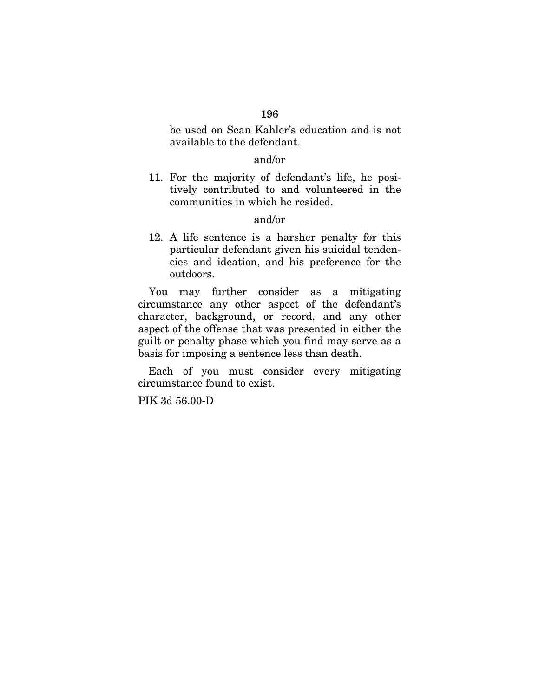be used on Sean Kahler's education and is not available to the defendant.

## and/or

11. For the majority of defendant's life, he positively contributed to and volunteered in the communities in which he resided.

## and/or

12. A life sentence is a harsher penalty for this particular defendant given his suicidal tendencies and ideation, and his preference for the outdoors.

You may further consider as a mitigating circumstance any other aspect of the defendant's character, background, or record, and any other aspect of the offense that was presented in either the guilt or penalty phase which you find may serve as a basis for imposing a sentence less than death.

Each of you must consider every mitigating circumstance found to exist.

PIK 3d 56.00-D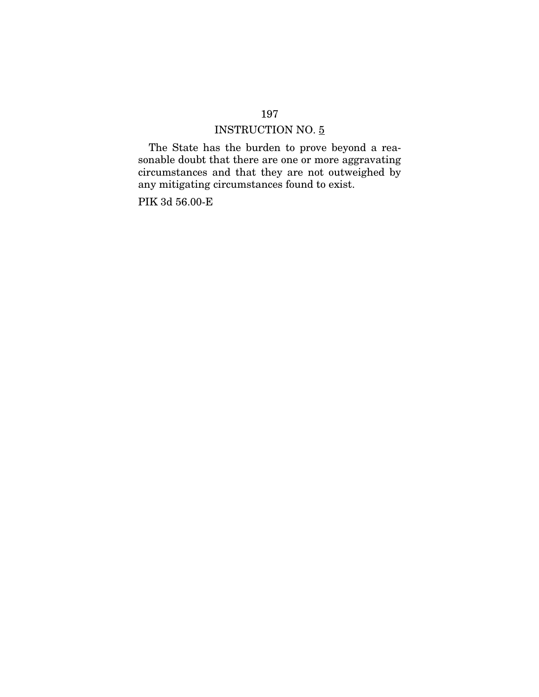## INSTRUCTION NO. 5

The State has the burden to prove beyond a reasonable doubt that there are one or more aggravating circumstances and that they are not outweighed by any mitigating circumstances found to exist.

PIK 3d 56.00-E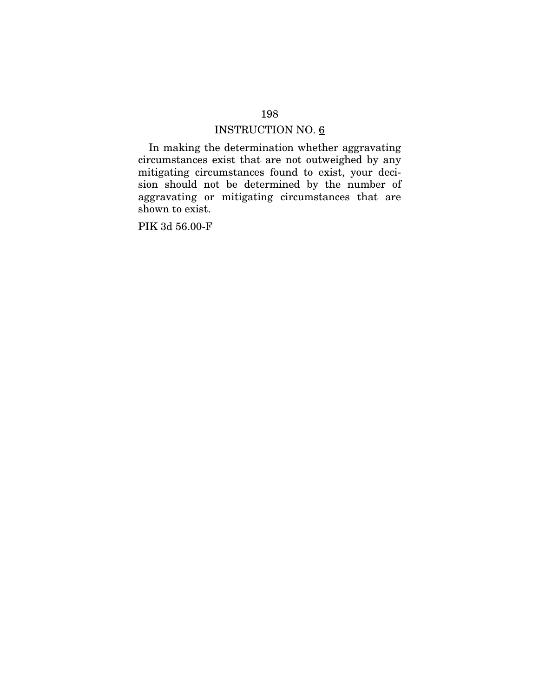In making the determination whether aggravating circumstances exist that are not outweighed by any mitigating circumstances found to exist, your decision should not be determined by the number of aggravating or mitigating circumstances that are shown to exist.

PIK 3d 56.00-F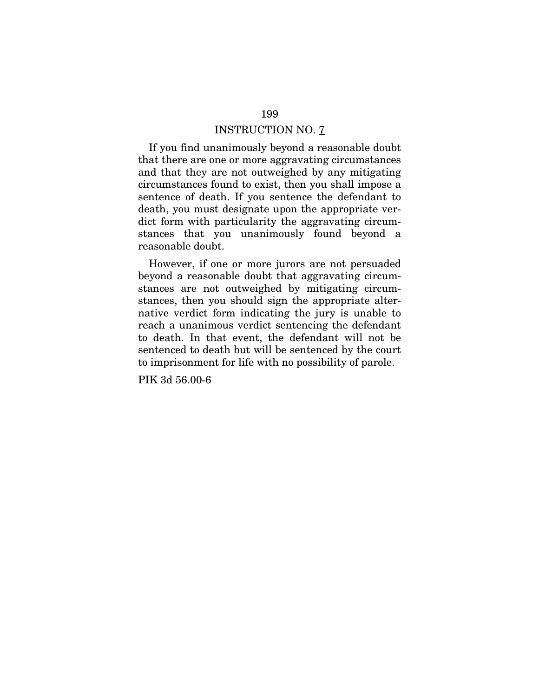If you find unanimously beyond a reasonable doubt that there are one or more aggravating circumstances and that they are not outweighed by any mitigating circumstances found to exist, then you shall impose a sentence of death. If you sentence the defendant to death, you must designate upon the appropriate verdict form with particularity the aggravating circumstances that you unanimously found beyond a reasonable doubt.

However, if one or more jurors are not persuaded beyond a reasonable doubt that aggravating circumstances are not outweighed by mitigating circumstances, then you should sign the appropriate alternative verdict form indicating the jury is unable to reach a unanimous verdict sentencing the defendant to death. In that event, the defendant will not be sentenced to death but will be sentenced by the court to imprisonment for life with no possibility of parole.

PIK 3d 56.00-6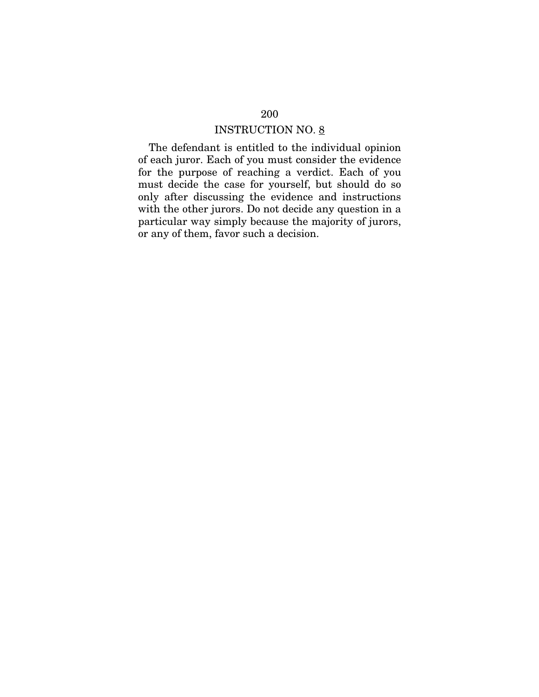The defendant is entitled to the individual opinion of each juror. Each of you must consider the evidence for the purpose of reaching a verdict. Each of you must decide the case for yourself, but should do so only after discussing the evidence and instructions with the other jurors. Do not decide any question in a particular way simply because the majority of jurors, or any of them, favor such a decision.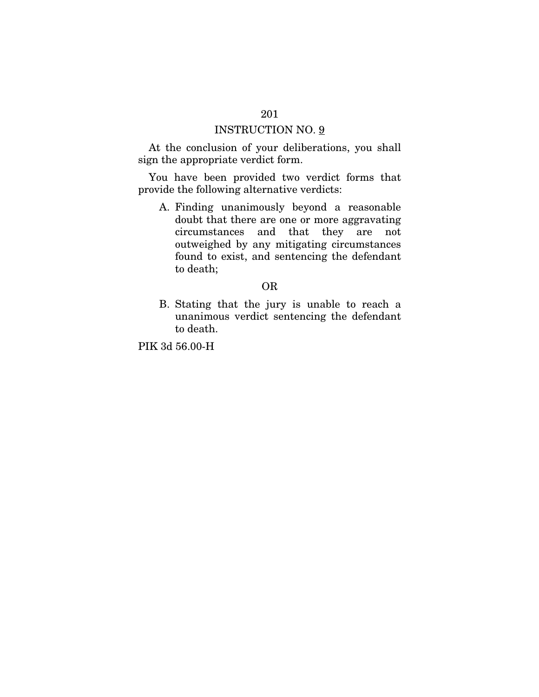At the conclusion of your deliberations, you shall sign the appropriate verdict form.

You have been provided two verdict forms that provide the following alternative verdicts:

A. Finding unanimously beyond a reasonable doubt that there are one or more aggravating circumstances and that they are not outweighed by any mitigating circumstances found to exist, and sentencing the defendant to death;

#### OR

B. Stating that the jury is unable to reach a unanimous verdict sentencing the defendant to death.

PIK 3d 56.00-H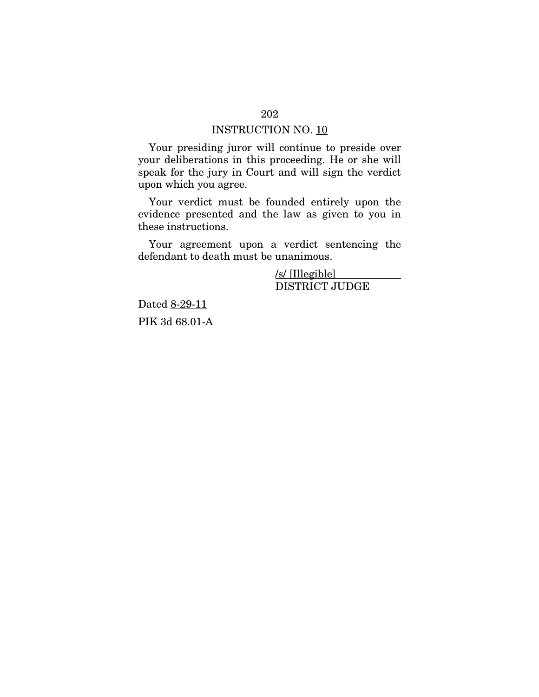Your presiding juror will continue to preside over your deliberations in this proceeding. He or she will speak for the jury in Court and will sign the verdict upon which you agree.

Your verdict must be founded entirely upon the evidence presented and the law as given to you in these instructions.

Your agreement upon a verdict sentencing the defendant to death must be unanimous.

> /s/ [Illegible] DISTRICT JUDGE

Dated 8-29-11 PIK 3d 68.01-A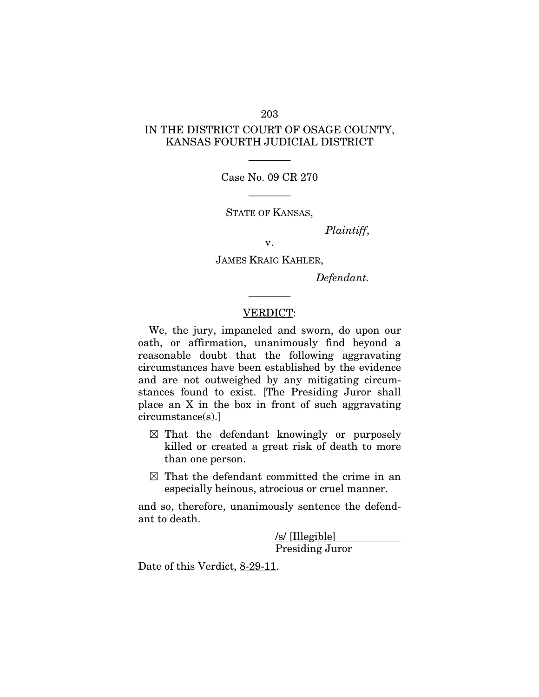## IN THE DISTRICT COURT OF OSAGE COUNTY, KANSAS FOURTH JUDICIAL DISTRICT

———— Case No. 09 CR 270

————

STATE OF KANSAS,

*Plaintiff*,

v.

JAMES KRAIG KAHLER,

*Defendant.* 

#### VERDICT:

————

We, the jury, impaneled and sworn, do upon our oath, or affirmation, unanimously find beyond a reasonable doubt that the following aggravating circumstances have been established by the evidence and are not outweighed by any mitigating circumstances found to exist. [The Presiding Juror shall place an X in the box in front of such aggravating circumstance(s).]

- $\boxtimes$  That the defendant knowingly or purposely killed or created a great risk of death to more than one person.
- $\boxtimes$  That the defendant committed the crime in an especially heinous, atrocious or cruel manner.

and so, therefore, unanimously sentence the defendant to death.

> /s/ [Illegible] Presiding Juror

Date of this Verdict, 8-29-11.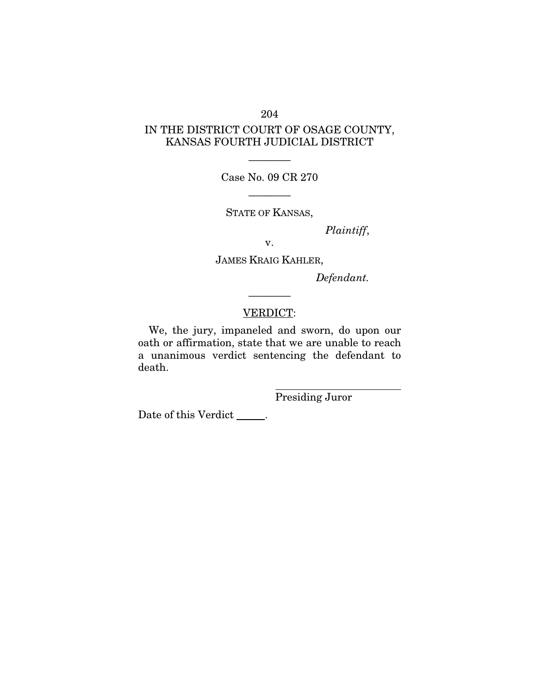## IN THE DISTRICT COURT OF OSAGE COUNTY, KANSAS FOURTH JUDICIAL DISTRICT

———— Case No. 09 CR 270

————

STATE OF KANSAS,

*Plaintiff*,

v.

JAMES KRAIG KAHLER,

*Defendant.* 

## VERDICT:

————

We, the jury, impaneled and sworn, do upon our oath or affirmation, state that we are unable to reach a unanimous verdict sentencing the defendant to death.

 $\overline{a}$ 

Presiding Juror

Date of this Verdict \_\_\_\_\_\_ .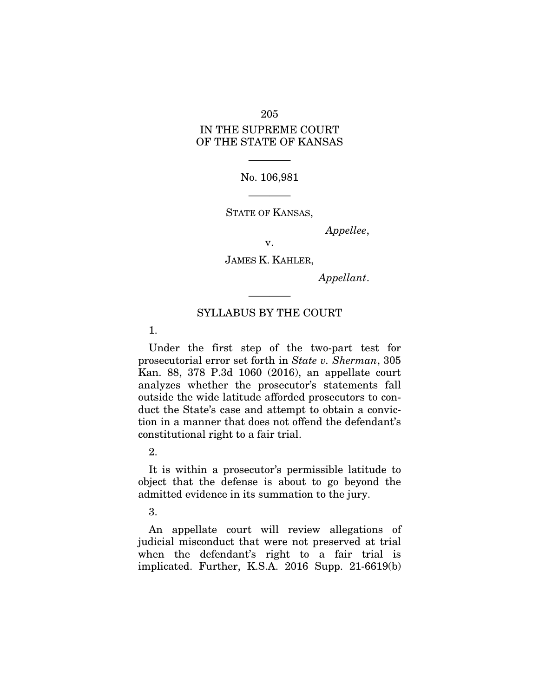## IN THE SUPREME COURT OF THE STATE OF KANSAS

————

#### No. 106,981

STATE OF KANSAS,

————

*Appellee*,

v.

JAMES K. KAHLER,

*Appellant*.

#### SYLLABUS BY THE COURT

————

1.

Under the first step of the two-part test for prosecutorial error set forth in *State v. Sherman*, 305 Kan. 88, 378 P.3d 1060 (2016), an appellate court analyzes whether the prosecutor's statements fall outside the wide latitude afforded prosecutors to conduct the State's case and attempt to obtain a conviction in a manner that does not offend the defendant's constitutional right to a fair trial.

2.

It is within a prosecutor's permissible latitude to object that the defense is about to go beyond the admitted evidence in its summation to the jury.

3.

An appellate court will review allegations of judicial misconduct that were not preserved at trial when the defendant's right to a fair trial is implicated. Further, K.S.A. 2016 Supp. 21-6619(b)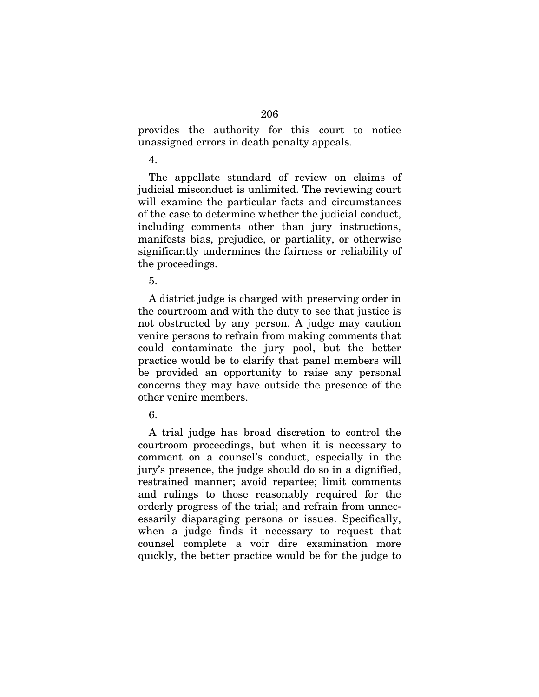provides the authority for this court to notice unassigned errors in death penalty appeals.

4.

The appellate standard of review on claims of judicial misconduct is unlimited. The reviewing court will examine the particular facts and circumstances of the case to determine whether the judicial conduct, including comments other than jury instructions, manifests bias, prejudice, or partiality, or otherwise significantly undermines the fairness or reliability of the proceedings.

5.

A district judge is charged with preserving order in the courtroom and with the duty to see that justice is not obstructed by any person. A judge may caution venire persons to refrain from making comments that could contaminate the jury pool, but the better practice would be to clarify that panel members will be provided an opportunity to raise any personal concerns they may have outside the presence of the other venire members.

6.

A trial judge has broad discretion to control the courtroom proceedings, but when it is necessary to comment on a counsel's conduct, especially in the jury's presence, the judge should do so in a dignified, restrained manner; avoid repartee; limit comments and rulings to those reasonably required for the orderly progress of the trial; and refrain from unnecessarily disparaging persons or issues. Specifically, when a judge finds it necessary to request that counsel complete a voir dire examination more quickly, the better practice would be for the judge to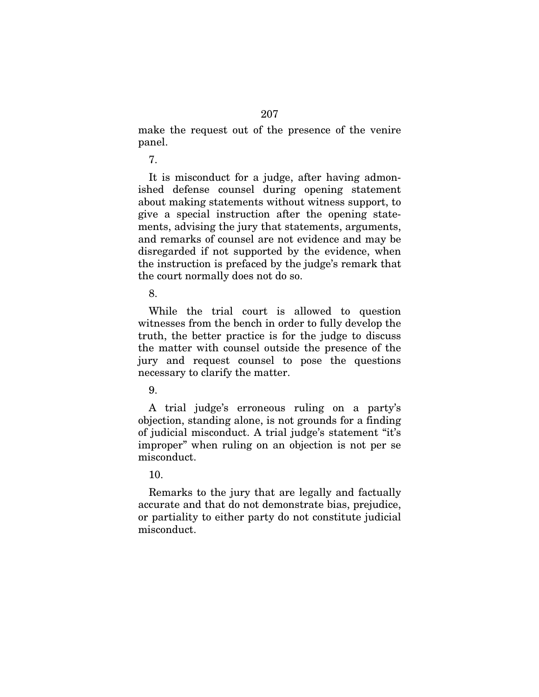make the request out of the presence of the venire panel.

7.

It is misconduct for a judge, after having admonished defense counsel during opening statement about making statements without witness support, to give a special instruction after the opening statements, advising the jury that statements, arguments, and remarks of counsel are not evidence and may be disregarded if not supported by the evidence, when the instruction is prefaced by the judge's remark that the court normally does not do so.

8.

While the trial court is allowed to question witnesses from the bench in order to fully develop the truth, the better practice is for the judge to discuss the matter with counsel outside the presence of the jury and request counsel to pose the questions necessary to clarify the matter.

9.

A trial judge's erroneous ruling on a party's objection, standing alone, is not grounds for a finding of judicial misconduct. A trial judge's statement "it's improper" when ruling on an objection is not per se misconduct.

10.

Remarks to the jury that are legally and factually accurate and that do not demonstrate bias, prejudice, or partiality to either party do not constitute judicial misconduct.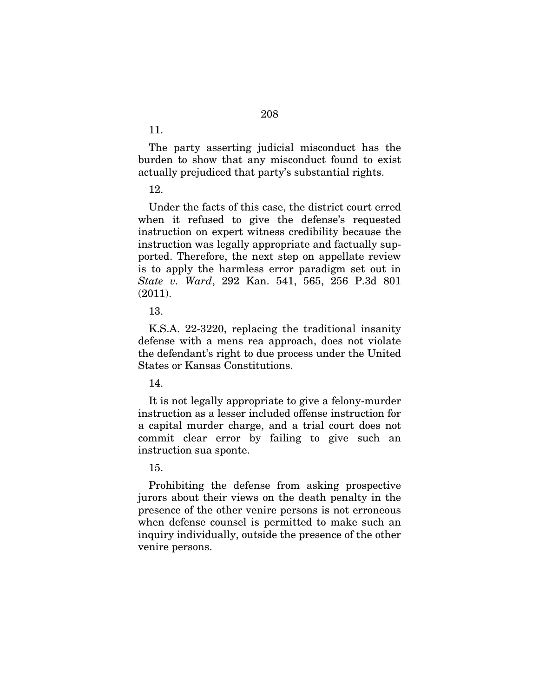The party asserting judicial misconduct has the burden to show that any misconduct found to exist actually prejudiced that party's substantial rights.

12.

Under the facts of this case, the district court erred when it refused to give the defense's requested instruction on expert witness credibility because the instruction was legally appropriate and factually supported. Therefore, the next step on appellate review is to apply the harmless error paradigm set out in *State v. Ward*, 292 Kan. 541, 565, 256 P.3d 801  $(2011).$ 

13.

K.S.A. 22-3220, replacing the traditional insanity defense with a mens rea approach, does not violate the defendant's right to due process under the United States or Kansas Constitutions.

14.

It is not legally appropriate to give a felony-murder instruction as a lesser included offense instruction for a capital murder charge, and a trial court does not commit clear error by failing to give such an instruction sua sponte.

15.

Prohibiting the defense from asking prospective jurors about their views on the death penalty in the presence of the other venire persons is not erroneous when defense counsel is permitted to make such an inquiry individually, outside the presence of the other venire persons.

11.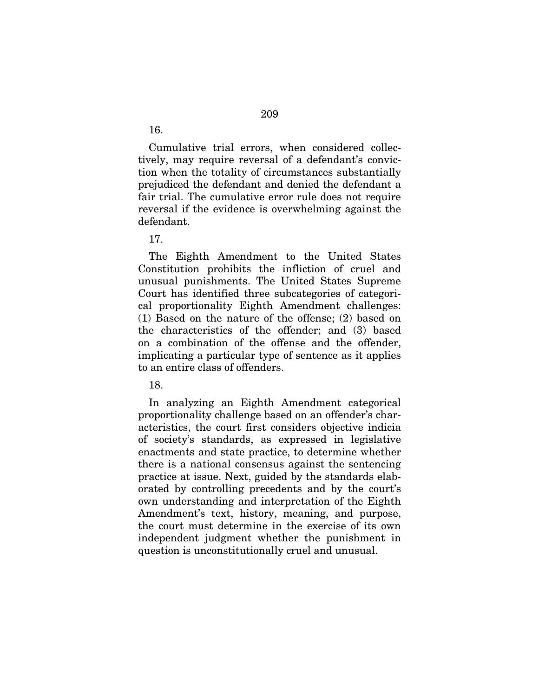Cumulative trial errors, when considered collectively, may require reversal of a defendant's conviction when the totality of circumstances substantially prejudiced the defendant and denied the defendant a fair trial. The cumulative error rule does not require reversal if the evidence is overwhelming against the defendant.

17.

The Eighth Amendment to the United States Constitution prohibits the infliction of cruel and unusual punishments. The United States Supreme Court has identified three subcategories of categorical proportionality Eighth Amendment challenges: (1) Based on the nature of the offense; (2) based on the characteristics of the offender; and (3) based on a combination of the offense and the offender, implicating a particular type of sentence as it applies to an entire class of offenders.

18.

In analyzing an Eighth Amendment categorical proportionality challenge based on an offender's characteristics, the court first considers objective indicia of society's standards, as expressed in legislative enactments and state practice, to determine whether there is a national consensus against the sentencing practice at issue. Next, guided by the standards elaborated by controlling precedents and by the court's own understanding and interpretation of the Eighth Amendment's text, history, meaning, and purpose, the court must determine in the exercise of its own independent judgment whether the punishment in question is unconstitutionally cruel and unusual.

16.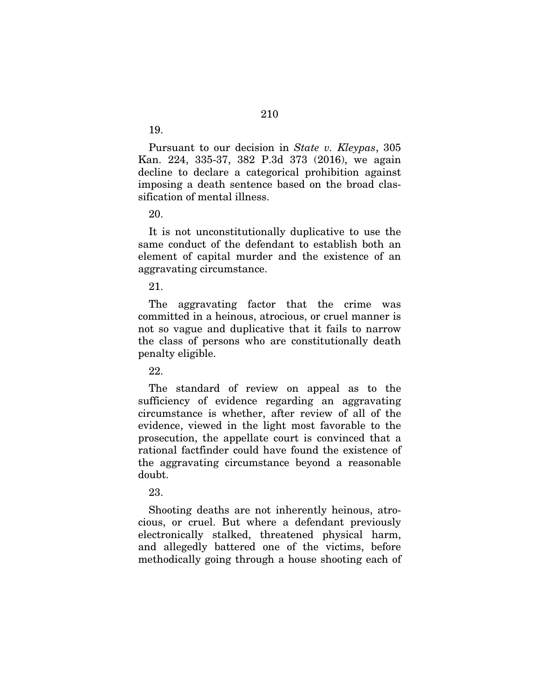Pursuant to our decision in *State v. Kleypas*, 305 Kan. 224, 335-37, 382 P.3d 373 (2016), we again decline to declare a categorical prohibition against imposing a death sentence based on the broad classification of mental illness.

20.

19.

It is not unconstitutionally duplicative to use the same conduct of the defendant to establish both an element of capital murder and the existence of an aggravating circumstance.

21.

The aggravating factor that the crime was committed in a heinous, atrocious, or cruel manner is not so vague and duplicative that it fails to narrow the class of persons who are constitutionally death penalty eligible.

22.

The standard of review on appeal as to the sufficiency of evidence regarding an aggravating circumstance is whether, after review of all of the evidence, viewed in the light most favorable to the prosecution, the appellate court is convinced that a rational factfinder could have found the existence of the aggravating circumstance beyond a reasonable doubt.

23.

Shooting deaths are not inherently heinous, atrocious, or cruel. But where a defendant previously electronically stalked, threatened physical harm, and allegedly battered one of the victims, before methodically going through a house shooting each of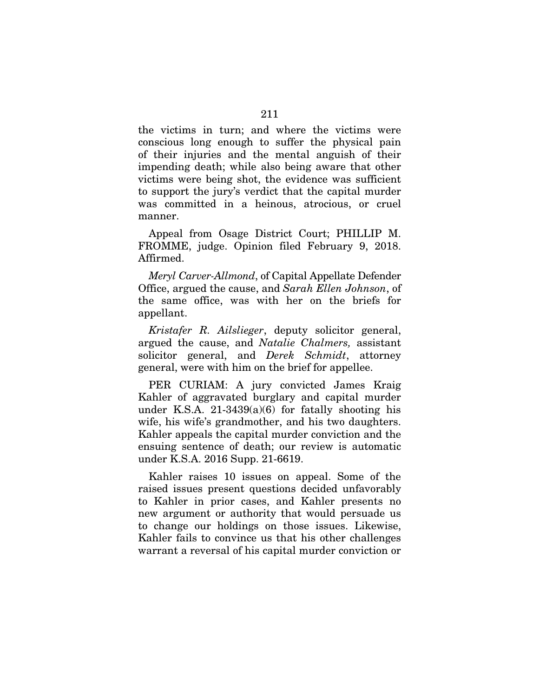the victims in turn; and where the victims were conscious long enough to suffer the physical pain of their injuries and the mental anguish of their impending death; while also being aware that other victims were being shot, the evidence was sufficient to support the jury's verdict that the capital murder was committed in a heinous, atrocious, or cruel manner.

Appeal from Osage District Court; PHILLIP M. FROMME, judge. Opinion filed February 9, 2018. Affirmed.

*Meryl Carver-Allmond*, of Capital Appellate Defender Office, argued the cause, and *Sarah Ellen Johnson*, of the same office, was with her on the briefs for appellant.

*Kristafer R. Ailslieger*, deputy solicitor general, argued the cause, and *Natalie Chalmers,* assistant solicitor general, and *Derek Schmidt*, attorney general, were with him on the brief for appellee.

PER CURIAM: A jury convicted James Kraig Kahler of aggravated burglary and capital murder under K.S.A.  $21-3439(a)(6)$  for fatally shooting his wife, his wife's grandmother, and his two daughters. Kahler appeals the capital murder conviction and the ensuing sentence of death; our review is automatic under K.S.A. 2016 Supp. 21-6619.

Kahler raises 10 issues on appeal. Some of the raised issues present questions decided unfavorably to Kahler in prior cases, and Kahler presents no new argument or authority that would persuade us to change our holdings on those issues. Likewise, Kahler fails to convince us that his other challenges warrant a reversal of his capital murder conviction or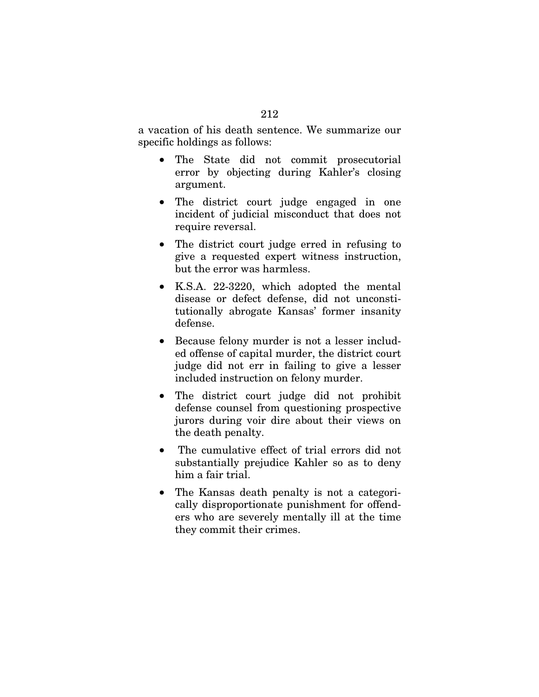a vacation of his death sentence. We summarize our specific holdings as follows:

- The State did not commit prosecutorial error by objecting during Kahler's closing argument.
- The district court judge engaged in one incident of judicial misconduct that does not require reversal.
- The district court judge erred in refusing to give a requested expert witness instruction, but the error was harmless.
- K.S.A. 22-3220, which adopted the mental disease or defect defense, did not unconstitutionally abrogate Kansas' former insanity defense.
- Because felony murder is not a lesser included offense of capital murder, the district court judge did not err in failing to give a lesser included instruction on felony murder.
- The district court judge did not prohibit defense counsel from questioning prospective jurors during voir dire about their views on the death penalty.
- The cumulative effect of trial errors did not substantially prejudice Kahler so as to deny him a fair trial.
- The Kansas death penalty is not a categorically disproportionate punishment for offenders who are severely mentally ill at the time they commit their crimes.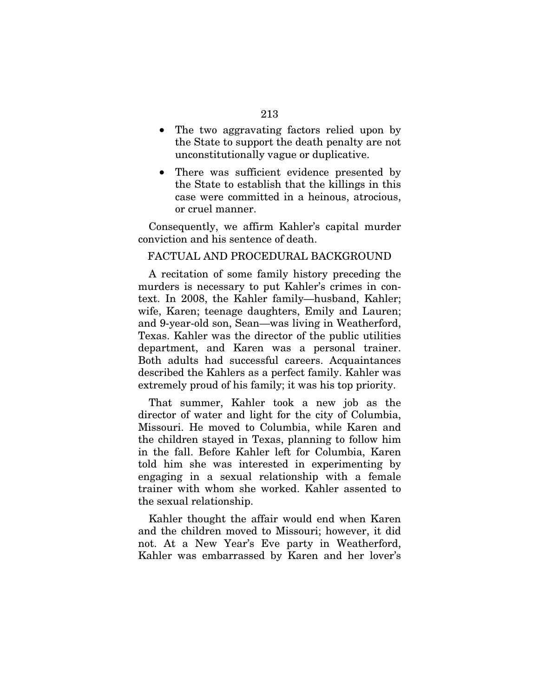- The two aggravating factors relied upon by the State to support the death penalty are not unconstitutionally vague or duplicative.
- There was sufficient evidence presented by the State to establish that the killings in this case were committed in a heinous, atrocious, or cruel manner.

Consequently, we affirm Kahler's capital murder conviction and his sentence of death.

# FACTUAL AND PROCEDURAL BACKGROUND

A recitation of some family history preceding the murders is necessary to put Kahler's crimes in context. In 2008, the Kahler family—husband, Kahler; wife, Karen; teenage daughters, Emily and Lauren; and 9-year-old son, Sean—was living in Weatherford, Texas. Kahler was the director of the public utilities department, and Karen was a personal trainer. Both adults had successful careers. Acquaintances described the Kahlers as a perfect family. Kahler was extremely proud of his family; it was his top priority.

That summer, Kahler took a new job as the director of water and light for the city of Columbia, Missouri. He moved to Columbia, while Karen and the children stayed in Texas, planning to follow him in the fall. Before Kahler left for Columbia, Karen told him she was interested in experimenting by engaging in a sexual relationship with a female trainer with whom she worked. Kahler assented to the sexual relationship.

Kahler thought the affair would end when Karen and the children moved to Missouri; however, it did not. At a New Year's Eve party in Weatherford, Kahler was embarrassed by Karen and her lover's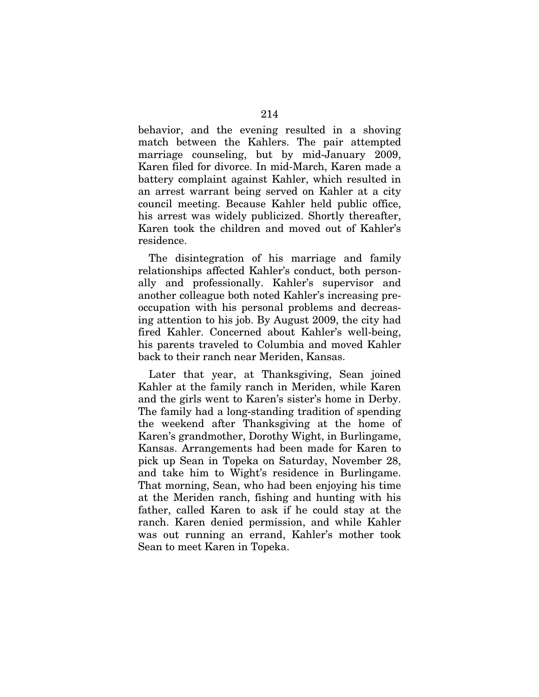behavior, and the evening resulted in a shoving match between the Kahlers. The pair attempted marriage counseling, but by mid-January 2009, Karen filed for divorce. In mid-March, Karen made a battery complaint against Kahler, which resulted in an arrest warrant being served on Kahler at a city council meeting. Because Kahler held public office, his arrest was widely publicized. Shortly thereafter, Karen took the children and moved out of Kahler's residence.

The disintegration of his marriage and family relationships affected Kahler's conduct, both personally and professionally. Kahler's supervisor and another colleague both noted Kahler's increasing preoccupation with his personal problems and decreasing attention to his job. By August 2009, the city had fired Kahler. Concerned about Kahler's well-being, his parents traveled to Columbia and moved Kahler back to their ranch near Meriden, Kansas.

Later that year, at Thanksgiving, Sean joined Kahler at the family ranch in Meriden, while Karen and the girls went to Karen's sister's home in Derby. The family had a long-standing tradition of spending the weekend after Thanksgiving at the home of Karen's grandmother, Dorothy Wight, in Burlingame, Kansas. Arrangements had been made for Karen to pick up Sean in Topeka on Saturday, November 28, and take him to Wight's residence in Burlingame. That morning, Sean, who had been enjoying his time at the Meriden ranch, fishing and hunting with his father, called Karen to ask if he could stay at the ranch. Karen denied permission, and while Kahler was out running an errand, Kahler's mother took Sean to meet Karen in Topeka.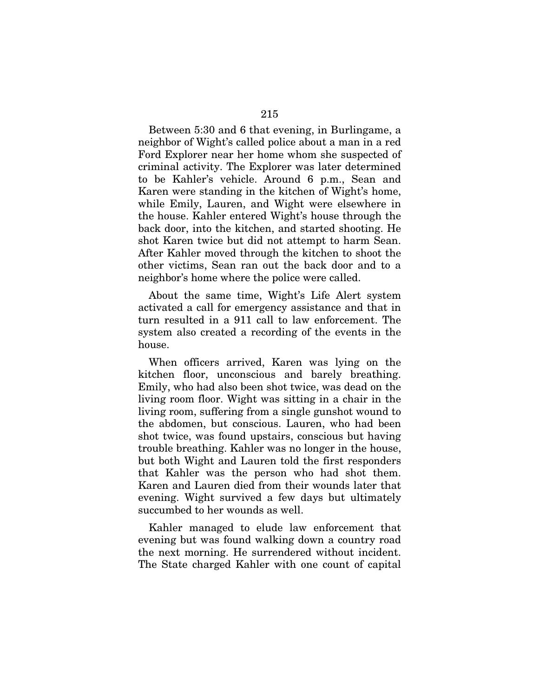Between 5:30 and 6 that evening, in Burlingame, a neighbor of Wight's called police about a man in a red Ford Explorer near her home whom she suspected of criminal activity. The Explorer was later determined to be Kahler's vehicle. Around 6 p.m., Sean and Karen were standing in the kitchen of Wight's home, while Emily, Lauren, and Wight were elsewhere in the house. Kahler entered Wight's house through the back door, into the kitchen, and started shooting. He shot Karen twice but did not attempt to harm Sean. After Kahler moved through the kitchen to shoot the other victims, Sean ran out the back door and to a neighbor's home where the police were called.

About the same time, Wight's Life Alert system activated a call for emergency assistance and that in turn resulted in a 911 call to law enforcement. The system also created a recording of the events in the house.

When officers arrived, Karen was lying on the kitchen floor, unconscious and barely breathing. Emily, who had also been shot twice, was dead on the living room floor. Wight was sitting in a chair in the living room, suffering from a single gunshot wound to the abdomen, but conscious. Lauren, who had been shot twice, was found upstairs, conscious but having trouble breathing. Kahler was no longer in the house, but both Wight and Lauren told the first responders that Kahler was the person who had shot them. Karen and Lauren died from their wounds later that evening. Wight survived a few days but ultimately succumbed to her wounds as well.

Kahler managed to elude law enforcement that evening but was found walking down a country road the next morning. He surrendered without incident. The State charged Kahler with one count of capital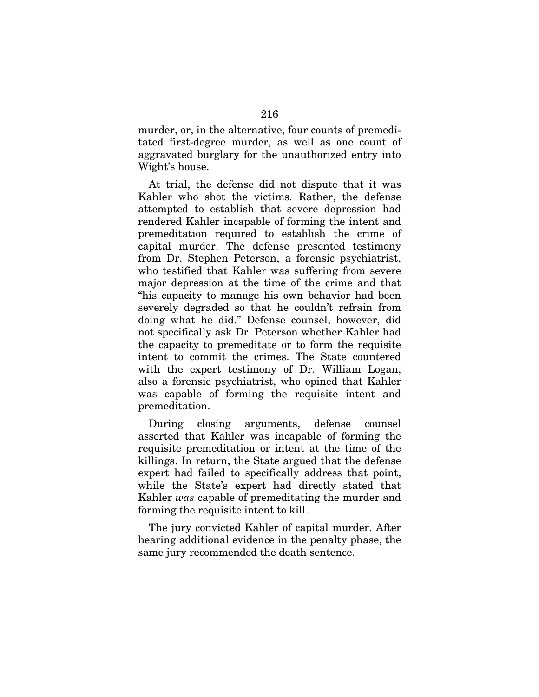murder, or, in the alternative, four counts of premeditated first-degree murder, as well as one count of aggravated burglary for the unauthorized entry into Wight's house.

At trial, the defense did not dispute that it was Kahler who shot the victims. Rather, the defense attempted to establish that severe depression had rendered Kahler incapable of forming the intent and premeditation required to establish the crime of capital murder. The defense presented testimony from Dr. Stephen Peterson, a forensic psychiatrist, who testified that Kahler was suffering from severe major depression at the time of the crime and that "his capacity to manage his own behavior had been severely degraded so that he couldn't refrain from doing what he did." Defense counsel, however, did not specifically ask Dr. Peterson whether Kahler had the capacity to premeditate or to form the requisite intent to commit the crimes. The State countered with the expert testimony of Dr. William Logan, also a forensic psychiatrist, who opined that Kahler was capable of forming the requisite intent and premeditation.

During closing arguments, defense counsel asserted that Kahler was incapable of forming the requisite premeditation or intent at the time of the killings. In return, the State argued that the defense expert had failed to specifically address that point, while the State's expert had directly stated that Kahler *was* capable of premeditating the murder and forming the requisite intent to kill.

The jury convicted Kahler of capital murder. After hearing additional evidence in the penalty phase, the same jury recommended the death sentence.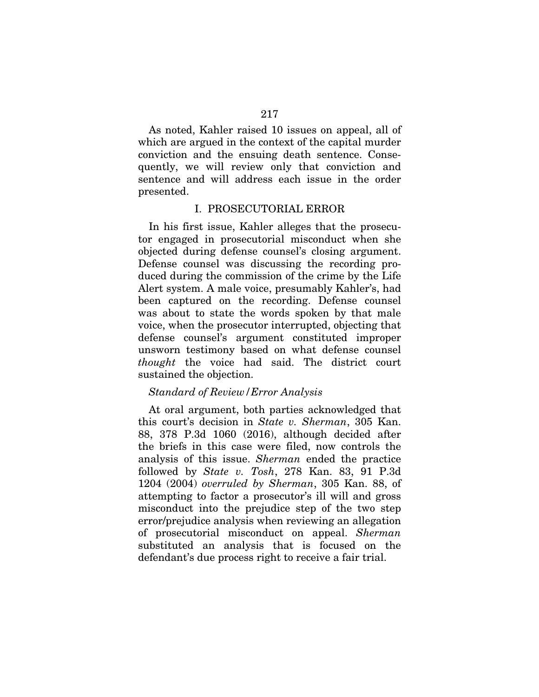As noted, Kahler raised 10 issues on appeal, all of which are argued in the context of the capital murder conviction and the ensuing death sentence. Consequently, we will review only that conviction and sentence and will address each issue in the order presented.

## I. PROSECUTORIAL ERROR

In his first issue, Kahler alleges that the prosecutor engaged in prosecutorial misconduct when she objected during defense counsel's closing argument. Defense counsel was discussing the recording produced during the commission of the crime by the Life Alert system. A male voice, presumably Kahler's, had been captured on the recording. Defense counsel was about to state the words spoken by that male voice, when the prosecutor interrupted, objecting that defense counsel's argument constituted improper unsworn testimony based on what defense counsel *thought* the voice had said. The district court sustained the objection.

# *Standard of Review/Error Analysis*

At oral argument, both parties acknowledged that this court's decision in *State v. Sherman*, 305 Kan. 88, 378 P.3d 1060 (2016), although decided after the briefs in this case were filed, now controls the analysis of this issue. *Sherman* ended the practice followed by *State v. Tosh*, 278 Kan. 83, 91 P.3d 1204 (2004) *overruled by Sherman*, 305 Kan. 88, of attempting to factor a prosecutor's ill will and gross misconduct into the prejudice step of the two step error/prejudice analysis when reviewing an allegation of prosecutorial misconduct on appeal. *Sherman*  substituted an analysis that is focused on the defendant's due process right to receive a fair trial.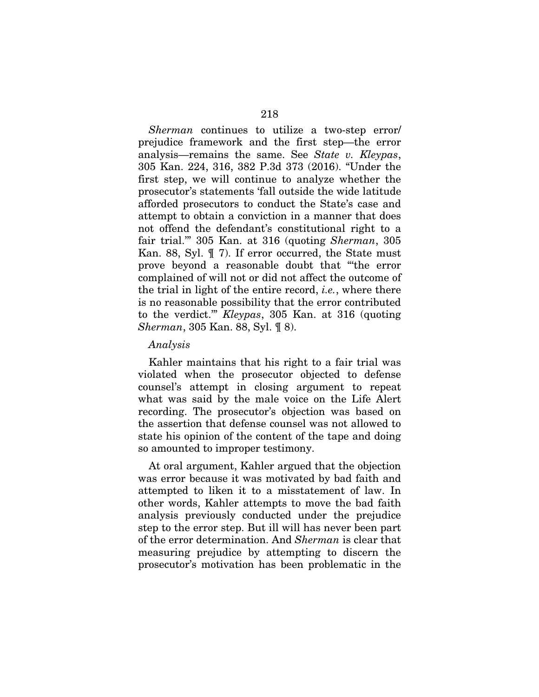*Sherman* continues to utilize a two-step error/ prejudice framework and the first step—the error analysis—remains the same. See *State v. Kleypas*, 305 Kan. 224, 316, 382 P.3d 373 (2016). "Under the first step, we will continue to analyze whether the prosecutor's statements 'fall outside the wide latitude afforded prosecutors to conduct the State's case and attempt to obtain a conviction in a manner that does not offend the defendant's constitutional right to a fair trial.'" 305 Kan. at 316 (quoting *Sherman*, 305 Kan. 88, Syl. ¶ 7). If error occurred, the State must prove beyond a reasonable doubt that "'the error complained of will not or did not affect the outcome of the trial in light of the entire record, *i.e.*, where there is no reasonable possibility that the error contributed to the verdict.'" *Kleypas*, 305 Kan. at 316 (quoting *Sherman*, 305 Kan. 88, Syl. ¶ 8).

#### *Analysis*

Kahler maintains that his right to a fair trial was violated when the prosecutor objected to defense counsel's attempt in closing argument to repeat what was said by the male voice on the Life Alert recording. The prosecutor's objection was based on the assertion that defense counsel was not allowed to state his opinion of the content of the tape and doing so amounted to improper testimony.

At oral argument, Kahler argued that the objection was error because it was motivated by bad faith and attempted to liken it to a misstatement of law. In other words, Kahler attempts to move the bad faith analysis previously conducted under the prejudice step to the error step. But ill will has never been part of the error determination. And *Sherman* is clear that measuring prejudice by attempting to discern the prosecutor's motivation has been problematic in the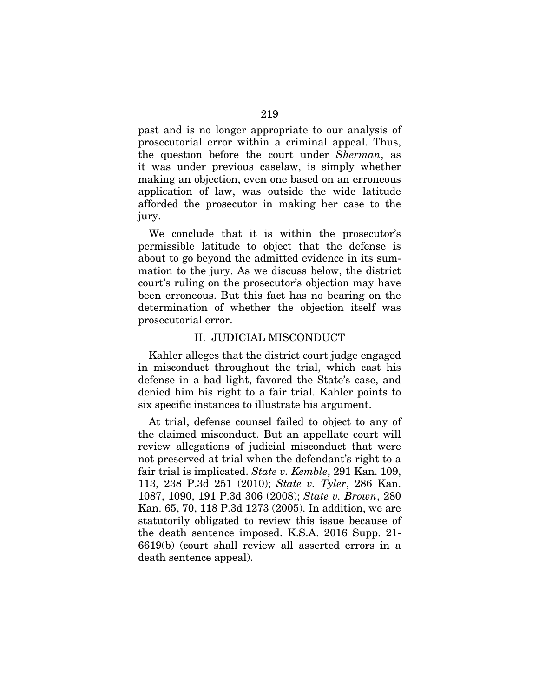past and is no longer appropriate to our analysis of prosecutorial error within a criminal appeal. Thus, the question before the court under *Sherman*, as it was under previous caselaw, is simply whether making an objection, even one based on an erroneous application of law, was outside the wide latitude afforded the prosecutor in making her case to the jury.

We conclude that it is within the prosecutor's permissible latitude to object that the defense is about to go beyond the admitted evidence in its summation to the jury. As we discuss below, the district court's ruling on the prosecutor's objection may have been erroneous. But this fact has no bearing on the determination of whether the objection itself was prosecutorial error.

### II. JUDICIAL MISCONDUCT

Kahler alleges that the district court judge engaged in misconduct throughout the trial, which cast his defense in a bad light, favored the State's case, and denied him his right to a fair trial. Kahler points to six specific instances to illustrate his argument.

At trial, defense counsel failed to object to any of the claimed misconduct. But an appellate court will review allegations of judicial misconduct that were not preserved at trial when the defendant's right to a fair trial is implicated. *State v. Kemble*, 291 Kan. 109, 113, 238 P.3d 251 (2010); *State v. Tyler*, 286 Kan. 1087, 1090, 191 P.3d 306 (2008); *State v. Brown*, 280 Kan. 65, 70, 118 P.3d 1273 (2005). In addition, we are statutorily obligated to review this issue because of the death sentence imposed. K.S.A. 2016 Supp. 21- 6619(b) (court shall review all asserted errors in a death sentence appeal).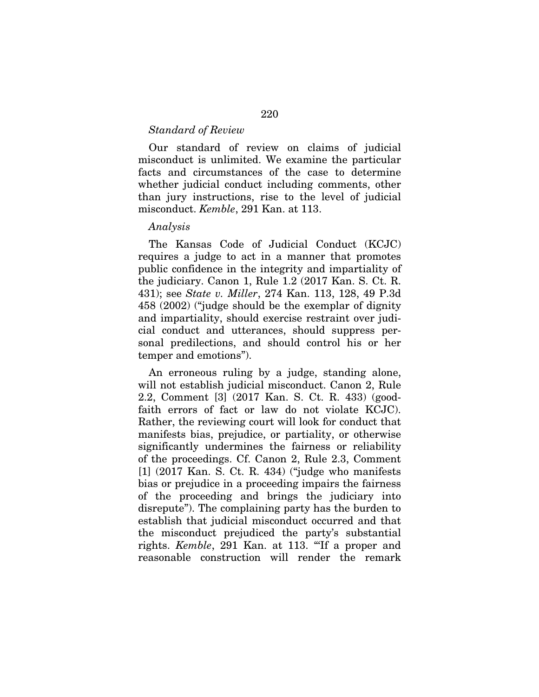### *Standard of Review*

Our standard of review on claims of judicial misconduct is unlimited. We examine the particular facts and circumstances of the case to determine whether judicial conduct including comments, other than jury instructions, rise to the level of judicial misconduct. *Kemble*, 291 Kan. at 113.

# *Analysis*

The Kansas Code of Judicial Conduct (KCJC) requires a judge to act in a manner that promotes public confidence in the integrity and impartiality of the judiciary. Canon 1, Rule 1.2 (2017 Kan. S. Ct. R. 431); see *State v. Miller*, 274 Kan. 113, 128, 49 P.3d 458 (2002) ("judge should be the exemplar of dignity and impartiality, should exercise restraint over judicial conduct and utterances, should suppress personal predilections, and should control his or her temper and emotions").

An erroneous ruling by a judge, standing alone, will not establish judicial misconduct. Canon 2, Rule 2.2, Comment [3] (2017 Kan. S. Ct. R. 433) (goodfaith errors of fact or law do not violate KCJC). Rather, the reviewing court will look for conduct that manifests bias, prejudice, or partiality, or otherwise significantly undermines the fairness or reliability of the proceedings. Cf. Canon 2, Rule 2.3, Comment [1] (2017 Kan. S. Ct. R. 434) ("judge who manifests bias or prejudice in a proceeding impairs the fairness of the proceeding and brings the judiciary into disrepute"). The complaining party has the burden to establish that judicial misconduct occurred and that the misconduct prejudiced the party's substantial rights. *Kemble*, 291 Kan. at 113. "'If a proper and reasonable construction will render the remark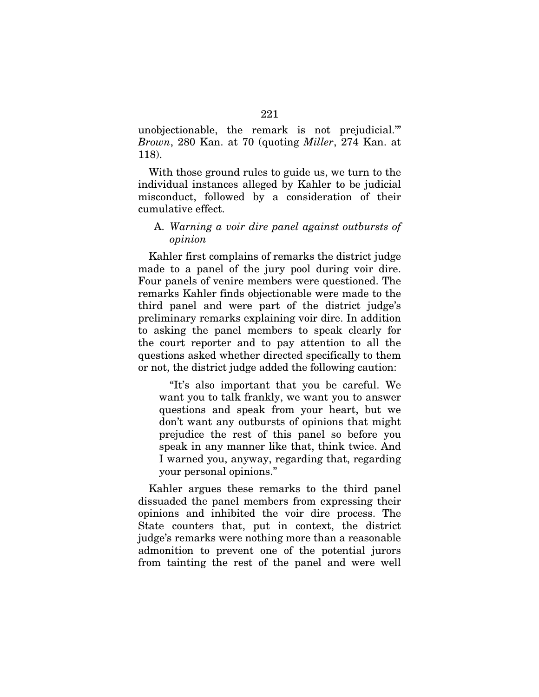unobjectionable, the remark is not prejudicial.'" *Brown*, 280 Kan. at 70 (quoting *Miller*, 274 Kan. at 118).

With those ground rules to guide us, we turn to the individual instances alleged by Kahler to be judicial misconduct, followed by a consideration of their cumulative effect.

# A. *Warning a voir dire panel against outbursts of opinion*

Kahler first complains of remarks the district judge made to a panel of the jury pool during voir dire. Four panels of venire members were questioned. The remarks Kahler finds objectionable were made to the third panel and were part of the district judge's preliminary remarks explaining voir dire. In addition to asking the panel members to speak clearly for the court reporter and to pay attention to all the questions asked whether directed specifically to them or not, the district judge added the following caution:

"It's also important that you be careful. We want you to talk frankly, we want you to answer questions and speak from your heart, but we don't want any outbursts of opinions that might prejudice the rest of this panel so before you speak in any manner like that, think twice. And I warned you, anyway, regarding that, regarding your personal opinions."

Kahler argues these remarks to the third panel dissuaded the panel members from expressing their opinions and inhibited the voir dire process. The State counters that, put in context, the district judge's remarks were nothing more than a reasonable admonition to prevent one of the potential jurors from tainting the rest of the panel and were well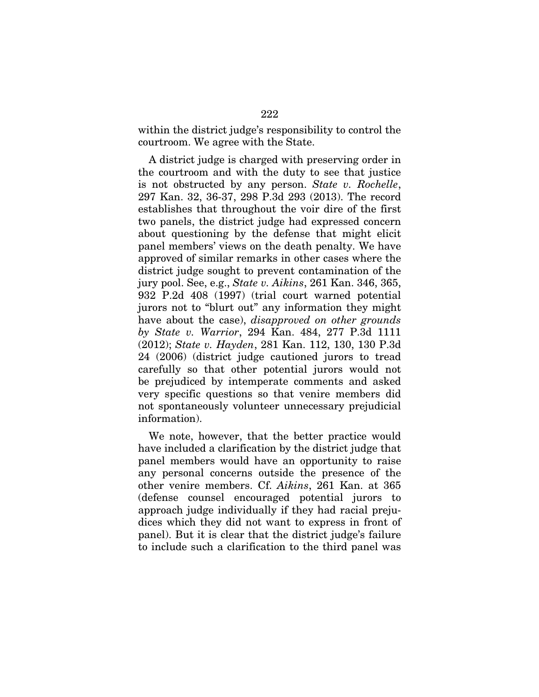within the district judge's responsibility to control the courtroom. We agree with the State.

A district judge is charged with preserving order in the courtroom and with the duty to see that justice is not obstructed by any person. *State v. Rochelle*, 297 Kan. 32, 36-37, 298 P.3d 293 (2013). The record establishes that throughout the voir dire of the first two panels, the district judge had expressed concern about questioning by the defense that might elicit panel members' views on the death penalty. We have approved of similar remarks in other cases where the district judge sought to prevent contamination of the jury pool. See, e.g., *State v. Aikins*, 261 Kan. 346, 365, 932 P.2d 408 (1997) (trial court warned potential jurors not to "blurt out" any information they might have about the case), *disapproved on other grounds by State v. Warrior*, 294 Kan. 484, 277 P.3d 1111 (2012); *State v. Hayden*, 281 Kan. 112, 130, 130 P.3d 24 (2006) (district judge cautioned jurors to tread carefully so that other potential jurors would not be prejudiced by intemperate comments and asked very specific questions so that venire members did not spontaneously volunteer unnecessary prejudicial information).

We note, however, that the better practice would have included a clarification by the district judge that panel members would have an opportunity to raise any personal concerns outside the presence of the other venire members. Cf. *Aikins*, 261 Kan. at 365 (defense counsel encouraged potential jurors to approach judge individually if they had racial prejudices which they did not want to express in front of panel). But it is clear that the district judge's failure to include such a clarification to the third panel was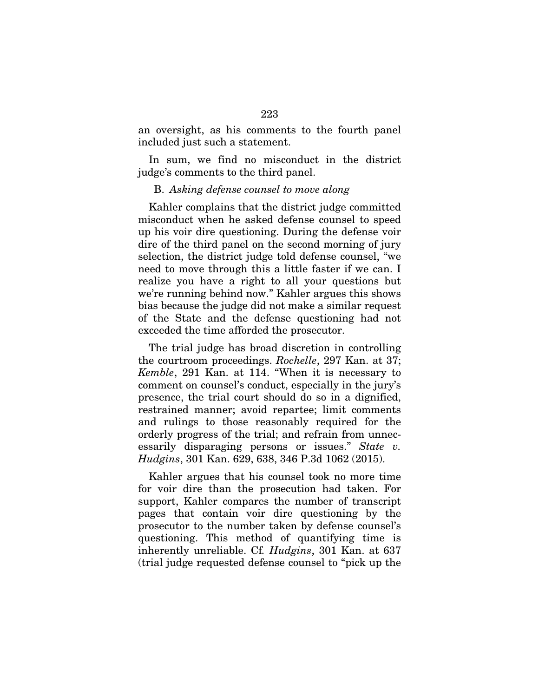an oversight, as his comments to the fourth panel included just such a statement.

In sum, we find no misconduct in the district judge's comments to the third panel.

### B. *Asking defense counsel to move along*

Kahler complains that the district judge committed misconduct when he asked defense counsel to speed up his voir dire questioning. During the defense voir dire of the third panel on the second morning of jury selection, the district judge told defense counsel, "we need to move through this a little faster if we can. I realize you have a right to all your questions but we're running behind now." Kahler argues this shows bias because the judge did not make a similar request of the State and the defense questioning had not exceeded the time afforded the prosecutor.

The trial judge has broad discretion in controlling the courtroom proceedings. *Rochelle*, 297 Kan. at 37; *Kemble*, 291 Kan. at 114. "When it is necessary to comment on counsel's conduct, especially in the jury's presence, the trial court should do so in a dignified, restrained manner; avoid repartee; limit comments and rulings to those reasonably required for the orderly progress of the trial; and refrain from unnecessarily disparaging persons or issues." *State v. Hudgins*, 301 Kan. 629, 638, 346 P.3d 1062 (2015).

Kahler argues that his counsel took no more time for voir dire than the prosecution had taken. For support, Kahler compares the number of transcript pages that contain voir dire questioning by the prosecutor to the number taken by defense counsel's questioning. This method of quantifying time is inherently unreliable. Cf*. Hudgins*, 301 Kan. at 637 (trial judge requested defense counsel to "pick up the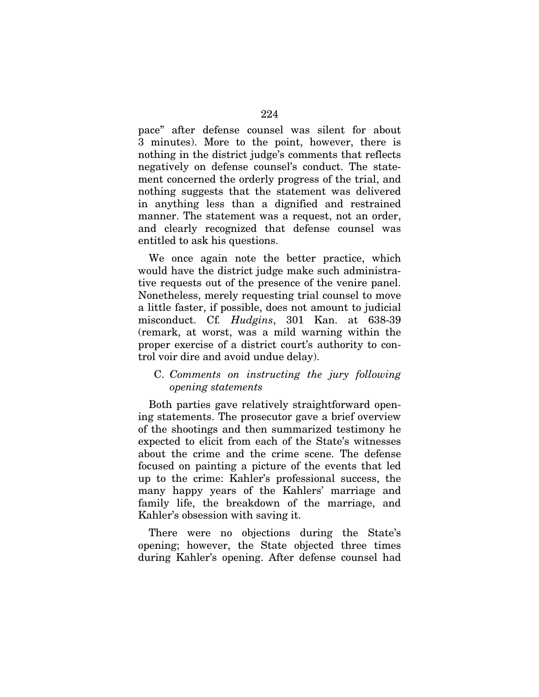pace" after defense counsel was silent for about 3 minutes). More to the point, however, there is nothing in the district judge's comments that reflects negatively on defense counsel's conduct. The statement concerned the orderly progress of the trial, and nothing suggests that the statement was delivered in anything less than a dignified and restrained manner. The statement was a request, not an order, and clearly recognized that defense counsel was entitled to ask his questions.

We once again note the better practice, which would have the district judge make such administrative requests out of the presence of the venire panel. Nonetheless, merely requesting trial counsel to move a little faster, if possible, does not amount to judicial misconduct. Cf*. Hudgins*, 301 Kan. at 638-39 (remark, at worst, was a mild warning within the proper exercise of a district court's authority to control voir dire and avoid undue delay).

# C. *Comments on instructing the jury following opening statements*

Both parties gave relatively straightforward opening statements. The prosecutor gave a brief overview of the shootings and then summarized testimony he expected to elicit from each of the State's witnesses about the crime and the crime scene. The defense focused on painting a picture of the events that led up to the crime: Kahler's professional success, the many happy years of the Kahlers' marriage and family life, the breakdown of the marriage, and Kahler's obsession with saving it.

There were no objections during the State's opening; however, the State objected three times during Kahler's opening. After defense counsel had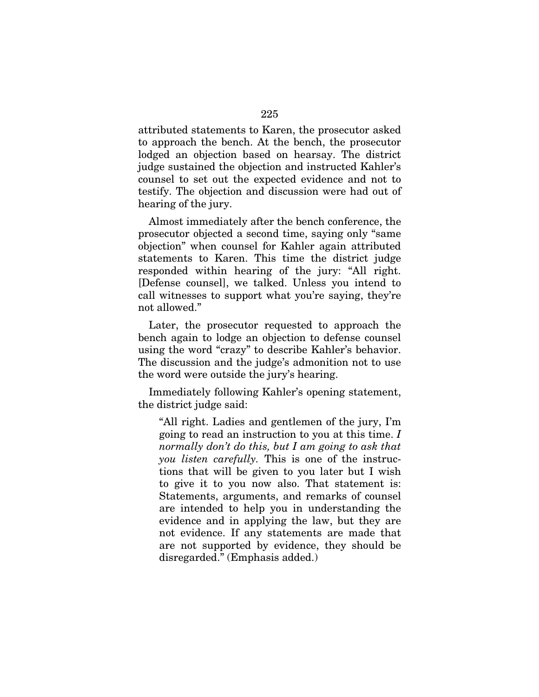attributed statements to Karen, the prosecutor asked to approach the bench. At the bench, the prosecutor lodged an objection based on hearsay. The district judge sustained the objection and instructed Kahler's counsel to set out the expected evidence and not to testify. The objection and discussion were had out of hearing of the jury.

Almost immediately after the bench conference, the prosecutor objected a second time, saying only "same objection" when counsel for Kahler again attributed statements to Karen. This time the district judge responded within hearing of the jury: "All right. [Defense counsel], we talked. Unless you intend to call witnesses to support what you're saying, they're not allowed."

Later, the prosecutor requested to approach the bench again to lodge an objection to defense counsel using the word "crazy" to describe Kahler's behavior. The discussion and the judge's admonition not to use the word were outside the jury's hearing.

Immediately following Kahler's opening statement, the district judge said:

"All right. Ladies and gentlemen of the jury, I'm going to read an instruction to you at this time. *I normally don't do this, but I am going to ask that you listen carefully.* This is one of the instructions that will be given to you later but I wish to give it to you now also. That statement is: Statements, arguments, and remarks of counsel are intended to help you in understanding the evidence and in applying the law, but they are not evidence. If any statements are made that are not supported by evidence, they should be disregarded." (Emphasis added.)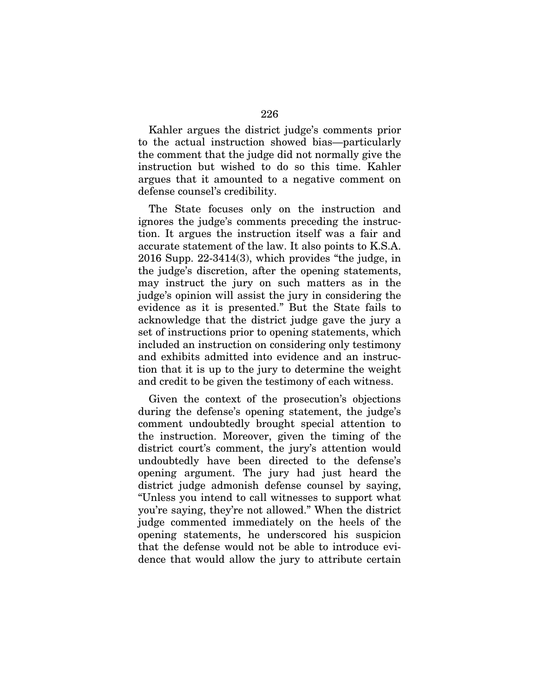Kahler argues the district judge's comments prior to the actual instruction showed bias—particularly the comment that the judge did not normally give the instruction but wished to do so this time. Kahler argues that it amounted to a negative comment on defense counsel's credibility.

The State focuses only on the instruction and ignores the judge's comments preceding the instruction. It argues the instruction itself was a fair and accurate statement of the law. It also points to K.S.A. 2016 Supp. 22-3414(3), which provides "the judge, in the judge's discretion, after the opening statements, may instruct the jury on such matters as in the judge's opinion will assist the jury in considering the evidence as it is presented." But the State fails to acknowledge that the district judge gave the jury a set of instructions prior to opening statements, which included an instruction on considering only testimony and exhibits admitted into evidence and an instruction that it is up to the jury to determine the weight and credit to be given the testimony of each witness.

Given the context of the prosecution's objections during the defense's opening statement, the judge's comment undoubtedly brought special attention to the instruction. Moreover, given the timing of the district court's comment, the jury's attention would undoubtedly have been directed to the defense's opening argument. The jury had just heard the district judge admonish defense counsel by saying, "Unless you intend to call witnesses to support what you're saying, they're not allowed." When the district judge commented immediately on the heels of the opening statements, he underscored his suspicion that the defense would not be able to introduce evidence that would allow the jury to attribute certain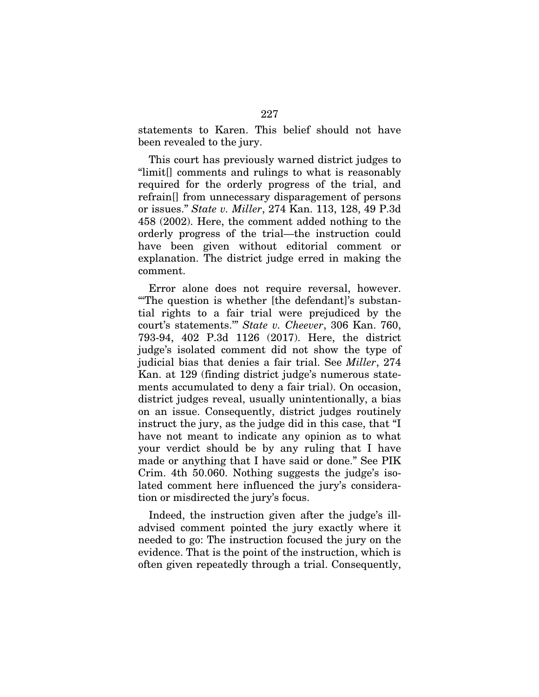statements to Karen. This belief should not have been revealed to the jury.

This court has previously warned district judges to "limit[] comments and rulings to what is reasonably required for the orderly progress of the trial, and refrain[] from unnecessary disparagement of persons or issues." *State v. Miller*, 274 Kan. 113, 128, 49 P.3d 458 (2002). Here, the comment added nothing to the orderly progress of the trial—the instruction could have been given without editorial comment or explanation. The district judge erred in making the comment.

Error alone does not require reversal, however. "'The question is whether [the defendant]'s substantial rights to a fair trial were prejudiced by the court's statements.'" *State v. Cheever*, 306 Kan. 760, 793-94, 402 P.3d 1126 (2017). Here, the district judge's isolated comment did not show the type of judicial bias that denies a fair trial. See *Miller*, 274 Kan. at 129 (finding district judge's numerous statements accumulated to deny a fair trial). On occasion, district judges reveal, usually unintentionally, a bias on an issue. Consequently, district judges routinely instruct the jury, as the judge did in this case, that "I have not meant to indicate any opinion as to what your verdict should be by any ruling that I have made or anything that I have said or done." See PIK Crim. 4th 50.060. Nothing suggests the judge's isolated comment here influenced the jury's consideration or misdirected the jury's focus.

Indeed, the instruction given after the judge's illadvised comment pointed the jury exactly where it needed to go: The instruction focused the jury on the evidence. That is the point of the instruction, which is often given repeatedly through a trial. Consequently,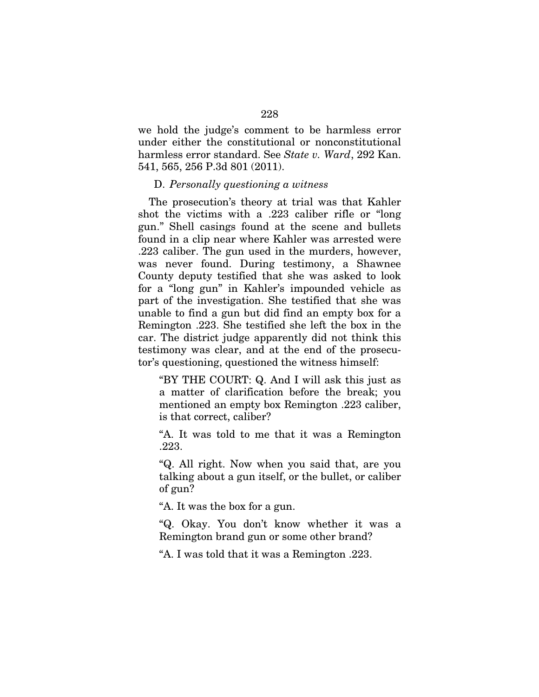we hold the judge's comment to be harmless error under either the constitutional or nonconstitutional harmless error standard. See *State v. Ward*, 292 Kan. 541, 565, 256 P.3d 801 (2011).

### D. *Personally questioning a witness*

The prosecution's theory at trial was that Kahler shot the victims with a .223 caliber rifle or "long gun." Shell casings found at the scene and bullets found in a clip near where Kahler was arrested were .223 caliber. The gun used in the murders, however, was never found. During testimony, a Shawnee County deputy testified that she was asked to look for a "long gun" in Kahler's impounded vehicle as part of the investigation. She testified that she was unable to find a gun but did find an empty box for a Remington .223. She testified she left the box in the car. The district judge apparently did not think this testimony was clear, and at the end of the prosecutor's questioning, questioned the witness himself:

"BY THE COURT: Q. And I will ask this just as a matter of clarification before the break; you mentioned an empty box Remington .223 caliber, is that correct, caliber?

"A. It was told to me that it was a Remington .223.

"Q. All right. Now when you said that, are you talking about a gun itself, or the bullet, or caliber of gun?

"A. It was the box for a gun.

"Q. Okay. You don't know whether it was a Remington brand gun or some other brand?

"A. I was told that it was a Remington .223.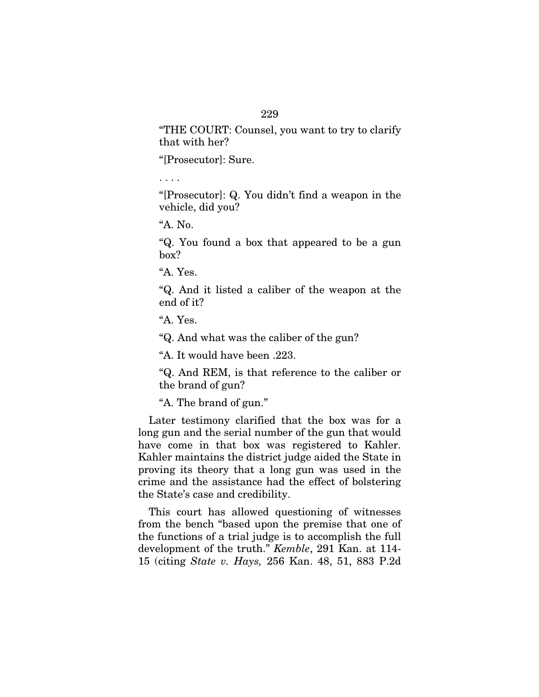# 229

"THE COURT: Counsel, you want to try to clarify that with her?

"[Prosecutor]: Sure.

. . . .

"[Prosecutor]: Q. You didn't find a weapon in the vehicle, did you?

"A. No.

"Q. You found a box that appeared to be a gun box?

"A. Yes.

"Q. And it listed a caliber of the weapon at the end of it?

"A. Yes.

"Q. And what was the caliber of the gun?

"A. It would have been .223.

"Q. And REM, is that reference to the caliber or the brand of gun?

"A. The brand of gun."

Later testimony clarified that the box was for a long gun and the serial number of the gun that would have come in that box was registered to Kahler. Kahler maintains the district judge aided the State in proving its theory that a long gun was used in the crime and the assistance had the effect of bolstering the State's case and credibility.

This court has allowed questioning of witnesses from the bench "based upon the premise that one of the functions of a trial judge is to accomplish the full development of the truth." *Kemble*, 291 Kan. at 114- 15 (citing *State v. Hays,* 256 Kan. 48, 51, 883 P.2d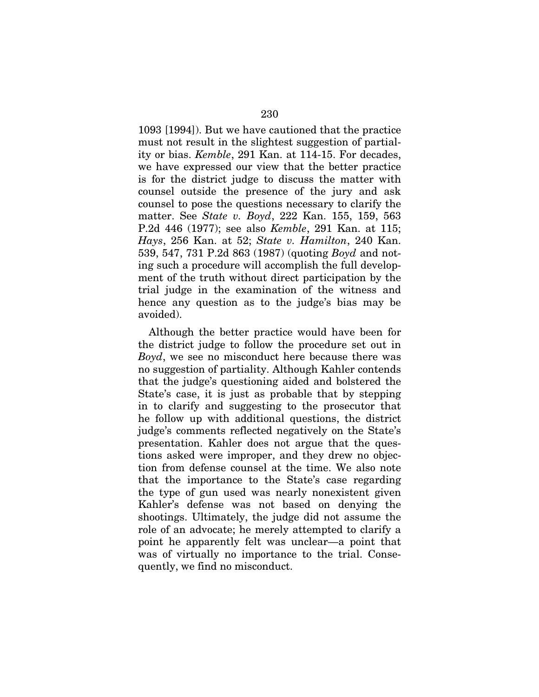1093 [1994]). But we have cautioned that the practice must not result in the slightest suggestion of partiality or bias. *Kemble*, 291 Kan. at 114-15. For decades, we have expressed our view that the better practice is for the district judge to discuss the matter with counsel outside the presence of the jury and ask counsel to pose the questions necessary to clarify the matter. See *State v. Boyd*, 222 Kan. 155, 159, 563 P.2d 446 (1977); see also *Kemble*, 291 Kan. at 115; *Hays*, 256 Kan. at 52; *State v. Hamilton*, 240 Kan. 539, 547, 731 P.2d 863 (1987) (quoting *Boyd* and noting such a procedure will accomplish the full development of the truth without direct participation by the trial judge in the examination of the witness and hence any question as to the judge's bias may be avoided).

Although the better practice would have been for the district judge to follow the procedure set out in *Boyd*, we see no misconduct here because there was no suggestion of partiality. Although Kahler contends that the judge's questioning aided and bolstered the State's case, it is just as probable that by stepping in to clarify and suggesting to the prosecutor that he follow up with additional questions, the district judge's comments reflected negatively on the State's presentation. Kahler does not argue that the questions asked were improper, and they drew no objection from defense counsel at the time. We also note that the importance to the State's case regarding the type of gun used was nearly nonexistent given Kahler's defense was not based on denying the shootings. Ultimately, the judge did not assume the role of an advocate; he merely attempted to clarify a point he apparently felt was unclear—a point that was of virtually no importance to the trial. Consequently, we find no misconduct.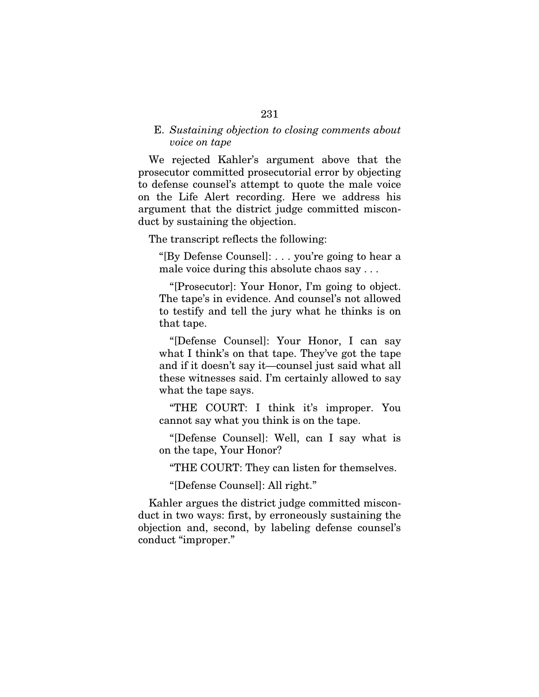# E. *Sustaining objection to closing comments about voice on tape*

We rejected Kahler's argument above that the prosecutor committed prosecutorial error by objecting to defense counsel's attempt to quote the male voice on the Life Alert recording. Here we address his argument that the district judge committed misconduct by sustaining the objection.

The transcript reflects the following:

"[By Defense Counsel]: . . . you're going to hear a male voice during this absolute chaos say . . .

"[Prosecutor]: Your Honor, I'm going to object. The tape's in evidence. And counsel's not allowed to testify and tell the jury what he thinks is on that tape.

"[Defense Counsel]: Your Honor, I can say what I think's on that tape. They've got the tape and if it doesn't say it—counsel just said what all these witnesses said. I'm certainly allowed to say what the tape says.

"THE COURT: I think it's improper. You cannot say what you think is on the tape.

"[Defense Counsel]: Well, can I say what is on the tape, Your Honor?

"THE COURT: They can listen for themselves.

"[Defense Counsel]: All right."

Kahler argues the district judge committed misconduct in two ways: first, by erroneously sustaining the objection and, second, by labeling defense counsel's conduct "improper."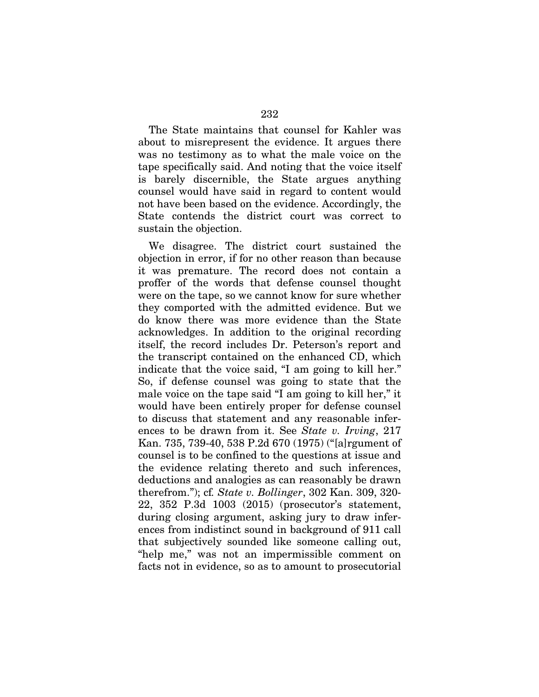The State maintains that counsel for Kahler was about to misrepresent the evidence. It argues there was no testimony as to what the male voice on the tape specifically said. And noting that the voice itself is barely discernible, the State argues anything counsel would have said in regard to content would not have been based on the evidence. Accordingly, the State contends the district court was correct to sustain the objection.

We disagree. The district court sustained the objection in error, if for no other reason than because it was premature. The record does not contain a proffer of the words that defense counsel thought were on the tape, so we cannot know for sure whether they comported with the admitted evidence. But we do know there was more evidence than the State acknowledges. In addition to the original recording itself, the record includes Dr. Peterson's report and the transcript contained on the enhanced CD, which indicate that the voice said, "I am going to kill her." So, if defense counsel was going to state that the male voice on the tape said "I am going to kill her," it would have been entirely proper for defense counsel to discuss that statement and any reasonable inferences to be drawn from it. See *State v. Irving*, 217 Kan. 735, 739-40, 538 P.2d 670 (1975) ("[a]rgument of counsel is to be confined to the questions at issue and the evidence relating thereto and such inferences, deductions and analogies as can reasonably be drawn therefrom."); cf*. State v. Bollinger*, 302 Kan. 309, 320- 22, 352 P.3d 1003 (2015) (prosecutor's statement, during closing argument, asking jury to draw inferences from indistinct sound in background of 911 call that subjectively sounded like someone calling out, "help me," was not an impermissible comment on facts not in evidence, so as to amount to prosecutorial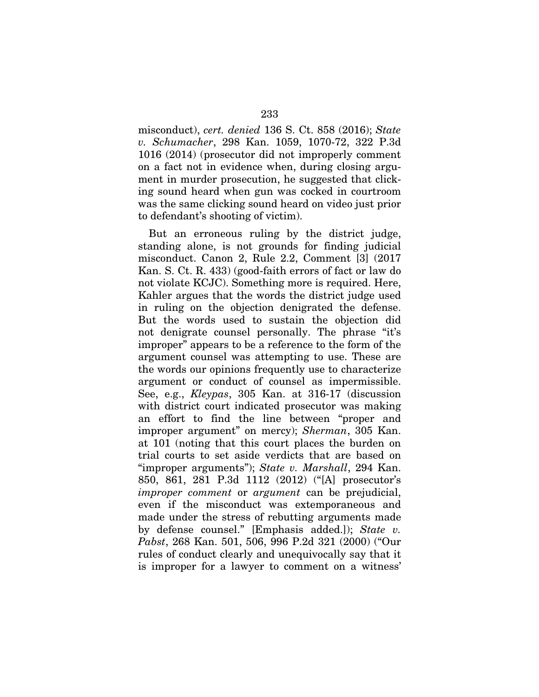misconduct), *cert. denied* 136 S. Ct. 858 (2016); *State v. Schumacher*, 298 Kan. 1059, 1070-72, 322 P.3d 1016 (2014) (prosecutor did not improperly comment on a fact not in evidence when, during closing argument in murder prosecution, he suggested that clicking sound heard when gun was cocked in courtroom was the same clicking sound heard on video just prior to defendant's shooting of victim).

But an erroneous ruling by the district judge, standing alone, is not grounds for finding judicial misconduct. Canon 2, Rule 2.2, Comment [3] (2017 Kan. S. Ct. R. 433) (good-faith errors of fact or law do not violate KCJC). Something more is required. Here, Kahler argues that the words the district judge used in ruling on the objection denigrated the defense. But the words used to sustain the objection did not denigrate counsel personally. The phrase "it's improper" appears to be a reference to the form of the argument counsel was attempting to use. These are the words our opinions frequently use to characterize argument or conduct of counsel as impermissible. See, e.g., *Kleypas*, 305 Kan. at 316-17 (discussion with district court indicated prosecutor was making an effort to find the line between "proper and improper argument" on mercy); *Sherman*, 305 Kan. at 101 (noting that this court places the burden on trial courts to set aside verdicts that are based on "improper arguments"); *State v. Marshall*, 294 Kan. 850, 861, 281 P.3d 1112 (2012) ("[A] prosecutor's *improper comment* or *argument* can be prejudicial, even if the misconduct was extemporaneous and made under the stress of rebutting arguments made by defense counsel." [Emphasis added.]); *State v. Pabst*, 268 Kan. 501, 506, 996 P.2d 321 (2000) ("Our rules of conduct clearly and unequivocally say that it is improper for a lawyer to comment on a witness'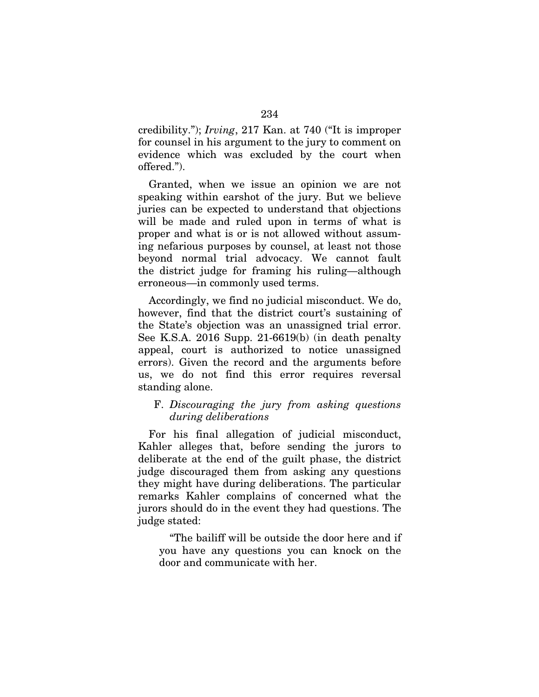credibility."); *Irving*, 217 Kan. at 740 ("It is improper for counsel in his argument to the jury to comment on evidence which was excluded by the court when offered.").

Granted, when we issue an opinion we are not speaking within earshot of the jury. But we believe juries can be expected to understand that objections will be made and ruled upon in terms of what is proper and what is or is not allowed without assuming nefarious purposes by counsel, at least not those beyond normal trial advocacy. We cannot fault the district judge for framing his ruling—although erroneous—in commonly used terms.

Accordingly, we find no judicial misconduct. We do, however, find that the district court's sustaining of the State's objection was an unassigned trial error. See K.S.A. 2016 Supp. 21-6619(b) (in death penalty appeal, court is authorized to notice unassigned errors). Given the record and the arguments before us, we do not find this error requires reversal standing alone.

# F. *Discouraging the jury from asking questions during deliberations*

For his final allegation of judicial misconduct, Kahler alleges that, before sending the jurors to deliberate at the end of the guilt phase, the district judge discouraged them from asking any questions they might have during deliberations. The particular remarks Kahler complains of concerned what the jurors should do in the event they had questions. The judge stated:

"The bailiff will be outside the door here and if you have any questions you can knock on the door and communicate with her.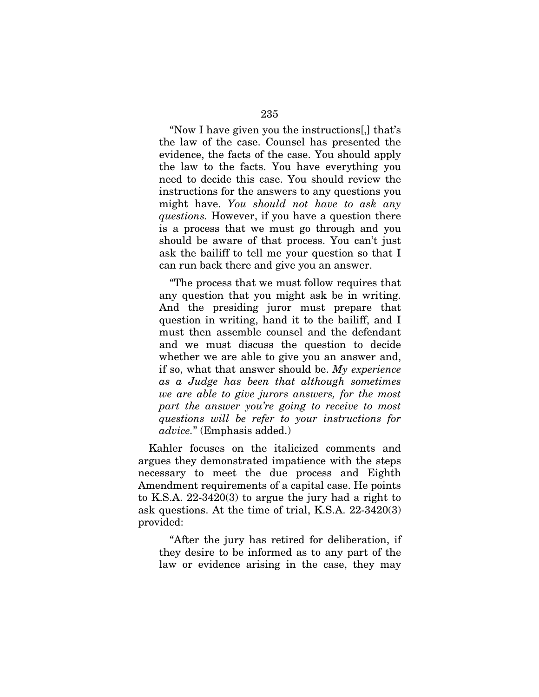"Now I have given you the instructions[,] that's the law of the case. Counsel has presented the evidence, the facts of the case. You should apply the law to the facts. You have everything you need to decide this case. You should review the instructions for the answers to any questions you might have. *You should not have to ask any questions.* However, if you have a question there is a process that we must go through and you should be aware of that process. You can't just ask the bailiff to tell me your question so that I can run back there and give you an answer.

"The process that we must follow requires that any question that you might ask be in writing. And the presiding juror must prepare that question in writing, hand it to the bailiff, and I must then assemble counsel and the defendant and we must discuss the question to decide whether we are able to give you an answer and, if so, what that answer should be. *My experience as a Judge has been that although sometimes we are able to give jurors answers, for the most part the answer you're going to receive to most questions will be refer to your instructions for advice.*" (Emphasis added.)

Kahler focuses on the italicized comments and argues they demonstrated impatience with the steps necessary to meet the due process and Eighth Amendment requirements of a capital case. He points to K.S.A. 22-3420(3) to argue the jury had a right to ask questions. At the time of trial, K.S.A. 22-3420(3) provided:

"After the jury has retired for deliberation, if they desire to be informed as to any part of the law or evidence arising in the case, they may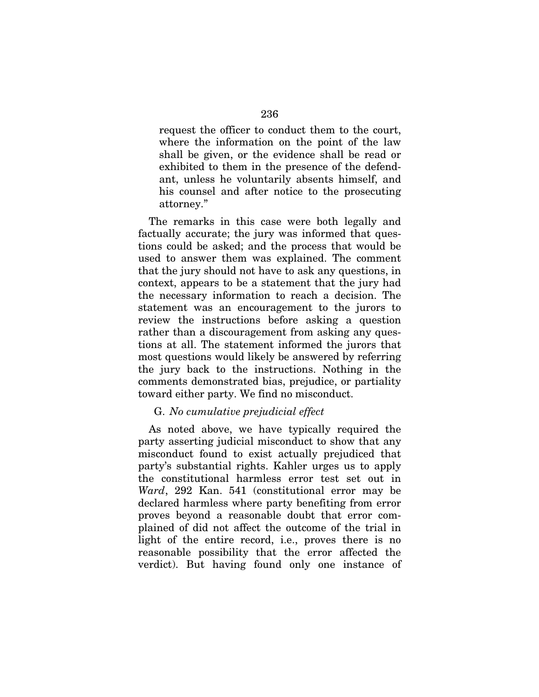request the officer to conduct them to the court, where the information on the point of the law shall be given, or the evidence shall be read or exhibited to them in the presence of the defendant, unless he voluntarily absents himself, and his counsel and after notice to the prosecuting attorney."

The remarks in this case were both legally and factually accurate; the jury was informed that questions could be asked; and the process that would be used to answer them was explained. The comment that the jury should not have to ask any questions, in context, appears to be a statement that the jury had the necessary information to reach a decision. The statement was an encouragement to the jurors to review the instructions before asking a question rather than a discouragement from asking any questions at all. The statement informed the jurors that most questions would likely be answered by referring the jury back to the instructions. Nothing in the comments demonstrated bias, prejudice, or partiality toward either party. We find no misconduct.

# G. *No cumulative prejudicial effect*

As noted above, we have typically required the party asserting judicial misconduct to show that any misconduct found to exist actually prejudiced that party's substantial rights. Kahler urges us to apply the constitutional harmless error test set out in *Ward*, 292 Kan. 541 (constitutional error may be declared harmless where party benefiting from error proves beyond a reasonable doubt that error complained of did not affect the outcome of the trial in light of the entire record, i.e., proves there is no reasonable possibility that the error affected the verdict). But having found only one instance of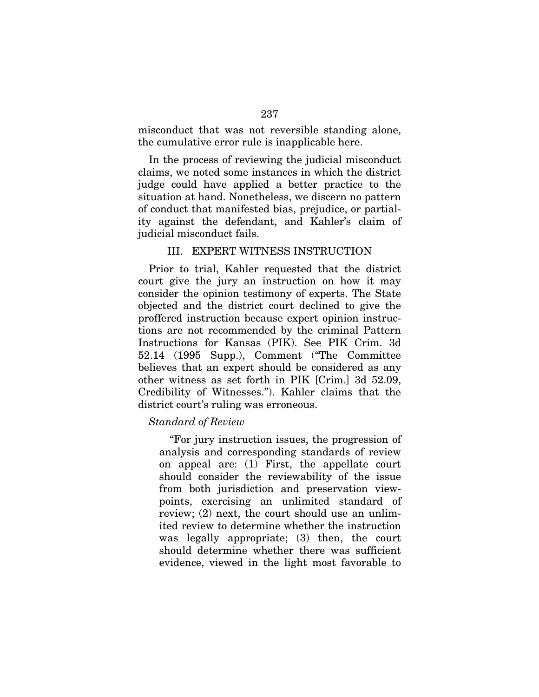misconduct that was not reversible standing alone, the cumulative error rule is inapplicable here.

In the process of reviewing the judicial misconduct claims, we noted some instances in which the district judge could have applied a better practice to the situation at hand. Nonetheless, we discern no pattern of conduct that manifested bias, prejudice, or partiality against the defendant, and Kahler's claim of judicial misconduct fails.

# III. EXPERT WITNESS INSTRUCTION

Prior to trial, Kahler requested that the district court give the jury an instruction on how it may consider the opinion testimony of experts. The State objected and the district court declined to give the proffered instruction because expert opinion instructions are not recommended by the criminal Pattern Instructions for Kansas (PIK). See PIK Crim. 3d 52.14 (1995 Supp.), Comment ("The Committee believes that an expert should be considered as any other witness as set forth in PIK [Crim.] 3d 52.09, Credibility of Witnesses."). Kahler claims that the district court's ruling was erroneous.

# *Standard of Review*

"For jury instruction issues, the progression of analysis and corresponding standards of review on appeal are: (1) First, the appellate court should consider the reviewability of the issue from both jurisdiction and preservation viewpoints, exercising an unlimited standard of review; (2) next, the court should use an unlimited review to determine whether the instruction was legally appropriate; (3) then, the court should determine whether there was sufficient evidence, viewed in the light most favorable to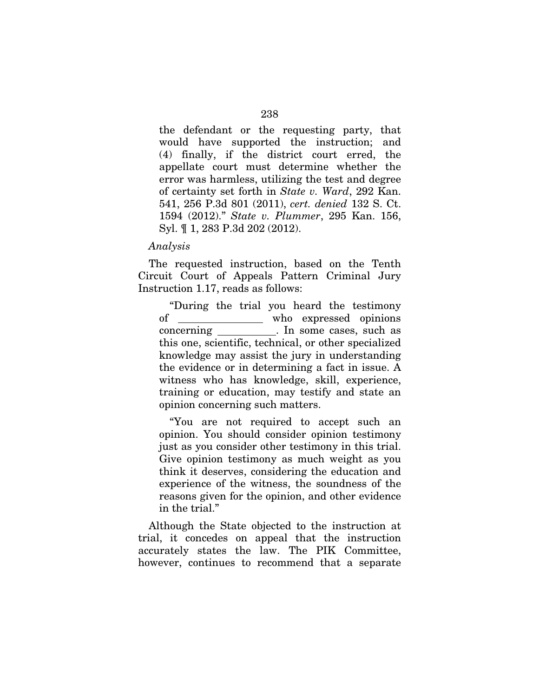the defendant or the requesting party, that would have supported the instruction; and (4) finally, if the district court erred, the appellate court must determine whether the error was harmless, utilizing the test and degree of certainty set forth in *State v. Ward*, 292 Kan. 541, 256 P.3d 801 (2011), *cert. denied* 132 S. Ct. 1594 (2012)." *State v. Plummer*, 295 Kan. 156, Syl. ¶ 1, 283 P.3d 202 (2012).

#### *Analysis*

The requested instruction, based on the Tenth Circuit Court of Appeals Pattern Criminal Jury Instruction 1.17, reads as follows:

"During the trial you heard the testimony of \_\_\_\_\_\_\_\_\_\_\_\_\_\_ who expressed opinions concerning . In some cases, such as this one, scientific, technical, or other specialized knowledge may assist the jury in understanding the evidence or in determining a fact in issue. A witness who has knowledge, skill, experience, training or education, may testify and state an opinion concerning such matters.

"You are not required to accept such an opinion. You should consider opinion testimony just as you consider other testimony in this trial. Give opinion testimony as much weight as you think it deserves, considering the education and experience of the witness, the soundness of the reasons given for the opinion, and other evidence in the trial."

Although the State objected to the instruction at trial, it concedes on appeal that the instruction accurately states the law. The PIK Committee, however, continues to recommend that a separate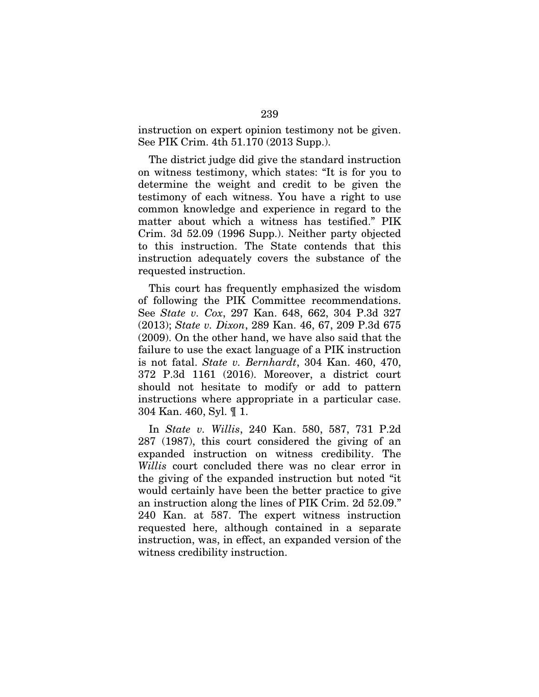instruction on expert opinion testimony not be given. See PIK Crim. 4th 51.170 (2013 Supp.).

The district judge did give the standard instruction on witness testimony, which states: "It is for you to determine the weight and credit to be given the testimony of each witness. You have a right to use common knowledge and experience in regard to the matter about which a witness has testified." PIK Crim. 3d 52.09 (1996 Supp.). Neither party objected to this instruction. The State contends that this instruction adequately covers the substance of the requested instruction.

This court has frequently emphasized the wisdom of following the PIK Committee recommendations. See *State v. Cox*, 297 Kan. 648, 662, 304 P.3d 327 (2013); *State v. Dixon*, 289 Kan. 46, 67, 209 P.3d 675 (2009). On the other hand, we have also said that the failure to use the exact language of a PIK instruction is not fatal. *State v. Bernhardt*, 304 Kan. 460, 470, 372 P.3d 1161 (2016). Moreover, a district court should not hesitate to modify or add to pattern instructions where appropriate in a particular case. 304 Kan. 460, Syl. ¶ 1.

In *State v. Willis*, 240 Kan. 580, 587, 731 P.2d 287 (1987), this court considered the giving of an expanded instruction on witness credibility. The *Willis* court concluded there was no clear error in the giving of the expanded instruction but noted "it would certainly have been the better practice to give an instruction along the lines of PIK Crim. 2d 52.09." 240 Kan. at 587. The expert witness instruction requested here, although contained in a separate instruction, was, in effect, an expanded version of the witness credibility instruction.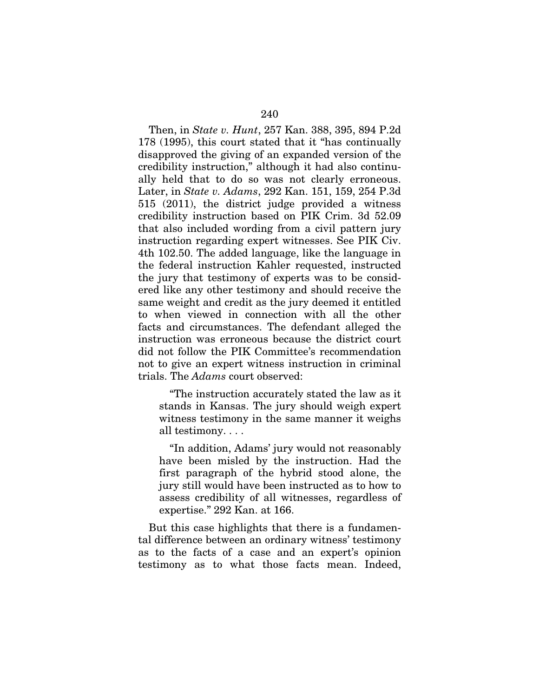Then, in *State v. Hunt*, 257 Kan. 388, 395, 894 P.2d 178 (1995), this court stated that it "has continually disapproved the giving of an expanded version of the credibility instruction," although it had also continually held that to do so was not clearly erroneous. Later, in *State v. Adams*, 292 Kan. 151, 159, 254 P.3d 515 (2011), the district judge provided a witness credibility instruction based on PIK Crim. 3d 52.09 that also included wording from a civil pattern jury instruction regarding expert witnesses. See PIK Civ. 4th 102.50. The added language, like the language in the federal instruction Kahler requested, instructed the jury that testimony of experts was to be considered like any other testimony and should receive the same weight and credit as the jury deemed it entitled to when viewed in connection with all the other facts and circumstances. The defendant alleged the instruction was erroneous because the district court did not follow the PIK Committee's recommendation not to give an expert witness instruction in criminal trials. The *Adams* court observed:

"The instruction accurately stated the law as it stands in Kansas. The jury should weigh expert witness testimony in the same manner it weighs all testimony. . . .

"In addition, Adams' jury would not reasonably have been misled by the instruction. Had the first paragraph of the hybrid stood alone, the jury still would have been instructed as to how to assess credibility of all witnesses, regardless of expertise." 292 Kan. at 166.

But this case highlights that there is a fundamental difference between an ordinary witness' testimony as to the facts of a case and an expert's opinion testimony as to what those facts mean. Indeed,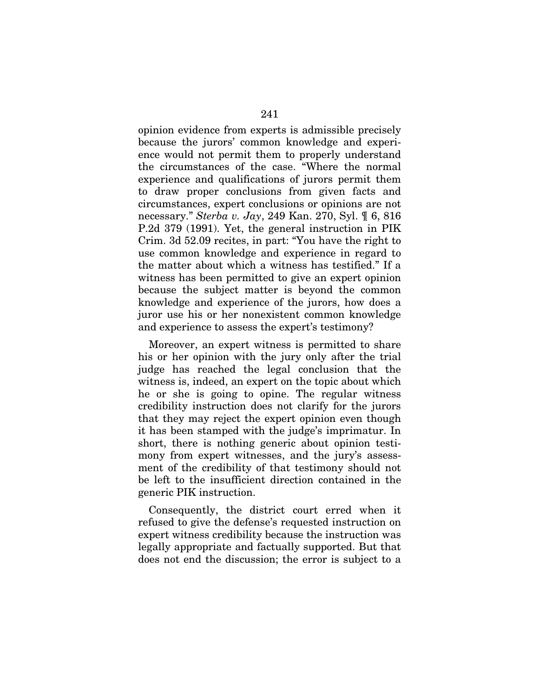opinion evidence from experts is admissible precisely because the jurors' common knowledge and experience would not permit them to properly understand the circumstances of the case. "Where the normal experience and qualifications of jurors permit them to draw proper conclusions from given facts and circumstances, expert conclusions or opinions are not necessary." *Sterba v. Jay*, 249 Kan. 270, Syl. ¶ 6, 816 P.2d 379 (1991). Yet, the general instruction in PIK Crim. 3d 52.09 recites, in part: "You have the right to use common knowledge and experience in regard to the matter about which a witness has testified." If a witness has been permitted to give an expert opinion because the subject matter is beyond the common knowledge and experience of the jurors, how does a juror use his or her nonexistent common knowledge and experience to assess the expert's testimony?

Moreover, an expert witness is permitted to share his or her opinion with the jury only after the trial judge has reached the legal conclusion that the witness is, indeed, an expert on the topic about which he or she is going to opine. The regular witness credibility instruction does not clarify for the jurors that they may reject the expert opinion even though it has been stamped with the judge's imprimatur. In short, there is nothing generic about opinion testimony from expert witnesses, and the jury's assessment of the credibility of that testimony should not be left to the insufficient direction contained in the generic PIK instruction.

Consequently, the district court erred when it refused to give the defense's requested instruction on expert witness credibility because the instruction was legally appropriate and factually supported. But that does not end the discussion; the error is subject to a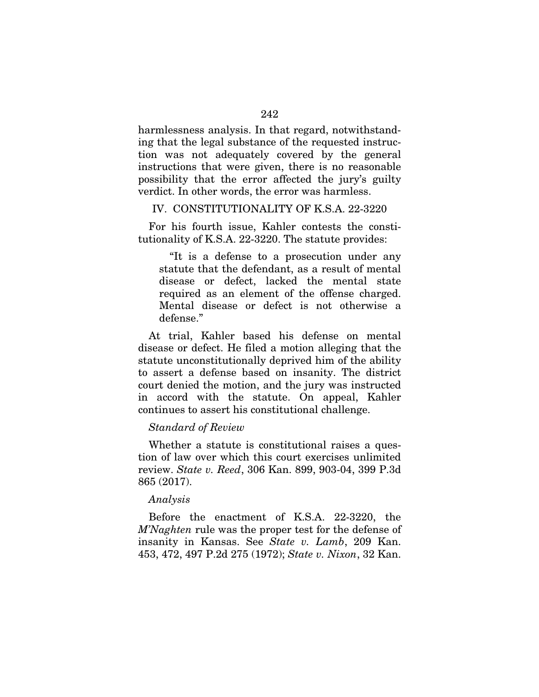harmlessness analysis. In that regard, notwithstanding that the legal substance of the requested instruction was not adequately covered by the general instructions that were given, there is no reasonable possibility that the error affected the jury's guilty verdict. In other words, the error was harmless.

## IV. CONSTITUTIONALITY OF K.S.A. 22-3220

For his fourth issue, Kahler contests the constitutionality of K.S.A. 22-3220. The statute provides:

"It is a defense to a prosecution under any statute that the defendant, as a result of mental disease or defect, lacked the mental state required as an element of the offense charged. Mental disease or defect is not otherwise a defense."

At trial, Kahler based his defense on mental disease or defect. He filed a motion alleging that the statute unconstitutionally deprived him of the ability to assert a defense based on insanity. The district court denied the motion, and the jury was instructed in accord with the statute. On appeal, Kahler continues to assert his constitutional challenge.

# *Standard of Review*

Whether a statute is constitutional raises a question of law over which this court exercises unlimited review. *State v. Reed*, 306 Kan. 899, 903-04, 399 P.3d 865 (2017).

#### *Analysis*

Before the enactment of K.S.A. 22-3220, the *M'Naghten* rule was the proper test for the defense of insanity in Kansas. See *State v. Lamb*, 209 Kan. 453, 472, 497 P.2d 275 (1972); *State v. Nixon*, 32 Kan.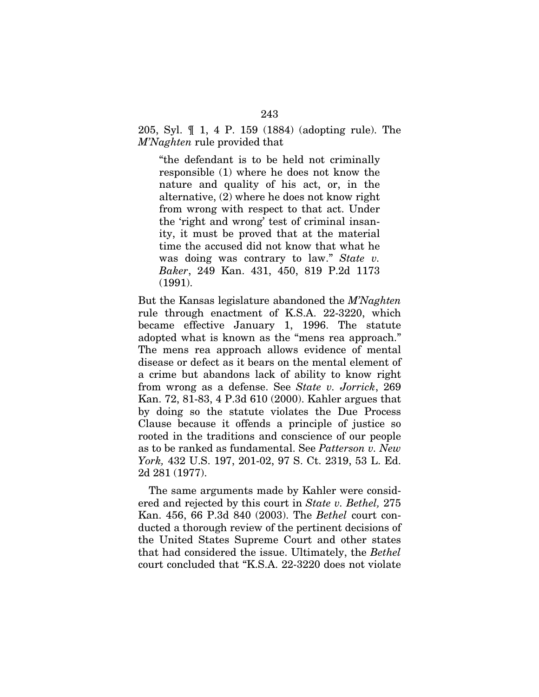205, Syl. ¶ 1, 4 P. 159 (1884) (adopting rule). The *M'Naghten* rule provided that

"the defendant is to be held not criminally responsible (1) where he does not know the nature and quality of his act, or, in the alternative, (2) where he does not know right from wrong with respect to that act. Under the 'right and wrong' test of criminal insanity, it must be proved that at the material time the accused did not know that what he was doing was contrary to law." *State v. Baker*, 249 Kan. 431, 450, 819 P.2d 1173 (1991).

But the Kansas legislature abandoned the *M'Naghten*  rule through enactment of K.S.A. 22-3220, which became effective January 1, 1996. The statute adopted what is known as the "mens rea approach." The mens rea approach allows evidence of mental disease or defect as it bears on the mental element of a crime but abandons lack of ability to know right from wrong as a defense. See *State v. Jorrick*, 269 Kan. 72, 81-83, 4 P.3d 610 (2000). Kahler argues that by doing so the statute violates the Due Process Clause because it offends a principle of justice so rooted in the traditions and conscience of our people as to be ranked as fundamental. See *Patterson v. New York,* 432 U.S. 197, 201-02, 97 S. Ct. 2319, 53 L. Ed. 2d 281 (1977).

The same arguments made by Kahler were considered and rejected by this court in *State v. Bethel,* 275 Kan. 456, 66 P.3d 840 (2003). The *Bethel* court conducted a thorough review of the pertinent decisions of the United States Supreme Court and other states that had considered the issue. Ultimately, the *Bethel*  court concluded that "K.S.A. 22-3220 does not violate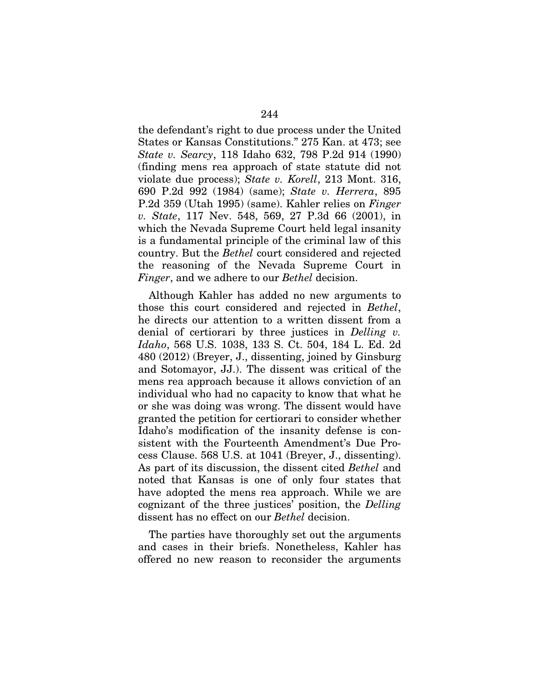the defendant's right to due process under the United States or Kansas Constitutions." 275 Kan. at 473; see *State v. Searcy*, 118 Idaho 632, 798 P.2d 914 (1990) (finding mens rea approach of state statute did not violate due process); *State v. Korell*, 213 Mont. 316, 690 P.2d 992 (1984) (same); *State v. Herrera*, 895 P.2d 359 (Utah 1995) (same). Kahler relies on *Finger v. State*, 117 Nev. 548, 569, 27 P.3d 66 (2001), in which the Nevada Supreme Court held legal insanity is a fundamental principle of the criminal law of this country. But the *Bethel* court considered and rejected the reasoning of the Nevada Supreme Court in *Finger*, and we adhere to our *Bethel* decision.

Although Kahler has added no new arguments to those this court considered and rejected in *Bethel*, he directs our attention to a written dissent from a denial of certiorari by three justices in *Delling v. Idaho*, 568 U.S. 1038, 133 S. Ct. 504, 184 L. Ed. 2d 480 (2012) (Breyer, J., dissenting, joined by Ginsburg and Sotomayor, JJ.). The dissent was critical of the mens rea approach because it allows conviction of an individual who had no capacity to know that what he or she was doing was wrong. The dissent would have granted the petition for certiorari to consider whether Idaho's modification of the insanity defense is consistent with the Fourteenth Amendment's Due Process Clause. 568 U.S. at 1041 (Breyer, J., dissenting). As part of its discussion, the dissent cited *Bethel* and noted that Kansas is one of only four states that have adopted the mens rea approach. While we are cognizant of the three justices' position, the *Delling*  dissent has no effect on our *Bethel* decision.

The parties have thoroughly set out the arguments and cases in their briefs. Nonetheless, Kahler has offered no new reason to reconsider the arguments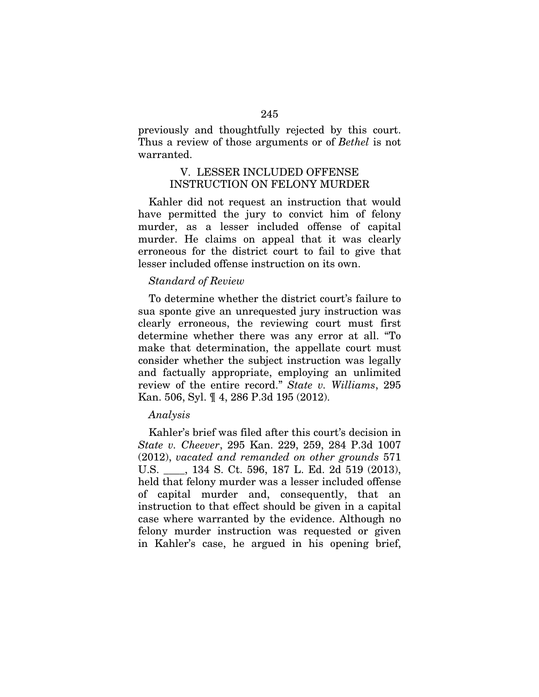previously and thoughtfully rejected by this court. Thus a review of those arguments or of *Bethel* is not warranted.

# V. LESSER INCLUDED OFFENSE INSTRUCTION ON FELONY MURDER

Kahler did not request an instruction that would have permitted the jury to convict him of felony murder, as a lesser included offense of capital murder. He claims on appeal that it was clearly erroneous for the district court to fail to give that lesser included offense instruction on its own.

# *Standard of Review*

To determine whether the district court's failure to sua sponte give an unrequested jury instruction was clearly erroneous, the reviewing court must first determine whether there was any error at all. "To make that determination, the appellate court must consider whether the subject instruction was legally and factually appropriate, employing an unlimited review of the entire record." *State v. Williams*, 295 Kan. 506, Syl. ¶ 4, 286 P.3d 195 (2012).

# *Analysis*

Kahler's brief was filed after this court's decision in *State v. Cheever*, 295 Kan. 229, 259, 284 P.3d 1007 (2012), *vacated and remanded on other grounds* 571 U.S. \_\_\_\_, 134 S. Ct. 596, 187 L. Ed. 2d 519 (2013), held that felony murder was a lesser included offense of capital murder and, consequently, that an instruction to that effect should be given in a capital case where warranted by the evidence. Although no felony murder instruction was requested or given in Kahler's case, he argued in his opening brief,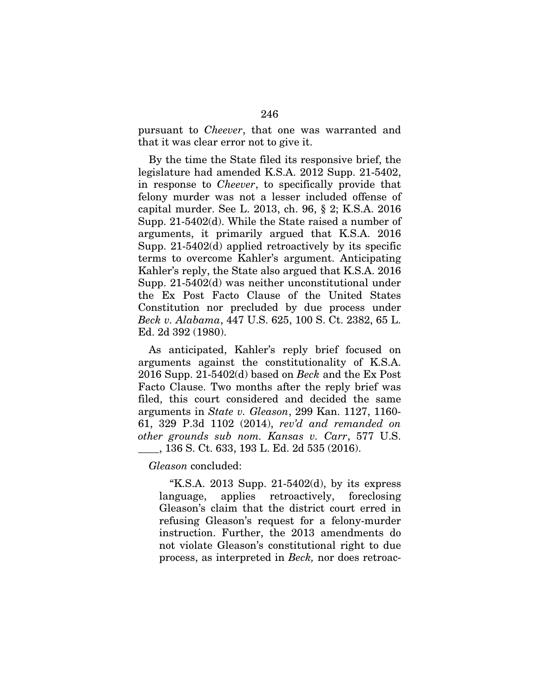pursuant to *Cheever*, that one was warranted and that it was clear error not to give it.

By the time the State filed its responsive brief, the legislature had amended K.S.A. 2012 Supp. 21-5402, in response to *Cheever*, to specifically provide that felony murder was not a lesser included offense of capital murder. See L. 2013, ch. 96, § 2; K.S.A. 2016 Supp. 21-5402(d). While the State raised a number of arguments, it primarily argued that K.S.A. 2016 Supp. 21-5402(d) applied retroactively by its specific terms to overcome Kahler's argument. Anticipating Kahler's reply, the State also argued that K.S.A. 2016 Supp. 21-5402(d) was neither unconstitutional under the Ex Post Facto Clause of the United States Constitution nor precluded by due process under *Beck v. Alabama*, 447 U.S. 625, 100 S. Ct. 2382, 65 L. Ed. 2d 392 (1980).

As anticipated, Kahler's reply brief focused on arguments against the constitutionality of K.S.A. 2016 Supp. 21-5402(d) based on *Beck* and the Ex Post Facto Clause. Two months after the reply brief was filed, this court considered and decided the same arguments in *State v. Gleason*, 299 Kan. 1127, 1160- 61, 329 P.3d 1102 (2014), *rev'd and remanded on other grounds sub nom. Kansas v. Carr*, 577 U.S. \_\_\_\_, 136 S. Ct. 633, 193 L. Ed. 2d 535 (2016).

*Gleason* concluded:

"K.S.A. 2013 Supp.  $21-5402(d)$ , by its express language, applies retroactively, foreclosing Gleason's claim that the district court erred in refusing Gleason's request for a felony-murder instruction. Further, the 2013 amendments do not violate Gleason's constitutional right to due process, as interpreted in *Beck,* nor does retroac-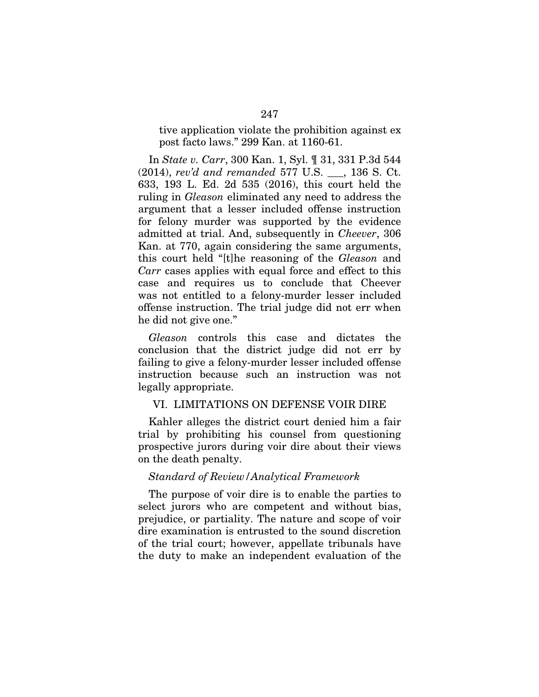tive application violate the prohibition against ex post facto laws." 299 Kan. at 1160-61.

In *State v. Carr*, 300 Kan. 1, Syl. ¶ 31, 331 P.3d 544 (2014), *rev'd and remanded* 577 U.S. \_\_\_, 136 S. Ct. 633, 193 L. Ed. 2d 535 (2016), this court held the ruling in *Gleason* eliminated any need to address the argument that a lesser included offense instruction for felony murder was supported by the evidence admitted at trial. And, subsequently in *Cheever*, 306 Kan. at 770, again considering the same arguments, this court held "[t]he reasoning of the *Gleason* and *Carr* cases applies with equal force and effect to this case and requires us to conclude that Cheever was not entitled to a felony-murder lesser included offense instruction. The trial judge did not err when he did not give one."

*Gleason* controls this case and dictates the conclusion that the district judge did not err by failing to give a felony-murder lesser included offense instruction because such an instruction was not legally appropriate.

### VI. LIMITATIONS ON DEFENSE VOIR DIRE

Kahler alleges the district court denied him a fair trial by prohibiting his counsel from questioning prospective jurors during voir dire about their views on the death penalty.

#### *Standard of Review/Analytical Framework*

The purpose of voir dire is to enable the parties to select jurors who are competent and without bias, prejudice, or partiality. The nature and scope of voir dire examination is entrusted to the sound discretion of the trial court; however, appellate tribunals have the duty to make an independent evaluation of the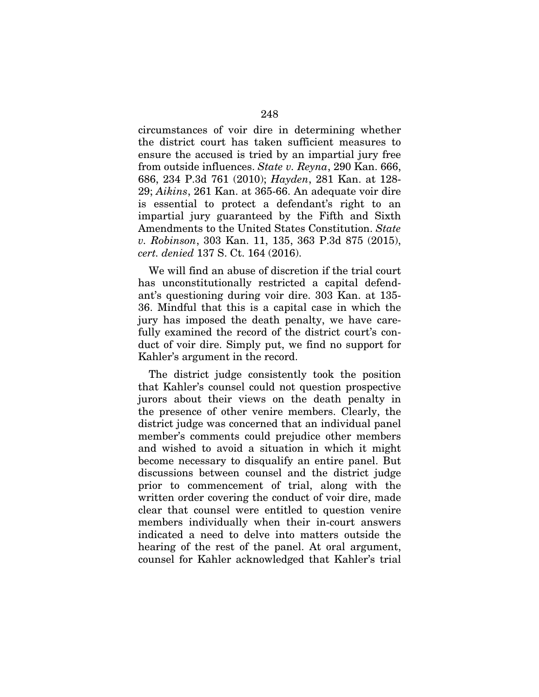circumstances of voir dire in determining whether the district court has taken sufficient measures to ensure the accused is tried by an impartial jury free from outside influences. *State v. Reyna*, 290 Kan. 666, 686, 234 P.3d 761 (2010); *Hayden*, 281 Kan. at 128- 29; *Aikins*, 261 Kan. at 365-66. An adequate voir dire is essential to protect a defendant's right to an impartial jury guaranteed by the Fifth and Sixth Amendments to the United States Constitution. *State v. Robinson*, 303 Kan. 11, 135, 363 P.3d 875 (2015), *cert. denied* 137 S. Ct. 164 (2016).

We will find an abuse of discretion if the trial court has unconstitutionally restricted a capital defendant's questioning during voir dire. 303 Kan. at 135- 36. Mindful that this is a capital case in which the jury has imposed the death penalty, we have carefully examined the record of the district court's conduct of voir dire. Simply put, we find no support for Kahler's argument in the record.

The district judge consistently took the position that Kahler's counsel could not question prospective jurors about their views on the death penalty in the presence of other venire members. Clearly, the district judge was concerned that an individual panel member's comments could prejudice other members and wished to avoid a situation in which it might become necessary to disqualify an entire panel. But discussions between counsel and the district judge prior to commencement of trial, along with the written order covering the conduct of voir dire, made clear that counsel were entitled to question venire members individually when their in-court answers indicated a need to delve into matters outside the hearing of the rest of the panel. At oral argument, counsel for Kahler acknowledged that Kahler's trial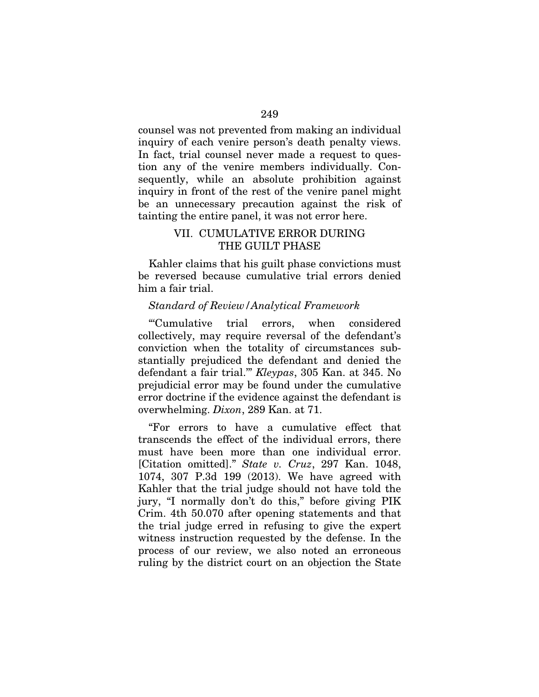counsel was not prevented from making an individual inquiry of each venire person's death penalty views. In fact, trial counsel never made a request to question any of the venire members individually. Consequently, while an absolute prohibition against inquiry in front of the rest of the venire panel might be an unnecessary precaution against the risk of tainting the entire panel, it was not error here.

## VII. CUMULATIVE ERROR DURING THE GUILT PHASE

Kahler claims that his guilt phase convictions must be reversed because cumulative trial errors denied him a fair trial.

#### *Standard of Review/Analytical Framework*

"'Cumulative trial errors, when considered collectively, may require reversal of the defendant's conviction when the totality of circumstances substantially prejudiced the defendant and denied the defendant a fair trial.'" *Kleypas*, 305 Kan. at 345. No prejudicial error may be found under the cumulative error doctrine if the evidence against the defendant is overwhelming. *Dixon*, 289 Kan. at 71.

"For errors to have a cumulative effect that transcends the effect of the individual errors, there must have been more than one individual error. [Citation omitted]." *State v. Cruz*, 297 Kan. 1048, 1074, 307 P.3d 199 (2013). We have agreed with Kahler that the trial judge should not have told the jury, "I normally don't do this," before giving PIK Crim. 4th 50.070 after opening statements and that the trial judge erred in refusing to give the expert witness instruction requested by the defense. In the process of our review, we also noted an erroneous ruling by the district court on an objection the State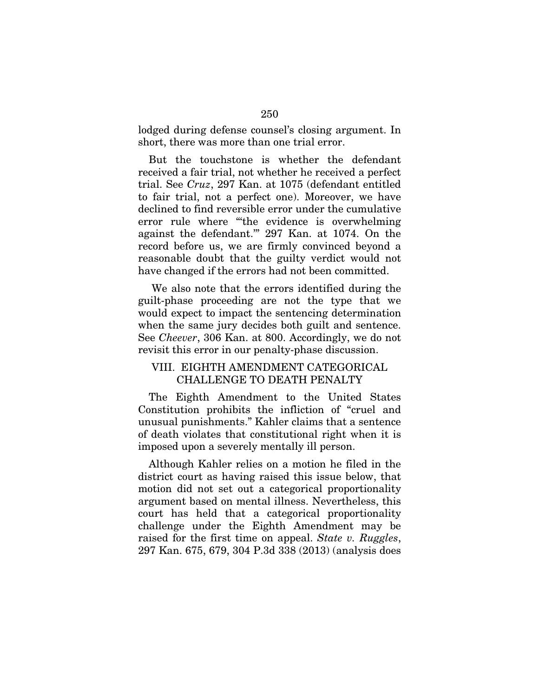lodged during defense counsel's closing argument. In short, there was more than one trial error.

But the touchstone is whether the defendant received a fair trial, not whether he received a perfect trial. See *Cruz*, 297 Kan. at 1075 (defendant entitled to fair trial, not a perfect one). Moreover, we have declined to find reversible error under the cumulative error rule where "'the evidence is overwhelming against the defendant.'" 297 Kan. at 1074. On the record before us, we are firmly convinced beyond a reasonable doubt that the guilty verdict would not have changed if the errors had not been committed.

 We also note that the errors identified during the guilt-phase proceeding are not the type that we would expect to impact the sentencing determination when the same jury decides both guilt and sentence. See *Cheever*, 306 Kan. at 800. Accordingly, we do not revisit this error in our penalty-phase discussion.

# VIII. EIGHTH AMENDMENT CATEGORICAL CHALLENGE TO DEATH PENALTY

The Eighth Amendment to the United States Constitution prohibits the infliction of "cruel and unusual punishments." Kahler claims that a sentence of death violates that constitutional right when it is imposed upon a severely mentally ill person.

Although Kahler relies on a motion he filed in the district court as having raised this issue below, that motion did not set out a categorical proportionality argument based on mental illness. Nevertheless, this court has held that a categorical proportionality challenge under the Eighth Amendment may be raised for the first time on appeal. *State v. Ruggles*, 297 Kan. 675, 679, 304 P.3d 338 (2013) (analysis does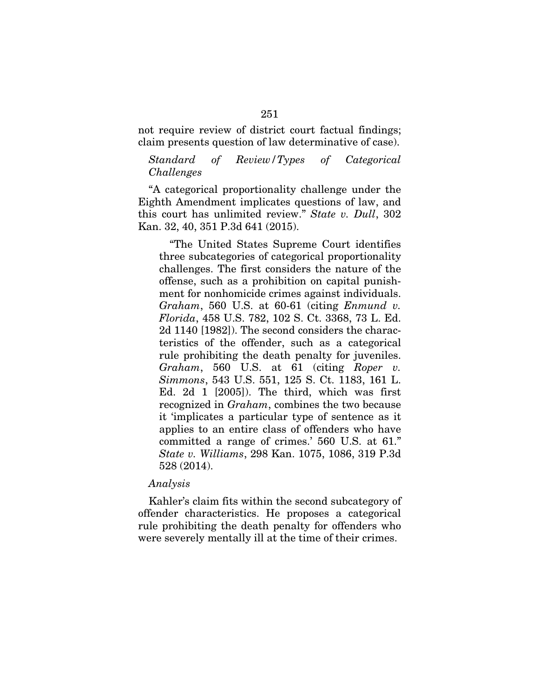not require review of district court factual findings; claim presents question of law determinative of case).

### *Standard of Review/Types of Categorical Challenges*

"A categorical proportionality challenge under the Eighth Amendment implicates questions of law, and this court has unlimited review." *State v. Dull*, 302 Kan. 32, 40, 351 P.3d 641 (2015).

"The United States Supreme Court identifies three subcategories of categorical proportionality challenges. The first considers the nature of the offense, such as a prohibition on capital punishment for nonhomicide crimes against individuals. *Graham*, 560 U.S. at 60-61 (citing *Enmund v. Florida*, 458 U.S. 782, 102 S. Ct. 3368, 73 L. Ed. 2d 1140 [1982]). The second considers the characteristics of the offender, such as a categorical rule prohibiting the death penalty for juveniles. *Graham*, 560 U.S. at 61 (citing *Roper v. Simmons*, 543 U.S. 551, 125 S. Ct. 1183, 161 L. Ed. 2d 1 [2005]). The third, which was first recognized in *Graham*, combines the two because it 'implicates a particular type of sentence as it applies to an entire class of offenders who have committed a range of crimes.' 560 U.S. at 61." *State v. Williams*, 298 Kan. 1075, 1086, 319 P.3d 528 (2014).

#### *Analysis*

Kahler's claim fits within the second subcategory of offender characteristics. He proposes a categorical rule prohibiting the death penalty for offenders who were severely mentally ill at the time of their crimes.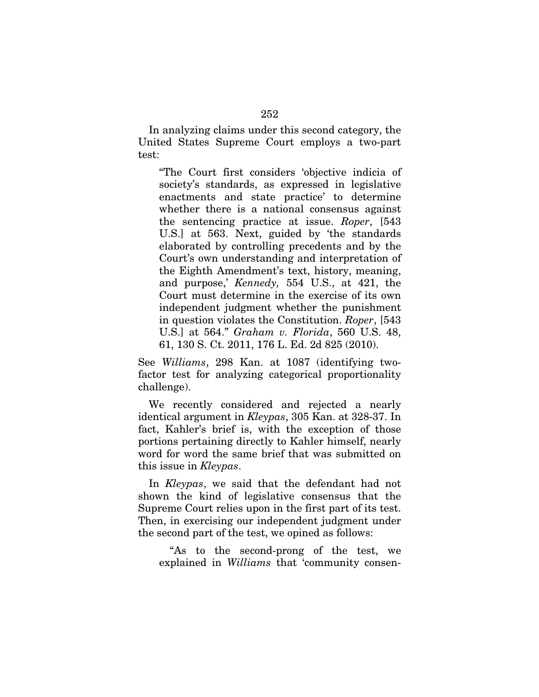In analyzing claims under this second category, the United States Supreme Court employs a two-part test:

"The Court first considers 'objective indicia of society's standards, as expressed in legislative enactments and state practice' to determine whether there is a national consensus against the sentencing practice at issue. *Roper*, [543 U.S.] at 563. Next, guided by 'the standards elaborated by controlling precedents and by the Court's own understanding and interpretation of the Eighth Amendment's text, history, meaning, and purpose,' *Kennedy,* 554 U.S., at 421, the Court must determine in the exercise of its own independent judgment whether the punishment in question violates the Constitution. *Roper*, [543 U.S.] at 564." *Graham v. Florida*, 560 U.S. 48, 61, 130 S. Ct. 2011, 176 L. Ed. 2d 825 (2010).

See *Williams*, 298 Kan. at 1087 (identifying twofactor test for analyzing categorical proportionality challenge).

We recently considered and rejected a nearly identical argument in *Kleypas*, 305 Kan. at 328-37. In fact, Kahler's brief is, with the exception of those portions pertaining directly to Kahler himself, nearly word for word the same brief that was submitted on this issue in *Kleypas*.

In *Kleypas*, we said that the defendant had not shown the kind of legislative consensus that the Supreme Court relies upon in the first part of its test. Then, in exercising our independent judgment under the second part of the test, we opined as follows:

"As to the second-prong of the test, we explained in *Williams* that 'community consen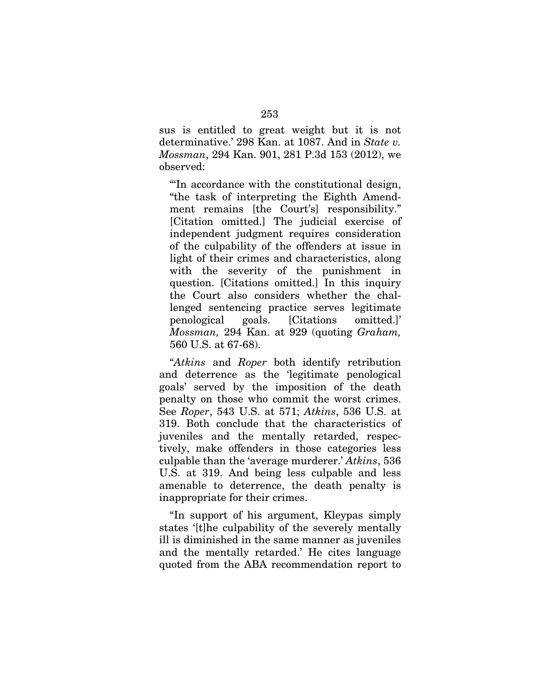sus is entitled to great weight but it is not determinative.' 298 Kan. at 1087. And in *State v. Mossman*, 294 Kan. 901, 281 P.3d 153 (2012), we observed:

"'In accordance with the constitutional design, "the task of interpreting the Eighth Amendment remains [the Court's] responsibility." [Citation omitted.] The judicial exercise of independent judgment requires consideration of the culpability of the offenders at issue in light of their crimes and characteristics, along with the severity of the punishment in question. [Citations omitted.] In this inquiry the Court also considers whether the challenged sentencing practice serves legitimate penological goals. [Citations omitted.]' *Mossman,* 294 Kan. at 929 (quoting *Graham,*  560 U.S. at 67-68).

"*Atkins* and *Roper* both identify retribution and deterrence as the 'legitimate penological goals' served by the imposition of the death penalty on those who commit the worst crimes. See *Roper*, 543 U.S. at 571; *Atkins*, 536 U.S. at 319. Both conclude that the characteristics of juveniles and the mentally retarded, respectively, make offenders in those categories less culpable than the 'average murderer.' *Atkins*, 536 U.S. at 319. And being less culpable and less amenable to deterrence, the death penalty is inappropriate for their crimes.

"In support of his argument, Kleypas simply states '[t]he culpability of the severely mentally ill is diminished in the same manner as juveniles and the mentally retarded.' He cites language quoted from the ABA recommendation report to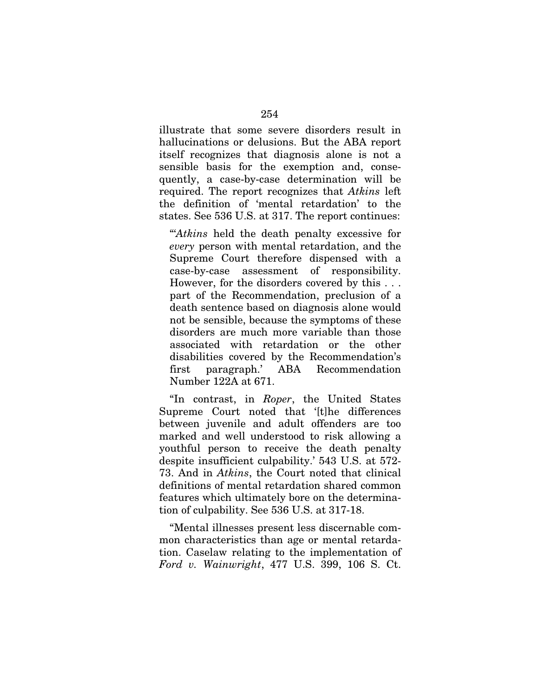illustrate that some severe disorders result in hallucinations or delusions. But the ABA report itself recognizes that diagnosis alone is not a sensible basis for the exemption and, consequently, a case-by-case determination will be required. The report recognizes that *Atkins* left the definition of 'mental retardation' to the states. See 536 U.S. at 317. The report continues:

"'*Atkins* held the death penalty excessive for *every* person with mental retardation, and the Supreme Court therefore dispensed with a case-by-case assessment of responsibility. However, for the disorders covered by this . . . part of the Recommendation, preclusion of a death sentence based on diagnosis alone would not be sensible, because the symptoms of these disorders are much more variable than those associated with retardation or the other disabilities covered by the Recommendation's first paragraph.' ABA Recommendation Number 122A at 671.

"In contrast, in *Roper*, the United States Supreme Court noted that '[t]he differences between juvenile and adult offenders are too marked and well understood to risk allowing a youthful person to receive the death penalty despite insufficient culpability.' 543 U.S. at 572- 73. And in *Atkins*, the Court noted that clinical definitions of mental retardation shared common features which ultimately bore on the determination of culpability. See 536 U.S. at 317-18.

"Mental illnesses present less discernable common characteristics than age or mental retardation. Caselaw relating to the implementation of *Ford v. Wainwright*, 477 U.S. 399, 106 S. Ct.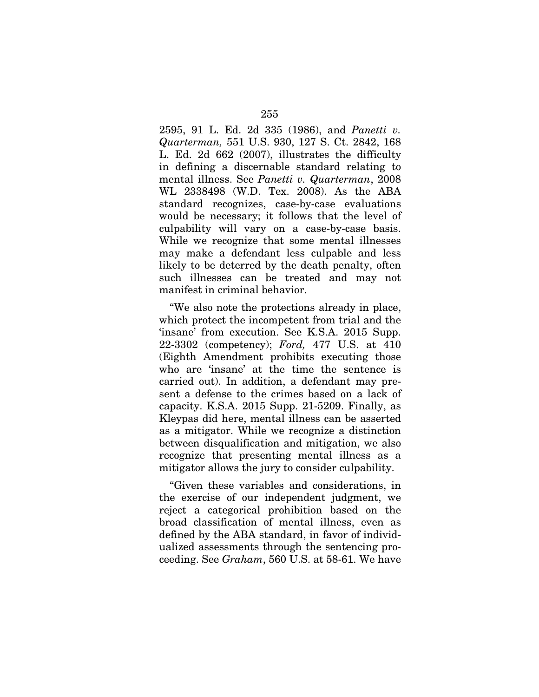2595, 91 L. Ed. 2d 335 (1986), and *Panetti v. Quarterman,* 551 U.S. 930, 127 S. Ct. 2842, 168 L. Ed. 2d 662 (2007), illustrates the difficulty in defining a discernable standard relating to mental illness. See *Panetti v. Quarterman*, 2008 WL 2338498 (W.D. Tex. 2008). As the ABA standard recognizes, case-by-case evaluations would be necessary; it follows that the level of culpability will vary on a case-by-case basis. While we recognize that some mental illnesses may make a defendant less culpable and less likely to be deterred by the death penalty, often such illnesses can be treated and may not manifest in criminal behavior.

"We also note the protections already in place, which protect the incompetent from trial and the 'insane' from execution. See K.S.A. 2015 Supp. 22-3302 (competency); *Ford,* 477 U.S. at 410 (Eighth Amendment prohibits executing those who are 'insane' at the time the sentence is carried out). In addition, a defendant may present a defense to the crimes based on a lack of capacity. K.S.A. 2015 Supp. 21-5209. Finally, as Kleypas did here, mental illness can be asserted as a mitigator. While we recognize a distinction between disqualification and mitigation, we also recognize that presenting mental illness as a mitigator allows the jury to consider culpability.

"Given these variables and considerations, in the exercise of our independent judgment, we reject a categorical prohibition based on the broad classification of mental illness, even as defined by the ABA standard, in favor of individualized assessments through the sentencing proceeding. See *Graham*, 560 U.S. at 58-61. We have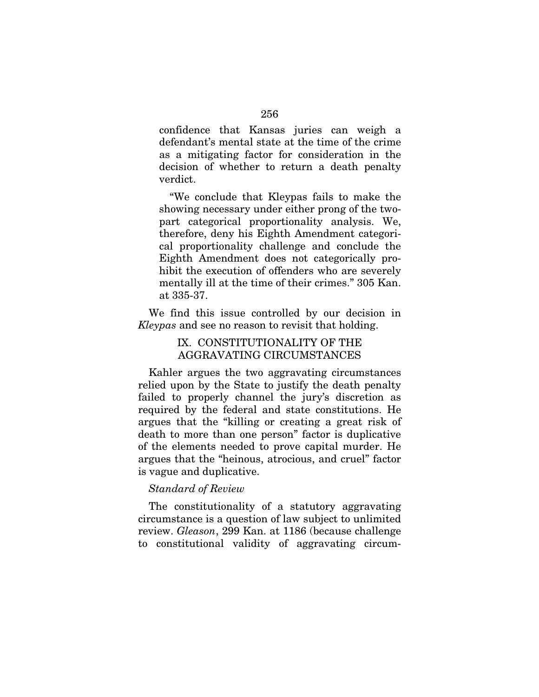confidence that Kansas juries can weigh a defendant's mental state at the time of the crime as a mitigating factor for consideration in the decision of whether to return a death penalty verdict.

"We conclude that Kleypas fails to make the showing necessary under either prong of the twopart categorical proportionality analysis. We, therefore, deny his Eighth Amendment categorical proportionality challenge and conclude the Eighth Amendment does not categorically prohibit the execution of offenders who are severely mentally ill at the time of their crimes." 305 Kan. at 335-37.

We find this issue controlled by our decision in *Kleypas* and see no reason to revisit that holding.

## IX. CONSTITUTIONALITY OF THE AGGRAVATING CIRCUMSTANCES

Kahler argues the two aggravating circumstances relied upon by the State to justify the death penalty failed to properly channel the jury's discretion as required by the federal and state constitutions. He argues that the "killing or creating a great risk of death to more than one person" factor is duplicative of the elements needed to prove capital murder. He argues that the "heinous, atrocious, and cruel" factor is vague and duplicative.

## *Standard of Review*

The constitutionality of a statutory aggravating circumstance is a question of law subject to unlimited review. *Gleason*, 299 Kan. at 1186 (because challenge to constitutional validity of aggravating circum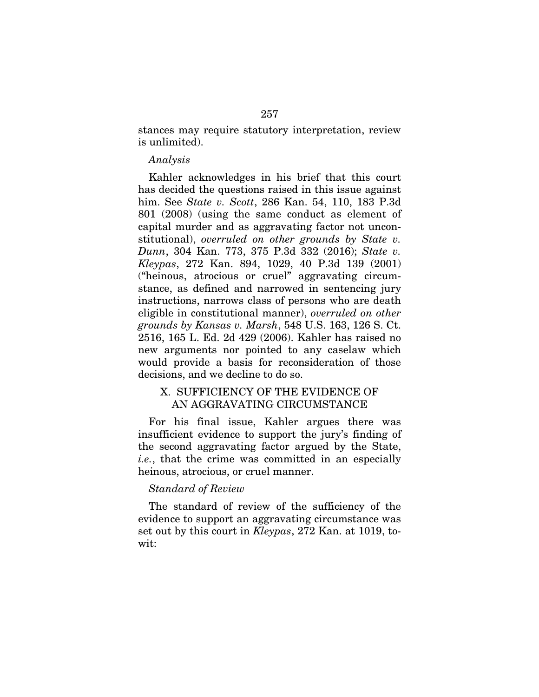stances may require statutory interpretation, review is unlimited).

#### *Analysis*

Kahler acknowledges in his brief that this court has decided the questions raised in this issue against him. See *State v. Scott*, 286 Kan. 54, 110, 183 P.3d 801 (2008) (using the same conduct as element of capital murder and as aggravating factor not unconstitutional), *overruled on other grounds by State v. Dunn*, 304 Kan. 773, 375 P.3d 332 (2016); *State v. Kleypas*, 272 Kan. 894, 1029, 40 P.3d 139 (2001) ("heinous, atrocious or cruel" aggravating circumstance, as defined and narrowed in sentencing jury instructions, narrows class of persons who are death eligible in constitutional manner), *overruled on other grounds by Kansas v. Marsh*, 548 U.S. 163, 126 S. Ct. 2516, 165 L. Ed. 2d 429 (2006). Kahler has raised no new arguments nor pointed to any caselaw which would provide a basis for reconsideration of those decisions, and we decline to do so.

# X. SUFFICIENCY OF THE EVIDENCE OF AN AGGRAVATING CIRCUMSTANCE

For his final issue, Kahler argues there was insufficient evidence to support the jury's finding of the second aggravating factor argued by the State, *i.e.*, that the crime was committed in an especially heinous, atrocious, or cruel manner.

#### *Standard of Review*

The standard of review of the sufficiency of the evidence to support an aggravating circumstance was set out by this court in *Kleypas*, 272 Kan. at 1019, towit: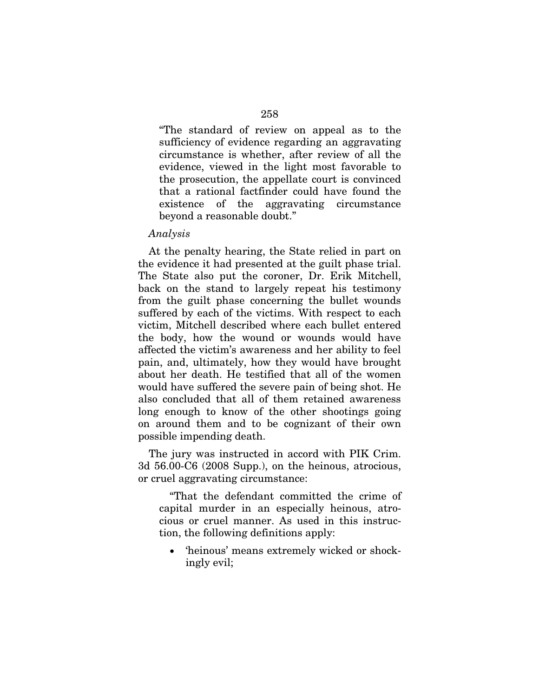"The standard of review on appeal as to the sufficiency of evidence regarding an aggravating circumstance is whether, after review of all the evidence, viewed in the light most favorable to the prosecution, the appellate court is convinced that a rational factfinder could have found the existence of the aggravating circumstance beyond a reasonable doubt."

#### *Analysis*

At the penalty hearing, the State relied in part on the evidence it had presented at the guilt phase trial. The State also put the coroner, Dr. Erik Mitchell, back on the stand to largely repeat his testimony from the guilt phase concerning the bullet wounds suffered by each of the victims. With respect to each victim, Mitchell described where each bullet entered the body, how the wound or wounds would have affected the victim's awareness and her ability to feel pain, and, ultimately, how they would have brought about her death. He testified that all of the women would have suffered the severe pain of being shot. He also concluded that all of them retained awareness long enough to know of the other shootings going on around them and to be cognizant of their own possible impending death.

The jury was instructed in accord with PIK Crim. 3d 56.00-C6 (2008 Supp.), on the heinous, atrocious, or cruel aggravating circumstance:

"That the defendant committed the crime of capital murder in an especially heinous, atrocious or cruel manner. As used in this instruction, the following definitions apply:

 'heinous' means extremely wicked or shockingly evil;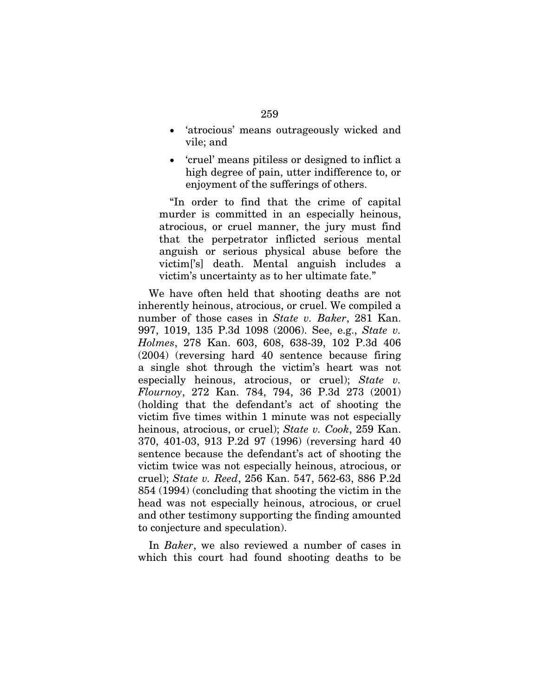- 'atrocious' means outrageously wicked and vile; and
- 'cruel' means pitiless or designed to inflict a high degree of pain, utter indifference to, or enjoyment of the sufferings of others.

"In order to find that the crime of capital murder is committed in an especially heinous, atrocious, or cruel manner, the jury must find that the perpetrator inflicted serious mental anguish or serious physical abuse before the victim['s] death. Mental anguish includes a victim's uncertainty as to her ultimate fate."

We have often held that shooting deaths are not inherently heinous, atrocious, or cruel. We compiled a number of those cases in *State v. Baker*, 281 Kan. 997, 1019, 135 P.3d 1098 (2006). See, e.g., *State v. Holmes*, 278 Kan. 603, 608, 638-39, 102 P.3d 406 (2004) (reversing hard 40 sentence because firing a single shot through the victim's heart was not especially heinous, atrocious, or cruel); *State v. Flournoy*, 272 Kan. 784, 794, 36 P.3d 273 (2001) (holding that the defendant's act of shooting the victim five times within 1 minute was not especially heinous, atrocious, or cruel); *State v. Cook*, 259 Kan. 370, 401-03, 913 P.2d 97 (1996) (reversing hard 40 sentence because the defendant's act of shooting the victim twice was not especially heinous, atrocious, or cruel); *State v. Reed*, 256 Kan. 547, 562-63, 886 P.2d 854 (1994) (concluding that shooting the victim in the head was not especially heinous, atrocious, or cruel and other testimony supporting the finding amounted to conjecture and speculation).

In *Baker*, we also reviewed a number of cases in which this court had found shooting deaths to be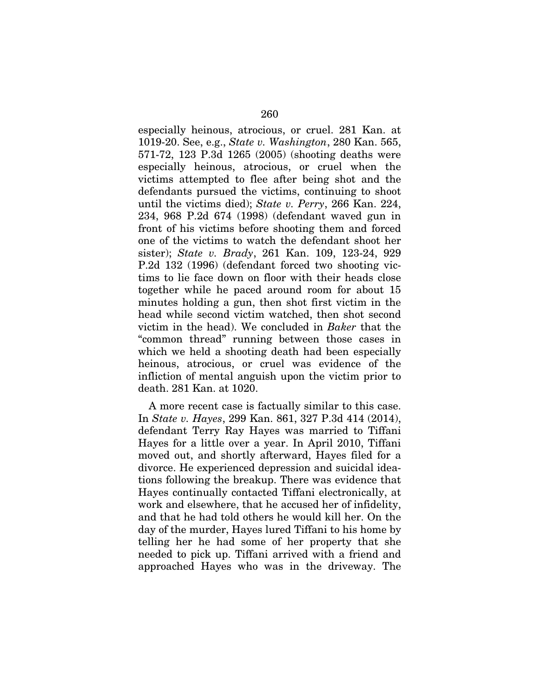especially heinous, atrocious, or cruel. 281 Kan. at 1019-20. See, e.g., *State v. Washington*, 280 Kan. 565, 571-72, 123 P.3d 1265 (2005) (shooting deaths were especially heinous, atrocious, or cruel when the victims attempted to flee after being shot and the defendants pursued the victims, continuing to shoot until the victims died); *State v. Perry*, 266 Kan. 224, 234, 968 P.2d 674 (1998) (defendant waved gun in front of his victims before shooting them and forced one of the victims to watch the defendant shoot her sister); *State v. Brady*, 261 Kan. 109, 123-24, 929 P.2d 132 (1996) (defendant forced two shooting victims to lie face down on floor with their heads close together while he paced around room for about 15 minutes holding a gun, then shot first victim in the head while second victim watched, then shot second victim in the head). We concluded in *Baker* that the "common thread" running between those cases in which we held a shooting death had been especially heinous, atrocious, or cruel was evidence of the infliction of mental anguish upon the victim prior to death. 281 Kan. at 1020.

A more recent case is factually similar to this case. In *State v. Hayes*, 299 Kan. 861, 327 P.3d 414 (2014), defendant Terry Ray Hayes was married to Tiffani Hayes for a little over a year. In April 2010, Tiffani moved out, and shortly afterward, Hayes filed for a divorce. He experienced depression and suicidal ideations following the breakup. There was evidence that Hayes continually contacted Tiffani electronically, at work and elsewhere, that he accused her of infidelity, and that he had told others he would kill her. On the day of the murder, Hayes lured Tiffani to his home by telling her he had some of her property that she needed to pick up. Tiffani arrived with a friend and approached Hayes who was in the driveway. The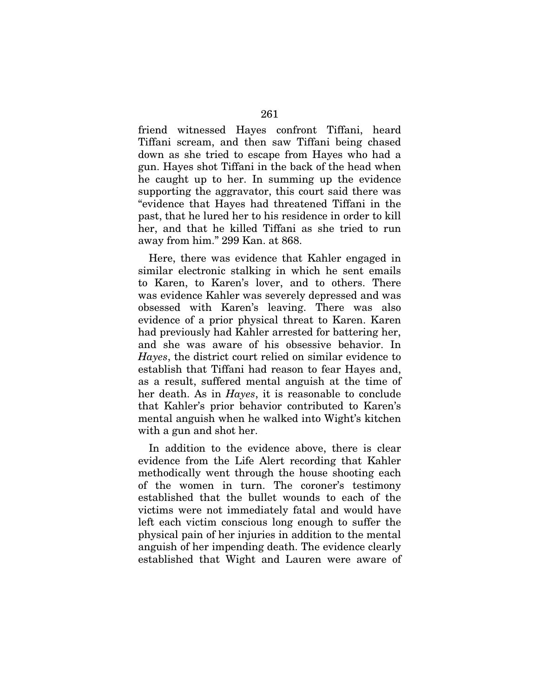friend witnessed Hayes confront Tiffani, heard Tiffani scream, and then saw Tiffani being chased down as she tried to escape from Hayes who had a gun. Hayes shot Tiffani in the back of the head when he caught up to her. In summing up the evidence supporting the aggravator, this court said there was "evidence that Hayes had threatened Tiffani in the past, that he lured her to his residence in order to kill her, and that he killed Tiffani as she tried to run away from him." 299 Kan. at 868.

Here, there was evidence that Kahler engaged in similar electronic stalking in which he sent emails to Karen, to Karen's lover, and to others. There was evidence Kahler was severely depressed and was obsessed with Karen's leaving. There was also evidence of a prior physical threat to Karen. Karen had previously had Kahler arrested for battering her, and she was aware of his obsessive behavior. In *Hayes*, the district court relied on similar evidence to establish that Tiffani had reason to fear Hayes and, as a result, suffered mental anguish at the time of her death. As in *Hayes*, it is reasonable to conclude that Kahler's prior behavior contributed to Karen's mental anguish when he walked into Wight's kitchen with a gun and shot her.

In addition to the evidence above, there is clear evidence from the Life Alert recording that Kahler methodically went through the house shooting each of the women in turn. The coroner's testimony established that the bullet wounds to each of the victims were not immediately fatal and would have left each victim conscious long enough to suffer the physical pain of her injuries in addition to the mental anguish of her impending death. The evidence clearly established that Wight and Lauren were aware of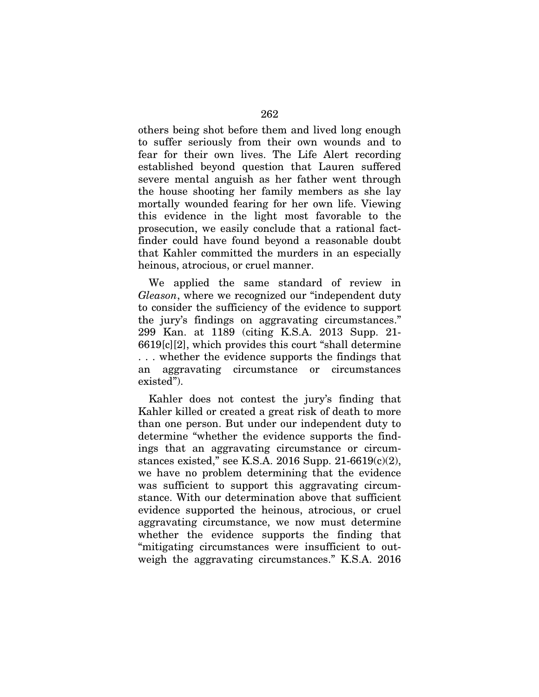others being shot before them and lived long enough to suffer seriously from their own wounds and to fear for their own lives. The Life Alert recording established beyond question that Lauren suffered severe mental anguish as her father went through the house shooting her family members as she lay mortally wounded fearing for her own life. Viewing this evidence in the light most favorable to the prosecution, we easily conclude that a rational factfinder could have found beyond a reasonable doubt that Kahler committed the murders in an especially heinous, atrocious, or cruel manner.

We applied the same standard of review in *Gleason*, where we recognized our "independent duty to consider the sufficiency of the evidence to support the jury's findings on aggravating circumstances." 299 Kan. at 1189 (citing K.S.A. 2013 Supp. 21- 6619[c][2], which provides this court "shall determine . . . whether the evidence supports the findings that an aggravating circumstance or circumstances existed").

Kahler does not contest the jury's finding that Kahler killed or created a great risk of death to more than one person. But under our independent duty to determine "whether the evidence supports the findings that an aggravating circumstance or circumstances existed," see K.S.A. 2016 Supp. 21-6619(c)(2), we have no problem determining that the evidence was sufficient to support this aggravating circumstance. With our determination above that sufficient evidence supported the heinous, atrocious, or cruel aggravating circumstance, we now must determine whether the evidence supports the finding that "mitigating circumstances were insufficient to outweigh the aggravating circumstances." K.S.A. 2016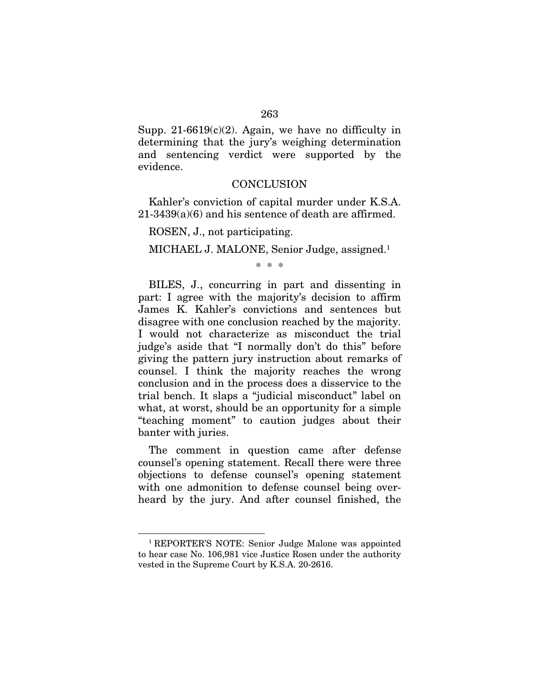Supp. 21-6619 $(c)(2)$ . Again, we have no difficulty in determining that the jury's weighing determination and sentencing verdict were supported by the evidence.

#### **CONCLUSION**

Kahler's conviction of capital murder under K.S.A. 21-3439(a)(6) and his sentence of death are affirmed.

ROSEN, J., not participating.

MICHAEL J. MALONE, Senior Judge, assigned.<sup>1</sup>

\* \* \*

BILES, J., concurring in part and dissenting in part: I agree with the majority's decision to affirm James K. Kahler's convictions and sentences but disagree with one conclusion reached by the majority. I would not characterize as misconduct the trial judge's aside that "I normally don't do this" before giving the pattern jury instruction about remarks of counsel. I think the majority reaches the wrong conclusion and in the process does a disservice to the trial bench. It slaps a "judicial misconduct" label on what, at worst, should be an opportunity for a simple "teaching moment" to caution judges about their banter with juries.

The comment in question came after defense counsel's opening statement. Recall there were three objections to defense counsel's opening statement with one admonition to defense counsel being overheard by the jury. And after counsel finished, the

**.** 

<sup>1</sup> REPORTER'S NOTE: Senior Judge Malone was appointed to hear case No. 106,981 vice Justice Rosen under the authority vested in the Supreme Court by K.S.A. 20-2616.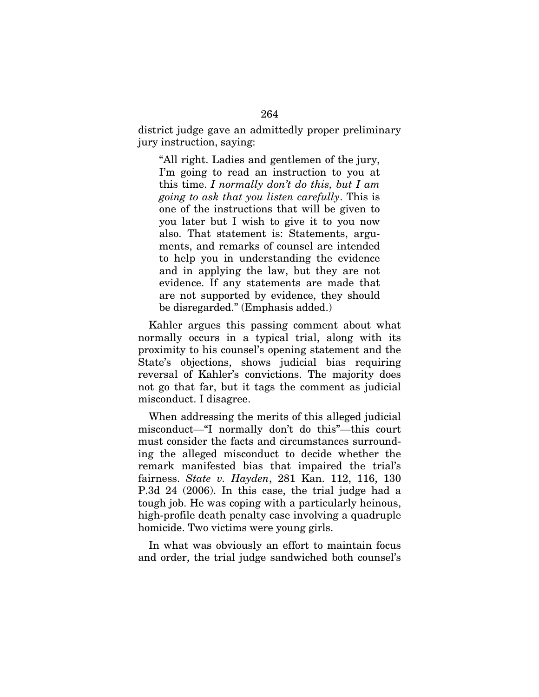district judge gave an admittedly proper preliminary jury instruction, saying:

"All right. Ladies and gentlemen of the jury, I'm going to read an instruction to you at this time. *I normally don't do this, but I am going to ask that you listen carefully*. This is one of the instructions that will be given to you later but I wish to give it to you now also. That statement is: Statements, arguments, and remarks of counsel are intended to help you in understanding the evidence and in applying the law, but they are not evidence. If any statements are made that are not supported by evidence, they should be disregarded." (Emphasis added.)

Kahler argues this passing comment about what normally occurs in a typical trial, along with its proximity to his counsel's opening statement and the State's objections, shows judicial bias requiring reversal of Kahler's convictions. The majority does not go that far, but it tags the comment as judicial misconduct. I disagree.

When addressing the merits of this alleged judicial misconduct—"I normally don't do this"—this court must consider the facts and circumstances surrounding the alleged misconduct to decide whether the remark manifested bias that impaired the trial's fairness. *State v. Hayden*, 281 Kan. 112, 116, 130 P.3d 24 (2006). In this case, the trial judge had a tough job. He was coping with a particularly heinous, high-profile death penalty case involving a quadruple homicide. Two victims were young girls.

In what was obviously an effort to maintain focus and order, the trial judge sandwiched both counsel's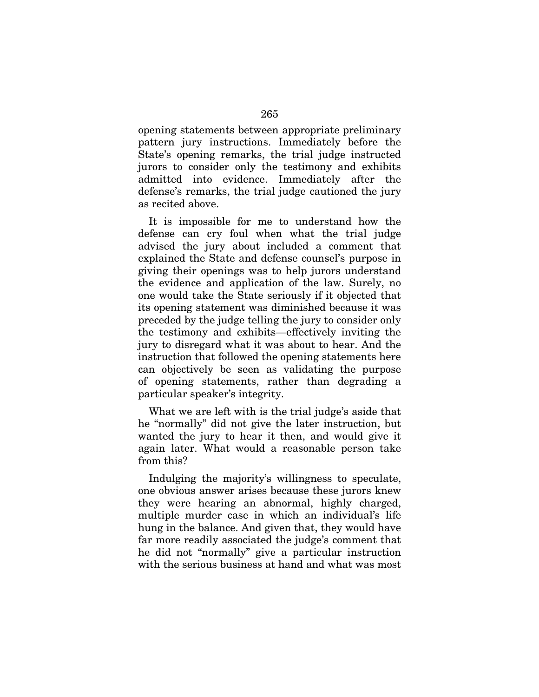opening statements between appropriate preliminary pattern jury instructions. Immediately before the State's opening remarks, the trial judge instructed jurors to consider only the testimony and exhibits admitted into evidence. Immediately after the defense's remarks, the trial judge cautioned the jury as recited above.

It is impossible for me to understand how the defense can cry foul when what the trial judge advised the jury about included a comment that explained the State and defense counsel's purpose in giving their openings was to help jurors understand the evidence and application of the law. Surely, no one would take the State seriously if it objected that its opening statement was diminished because it was preceded by the judge telling the jury to consider only the testimony and exhibits—effectively inviting the jury to disregard what it was about to hear. And the instruction that followed the opening statements here can objectively be seen as validating the purpose of opening statements, rather than degrading a particular speaker's integrity.

What we are left with is the trial judge's aside that he "normally" did not give the later instruction, but wanted the jury to hear it then, and would give it again later. What would a reasonable person take from this?

Indulging the majority's willingness to speculate, one obvious answer arises because these jurors knew they were hearing an abnormal, highly charged, multiple murder case in which an individual's life hung in the balance. And given that, they would have far more readily associated the judge's comment that he did not "normally" give a particular instruction with the serious business at hand and what was most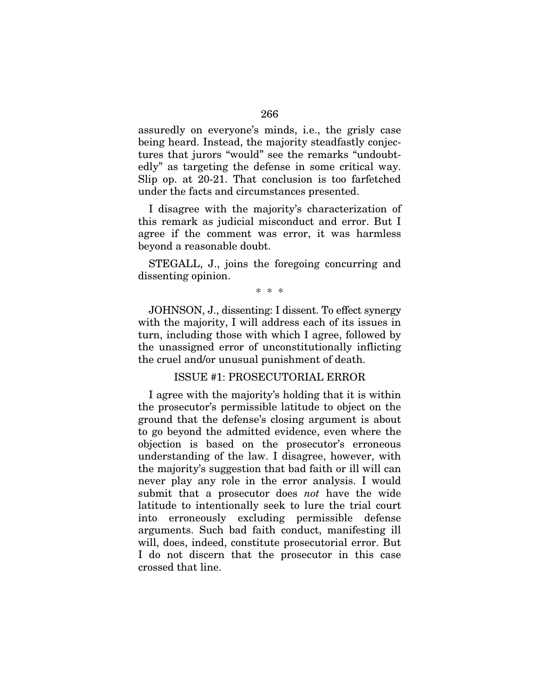assuredly on everyone's minds, i.e., the grisly case being heard. Instead, the majority steadfastly conjectures that jurors "would" see the remarks "undoubtedly" as targeting the defense in some critical way. Slip op. at 20-21. That conclusion is too farfetched under the facts and circumstances presented.

I disagree with the majority's characterization of this remark as judicial misconduct and error. But I agree if the comment was error, it was harmless beyond a reasonable doubt.

STEGALL, J., joins the foregoing concurring and dissenting opinion.

\* \* \*

JOHNSON, J., dissenting: I dissent. To effect synergy with the majority, I will address each of its issues in turn, including those with which I agree, followed by the unassigned error of unconstitutionally inflicting the cruel and/or unusual punishment of death.

## ISSUE #1: PROSECUTORIAL ERROR

I agree with the majority's holding that it is within the prosecutor's permissible latitude to object on the ground that the defense's closing argument is about to go beyond the admitted evidence, even where the objection is based on the prosecutor's erroneous understanding of the law. I disagree, however, with the majority's suggestion that bad faith or ill will can never play any role in the error analysis. I would submit that a prosecutor does *not* have the wide latitude to intentionally seek to lure the trial court into erroneously excluding permissible defense arguments. Such bad faith conduct, manifesting ill will, does, indeed, constitute prosecutorial error. But I do not discern that the prosecutor in this case crossed that line.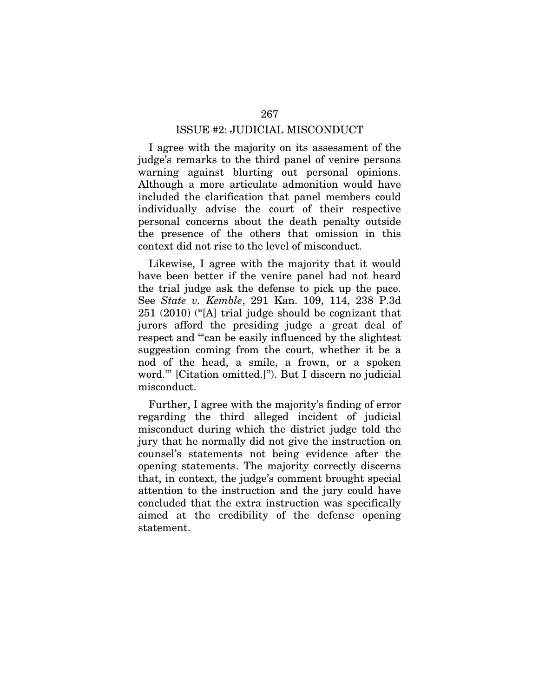### ISSUE #2: JUDICIAL MISCONDUCT

I agree with the majority on its assessment of the judge's remarks to the third panel of venire persons warning against blurting out personal opinions. Although a more articulate admonition would have included the clarification that panel members could individually advise the court of their respective personal concerns about the death penalty outside the presence of the others that omission in this context did not rise to the level of misconduct.

Likewise, I agree with the majority that it would have been better if the venire panel had not heard the trial judge ask the defense to pick up the pace. See *State v. Kemble*, 291 Kan. 109, 114, 238 P.3d 251 (2010) ("[A] trial judge should be cognizant that jurors afford the presiding judge a great deal of respect and '"can be easily influenced by the slightest suggestion coming from the court, whether it be a nod of the head, a smile, a frown, or a spoken word."' [Citation omitted.]"). But I discern no judicial misconduct.

Further, I agree with the majority's finding of error regarding the third alleged incident of judicial misconduct during which the district judge told the jury that he normally did not give the instruction on counsel's statements not being evidence after the opening statements. The majority correctly discerns that, in context, the judge's comment brought special attention to the instruction and the jury could have concluded that the extra instruction was specifically aimed at the credibility of the defense opening statement.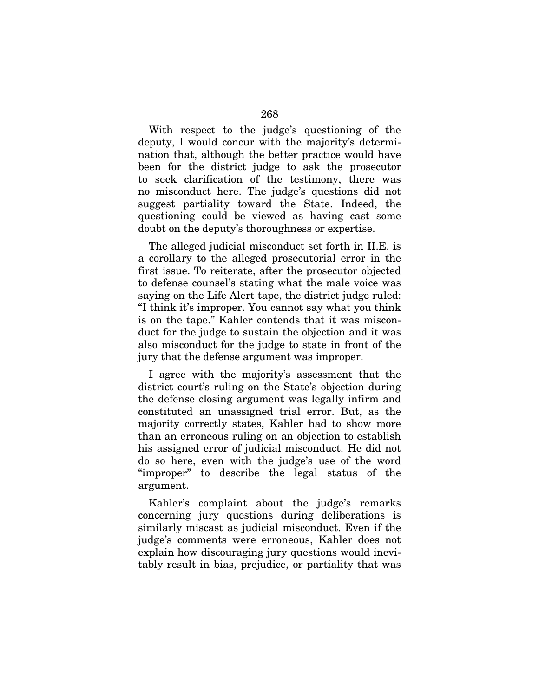With respect to the judge's questioning of the deputy, I would concur with the majority's determination that, although the better practice would have been for the district judge to ask the prosecutor to seek clarification of the testimony, there was no misconduct here. The judge's questions did not suggest partiality toward the State. Indeed, the questioning could be viewed as having cast some doubt on the deputy's thoroughness or expertise.

The alleged judicial misconduct set forth in II.E. is a corollary to the alleged prosecutorial error in the first issue. To reiterate, after the prosecutor objected to defense counsel's stating what the male voice was saying on the Life Alert tape, the district judge ruled: "I think it's improper. You cannot say what you think is on the tape." Kahler contends that it was misconduct for the judge to sustain the objection and it was also misconduct for the judge to state in front of the jury that the defense argument was improper.

I agree with the majority's assessment that the district court's ruling on the State's objection during the defense closing argument was legally infirm and constituted an unassigned trial error. But, as the majority correctly states, Kahler had to show more than an erroneous ruling on an objection to establish his assigned error of judicial misconduct. He did not do so here, even with the judge's use of the word "improper" to describe the legal status of the argument.

Kahler's complaint about the judge's remarks concerning jury questions during deliberations is similarly miscast as judicial misconduct. Even if the judge's comments were erroneous, Kahler does not explain how discouraging jury questions would inevitably result in bias, prejudice, or partiality that was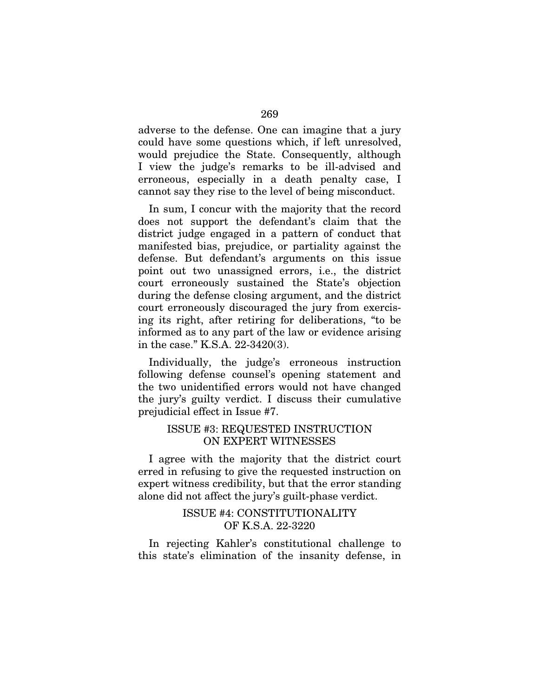adverse to the defense. One can imagine that a jury could have some questions which, if left unresolved, would prejudice the State. Consequently, although I view the judge's remarks to be ill-advised and erroneous, especially in a death penalty case, I cannot say they rise to the level of being misconduct.

In sum, I concur with the majority that the record does not support the defendant's claim that the district judge engaged in a pattern of conduct that manifested bias, prejudice, or partiality against the defense. But defendant's arguments on this issue point out two unassigned errors, i.e., the district court erroneously sustained the State's objection during the defense closing argument, and the district court erroneously discouraged the jury from exercising its right, after retiring for deliberations, "to be informed as to any part of the law or evidence arising in the case." K.S.A. 22-3420(3).

Individually, the judge's erroneous instruction following defense counsel's opening statement and the two unidentified errors would not have changed the jury's guilty verdict. I discuss their cumulative prejudicial effect in Issue #7.

## ISSUE #3: REQUESTED INSTRUCTION ON EXPERT WITNESSES

I agree with the majority that the district court erred in refusing to give the requested instruction on expert witness credibility, but that the error standing alone did not affect the jury's guilt-phase verdict.

# ISSUE #4: CONSTITUTIONALITY OF K.S.A. 22-3220

In rejecting Kahler's constitutional challenge to this state's elimination of the insanity defense, in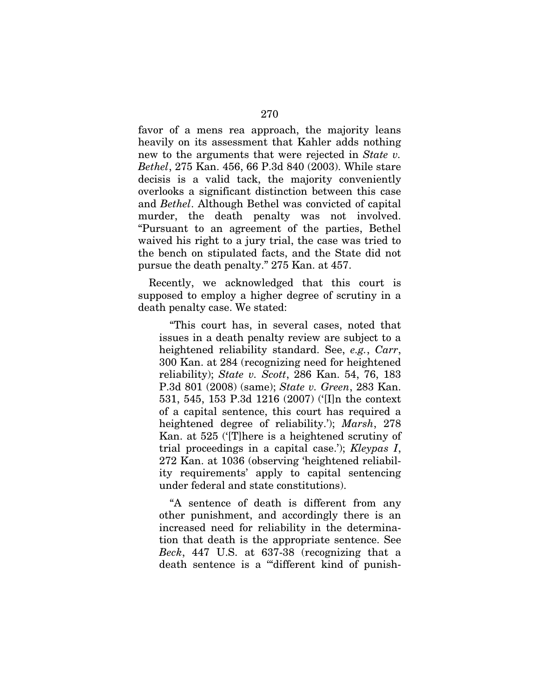favor of a mens rea approach, the majority leans heavily on its assessment that Kahler adds nothing new to the arguments that were rejected in *State v. Bethel*, 275 Kan. 456, 66 P.3d 840 (2003). While stare decisis is a valid tack, the majority conveniently overlooks a significant distinction between this case and *Bethel*. Although Bethel was convicted of capital murder, the death penalty was not involved. "Pursuant to an agreement of the parties, Bethel waived his right to a jury trial, the case was tried to the bench on stipulated facts, and the State did not pursue the death penalty." 275 Kan. at 457.

Recently, we acknowledged that this court is supposed to employ a higher degree of scrutiny in a death penalty case. We stated:

"This court has, in several cases, noted that issues in a death penalty review are subject to a heightened reliability standard. See, *e.g.*, *Carr*, 300 Kan. at 284 (recognizing need for heightened reliability); *State v. Scott*, 286 Kan. 54, 76, 183 P.3d 801 (2008) (same); *State v. Green*, 283 Kan. 531, 545, 153 P.3d 1216 (2007) ('[I]n the context of a capital sentence, this court has required a heightened degree of reliability.'); *Marsh*, 278 Kan. at 525 ('[T]here is a heightened scrutiny of trial proceedings in a capital case.'); *Kleypas I*, 272 Kan. at 1036 (observing 'heightened reliability requirements' apply to capital sentencing under federal and state constitutions).

"A sentence of death is different from any other punishment, and accordingly there is an increased need for reliability in the determination that death is the appropriate sentence. See *Beck*, 447 U.S. at 637-38 (recognizing that a death sentence is a '"different kind of punish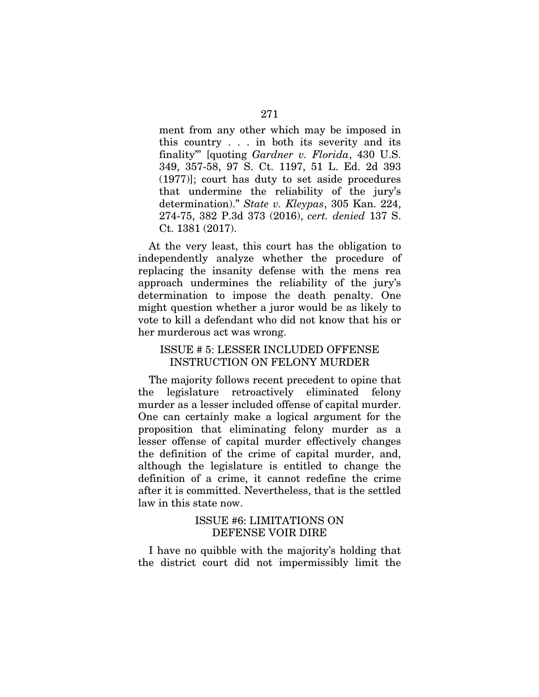ment from any other which may be imposed in this country . . . in both its severity and its finality"' [quoting *Gardner v. Florida*, 430 U.S. 349, 357-58, 97 S. Ct. 1197, 51 L. Ed. 2d 393 (1977)]; court has duty to set aside procedures that undermine the reliability of the jury's determination)." *State v. Kleypas*, 305 Kan. 224, 274-75, 382 P.3d 373 (2016), *cert. denied* 137 S. Ct. 1381 (2017).

At the very least, this court has the obligation to independently analyze whether the procedure of replacing the insanity defense with the mens rea approach undermines the reliability of the jury's determination to impose the death penalty. One might question whether a juror would be as likely to vote to kill a defendant who did not know that his or her murderous act was wrong.

## ISSUE # 5: LESSER INCLUDED OFFENSE INSTRUCTION ON FELONY MURDER

The majority follows recent precedent to opine that the legislature retroactively eliminated felony murder as a lesser included offense of capital murder. One can certainly make a logical argument for the proposition that eliminating felony murder as a lesser offense of capital murder effectively changes the definition of the crime of capital murder, and, although the legislature is entitled to change the definition of a crime, it cannot redefine the crime after it is committed. Nevertheless, that is the settled law in this state now.

## ISSUE #6: LIMITATIONS ON DEFENSE VOIR DIRE

I have no quibble with the majority's holding that the district court did not impermissibly limit the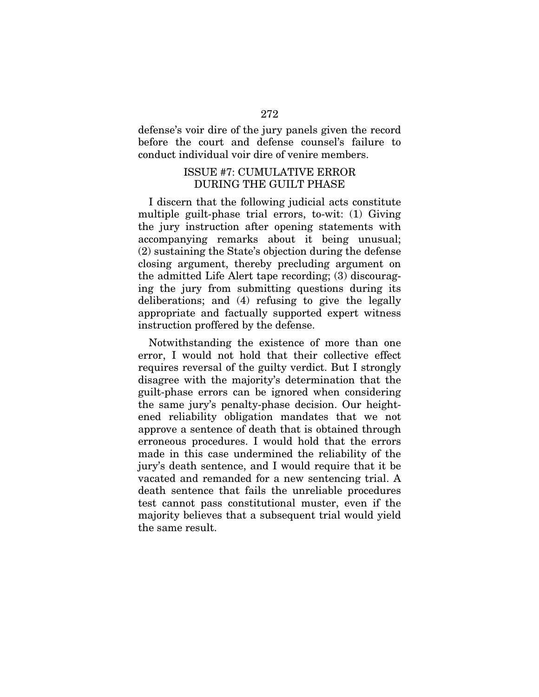defense's voir dire of the jury panels given the record before the court and defense counsel's failure to conduct individual voir dire of venire members.

## ISSUE #7: CUMULATIVE ERROR DURING THE GUILT PHASE

I discern that the following judicial acts constitute multiple guilt-phase trial errors, to-wit: (1) Giving the jury instruction after opening statements with accompanying remarks about it being unusual; (2) sustaining the State's objection during the defense closing argument, thereby precluding argument on the admitted Life Alert tape recording; (3) discouraging the jury from submitting questions during its deliberations; and (4) refusing to give the legally appropriate and factually supported expert witness instruction proffered by the defense.

Notwithstanding the existence of more than one error, I would not hold that their collective effect requires reversal of the guilty verdict. But I strongly disagree with the majority's determination that the guilt-phase errors can be ignored when considering the same jury's penalty-phase decision. Our heightened reliability obligation mandates that we not approve a sentence of death that is obtained through erroneous procedures. I would hold that the errors made in this case undermined the reliability of the jury's death sentence, and I would require that it be vacated and remanded for a new sentencing trial. A death sentence that fails the unreliable procedures test cannot pass constitutional muster, even if the majority believes that a subsequent trial would yield the same result.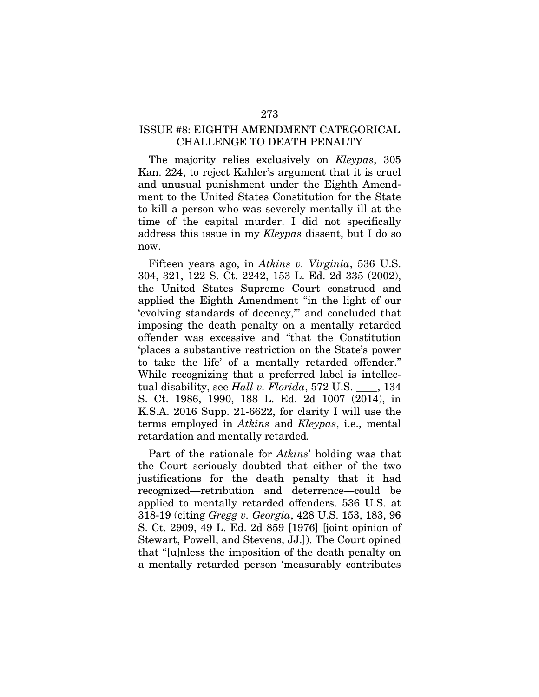## ISSUE #8: EIGHTH AMENDMENT CATEGORICAL CHALLENGE TO DEATH PENALTY

The majority relies exclusively on *Kleypas*, 305 Kan. 224, to reject Kahler's argument that it is cruel and unusual punishment under the Eighth Amendment to the United States Constitution for the State to kill a person who was severely mentally ill at the time of the capital murder. I did not specifically address this issue in my *Kleypas* dissent, but I do so now.

Fifteen years ago, in *Atkins v. Virginia*, 536 U.S. 304, 321, 122 S. Ct. 2242, 153 L. Ed. 2d 335 (2002), the United States Supreme Court construed and applied the Eighth Amendment "in the light of our 'evolving standards of decency,'" and concluded that imposing the death penalty on a mentally retarded offender was excessive and "that the Constitution 'places a substantive restriction on the State's power to take the life' of a mentally retarded offender." While recognizing that a preferred label is intellectual disability, see *Hall v. Florida*, 572 U.S. \_\_\_\_, 134 S. Ct. 1986, 1990, 188 L. Ed. 2d 1007 (2014), in K.S.A. 2016 Supp. 21-6622, for clarity I will use the terms employed in *Atkins* and *Kleypas*, i.e., mental retardation and mentally retarded*.*

Part of the rationale for *Atkins*' holding was that the Court seriously doubted that either of the two justifications for the death penalty that it had recognized—retribution and deterrence—could be applied to mentally retarded offenders. 536 U.S. at 318-19 (citing *Gregg v. Georgia*, 428 U.S. 153, 183, 96 S. Ct. 2909, 49 L. Ed. 2d 859 [1976] [joint opinion of Stewart, Powell, and Stevens, JJ.]). The Court opined that "[u]nless the imposition of the death penalty on a mentally retarded person 'measurably contributes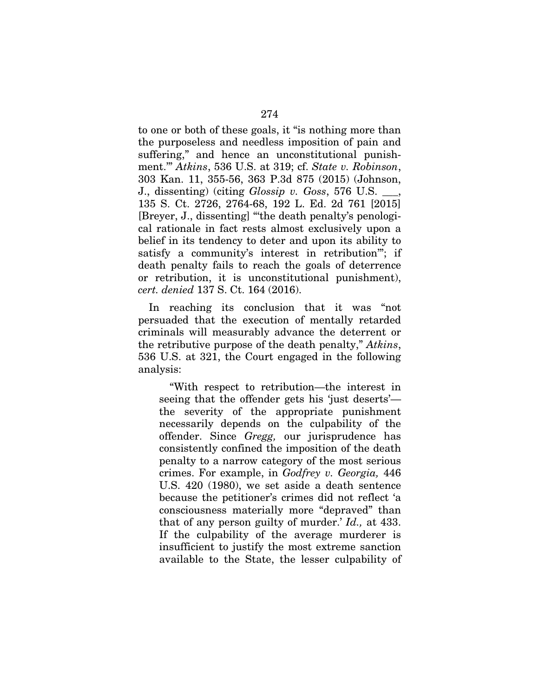to one or both of these goals, it "is nothing more than the purposeless and needless imposition of pain and suffering," and hence an unconstitutional punishment.'" *Atkins*, 536 U.S. at 319; cf. *State v. Robinson*, 303 Kan. 11, 355-56, 363 P.3d 875 (2015) (Johnson, J., dissenting) (citing *Glossip v. Goss*, 576 U.S. \_\_\_, 135 S. Ct. 2726, 2764-68, 192 L. Ed. 2d 761 [2015] [Breyer, J., dissenting] "'the death penalty's penological rationale in fact rests almost exclusively upon a belief in its tendency to deter and upon its ability to satisfy a community's interest in retribution'"; if death penalty fails to reach the goals of deterrence or retribution, it is unconstitutional punishment), *cert. denied* 137 S. Ct. 164 (2016).

In reaching its conclusion that it was "not persuaded that the execution of mentally retarded criminals will measurably advance the deterrent or the retributive purpose of the death penalty," *Atkins*, 536 U.S. at 321, the Court engaged in the following analysis:

"With respect to retribution—the interest in seeing that the offender gets his 'just deserts' the severity of the appropriate punishment necessarily depends on the culpability of the offender. Since *Gregg,* our jurisprudence has consistently confined the imposition of the death penalty to a narrow category of the most serious crimes. For example, in *Godfrey v. Georgia,* 446 U.S. 420 (1980), we set aside a death sentence because the petitioner's crimes did not reflect 'a consciousness materially more "depraved" than that of any person guilty of murder.' *Id.,* at 433. If the culpability of the average murderer is insufficient to justify the most extreme sanction available to the State, the lesser culpability of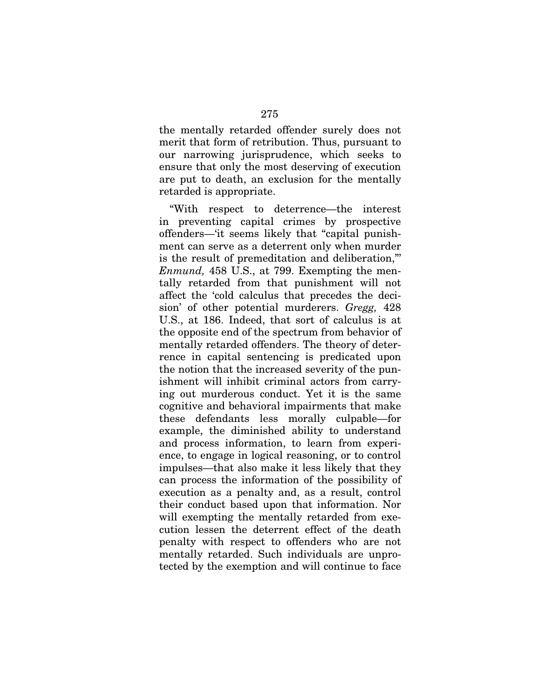the mentally retarded offender surely does not merit that form of retribution. Thus, pursuant to our narrowing jurisprudence, which seeks to ensure that only the most deserving of execution are put to death, an exclusion for the mentally retarded is appropriate.

"With respect to deterrence—the interest in preventing capital crimes by prospective offenders—'it seems likely that "capital punishment can serve as a deterrent only when murder is the result of premeditation and deliberation,"' *Enmund,* 458 U.S., at 799. Exempting the mentally retarded from that punishment will not affect the 'cold calculus that precedes the decision' of other potential murderers. *Gregg,* 428 U.S., at 186. Indeed, that sort of calculus is at the opposite end of the spectrum from behavior of mentally retarded offenders. The theory of deterrence in capital sentencing is predicated upon the notion that the increased severity of the punishment will inhibit criminal actors from carrying out murderous conduct. Yet it is the same cognitive and behavioral impairments that make these defendants less morally culpable—for example, the diminished ability to understand and process information, to learn from experience, to engage in logical reasoning, or to control impulses—that also make it less likely that they can process the information of the possibility of execution as a penalty and, as a result, control their conduct based upon that information. Nor will exempting the mentally retarded from execution lessen the deterrent effect of the death penalty with respect to offenders who are not mentally retarded. Such individuals are unprotected by the exemption and will continue to face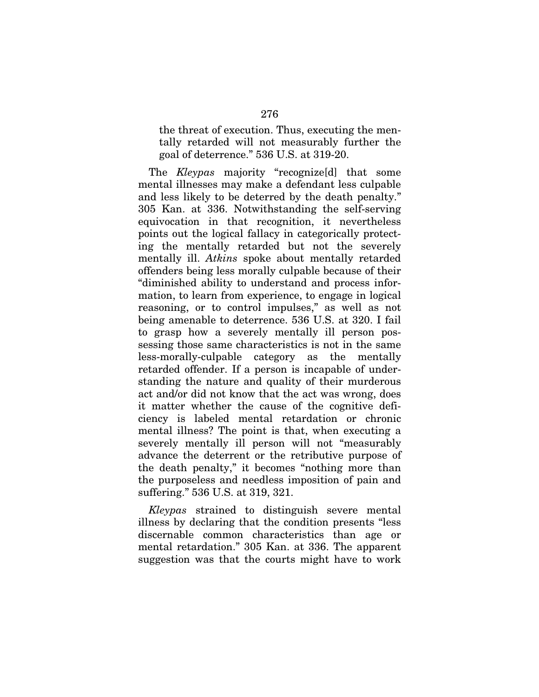the threat of execution. Thus, executing the mentally retarded will not measurably further the goal of deterrence." 536 U.S. at 319-20.

The *Kleypas* majority "recognize[d] that some mental illnesses may make a defendant less culpable and less likely to be deterred by the death penalty." 305 Kan. at 336. Notwithstanding the self-serving equivocation in that recognition, it nevertheless points out the logical fallacy in categorically protecting the mentally retarded but not the severely mentally ill. *Atkins* spoke about mentally retarded offenders being less morally culpable because of their "diminished ability to understand and process information, to learn from experience, to engage in logical reasoning, or to control impulses," as well as not being amenable to deterrence. 536 U.S. at 320. I fail to grasp how a severely mentally ill person possessing those same characteristics is not in the same less-morally-culpable category as the mentally retarded offender. If a person is incapable of understanding the nature and quality of their murderous act and/or did not know that the act was wrong, does it matter whether the cause of the cognitive deficiency is labeled mental retardation or chronic mental illness? The point is that, when executing a severely mentally ill person will not "measurably advance the deterrent or the retributive purpose of the death penalty," it becomes "nothing more than the purposeless and needless imposition of pain and suffering." 536 U.S. at 319, 321.

*Kleypas* strained to distinguish severe mental illness by declaring that the condition presents "less discernable common characteristics than age or mental retardation." 305 Kan. at 336. The apparent suggestion was that the courts might have to work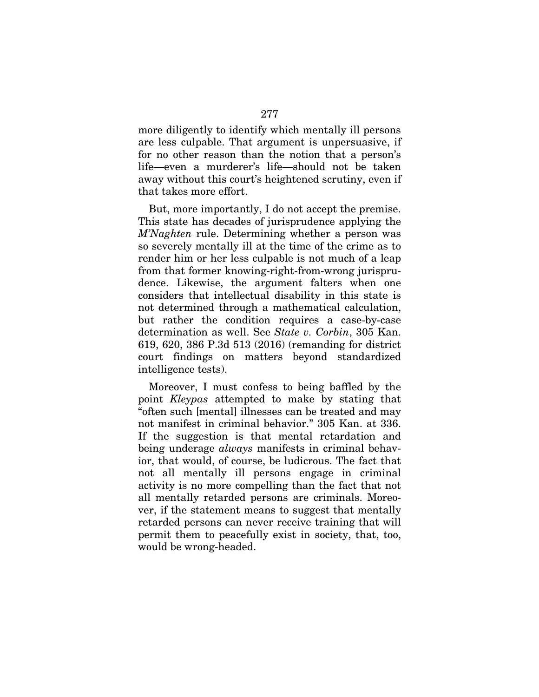more diligently to identify which mentally ill persons are less culpable. That argument is unpersuasive, if for no other reason than the notion that a person's life—even a murderer's life—should not be taken away without this court's heightened scrutiny, even if that takes more effort.

But, more importantly, I do not accept the premise. This state has decades of jurisprudence applying the *M'Naghten* rule. Determining whether a person was so severely mentally ill at the time of the crime as to render him or her less culpable is not much of a leap from that former knowing-right-from-wrong jurisprudence. Likewise, the argument falters when one considers that intellectual disability in this state is not determined through a mathematical calculation, but rather the condition requires a case-by-case determination as well. See *State v. Corbin*, 305 Kan. 619, 620, 386 P.3d 513 (2016) (remanding for district court findings on matters beyond standardized intelligence tests).

Moreover, I must confess to being baffled by the point *Kleypas* attempted to make by stating that "often such [mental] illnesses can be treated and may not manifest in criminal behavior." 305 Kan. at 336. If the suggestion is that mental retardation and being underage *always* manifests in criminal behavior, that would, of course, be ludicrous. The fact that not all mentally ill persons engage in criminal activity is no more compelling than the fact that not all mentally retarded persons are criminals. Moreover, if the statement means to suggest that mentally retarded persons can never receive training that will permit them to peacefully exist in society, that, too, would be wrong-headed.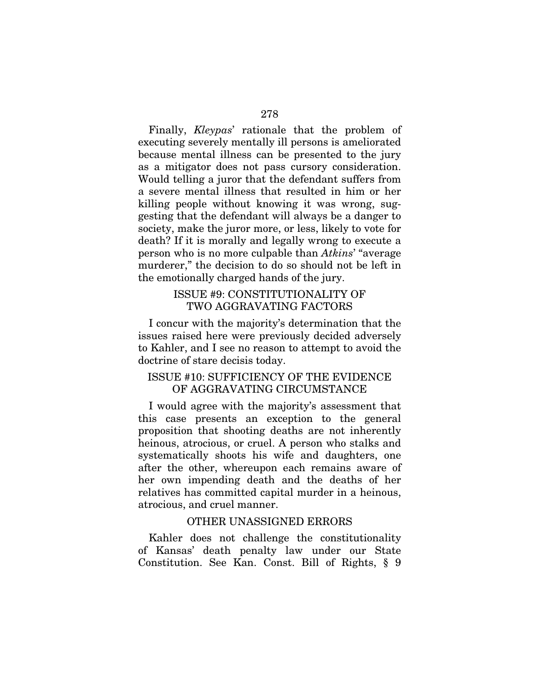Finally, *Kleypas*' rationale that the problem of executing severely mentally ill persons is ameliorated because mental illness can be presented to the jury as a mitigator does not pass cursory consideration. Would telling a juror that the defendant suffers from a severe mental illness that resulted in him or her killing people without knowing it was wrong, suggesting that the defendant will always be a danger to society, make the juror more, or less, likely to vote for death? If it is morally and legally wrong to execute a person who is no more culpable than *Atkins*' "average murderer," the decision to do so should not be left in the emotionally charged hands of the jury.

## ISSUE #9: CONSTITUTIONALITY OF TWO AGGRAVATING FACTORS

I concur with the majority's determination that the issues raised here were previously decided adversely to Kahler, and I see no reason to attempt to avoid the doctrine of stare decisis today.

# ISSUE #10: SUFFICIENCY OF THE EVIDENCE OF AGGRAVATING CIRCUMSTANCE

I would agree with the majority's assessment that this case presents an exception to the general proposition that shooting deaths are not inherently heinous, atrocious, or cruel. A person who stalks and systematically shoots his wife and daughters, one after the other, whereupon each remains aware of her own impending death and the deaths of her relatives has committed capital murder in a heinous, atrocious, and cruel manner.

#### OTHER UNASSIGNED ERRORS

Kahler does not challenge the constitutionality of Kansas' death penalty law under our State Constitution. See Kan. Const. Bill of Rights, § 9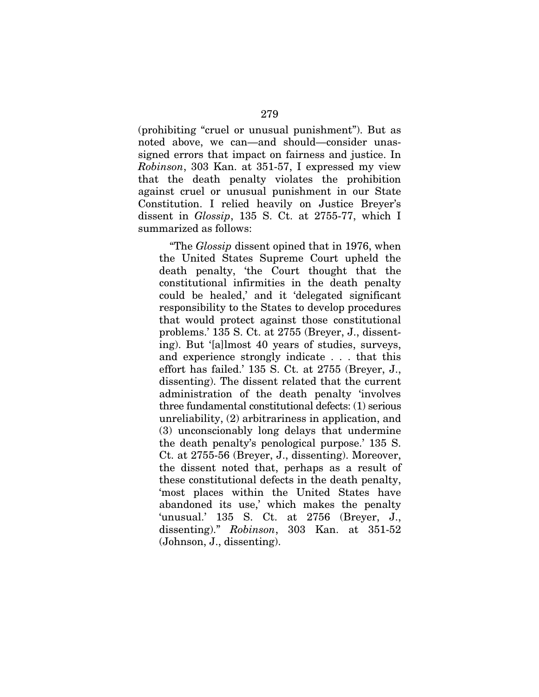(prohibiting "cruel or unusual punishment"). But as noted above, we can—and should—consider unassigned errors that impact on fairness and justice. In *Robinson*, 303 Kan. at 351-57, I expressed my view that the death penalty violates the prohibition against cruel or unusual punishment in our State Constitution. I relied heavily on Justice Breyer's dissent in *Glossip*, 135 S. Ct. at 2755-77, which I summarized as follows:

"The *Glossip* dissent opined that in 1976, when the United States Supreme Court upheld the death penalty, 'the Court thought that the constitutional infirmities in the death penalty could be healed,' and it 'delegated significant responsibility to the States to develop procedures that would protect against those constitutional problems.' 135 S. Ct. at 2755 (Breyer, J., dissenting). But '[a]lmost 40 years of studies, surveys, and experience strongly indicate . . . that this effort has failed.' 135 S. Ct. at 2755 (Breyer, J., dissenting). The dissent related that the current administration of the death penalty 'involves three fundamental constitutional defects: (1) serious unreliability, (2) arbitrariness in application, and (3) unconscionably long delays that undermine the death penalty's penological purpose.' 135 S. Ct. at 2755-56 (Breyer, J., dissenting). Moreover, the dissent noted that, perhaps as a result of these constitutional defects in the death penalty, 'most places within the United States have abandoned its use,' which makes the penalty 'unusual.' 135 S. Ct. at 2756 (Breyer, J., dissenting)." *Robinson*, 303 Kan. at 351-52 (Johnson, J., dissenting).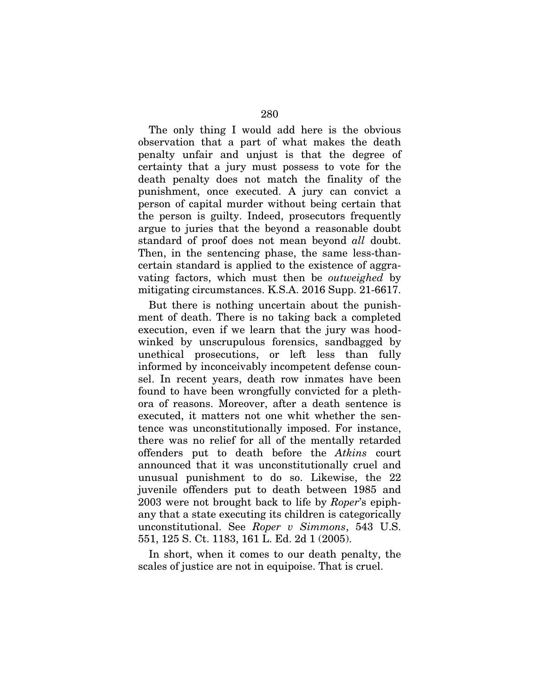The only thing I would add here is the obvious observation that a part of what makes the death penalty unfair and unjust is that the degree of certainty that a jury must possess to vote for the death penalty does not match the finality of the punishment, once executed. A jury can convict a person of capital murder without being certain that the person is guilty. Indeed, prosecutors frequently argue to juries that the beyond a reasonable doubt standard of proof does not mean beyond *all* doubt. Then, in the sentencing phase, the same less-thancertain standard is applied to the existence of aggravating factors, which must then be *outweighed* by mitigating circumstances. K.S.A. 2016 Supp. 21-6617.

But there is nothing uncertain about the punishment of death. There is no taking back a completed execution, even if we learn that the jury was hoodwinked by unscrupulous forensics, sandbagged by unethical prosecutions, or left less than fully informed by inconceivably incompetent defense counsel. In recent years, death row inmates have been found to have been wrongfully convicted for a plethora of reasons. Moreover, after a death sentence is executed, it matters not one whit whether the sentence was unconstitutionally imposed. For instance, there was no relief for all of the mentally retarded offenders put to death before the *Atkins* court announced that it was unconstitutionally cruel and unusual punishment to do so. Likewise, the 22 juvenile offenders put to death between 1985 and 2003 were not brought back to life by *Roper*'s epiphany that a state executing its children is categorically unconstitutional. See *Roper v Simmons*, 543 U.S. 551, 125 S. Ct. 1183, 161 L. Ed. 2d 1 (2005).

In short, when it comes to our death penalty, the scales of justice are not in equipoise. That is cruel.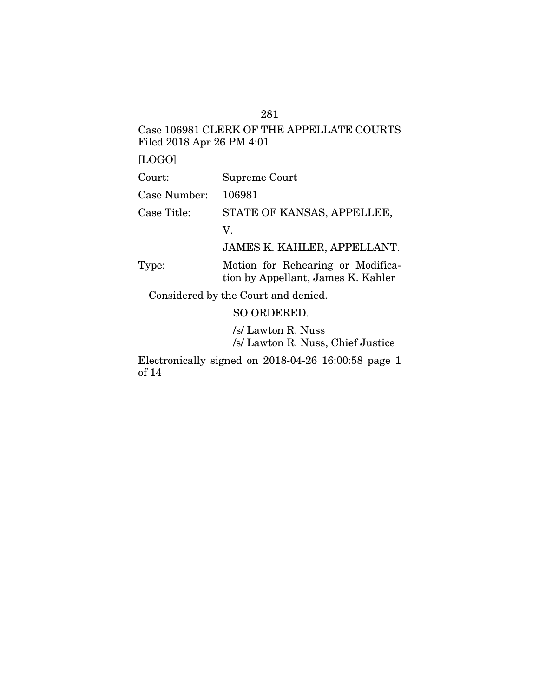# Case 106981 CLERK OF THE APPELLATE COURTS Filed 2018 Apr 26 PM 4:01

[LOGO]

| Court:                              | Supreme Court                                                           |
|-------------------------------------|-------------------------------------------------------------------------|
| Case Number:                        | 106981                                                                  |
| Case Title:                         | STATE OF KANSAS, APPELLEE,                                              |
|                                     | V.                                                                      |
|                                     | JAMES K. KAHLER, APPELLANT.                                             |
| Type:                               | Motion for Rehearing or Modifica-<br>tion by Appellant, James K. Kahler |
| Considered by the Court and denied. |                                                                         |
|                                     | SO ORDERED.                                                             |
|                                     | $\overline{1}$                                                          |

/s/ Lawton R. Nuss /s/ Lawton R. Nuss, Chief Justice

Electronically signed on 2018-04-26 16:00:58 page 1 of 14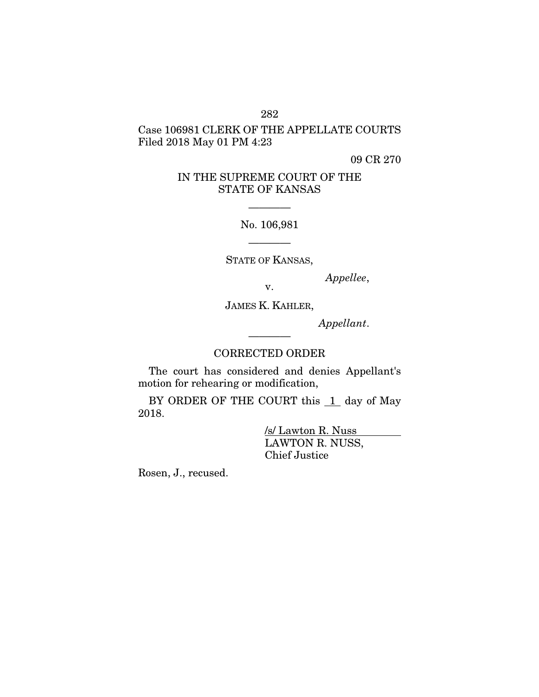## 282

# Case 106981 CLERK OF THE APPELLATE COURTS Filed 2018 May 01 PM 4:23

09 CR 270

# IN THE SUPREME COURT OF THE STATE OF KANSAS

No. 106,981

————

————

STATE OF KANSAS,

*Appellee*, v.

JAMES K. KAHLER,

*Appellant*.

# ———— CORRECTED ORDER

The court has considered and denies Appellant's motion for rehearing or modification,

BY ORDER OF THE COURT this  $1$  day of May 2018.

> /s/ Lawton R. Nuss LAWTON R. NUSS, Chief Justice

Rosen, J., recused.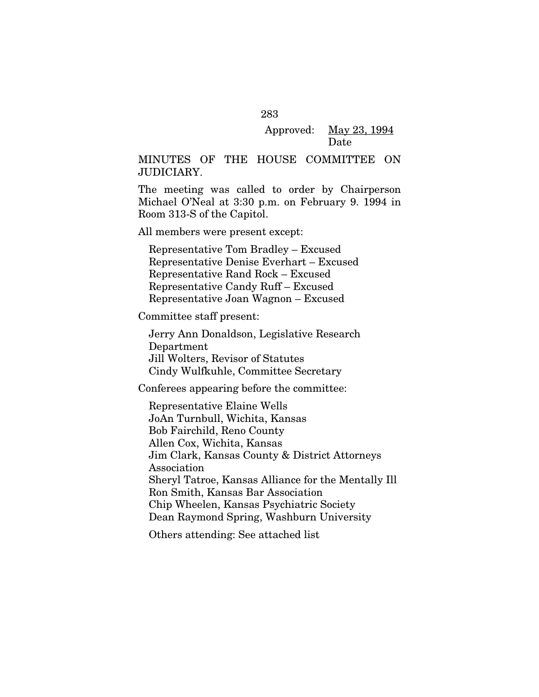## Approved: May 23, 1994 Date

## MINUTES OF THE HOUSE COMMITTEE ON JUDICIARY.

The meeting was called to order by Chairperson Michael O'Neal at 3:30 p.m. on February 9. 1994 in Room 313-S of the Capitol.

All members were present except:

Representative Tom Bradley – Excused Representative Denise Everhart – Excused Representative Rand Rock – Excused Representative Candy Ruff – Excused Representative Joan Wagnon – Excused

Committee staff present:

Jerry Ann Donaldson, Legislative Research Department Jill Wolters, Revisor of Statutes Cindy Wulfkuhle, Committee Secretary

Conferees appearing before the committee:

Representative Elaine Wells JoAn Turnbull, Wichita, Kansas Bob Fairchild, Reno County Allen Cox, Wichita, Kansas Jim Clark, Kansas County & District Attorneys Association Sheryl Tatroe, Kansas Alliance for the Mentally Ill Ron Smith, Kansas Bar Association Chip Wheelen, Kansas Psychiatric Society Dean Raymond Spring, Washburn University

Others attending: See attached list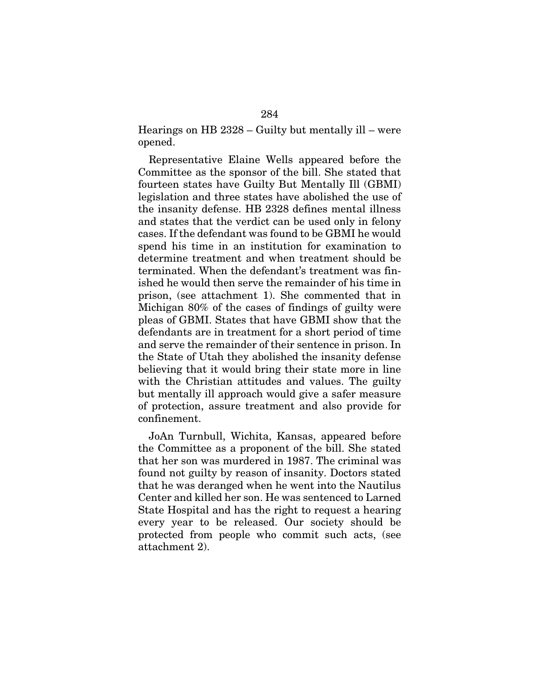Hearings on HB 2328 – Guilty but mentally ill – were opened.

Representative Elaine Wells appeared before the Committee as the sponsor of the bill. She stated that fourteen states have Guilty But Mentally Ill (GBMI) legislation and three states have abolished the use of the insanity defense. HB 2328 defines mental illness and states that the verdict can be used only in felony cases. If the defendant was found to be GBMI he would spend his time in an institution for examination to determine treatment and when treatment should be terminated. When the defendant's treatment was finished he would then serve the remainder of his time in prison, (see attachment 1). She commented that in Michigan 80% of the cases of findings of guilty were pleas of GBMI. States that have GBMI show that the defendants are in treatment for a short period of time and serve the remainder of their sentence in prison. In the State of Utah they abolished the insanity defense believing that it would bring their state more in line with the Christian attitudes and values. The guilty but mentally ill approach would give a safer measure of protection, assure treatment and also provide for confinement.

JoAn Turnbull, Wichita, Kansas, appeared before the Committee as a proponent of the bill. She stated that her son was murdered in 1987. The criminal was found not guilty by reason of insanity. Doctors stated that he was deranged when he went into the Nautilus Center and killed her son. He was sentenced to Larned State Hospital and has the right to request a hearing every year to be released. Our society should be protected from people who commit such acts, (see attachment 2).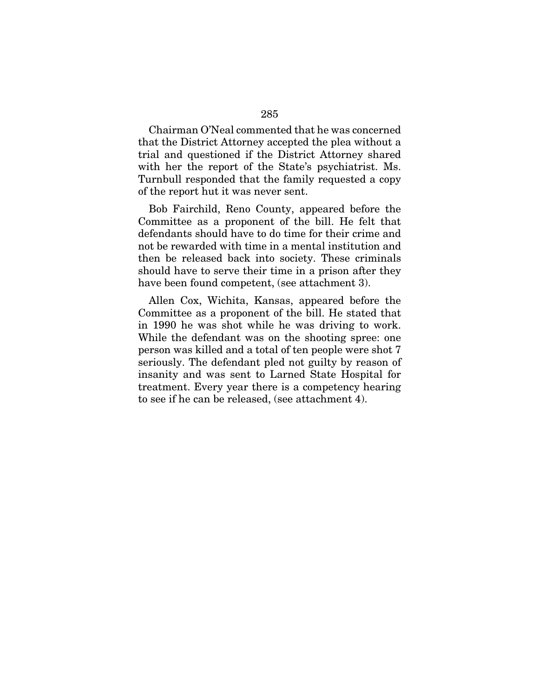Chairman O'Neal commented that he was concerned that the District Attorney accepted the plea without a trial and questioned if the District Attorney shared with her the report of the State's psychiatrist. Ms. Turnbull responded that the family requested a copy of the report hut it was never sent.

Bob Fairchild, Reno County, appeared before the Committee as a proponent of the bill. He felt that defendants should have to do time for their crime and not be rewarded with time in a mental institution and then be released back into society. These criminals should have to serve their time in a prison after they have been found competent, (see attachment 3).

Allen Cox, Wichita, Kansas, appeared before the Committee as a proponent of the bill. He stated that in 1990 he was shot while he was driving to work. While the defendant was on the shooting spree: one person was killed and a total of ten people were shot 7 seriously. The defendant pled not guilty by reason of insanity and was sent to Larned State Hospital for treatment. Every year there is a competency hearing to see if he can be released, (see attachment 4).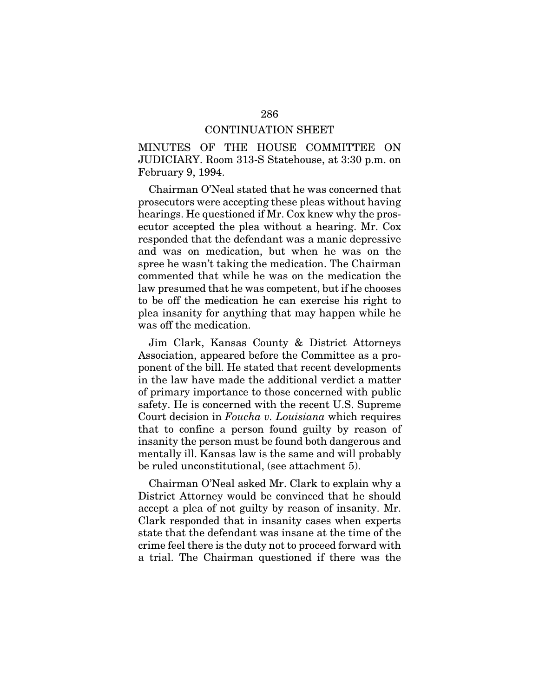#### CONTINUATION SHEET

MINUTES OF THE HOUSE COMMITTEE ON JUDICIARY. Room 313-S Statehouse, at 3:30 p.m. on February 9, 1994.

Chairman O'Neal stated that he was concerned that prosecutors were accepting these pleas without having hearings. He questioned if Mr. Cox knew why the prosecutor accepted the plea without a hearing. Mr. Cox responded that the defendant was a manic depressive and was on medication, but when he was on the spree he wasn't taking the medication. The Chairman commented that while he was on the medication the law presumed that he was competent, but if he chooses to be off the medication he can exercise his right to plea insanity for anything that may happen while he was off the medication.

Jim Clark, Kansas County & District Attorneys Association, appeared before the Committee as a proponent of the bill. He stated that recent developments in the law have made the additional verdict a matter of primary importance to those concerned with public safety. He is concerned with the recent U.S. Supreme Court decision in *Foucha v. Louisiana* which requires that to confine a person found guilty by reason of insanity the person must be found both dangerous and mentally ill. Kansas law is the same and will probably be ruled unconstitutional, (see attachment 5).

Chairman O'Neal asked Mr. Clark to explain why a District Attorney would be convinced that he should accept a plea of not guilty by reason of insanity. Mr. Clark responded that in insanity cases when experts state that the defendant was insane at the time of the crime feel there is the duty not to proceed forward with a trial. The Chairman questioned if there was the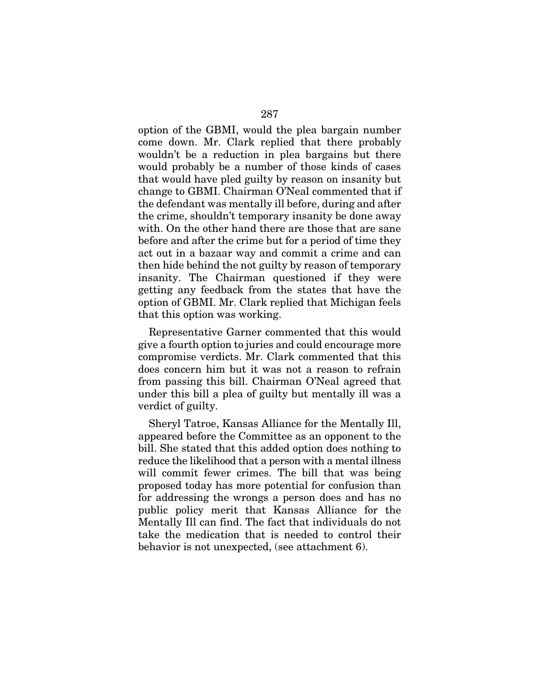option of the GBMI, would the plea bargain number come down. Mr. Clark replied that there probably wouldn't be a reduction in plea bargains but there would probably be a number of those kinds of cases that would have pled guilty by reason on insanity but change to GBMI. Chairman O'Neal commented that if the defendant was mentally ill before, during and after the crime, shouldn't temporary insanity be done away with. On the other hand there are those that are sane before and after the crime but for a period of time they act out in a bazaar way and commit a crime and can then hide behind the not guilty by reason of temporary insanity. The Chairman questioned if they were getting any feedback from the states that have the option of GBMI. Mr. Clark replied that Michigan feels that this option was working.

Representative Garner commented that this would give a fourth option to juries and could encourage more compromise verdicts. Mr. Clark commented that this does concern him but it was not a reason to refrain from passing this bill. Chairman O'Neal agreed that under this bill a plea of guilty but mentally ill was a verdict of guilty.

Sheryl Tatroe, Kansas Alliance for the Mentally Ill, appeared before the Committee as an opponent to the bill. She stated that this added option does nothing to reduce the likelihood that a person with a mental illness will commit fewer crimes. The bill that was being proposed today has more potential for confusion than for addressing the wrongs a person does and has no public policy merit that Kansas Alliance for the Mentally Ill can find. The fact that individuals do not take the medication that is needed to control their behavior is not unexpected, (see attachment 6).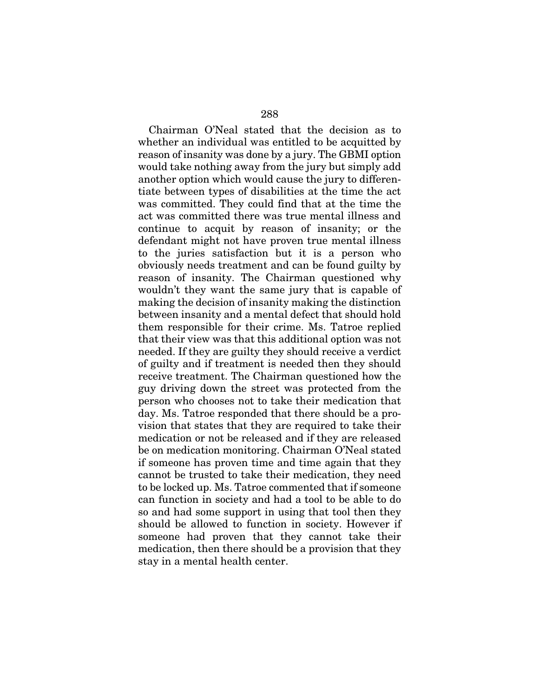Chairman O'Neal stated that the decision as to whether an individual was entitled to be acquitted by reason of insanity was done by a jury. The GBMI option would take nothing away from the jury but simply add another option which would cause the jury to differentiate between types of disabilities at the time the act was committed. They could find that at the time the act was committed there was true mental illness and continue to acquit by reason of insanity; or the defendant might not have proven true mental illness to the juries satisfaction but it is a person who obviously needs treatment and can be found guilty by reason of insanity. The Chairman questioned why wouldn't they want the same jury that is capable of making the decision of insanity making the distinction between insanity and a mental defect that should hold them responsible for their crime. Ms. Tatroe replied that their view was that this additional option was not needed. If they are guilty they should receive a verdict of guilty and if treatment is needed then they should receive treatment. The Chairman questioned how the guy driving down the street was protected from the person who chooses not to take their medication that day. Ms. Tatroe responded that there should be a provision that states that they are required to take their medication or not be released and if they are released be on medication monitoring. Chairman O'Neal stated if someone has proven time and time again that they cannot be trusted to take their medication, they need to be locked up. Ms. Tatroe commented that if someone can function in society and had a tool to be able to do so and had some support in using that tool then they should be allowed to function in society. However if someone had proven that they cannot take their medication, then there should be a provision that they stay in a mental health center.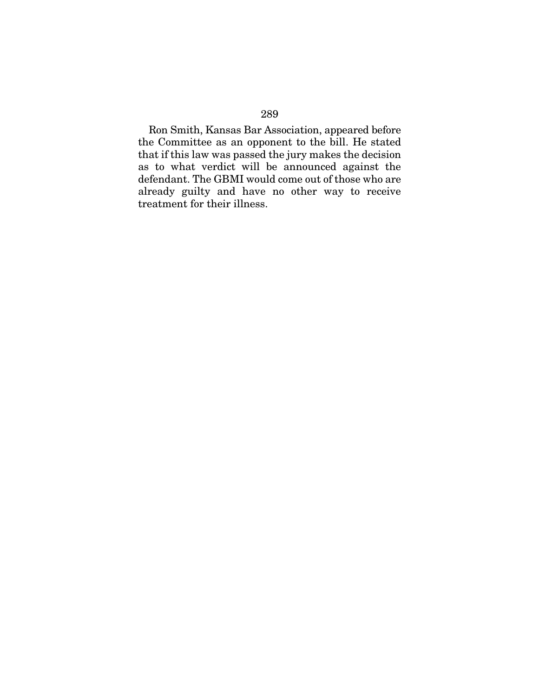Ron Smith, Kansas Bar Association, appeared before the Committee as an opponent to the bill. He stated that if this law was passed the jury makes the decision as to what verdict will be announced against the defendant. The GBMI would come out of those who are already guilty and have no other way to receive treatment for their illness.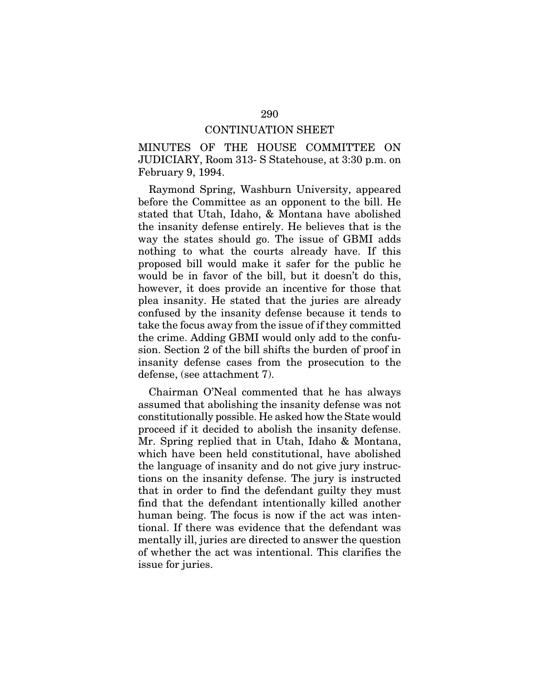#### CONTINUATION SHEET

MINUTES OF THE HOUSE COMMITTEE ON JUDICIARY, Room 313- S Statehouse, at 3:30 p.m. on February 9, 1994.

Raymond Spring, Washburn University, appeared before the Committee as an opponent to the bill. He stated that Utah, Idaho, & Montana have abolished the insanity defense entirely. He believes that is the way the states should go. The issue of GBMI adds nothing to what the courts already have. If this proposed bill would make it safer for the public he would be in favor of the bill, but it doesn't do this, however, it does provide an incentive for those that plea insanity. He stated that the juries are already confused by the insanity defense because it tends to take the focus away from the issue of if they committed the crime. Adding GBMI would only add to the confusion. Section 2 of the bill shifts the burden of proof in insanity defense cases from the prosecution to the defense, (see attachment 7).

Chairman O'Neal commented that he has always assumed that abolishing the insanity defense was not constitutionally possible. He asked how the State would proceed if it decided to abolish the insanity defense. Mr. Spring replied that in Utah, Idaho & Montana, which have been held constitutional, have abolished the language of insanity and do not give jury instructions on the insanity defense. The jury is instructed that in order to find the defendant guilty they must find that the defendant intentionally killed another human being. The focus is now if the act was intentional. If there was evidence that the defendant was mentally ill, juries are directed to answer the question of whether the act was intentional. This clarifies the issue for juries.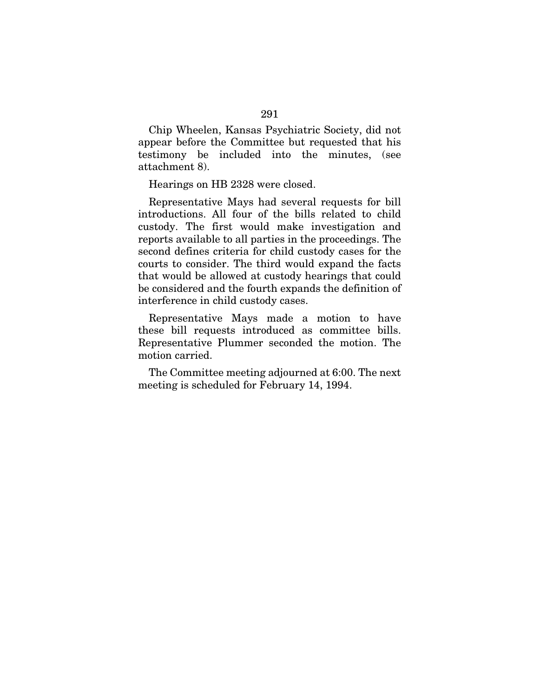Chip Wheelen, Kansas Psychiatric Society, did not appear before the Committee but requested that his testimony be included into the minutes, (see attachment 8).

Hearings on HB 2328 were closed.

Representative Mays had several requests for bill introductions. All four of the bills related to child custody. The first would make investigation and reports available to all parties in the proceedings. The second defines criteria for child custody cases for the courts to consider. The third would expand the facts that would be allowed at custody hearings that could be considered and the fourth expands the definition of interference in child custody cases.

Representative Mays made a motion to have these bill requests introduced as committee bills. Representative Plummer seconded the motion. The motion carried.

The Committee meeting adjourned at 6:00. The next meeting is scheduled for February 14, 1994.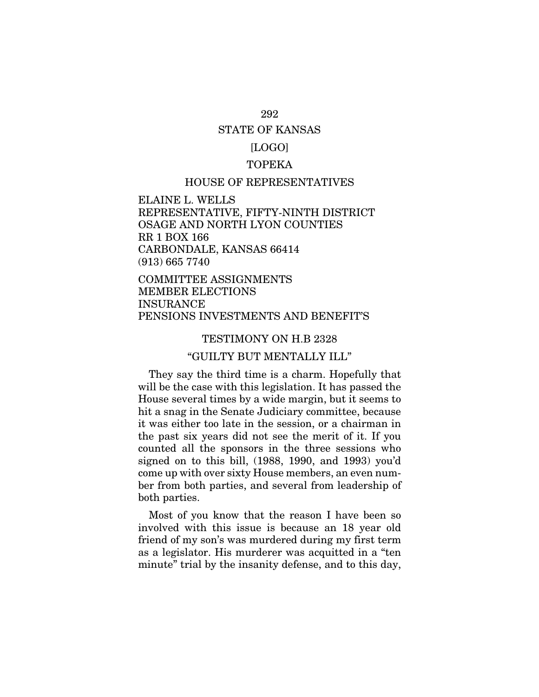# STATE OF KANSAS

## [LOGO]

## TOPEKA

### HOUSE OF REPRESENTATIVES

ELAINE L. WELLS REPRESENTATIVE, FIFTY-NINTH DISTRICT OSAGE AND NORTH LYON COUNTIES RR 1 BOX 166 CARBONDALE, KANSAS 66414 (913) 665 7740

COMMITTEE ASSIGNMENTS MEMBER ELECTIONS INSURANCE PENSIONS INVESTMENTS AND BENEFIT'S

### TESTIMONY ON H.B 2328

### "GUILTY BUT MENTALLY ILL"

They say the third time is a charm. Hopefully that will be the case with this legislation. It has passed the House several times by a wide margin, but it seems to hit a snag in the Senate Judiciary committee, because it was either too late in the session, or a chairman in the past six years did not see the merit of it. If you counted all the sponsors in the three sessions who signed on to this bill, (1988, 1990, and 1993) you'd come up with over sixty House members, an even number from both parties, and several from leadership of both parties.

Most of you know that the reason I have been so involved with this issue is because an 18 year old friend of my son's was murdered during my first term as a legislator. His murderer was acquitted in a "ten minute" trial by the insanity defense, and to this day,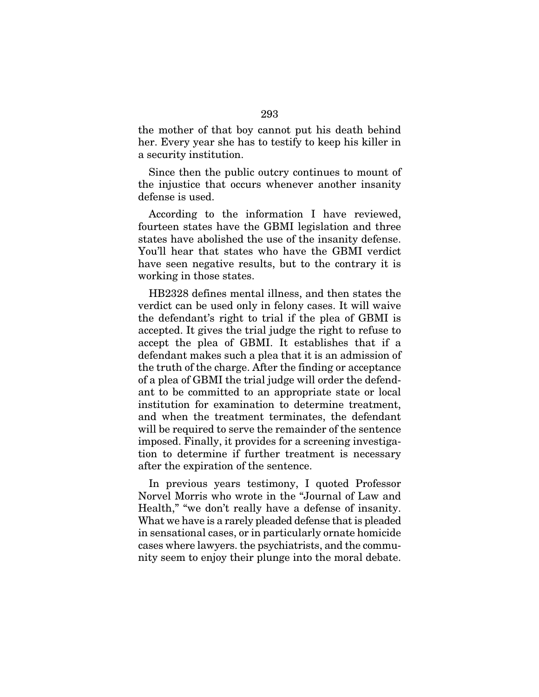the mother of that boy cannot put his death behind her. Every year she has to testify to keep his killer in a security institution.

Since then the public outcry continues to mount of the injustice that occurs whenever another insanity defense is used.

According to the information I have reviewed, fourteen states have the GBMI legislation and three states have abolished the use of the insanity defense. You'll hear that states who have the GBMI verdict have seen negative results, but to the contrary it is working in those states.

HB2328 defines mental illness, and then states the verdict can be used only in felony cases. It will waive the defendant's right to trial if the plea of GBMI is accepted. It gives the trial judge the right to refuse to accept the plea of GBMI. It establishes that if a defendant makes such a plea that it is an admission of the truth of the charge. After the finding or acceptance of a plea of GBMI the trial judge will order the defendant to be committed to an appropriate state or local institution for examination to determine treatment, and when the treatment terminates, the defendant will be required to serve the remainder of the sentence imposed. Finally, it provides for a screening investigation to determine if further treatment is necessary after the expiration of the sentence.

In previous years testimony, I quoted Professor Norvel Morris who wrote in the "Journal of Law and Health," "we don't really have a defense of insanity. What we have is a rarely pleaded defense that is pleaded in sensational cases, or in particularly ornate homicide cases where lawyers. the psychiatrists, and the community seem to enjoy their plunge into the moral debate.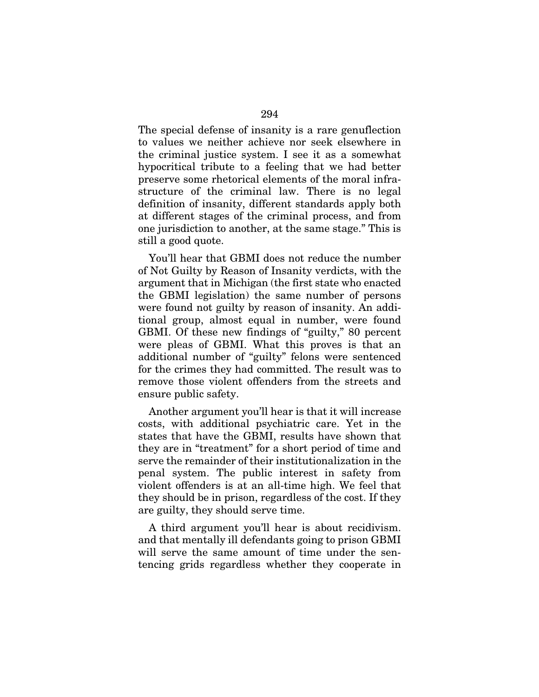The special defense of insanity is a rare genuflection to values we neither achieve nor seek elsewhere in the criminal justice system. I see it as a somewhat hypocritical tribute to a feeling that we had better preserve some rhetorical elements of the moral infrastructure of the criminal law. There is no legal definition of insanity, different standards apply both at different stages of the criminal process, and from one jurisdiction to another, at the same stage." This is still a good quote.

You'll hear that GBMI does not reduce the number of Not Guilty by Reason of Insanity verdicts, with the argument that in Michigan (the first state who enacted the GBMI legislation) the same number of persons were found not guilty by reason of insanity. An additional group, almost equal in number, were found GBMI. Of these new findings of "guilty," 80 percent were pleas of GBMI. What this proves is that an additional number of "guilty" felons were sentenced for the crimes they had committed. The result was to remove those violent offenders from the streets and ensure public safety.

Another argument you'll hear is that it will increase costs, with additional psychiatric care. Yet in the states that have the GBMI, results have shown that they are in "treatment" for a short period of time and serve the remainder of their institutionalization in the penal system. The public interest in safety from violent offenders is at an all-time high. We feel that they should be in prison, regardless of the cost. If they are guilty, they should serve time.

A third argument you'll hear is about recidivism. and that mentally ill defendants going to prison GBMI will serve the same amount of time under the sentencing grids regardless whether they cooperate in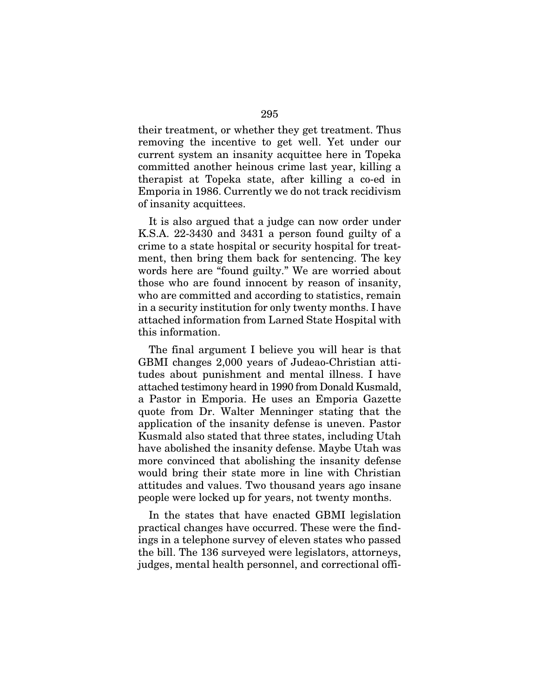their treatment, or whether they get treatment. Thus removing the incentive to get well. Yet under our current system an insanity acquittee here in Topeka committed another heinous crime last year, killing a therapist at Topeka state, after killing a co-ed in Emporia in 1986. Currently we do not track recidivism of insanity acquittees.

It is also argued that a judge can now order under K.S.A. 22-3430 and 3431 a person found guilty of a crime to a state hospital or security hospital for treatment, then bring them back for sentencing. The key words here are "found guilty." We are worried about those who are found innocent by reason of insanity, who are committed and according to statistics, remain in a security institution for only twenty months. I have attached information from Larned State Hospital with this information.

The final argument I believe you will hear is that GBMI changes 2,000 years of Judeao-Christian attitudes about punishment and mental illness. I have attached testimony heard in 1990 from Donald Kusmald, a Pastor in Emporia. He uses an Emporia Gazette quote from Dr. Walter Menninger stating that the application of the insanity defense is uneven. Pastor Kusmald also stated that three states, including Utah have abolished the insanity defense. Maybe Utah was more convinced that abolishing the insanity defense would bring their state more in line with Christian attitudes and values. Two thousand years ago insane people were locked up for years, not twenty months.

In the states that have enacted GBMI legislation practical changes have occurred. These were the findings in a telephone survey of eleven states who passed the bill. The 136 surveyed were legislators, attorneys, judges, mental health personnel, and correctional offi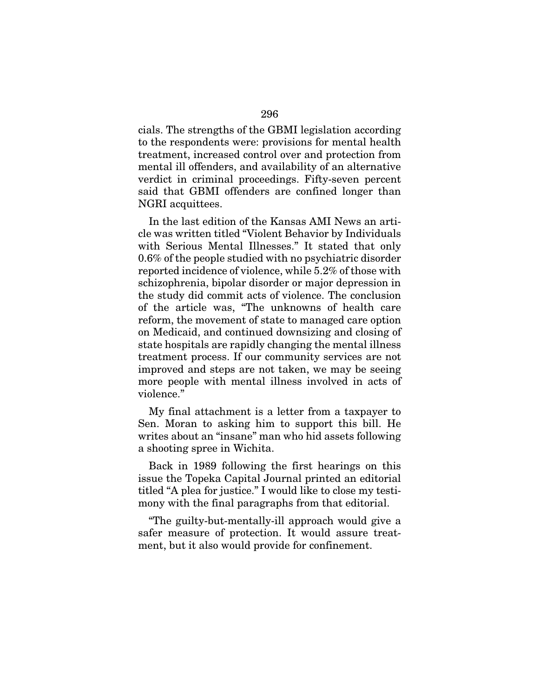cials. The strengths of the GBMI legislation according to the respondents were: provisions for mental health treatment, increased control over and protection from mental ill offenders, and availability of an alternative verdict in criminal proceedings. Fifty-seven percent said that GBMI offenders are confined longer than NGRI acquittees.

In the last edition of the Kansas AMI News an article was written titled "Violent Behavior by Individuals with Serious Mental Illnesses." It stated that only 0.6% of the people studied with no psychiatric disorder reported incidence of violence, while 5.2% of those with schizophrenia, bipolar disorder or major depression in the study did commit acts of violence. The conclusion of the article was, "The unknowns of health care reform, the movement of state to managed care option on Medicaid, and continued downsizing and closing of state hospitals are rapidly changing the mental illness treatment process. If our community services are not improved and steps are not taken, we may be seeing more people with mental illness involved in acts of violence."

My final attachment is a letter from a taxpayer to Sen. Moran to asking him to support this bill. He writes about an "insane" man who hid assets following a shooting spree in Wichita.

Back in 1989 following the first hearings on this issue the Topeka Capital Journal printed an editorial titled "A plea for justice." I would like to close my testimony with the final paragraphs from that editorial.

"The guilty-but-mentally-ill approach would give a safer measure of protection. It would assure treatment, but it also would provide for confinement.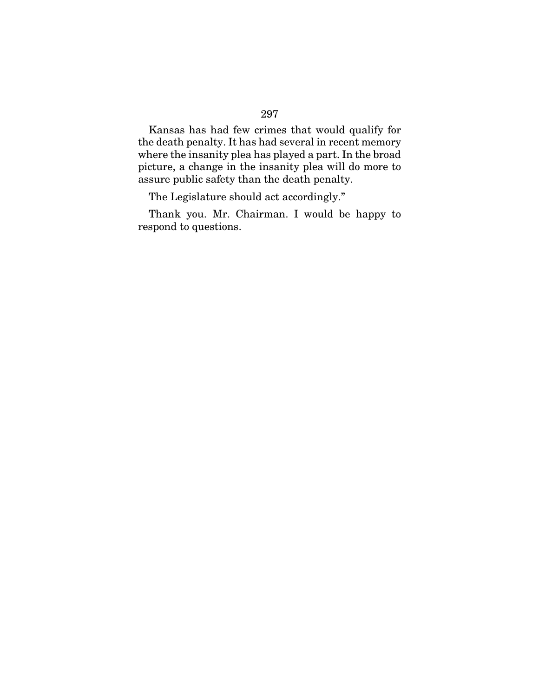Kansas has had few crimes that would qualify for the death penalty. It has had several in recent memory where the insanity plea has played a part. In the broad picture, a change in the insanity plea will do more to assure public safety than the death penalty.

The Legislature should act accordingly."

Thank you. Mr. Chairman. I would be happy to respond to questions.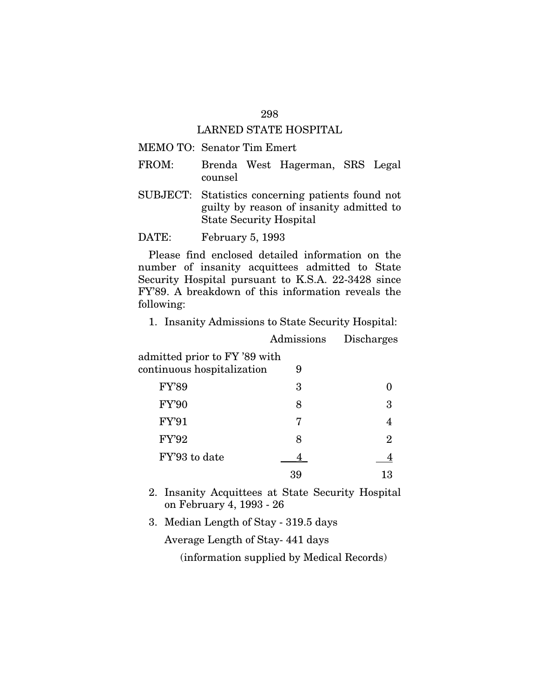## LARNED STATE HOSPITAL

## MEMO TO: Senator Tim Emert

- FROM: Brenda West Hagerman, SRS Legal counsel
- SUBJECT: Statistics concerning patients found not guilty by reason of insanity admitted to State Security Hospital

DATE: February 5, 1993

Please find enclosed detailed information on the number of insanity acquittees admitted to State Security Hospital pursuant to K.S.A. 22-3428 since FY'89. A breakdown of this information reveals the following:

1. Insanity Admissions to State Security Hospital:

Admissions Discharges

| admitted prior to FY '89 with<br>continuous hospitalization | 9 |    |
|-------------------------------------------------------------|---|----|
| <b>FY'89</b>                                                | 3 |    |
| <b>FY'90</b>                                                | 8 | 3  |
| <b>FY'91</b>                                                | 7 |    |
| FY'92                                                       | 8 | 2  |
| FY'93 to date                                               |   |    |
|                                                             |   | 13 |

2. Insanity Acquittees at State Security Hospital on February 4, 1993 - 26

3. Median Length of Stay - 319.5 days

Average Length of Stay- 441 days

(information supplied by Medical Records)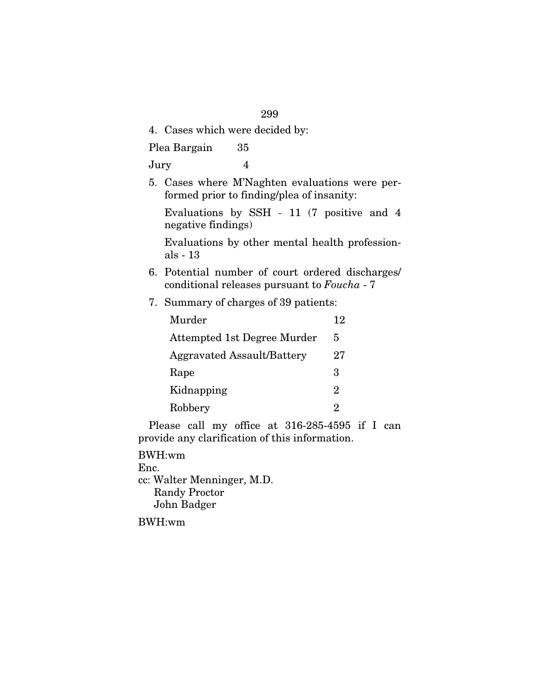4. Cases which were decided by:

Plea Bargain 35

Jury 4

5. Cases where M'Naghten evaluations were performed prior to finding/plea of insanity:

Evaluations by SSH *-* 11 (7 positive and 4 negative findings)

Evaluations by other mental health professionals - 13

- 6. Potential number of court ordered discharges/ conditional releases pursuant to *Foucha* - 7
- 7. Summary of charges of 39 patients:

| Murder                            | 12                          |
|-----------------------------------|-----------------------------|
| Attempted 1st Degree Murder       | 5                           |
| <b>Aggravated Assault/Battery</b> | 27                          |
| Rape                              | З                           |
| Kidnapping                        | $\mathcal{D}_{\mathcal{L}}$ |
| Robbery                           | 2                           |

Please call my office at 316-285-4595 if I can provide any clarification of this information.

BWH:wm Enc. cc: Walter Menninger, M.D. Randy Proctor John Badger

BWH:wm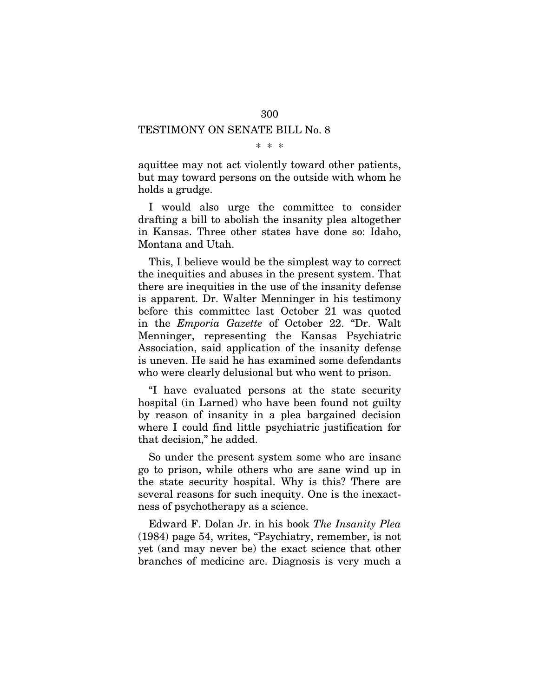## TESTIMONY ON SENATE BILL No. 8

\* \* \*

aquittee may not act violently toward other patients, but may toward persons on the outside with whom he holds a grudge.

I would also urge the committee to consider drafting a bill to abolish the insanity plea altogether in Kansas. Three other states have done so: Idaho, Montana and Utah.

This, I believe would be the simplest way to correct the inequities and abuses in the present system. That there are inequities in the use of the insanity defense is apparent. Dr. Walter Menninger in his testimony before this committee last October 21 was quoted in the *Emporia Gazette* of October 22. "Dr. Walt Menninger, representing the Kansas Psychiatric Association, said application of the insanity defense is uneven. He said he has examined some defendants who were clearly delusional but who went to prison.

"I have evaluated persons at the state security hospital (in Larned) who have been found not guilty by reason of insanity in a plea bargained decision where I could find little psychiatric justification for that decision," he added.

So under the present system some who are insane go to prison, while others who are sane wind up in the state security hospital. Why is this? There are several reasons for such inequity. One is the inexactness of psychotherapy as a science.

Edward F. Dolan Jr. in his book *The Insanity Plea* (1984) page 54, writes, "Psychiatry, remember, is not yet (and may never be) the exact science that other branches of medicine are. Diagnosis is very much a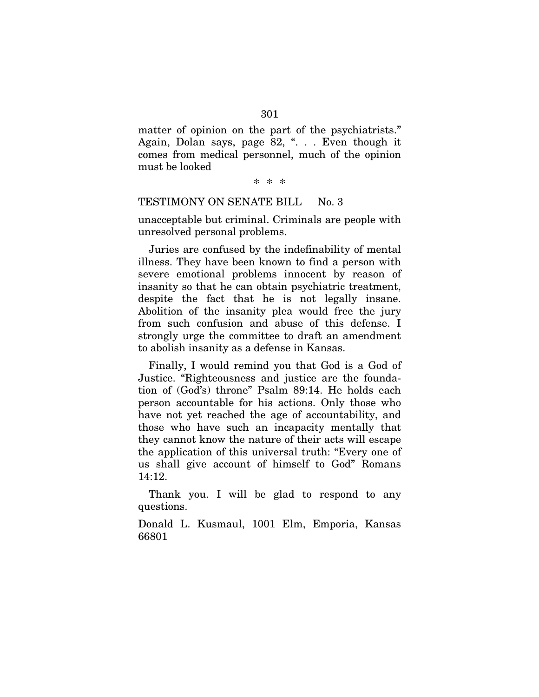matter of opinion on the part of the psychiatrists." Again, Dolan says, page 82, ". . . Even though it comes from medical personnel, much of the opinion must be looked

\* \* \*

#### TESTIMONY ON SENATE BILL No. 3

unacceptable but criminal. Criminals are people with unresolved personal problems.

Juries are confused by the indefinability of mental illness. They have been known to find a person with severe emotional problems innocent by reason of insanity so that he can obtain psychiatric treatment, despite the fact that he is not legally insane. Abolition of the insanity plea would free the jury from such confusion and abuse of this defense. I strongly urge the committee to draft an amendment to abolish insanity as a defense in Kansas.

Finally, I would remind you that God is a God of Justice. "Righteousness and justice are the foundation of (God's) throne" Psalm 89:14. He holds each person accountable for his actions. Only those who have not yet reached the age of accountability, and those who have such an incapacity mentally that they cannot know the nature of their acts will escape the application of this universal truth: "Every one of us shall give account of himself to God" Romans 14:12.

Thank you. I will be glad to respond to any questions.

Donald L. Kusmaul, 1001 Elm, Emporia, Kansas 66801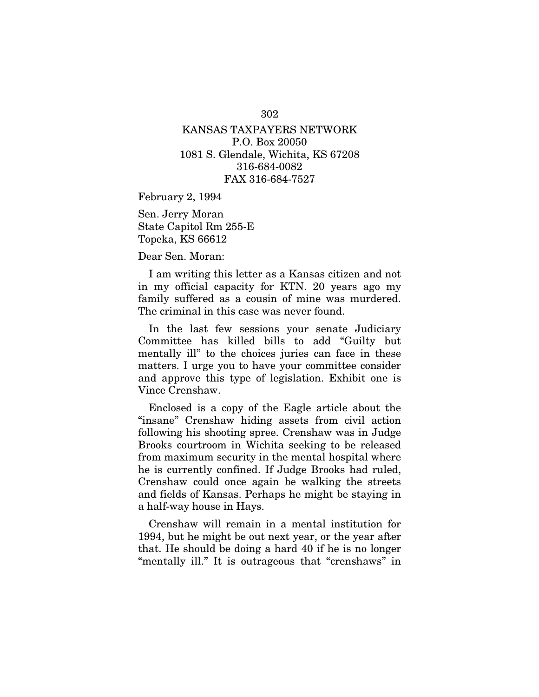## KANSAS TAXPAYERS NETWORK P.O. Box 20050 1081 S. Glendale, Wichita, KS 67208 316-684-0082 FAX 316-684-7527

February 2, 1994

Sen. Jerry Moran State Capitol Rm 255-E Topeka, KS 66612

Dear Sen. Moran:

I am writing this letter as a Kansas citizen and not in my official capacity for KTN. 20 years ago my family suffered as a cousin of mine was murdered. The criminal in this case was never found.

In the last few sessions your senate Judiciary Committee has killed bills to add "Guilty but mentally ill" to the choices juries can face in these matters. I urge you to have your committee consider and approve this type of legislation. Exhibit one is Vince Crenshaw.

Enclosed is a copy of the Eagle article about the "insane" Crenshaw hiding assets from civil action following his shooting spree. Crenshaw was in Judge Brooks courtroom in Wichita seeking to be released from maximum security in the mental hospital where he is currently confined. If Judge Brooks had ruled, Crenshaw could once again be walking the streets and fields of Kansas. Perhaps he might be staying in a half-way house in Hays.

Crenshaw will remain in a mental institution for 1994, but he might be out next year, or the year after that. He should be doing a hard 40 if he is no longer "mentally ill." It is outrageous that "crenshaws" in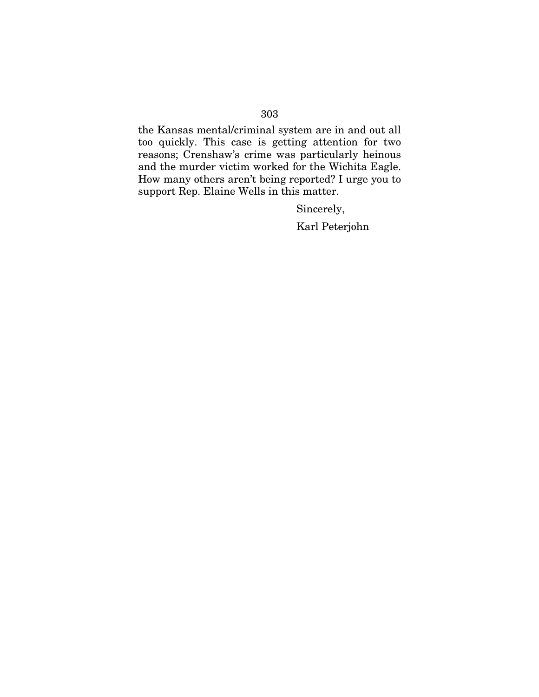the Kansas mental/criminal system are in and out all too quickly. This case is getting attention for two reasons; Crenshaw's crime was particularly heinous and the murder victim worked for the Wichita Eagle. How many others aren't being reported? I urge you to support Rep. Elaine Wells in this matter.

Sincerely,

Karl Peterjohn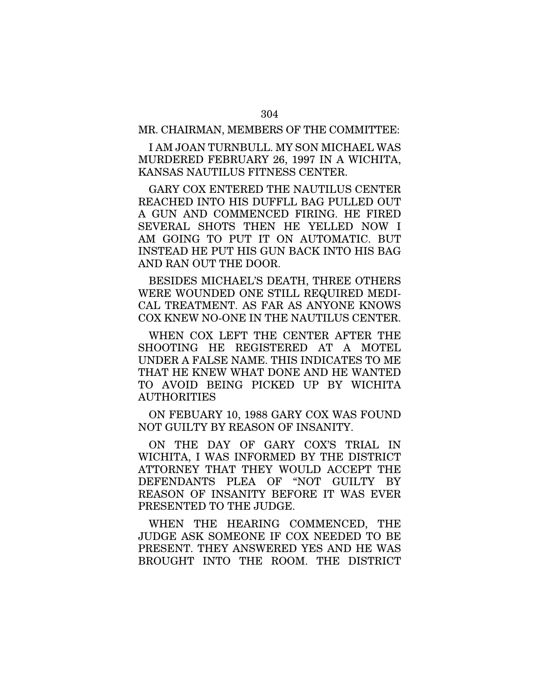I AM JOAN TURNBULL. MY SON MICHAEL WAS MURDERED FEBRUARY 26, 1997 IN A WICHITA, KANSAS NAUTILUS FITNESS CENTER.

GARY COX ENTERED THE NAUTILUS CENTER REACHED INTO HIS DUFFLL BAG PULLED OUT A GUN AND COMMENCED FIRING. HE FIRED SEVERAL SHOTS THEN HE YELLED NOW I AM GOING TO PUT IT ON AUTOMATIC. BUT INSTEAD HE PUT HIS GUN BACK INTO HIS BAG AND RAN OUT THE DOOR.

BESIDES MICHAEL'S DEATH, THREE OTHERS WERE WOUNDED ONE STILL REQUIRED MEDI-CAL TREATMENT. AS FAR AS ANYONE KNOWS COX KNEW NO-ONE IN THE NAUTILUS CENTER.

WHEN COX LEFT THE CENTER AFTER THE SHOOTING HE REGISTERED AT A MOTEL UNDER A FALSE NAME. THIS INDICATES TO ME THAT HE KNEW WHAT DONE AND HE WANTED TO AVOID BEING PICKED UP BY WICHITA AUTHORITIES

ON FEBUARY 10, 1988 GARY COX WAS FOUND NOT GUILTY BY REASON OF INSANITY.

ON THE DAY OF GARY COX'S TRIAL IN WICHITA, I WAS INFORMED BY THE DISTRICT ATTORNEY THAT THEY WOULD ACCEPT THE DEFENDANTS PLEA OF "NOT GUILTY BY REASON OF INSANITY BEFORE IT WAS EVER PRESENTED TO THE JUDGE.

WHEN THE HEARING COMMENCED, THE JUDGE ASK SOMEONE IF COX NEEDED TO BE PRESENT. THEY ANSWERED YES AND HE WAS BROUGHT INTO THE ROOM. THE DISTRICT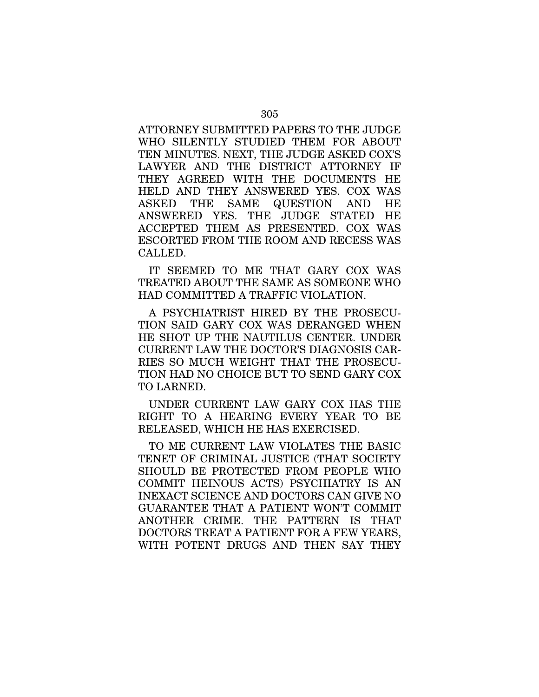ATTORNEY SUBMITTED PAPERS TO THE JUDGE WHO SILENTLY STUDIED THEM FOR ABOUT TEN MINUTES. NEXT, THE JUDGE ASKED COX'S LAWYER AND THE DISTRICT ATTORNEY IF THEY AGREED WITH THE DOCUMENTS HE HELD AND THEY ANSWERED YES. COX WAS ASKED THE SAME QUESTION AND HE ANSWERED YES. THE JUDGE STATED HE ACCEPTED THEM AS PRESENTED. COX WAS ESCORTED FROM THE ROOM AND RECESS WAS CALLED.

IT SEEMED TO ME THAT GARY COX WAS TREATED ABOUT THE SAME AS SOMEONE WHO HAD COMMITTED A TRAFFIC VIOLATION.

A PSYCHIATRIST HIRED BY THE PROSECU-TION SAID GARY COX WAS DERANGED WHEN HE SHOT UP THE NAUTILUS CENTER. UNDER CURRENT LAW THE DOCTOR'S DIAGNOSIS CAR-RIES SO MUCH WEIGHT THAT THE PROSECU-TION HAD NO CHOICE BUT TO SEND GARY COX TO LARNED.

UNDER CURRENT LAW GARY COX HAS THE RIGHT TO A HEARING EVERY YEAR TO BE RELEASED, WHICH HE HAS EXERCISED.

TO ME CURRENT LAW VIOLATES THE BASIC TENET OF CRIMINAL JUSTICE (THAT SOCIETY SHOULD BE PROTECTED FROM PEOPLE WHO COMMIT HEINOUS ACTS) PSYCHIATRY IS AN INEXACT SCIENCE AND DOCTORS CAN GIVE NO GUARANTEE THAT A PATIENT WON'T COMMIT ANOTHER CRIME. THE PATTERN IS THAT DOCTORS TREAT A PATIENT FOR A FEW YEARS, WITH POTENT DRUGS AND THEN SAY THEY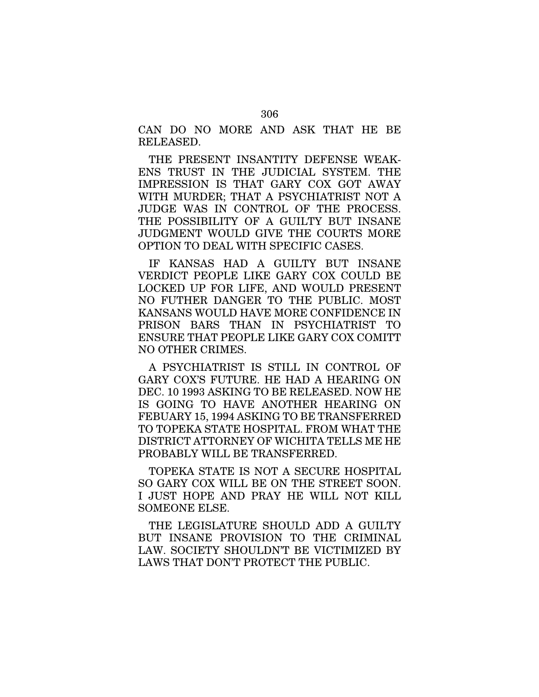CAN DO NO MORE AND ASK THAT HE BE RELEASED.

THE PRESENT INSANTITY DEFENSE WEAK-ENS TRUST IN THE JUDICIAL SYSTEM. THE IMPRESSION IS THAT GARY COX GOT AWAY WITH MURDER; THAT A PSYCHIATRIST NOT A JUDGE WAS IN CONTROL OF THE PROCESS. THE POSSIBILITY OF A GUILTY BUT INSANE JUDGMENT WOULD GIVE THE COURTS MORE OPTION TO DEAL WITH SPECIFIC CASES.

IF KANSAS HAD A GUILTY BUT INSANE VERDICT PEOPLE LIKE GARY COX COULD BE LOCKED UP FOR LIFE, AND WOULD PRESENT NO FUTHER DANGER TO THE PUBLIC. MOST KANSANS WOULD HAVE MORE CONFIDENCE IN PRISON BARS THAN IN PSYCHIATRIST TO ENSURE THAT PEOPLE LIKE GARY COX COMITT NO OTHER CRIMES.

A PSYCHIATRIST IS STILL IN CONTROL OF GARY COX'S FUTURE. HE HAD A HEARING ON DEC. 10 1993 ASKING TO BE RELEASED. NOW HE IS GOING TO HAVE ANOTHER HEARING ON FEBUARY 15, 1994 ASKING TO BE TRANSFERRED TO TOPEKA STATE HOSPITAL. FROM WHAT THE DISTRICT ATTORNEY OF WICHITA TELLS ME HE PROBABLY WILL BE TRANSFERRED.

TOPEKA STATE IS NOT A SECURE HOSPITAL SO GARY COX WILL BE ON THE STREET SOON. I JUST HOPE AND PRAY HE WILL NOT KILL SOMEONE ELSE.

THE LEGISLATURE SHOULD ADD A GUILTY BUT INSANE PROVISION TO THE CRIMINAL LAW. SOCIETY SHOULDN'T BE VICTIMIZED BY LAWS THAT DON'T PROTECT THE PUBLIC.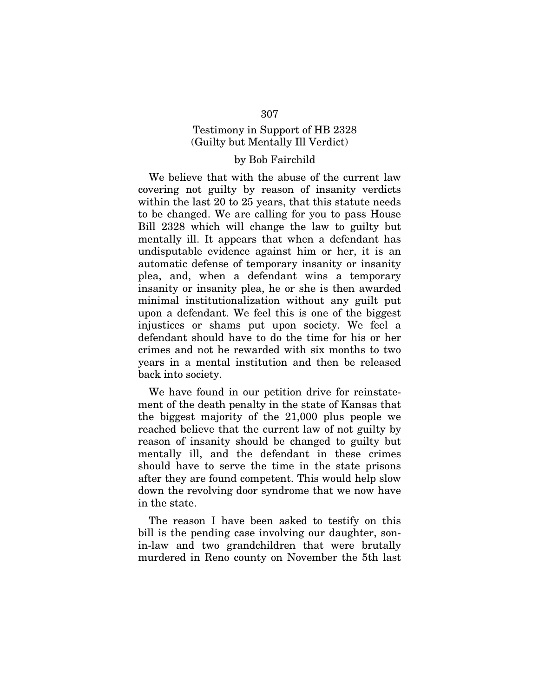# Testimony in Support of HB 2328 (Guilty but Mentally Ill Verdict)

### by Bob Fairchild

We believe that with the abuse of the current law covering not guilty by reason of insanity verdicts within the last 20 to 25 years, that this statute needs to be changed. We are calling for you to pass House Bill 2328 which will change the law to guilty but mentally ill. It appears that when a defendant has undisputable evidence against him or her, it is an automatic defense of temporary insanity or insanity plea, and, when a defendant wins a temporary insanity or insanity plea, he or she is then awarded minimal institutionalization without any guilt put upon a defendant. We feel this is one of the biggest injustices or shams put upon society. We feel a defendant should have to do the time for his or her crimes and not he rewarded with six months to two years in a mental institution and then be released back into society.

We have found in our petition drive for reinstatement of the death penalty in the state of Kansas that the biggest majority of the 21,000 plus people we reached believe that the current law of not guilty by reason of insanity should be changed to guilty but mentally ill, and the defendant in these crimes should have to serve the time in the state prisons after they are found competent. This would help slow down the revolving door syndrome that we now have in the state.

The reason I have been asked to testify on this bill is the pending case involving our daughter, sonin-law and two grandchildren that were brutally murdered in Reno county on November the 5th last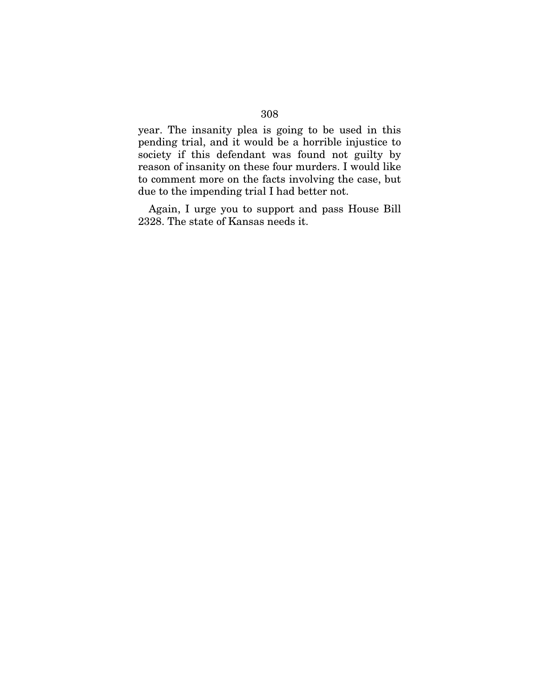year. The insanity plea is going to be used in this pending trial, and it would be a horrible injustice to society if this defendant was found not guilty by reason of insanity on these four murders. I would like to comment more on the facts involving the case, but due to the impending trial I had better not.

Again, I urge you to support and pass House Bill 2328. The state of Kansas needs it.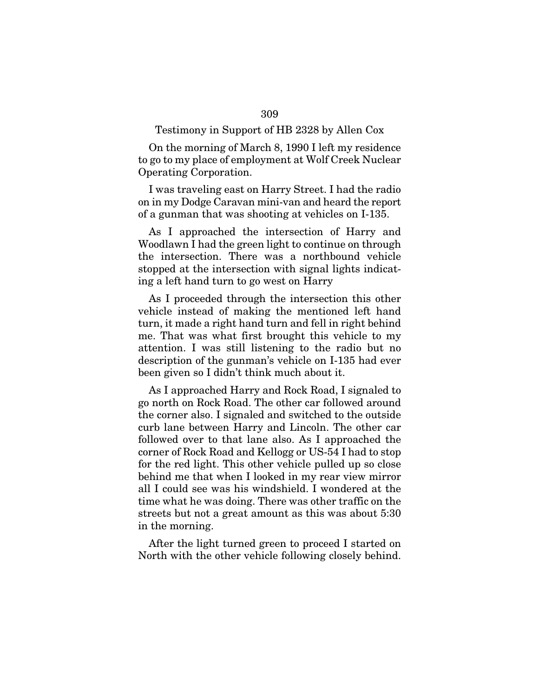### Testimony in Support of HB 2328 by Allen Cox

On the morning of March 8, 1990 I left my residence to go to my place of employment at Wolf Creek Nuclear Operating Corporation.

I was traveling east on Harry Street. I had the radio on in my Dodge Caravan mini-van and heard the report of a gunman that was shooting at vehicles on I-135.

As I approached the intersection of Harry and Woodlawn I had the green light to continue on through the intersection. There was a northbound vehicle stopped at the intersection with signal lights indicating a left hand turn to go west on Harry

As I proceeded through the intersection this other vehicle instead of making the mentioned left hand turn, it made a right hand turn and fell in right behind me. That was what first brought this vehicle to my attention. I was still listening to the radio but no description of the gunman's vehicle on I-135 had ever been given so I didn't think much about it.

As I approached Harry and Rock Road, I signaled to go north on Rock Road. The other car followed around the corner also. I signaled and switched to the outside curb lane between Harry and Lincoln. The other car followed over to that lane also. As I approached the corner of Rock Road and Kellogg or US-54 I had to stop for the red light. This other vehicle pulled up so close behind me that when I looked in my rear view mirror all I could see was his windshield. I wondered at the time what he was doing. There was other traffic on the streets but not a great amount as this was about 5:30 in the morning.

After the light turned green to proceed I started on North with the other vehicle following closely behind.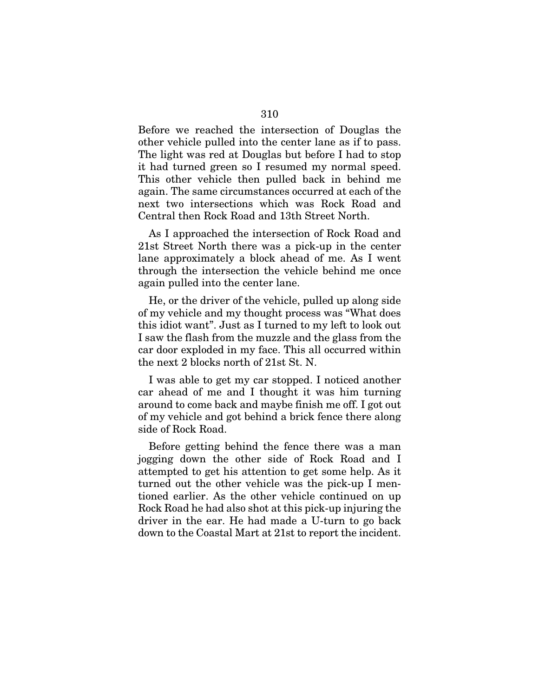Before we reached the intersection of Douglas the other vehicle pulled into the center lane as if to pass. The light was red at Douglas but before I had to stop it had turned green so I resumed my normal speed. This other vehicle then pulled back in behind me again. The same circumstances occurred at each of the next two intersections which was Rock Road and Central then Rock Road and 13th Street North.

As I approached the intersection of Rock Road and 21st Street North there was a pick-up in the center lane approximately a block ahead of me. As I went through the intersection the vehicle behind me once again pulled into the center lane.

He, or the driver of the vehicle, pulled up along side of my vehicle and my thought process was "What does this idiot want". Just as I turned to my left to look out I saw the flash from the muzzle and the glass from the car door exploded in my face. This all occurred within the next 2 blocks north of 21st St. N.

I was able to get my car stopped. I noticed another car ahead of me and I thought it was him turning around to come back and maybe finish me off. I got out of my vehicle and got behind a brick fence there along side of Rock Road.

Before getting behind the fence there was a man jogging down the other side of Rock Road and I attempted to get his attention to get some help. As it turned out the other vehicle was the pick-up I mentioned earlier. As the other vehicle continued on up Rock Road he had also shot at this pick-up injuring the driver in the ear. He had made a U-turn to go back down to the Coastal Mart at 21st to report the incident.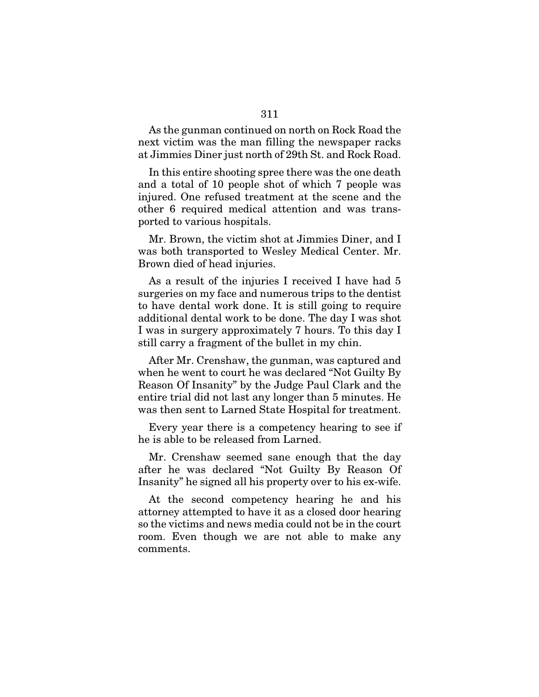As the gunman continued on north on Rock Road the next victim was the man filling the newspaper racks at Jimmies Diner just north of 29th St. and Rock Road.

In this entire shooting spree there was the one death and a total of 10 people shot of which 7 people was injured. One refused treatment at the scene and the other 6 required medical attention and was transported to various hospitals.

Mr. Brown, the victim shot at Jimmies Diner, and I was both transported to Wesley Medical Center. Mr. Brown died of head injuries.

As a result of the injuries I received I have had 5 surgeries on my face and numerous trips to the dentist to have dental work done. It is still going to require additional dental work to be done. The day I was shot I was in surgery approximately 7 hours. To this day I still carry a fragment of the bullet in my chin.

After Mr. Crenshaw, the gunman, was captured and when he went to court he was declared "Not Guilty By Reason Of Insanity" by the Judge Paul Clark and the entire trial did not last any longer than 5 minutes. He was then sent to Larned State Hospital for treatment.

Every year there is a competency hearing to see if he is able to be released from Larned.

Mr. Crenshaw seemed sane enough that the day after he was declared "Not Guilty By Reason Of Insanity" he signed all his property over to his ex-wife.

At the second competency hearing he and his attorney attempted to have it as a closed door hearing so the victims and news media could not be in the court room. Even though we are not able to make any comments.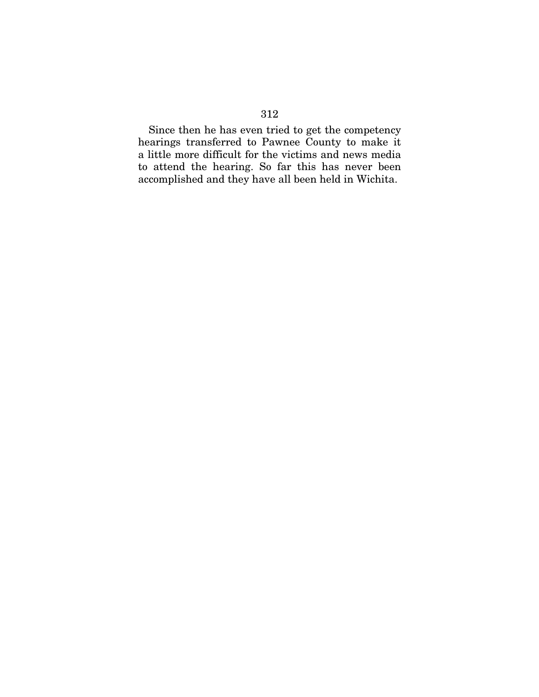Since then he has even tried to get the competency hearings transferred to Pawnee County to make it a little more difficult for the victims and news media to attend the hearing. So far this has never been accomplished and they have all been held in Wichita.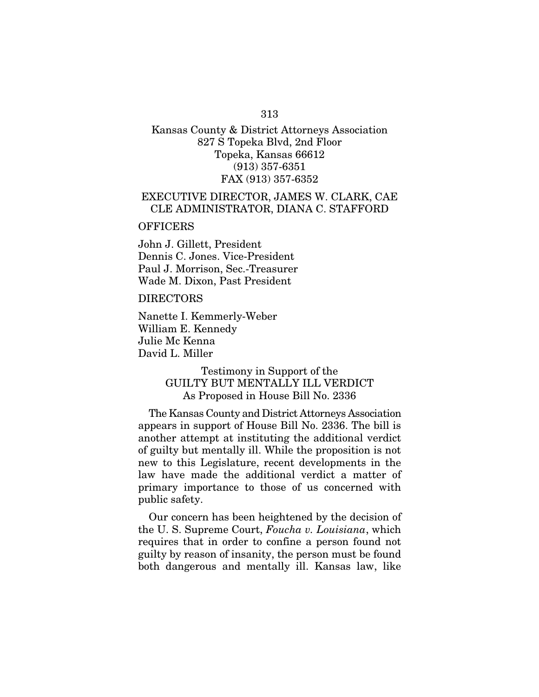## Kansas County & District Attorneys Association 827 S Topeka Blvd, 2nd Floor Topeka, Kansas 66612 (913) 357-6351 FAX (913) 357-6352

## EXECUTIVE DIRECTOR, JAMES W. CLARK, CAE CLE ADMINISTRATOR, DIANA C. STAFFORD

#### **OFFICERS**

John J. Gillett, President Dennis C. Jones. Vice-President Paul J. Morrison, Sec.-Treasurer Wade M. Dixon, Past President

#### DIRECTORS

Nanette I. Kemmerly-Weber William E. Kennedy Julie Mc Kenna David L. Miller

## Testimony in Support of the GUILTY BUT MENTALLY ILL VERDICT As Proposed in House Bill No. 2336

The Kansas County and District Attorneys Association appears in support of House Bill No. 2336. The bill is another attempt at instituting the additional verdict of guilty but mentally ill. While the proposition is not new to this Legislature, recent developments in the law have made the additional verdict a matter of primary importance to those of us concerned with public safety.

Our concern has been heightened by the decision of the U. S. Supreme Court, *Foucha v. Louisiana*, which requires that in order to confine a person found not guilty by reason of insanity, the person must be found both dangerous and mentally ill. Kansas law, like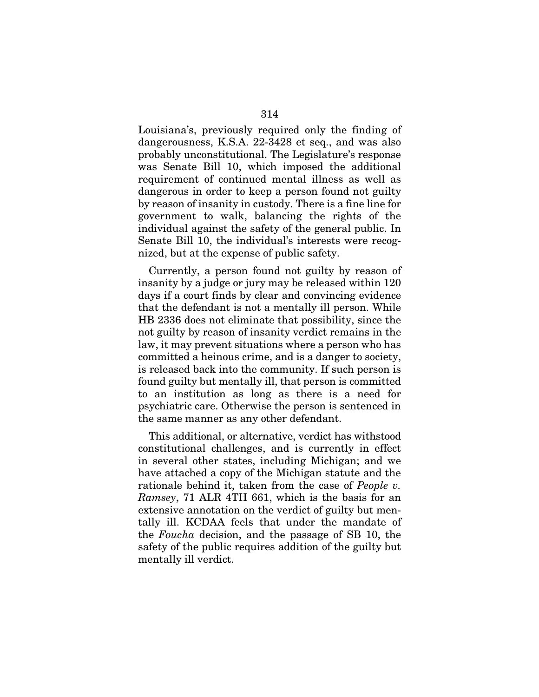Louisiana's, previously required only the finding of dangerousness, K.S.A. 22-3428 et seq., and was also probably unconstitutional. The Legislature's response was Senate Bill 10, which imposed the additional requirement of continued mental illness as well as dangerous in order to keep a person found not guilty by reason of insanity in custody. There is a fine line for government to walk, balancing the rights of the individual against the safety of the general public. In Senate Bill 10, the individual's interests were recognized, but at the expense of public safety.

Currently, a person found not guilty by reason of insanity by a judge or jury may be released within 120 days if a court finds by clear and convincing evidence that the defendant is not a mentally ill person. While HB 2336 does not eliminate that possibility, since the not guilty by reason of insanity verdict remains in the law, it may prevent situations where a person who has committed a heinous crime, and is a danger to society, is released back into the community. If such person is found guilty but mentally ill, that person is committed to an institution as long as there is a need for psychiatric care. Otherwise the person is sentenced in the same manner as any other defendant.

This additional, or alternative, verdict has withstood constitutional challenges, and is currently in effect in several other states, including Michigan; and we have attached a copy of the Michigan statute and the rationale behind it, taken from the case of *People v. Ramsey*, 71 ALR 4TH 661, which is the basis for an extensive annotation on the verdict of guilty but mentally ill. KCDAA feels that under the mandate of the *Foucha* decision, and the passage of SB 10, the safety of the public requires addition of the guilty but mentally ill verdict.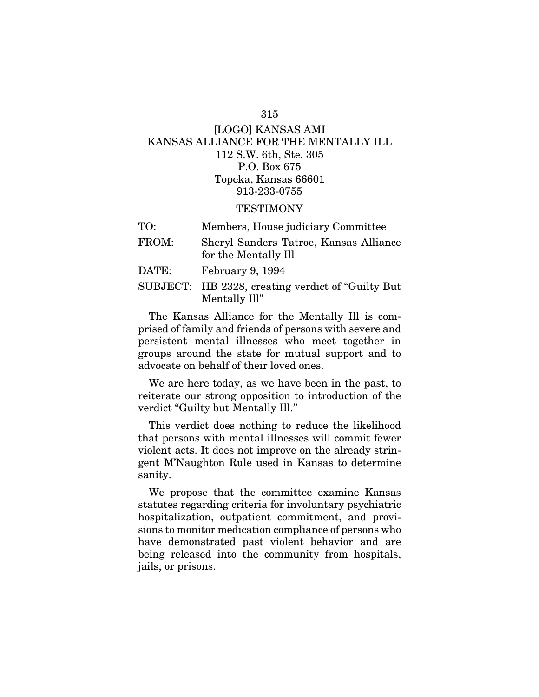# [LOGO] KANSAS AMI KANSAS ALLIANCE FOR THE MENTALLY ILL 112 S.W. 6th, Ste. 305 P.O. Box 675 Topeka, Kansas 66601 913-233-0755

### **TESTIMONY**

| TO:   | Members, House judiciary Committee                                  |
|-------|---------------------------------------------------------------------|
| FROM: | Sheryl Sanders Tatroe, Kansas Alliance<br>for the Mentally Ill      |
| DATE: | February 9, 1994                                                    |
|       | SUBJECT: HB 2328, creating verdict of "Guilty But"<br>Mentally Ill" |

The Kansas Alliance for the Mentally Ill is comprised of family and friends of persons with severe and persistent mental illnesses who meet together in groups around the state for mutual support and to advocate on behalf of their loved ones.

We are here today, as we have been in the past, to reiterate our strong opposition to introduction of the verdict "Guilty but Mentally Ill."

This verdict does nothing to reduce the likelihood that persons with mental illnesses will commit fewer violent acts. It does not improve on the already stringent M'Naughton Rule used in Kansas to determine sanity.

We propose that the committee examine Kansas statutes regarding criteria for involuntary psychiatric hospitalization, outpatient commitment, and provisions to monitor medication compliance of persons who have demonstrated past violent behavior and are being released into the community from hospitals, jails, or prisons.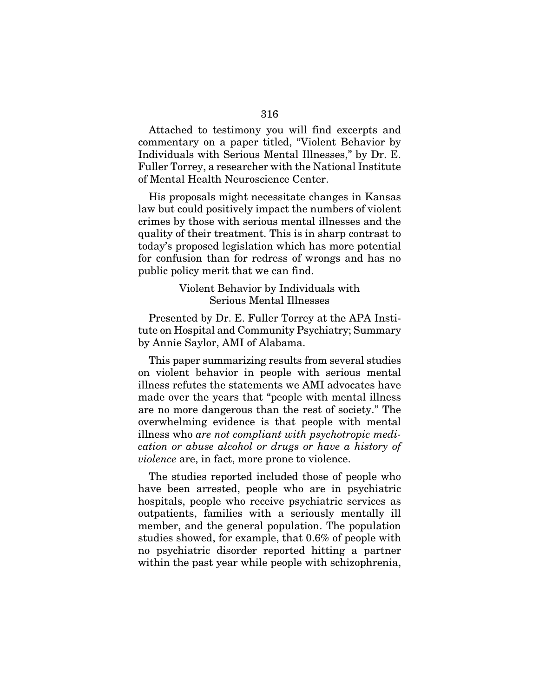Attached to testimony you will find excerpts and commentary on a paper titled, "Violent Behavior by Individuals with Serious Mental Illnesses," by Dr. E. Fuller Torrey, a researcher with the National Institute of Mental Health Neuroscience Center.

His proposals might necessitate changes in Kansas law but could positively impact the numbers of violent crimes by those with serious mental illnesses and the quality of their treatment. This is in sharp contrast to today's proposed legislation which has more potential for confusion than for redress of wrongs and has no public policy merit that we can find.

> Violent Behavior by Individuals with Serious Mental Illnesses

Presented by Dr. E. Fuller Torrey at the APA Institute on Hospital and Community Psychiatry; Summary by Annie Saylor, AMI of Alabama.

This paper summarizing results from several studies on violent behavior in people with serious mental illness refutes the statements we AMI advocates have made over the years that "people with mental illness are no more dangerous than the rest of society." The overwhelming evidence is that people with mental illness who *are not compliant with psychotropic medication or abuse alcohol or drugs or have a history of violence* are, in fact, more prone to violence.

The studies reported included those of people who have been arrested, people who are in psychiatric hospitals, people who receive psychiatric services as outpatients, families with a seriously mentally ill member, and the general population. The population studies showed, for example, that 0.6% of people with no psychiatric disorder reported hitting a partner within the past year while people with schizophrenia,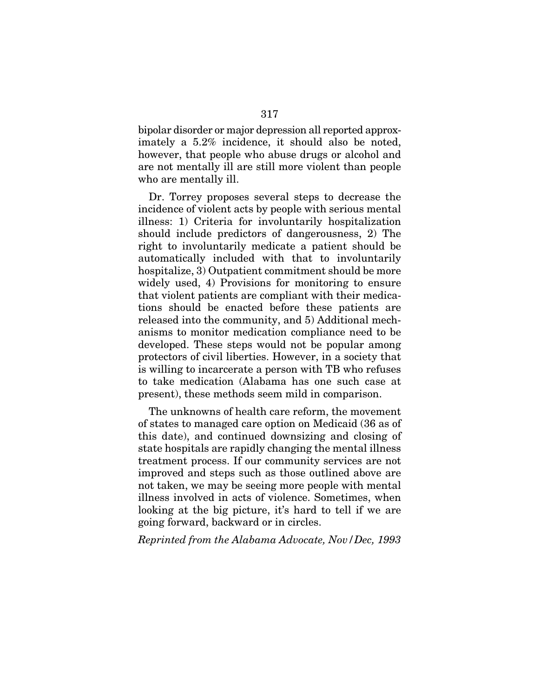bipolar disorder or major depression all reported approximately a 5.2% incidence, it should also be noted, however, that people who abuse drugs or alcohol and are not mentally ill are still more violent than people who are mentally ill.

Dr. Torrey proposes several steps to decrease the incidence of violent acts by people with serious mental illness: 1) Criteria for involuntarily hospitalization should include predictors of dangerousness, 2) The right to involuntarily medicate a patient should be automatically included with that to involuntarily hospitalize, 3) Outpatient commitment should be more widely used, 4) Provisions for monitoring to ensure that violent patients are compliant with their medications should be enacted before these patients are released into the community, and 5) Additional mechanisms to monitor medication compliance need to be developed. These steps would not be popular among protectors of civil liberties. However, in a society that is willing to incarcerate a person with TB who refuses to take medication (Alabama has one such case at present), these methods seem mild in comparison.

The unknowns of health care reform, the movement of states to managed care option on Medicaid (36 as of this date), and continued downsizing and closing of state hospitals are rapidly changing the mental illness treatment process. If our community services are not improved and steps such as those outlined above are not taken, we may be seeing more people with mental illness involved in acts of violence. Sometimes, when looking at the big picture, it's hard to tell if we are going forward, backward or in circles.

*Reprinted from the Alabama Advocate, Nov/Dec, 1993*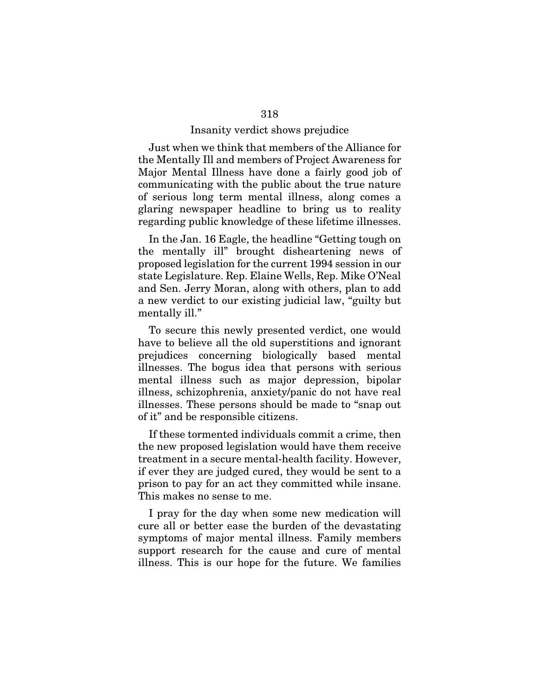### Insanity verdict shows prejudice

Just when we think that members of the Alliance for the Mentally Ill and members of Project Awareness for Major Mental Illness have done a fairly good job of communicating with the public about the true nature of serious long term mental illness, along comes a glaring newspaper headline to bring us to reality regarding public knowledge of these lifetime illnesses.

In the Jan. 16 Eagle, the headline "Getting tough on the mentally ill" brought disheartening news of proposed legislation for the current 1994 session in our state Legislature. Rep. Elaine Wells, Rep. Mike O'Neal and Sen. Jerry Moran, along with others, plan to add a new verdict to our existing judicial law, "guilty but mentally ill."

To secure this newly presented verdict, one would have to believe all the old superstitions and ignorant prejudices concerning biologically based mental illnesses. The bogus idea that persons with serious mental illness such as major depression, bipolar illness, schizophrenia, anxiety/panic do not have real illnesses. These persons should be made to "snap out of it" and be responsible citizens.

If these tormented individuals commit a crime, then the new proposed legislation would have them receive treatment in a secure mental-health facility. However, if ever they are judged cured, they would be sent to a prison to pay for an act they committed while insane. This makes no sense to me.

I pray for the day when some new medication will cure all or better ease the burden of the devastating symptoms of major mental illness. Family members support research for the cause and cure of mental illness. This is our hope for the future. We families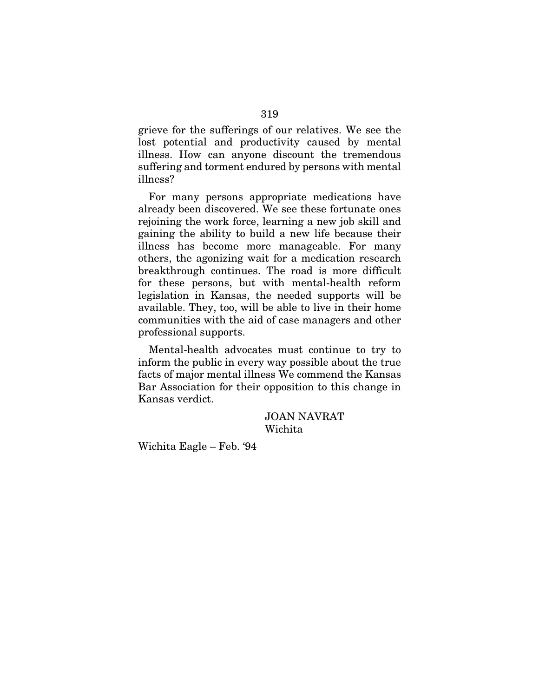grieve for the sufferings of our relatives. We see the lost potential and productivity caused by mental illness. How can anyone discount the tremendous suffering and torment endured by persons with mental illness?

For many persons appropriate medications have already been discovered. We see these fortunate ones rejoining the work force, learning a new job skill and gaining the ability to build a new life because their illness has become more manageable. For many others, the agonizing wait for a medication research breakthrough continues. The road is more difficult for these persons, but with mental-health reform legislation in Kansas, the needed supports will be available. They, too, will be able to live in their home communities with the aid of case managers and other professional supports.

Mental-health advocates must continue to try to inform the public in every way possible about the true facts of major mental illness We commend the Kansas Bar Association for their opposition to this change in Kansas verdict.

> JOAN NAVRAT Wichita

Wichita Eagle – Feb. '94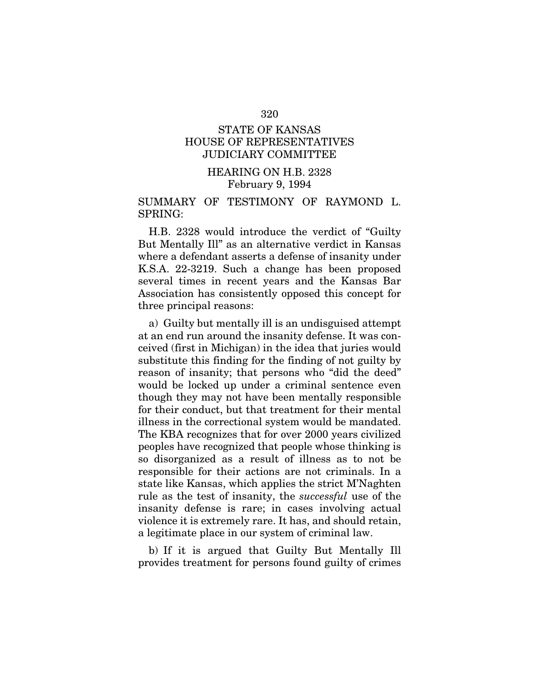# STATE OF KANSAS HOUSE OF REPRESENTATIVES JUDICIARY COMMITTEE

# HEARING ON H.B. 2328 February 9, 1994

### SUMMARY OF TESTIMONY OF RAYMOND L. SPRING:

H.B. 2328 would introduce the verdict of "Guilty But Mentally Ill" as an alternative verdict in Kansas where a defendant asserts a defense of insanity under K.S.A. 22-3219. Such a change has been proposed several times in recent years and the Kansas Bar Association has consistently opposed this concept for three principal reasons:

a) Guilty but mentally ill is an undisguised attempt at an end run around the insanity defense. It was conceived (first in Michigan) in the idea that juries would substitute this finding for the finding of not guilty by reason of insanity; that persons who "did the deed" would be locked up under a criminal sentence even though they may not have been mentally responsible for their conduct, but that treatment for their mental illness in the correctional system would be mandated. The KBA recognizes that for over 2000 years civilized peoples have recognized that people whose thinking is so disorganized as a result of illness as to not be responsible for their actions are not criminals. In a state like Kansas, which applies the strict M'Naghten rule as the test of insanity, the *successful* use of the insanity defense is rare; in cases involving actual violence it is extremely rare. It has, and should retain, a legitimate place in our system of criminal law.

b) If it is argued that Guilty But Mentally Ill provides treatment for persons found guilty of crimes

#### 320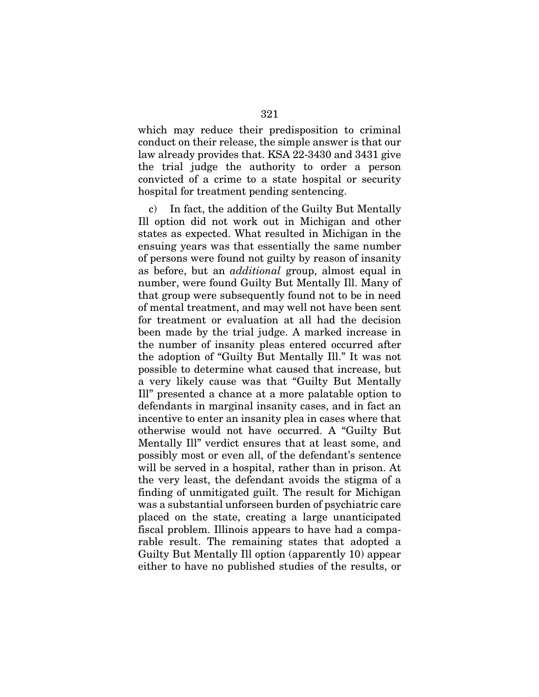which may reduce their predisposition to criminal conduct on their release, the simple answer is that our law already provides that. KSA 22-3430 and 3431 give the trial judge the authority to order a person convicted of a crime to a state hospital or security hospital for treatment pending sentencing.

c) In fact, the addition of the Guilty But Mentally Ill option did not work out in Michigan and other states as expected. What resulted in Michigan in the ensuing years was that essentially the same number of persons were found not guilty by reason of insanity as before, but an *additional* group, almost equal in number, were found Guilty But Mentally Ill. Many of that group were subsequently found not to be in need of mental treatment, and may well not have been sent for treatment or evaluation at all had the decision been made by the trial judge. A marked increase in the number of insanity pleas entered occurred after the adoption of "Guilty But Mentally Ill." It was not possible to determine what caused that increase, but a very likely cause was that "Guilty But Mentally Ill" presented a chance at a more palatable option to defendants in marginal insanity cases, and in fact an incentive to enter an insanity plea in cases where that otherwise would not have occurred. A "Guilty But Mentally Ill" verdict ensures that at least some, and possibly most or even all, of the defendant's sentence will be served in a hospital, rather than in prison. At the very least, the defendant avoids the stigma of a finding of unmitigated guilt. The result for Michigan was a substantial unforseen burden of psychiatric care placed on the state, creating a large unanticipated fiscal problem. Illinois appears to have had a comparable result. The remaining states that adopted a Guilty But Mentally Ill option (apparently 10) appear either to have no published studies of the results, or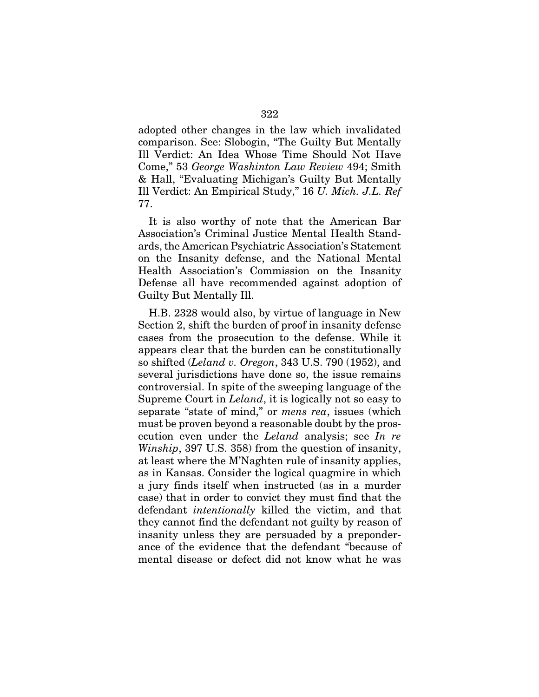adopted other changes in the law which invalidated comparison. See: Slobogin, "The Guilty But Mentally Ill Verdict: An Idea Whose Time Should Not Have Come," 53 *George Washinton Law Review* 494; Smith & Hall, "Evaluating Michigan's Guilty But Mentally Ill Verdict: An Empirical Study," 16 *U. Mich. J.L. Ref*  77.

It is also worthy of note that the American Bar Association's Criminal Justice Mental Health Standards, the American Psychiatric Association's Statement on the Insanity defense, and the National Mental Health Association's Commission on the Insanity Defense all have recommended against adoption of Guilty But Mentally Ill.

H.B. 2328 would also, by virtue of language in New Section 2, shift the burden of proof in insanity defense cases from the prosecution to the defense. While it appears clear that the burden can be constitutionally so shifted (*Leland v. Oregon*, 343 U.S. 790 (1952), and several jurisdictions have done so, the issue remains controversial. In spite of the sweeping language of the Supreme Court in *Leland*, it is logically not so easy to separate "state of mind," or *mens rea*, issues (which must be proven beyond a reasonable doubt by the prosecution even under the *Leland* analysis; see *In re Winship*, 397 U.S. 358) from the question of insanity, at least where the M'Naghten rule of insanity applies, as in Kansas. Consider the logical quagmire in which a jury finds itself when instructed (as in a murder case) that in order to convict they must find that the defendant *intentionally* killed the victim, and that they cannot find the defendant not guilty by reason of insanity unless they are persuaded by a preponderance of the evidence that the defendant "because of mental disease or defect did not know what he was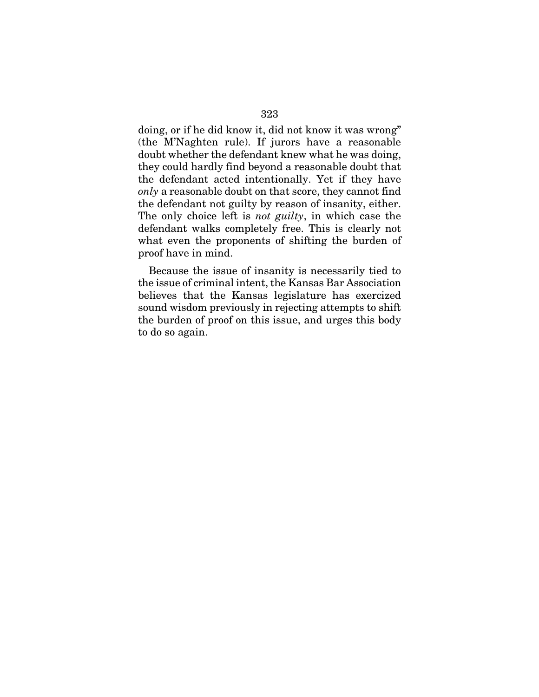doing, or if he did know it, did not know it was wrong" (the M'Naghten rule). If jurors have a reasonable doubt whether the defendant knew what he was doing, they could hardly find beyond a reasonable doubt that the defendant acted intentionally. Yet if they have *only* a reasonable doubt on that score, they cannot find the defendant not guilty by reason of insanity, either. The only choice left is *not guilty*, in which case the defendant walks completely free. This is clearly not what even the proponents of shifting the burden of proof have in mind.

Because the issue of insanity is necessarily tied to the issue of criminal intent, the Kansas Bar Association believes that the Kansas legislature has exercized sound wisdom previously in rejecting attempts to shift the burden of proof on this issue, and urges this body to do so again.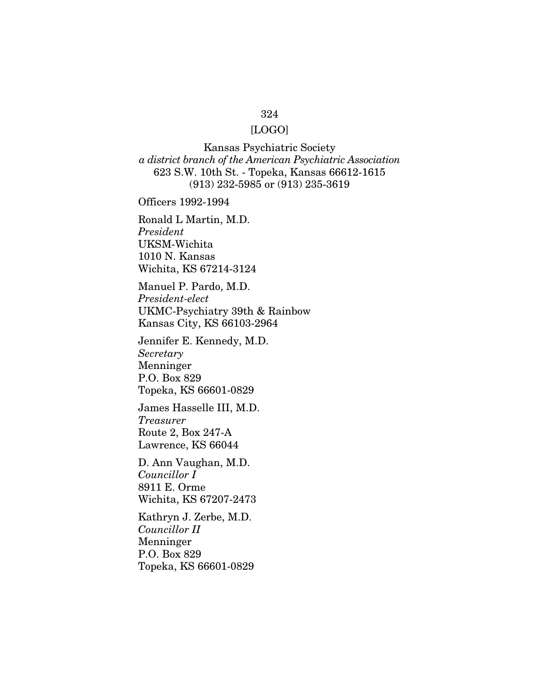#### 324

# [LOGO]

Kansas Psychiatric Society *a district branch of the American Psychiatric Association*  623 S.W. 10th St. - Topeka, Kansas 66612-1615 (913) 232-5985 or (913) 235-3619

Officers 1992-1994

Ronald L Martin, M.D. *President*  UKSM-Wichita 1010 N. Kansas Wichita, KS 67214-3124

Manuel P. Pardo, M.D. *President-elect*  UKMC-Psychiatry 39th & Rainbow Kansas City, KS 66103-2964

Jennifer E. Kennedy, M.D. *Secretary*  Menninger P.O. Box 829 Topeka, KS 66601-0829

James Hasselle III, M.D. *Treasurer*  Route 2, Box 247-A Lawrence, KS 66044

D. Ann Vaughan, M.D. *Councillor I*  8911 E. Orme Wichita, KS 67207-2473

Kathryn J. Zerbe, M.D. *Councillor II*  Menninger P.O. Box 829 Topeka, KS 66601-0829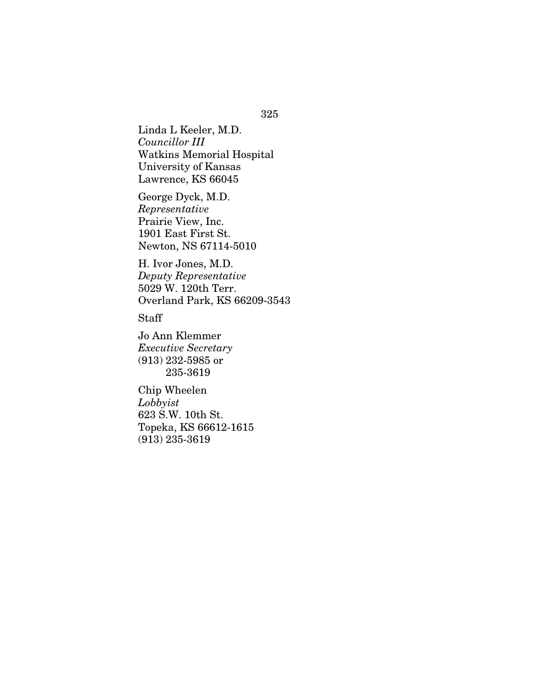Linda L Keeler, M.D. *Councillor III*  Watkins Memorial Hospital University of Kansas Lawrence, KS 66045

George Dyck, M.D. *Representative*  Prairie View, Inc. 1901 East First St. Newton, NS 67114-5010

H. Ivor Jones, M.D. *Deputy Representative*  5029 W. 120th Terr. Overland Park, KS 66209-3543

Staff

Jo Ann Klemmer *Executive Secretary*  (913) 232-5985 or 235-3619

Chip Wheelen *Lobbyist*  623 S.W. 10th St. Topeka, KS 66612-1615 (913) 235-3619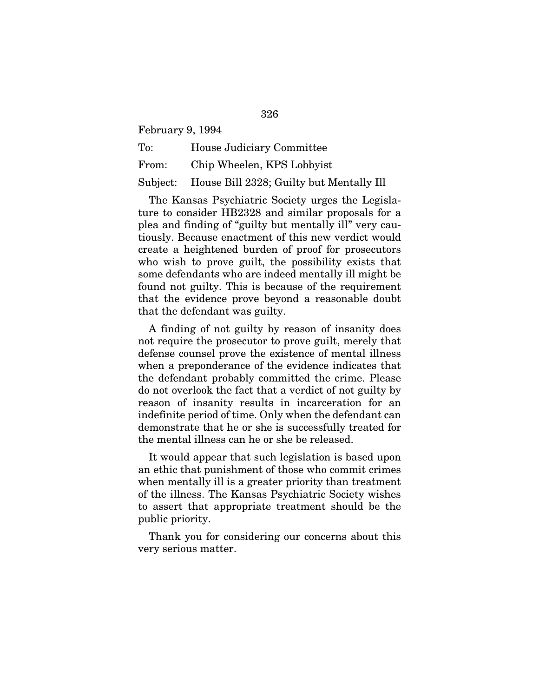February 9, 1994

To: House Judiciary Committee From: Chip Wheelen, KPS Lobbyist Subject: House Bill 2328; Guilty but Mentally Ill

The Kansas Psychiatric Society urges the Legislature to consider HB2328 and similar proposals for a plea and finding of "guilty but mentally ill" very cautiously. Because enactment of this new verdict would create a heightened burden of proof for prosecutors who wish to prove guilt, the possibility exists that some defendants who are indeed mentally ill might be found not guilty. This is because of the requirement that the evidence prove beyond a reasonable doubt that the defendant was guilty.

A finding of not guilty by reason of insanity does not require the prosecutor to prove guilt, merely that defense counsel prove the existence of mental illness when a preponderance of the evidence indicates that the defendant probably committed the crime. Please do not overlook the fact that a verdict of not guilty by reason of insanity results in incarceration for an indefinite period of time. Only when the defendant can demonstrate that he or she is successfully treated for the mental illness can he or she be released.

It would appear that such legislation is based upon an ethic that punishment of those who commit crimes when mentally ill is a greater priority than treatment of the illness. The Kansas Psychiatric Society wishes to assert that appropriate treatment should be the public priority.

Thank you for considering our concerns about this very serious matter.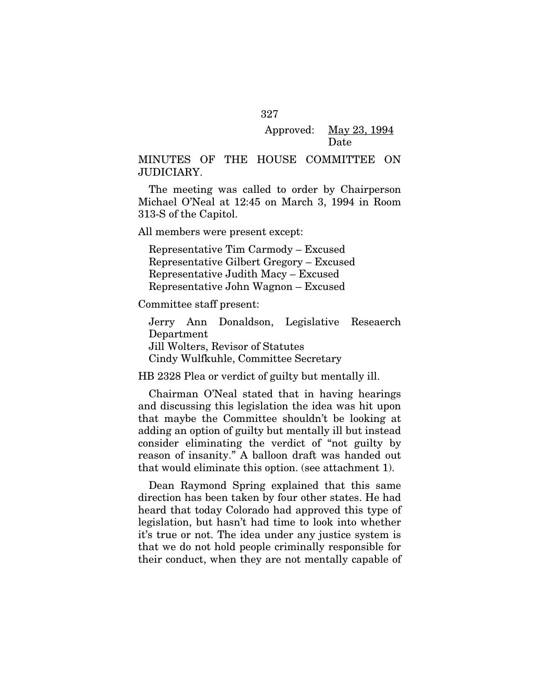# Approved: May 23, 1994 Date

## MINUTES OF THE HOUSE COMMITTEE ON JUDICIARY.

The meeting was called to order by Chairperson Michael O'Neal at 12:45 on March 3, 1994 in Room 313-S of the Capitol.

All members were present except:

Representative Tim Carmody – Excused Representative Gilbert Gregory – Excused Representative Judith Macy – Excused Representative John Wagnon – Excused

Committee staff present:

Jerry Ann Donaldson, Legislative Reseaerch Department Jill Wolters, Revisor of Statutes Cindy Wulfkuhle, Committee Secretary

HB 2328 Plea or verdict of guilty but mentally ill.

Chairman O'Neal stated that in having hearings and discussing this legislation the idea was hit upon that maybe the Committee shouldn't be looking at adding an option of guilty but mentally ill but instead consider eliminating the verdict of "not guilty by reason of insanity." A balloon draft was handed out that would eliminate this option. (see attachment 1).

Dean Raymond Spring explained that this same direction has been taken by four other states. He had heard that today Colorado had approved this type of legislation, but hasn't had time to look into whether it's true or not. The idea under any justice system is that we do not hold people criminally responsible for their conduct, when they are not mentally capable of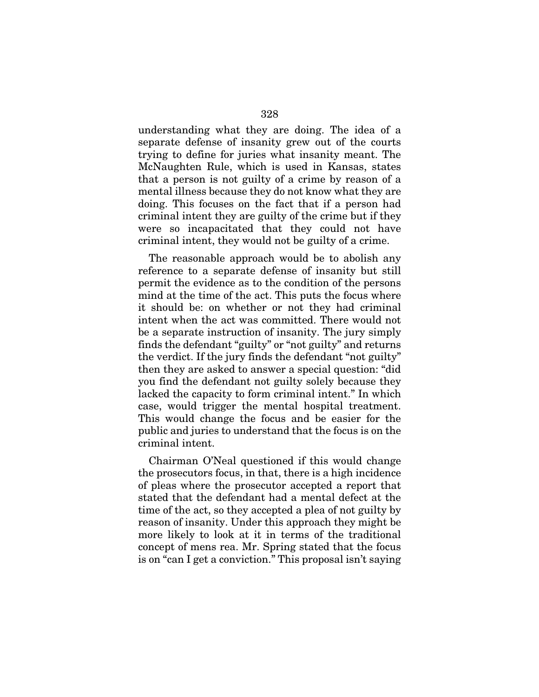understanding what they are doing. The idea of a separate defense of insanity grew out of the courts trying to define for juries what insanity meant. The McNaughten Rule, which is used in Kansas, states that a person is not guilty of a crime by reason of a mental illness because they do not know what they are doing. This focuses on the fact that if a person had criminal intent they are guilty of the crime but if they were so incapacitated that they could not have criminal intent, they would not be guilty of a crime.

The reasonable approach would be to abolish any reference to a separate defense of insanity but still permit the evidence as to the condition of the persons mind at the time of the act. This puts the focus where it should be: on whether or not they had criminal intent when the act was committed. There would not be a separate instruction of insanity. The jury simply finds the defendant "guilty" or "not guilty" and returns the verdict. If the jury finds the defendant "not guilty" then they are asked to answer a special question: "did you find the defendant not guilty solely because they lacked the capacity to form criminal intent." In which case, would trigger the mental hospital treatment. This would change the focus and be easier for the public and juries to understand that the focus is on the criminal intent.

Chairman O'Neal questioned if this would change the prosecutors focus, in that, there is a high incidence of pleas where the prosecutor accepted a report that stated that the defendant had a mental defect at the time of the act, so they accepted a plea of not guilty by reason of insanity. Under this approach they might be more likely to look at it in terms of the traditional concept of mens rea. Mr. Spring stated that the focus is on "can I get a conviction." This proposal isn't saying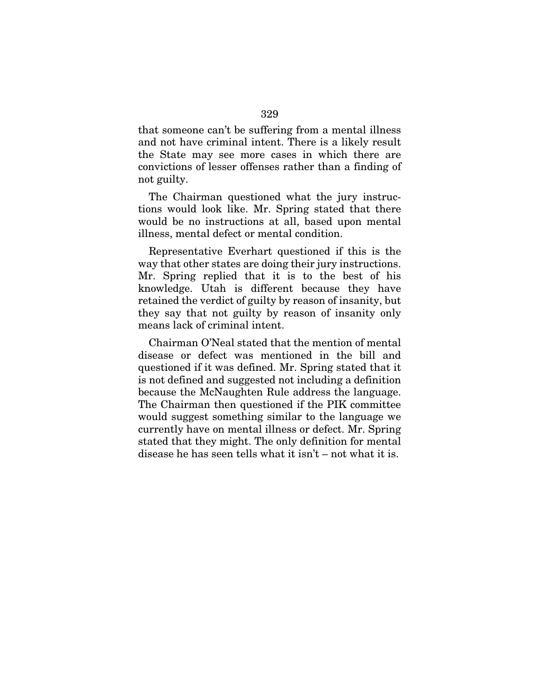that someone can't be suffering from a mental illness and not have criminal intent. There is a likely result the State may see more cases in which there are convictions of lesser offenses rather than a finding of not guilty.

The Chairman questioned what the jury instructions would look like. Mr. Spring stated that there would be no instructions at all, based upon mental illness, mental defect or mental condition.

Representative Everhart questioned if this is the way that other states are doing their jury instructions. Mr. Spring replied that it is to the best of his knowledge. Utah is different because they have retained the verdict of guilty by reason of insanity, but they say that not guilty by reason of insanity only means lack of criminal intent.

Chairman O'Neal stated that the mention of mental disease or defect was mentioned in the bill and questioned if it was defined. Mr. Spring stated that it is not defined and suggested not including a definition because the McNaughten Rule address the language. The Chairman then questioned if the PIK committee would suggest something similar to the language we currently have on mental illness or defect. Mr. Spring stated that they might. The only definition for mental disease he has seen tells what it isn't – not what it is.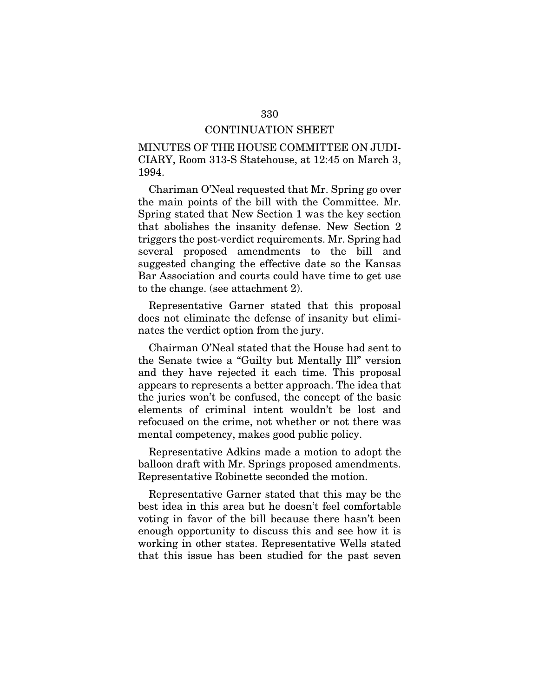#### CONTINUATION SHEET

MINUTES OF THE HOUSE COMMITTEE ON JUDI-CIARY, Room 313-S Statehouse, at 12:45 on March 3, 1994.

Chariman O'Neal requested that Mr. Spring go over the main points of the bill with the Committee. Mr. Spring stated that New Section 1 was the key section that abolishes the insanity defense. New Section 2 triggers the post-verdict requirements. Mr. Spring had several proposed amendments to the bill and suggested changing the effective date so the Kansas Bar Association and courts could have time to get use to the change. (see attachment 2).

Representative Garner stated that this proposal does not eliminate the defense of insanity but eliminates the verdict option from the jury.

Chairman O'Neal stated that the House had sent to the Senate twice a "Guilty but Mentally Ill" version and they have rejected it each time. This proposal appears to represents a better approach. The idea that the juries won't be confused, the concept of the basic elements of criminal intent wouldn't be lost and refocused on the crime, not whether or not there was mental competency, makes good public policy.

Representative Adkins made a motion to adopt the balloon draft with Mr. Springs proposed amendments. Representative Robinette seconded the motion.

Representative Garner stated that this may be the best idea in this area but he doesn't feel comfortable voting in favor of the bill because there hasn't been enough opportunity to discuss this and see how it is working in other states. Representative Wells stated that this issue has been studied for the past seven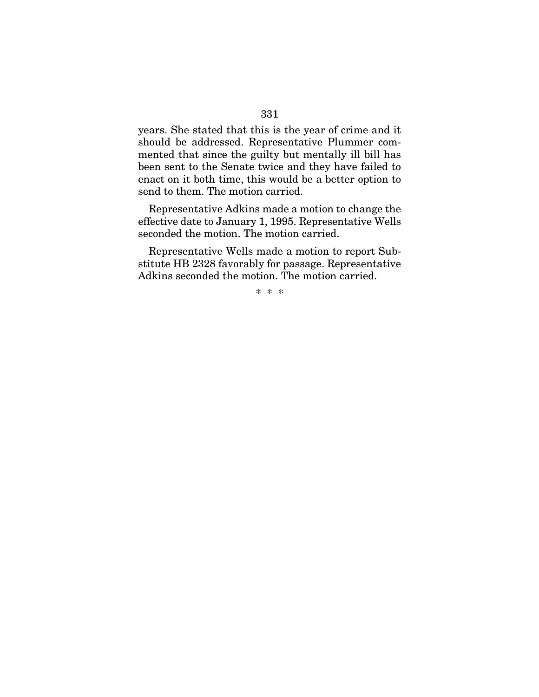years. She stated that this is the year of crime and it should be addressed. Representative Plummer commented that since the guilty but mentally ill bill has been sent to the Senate twice and they have failed to enact on it both time, this would be a better option to send to them. The motion carried.

Representative Adkins made a motion to change the effective date to January 1, 1995. Representative Wells seconded the motion. The motion carried.

Representative Wells made a motion to report Substitute HB 2328 favorably for passage. Representative Adkins seconded the motion. The motion carried.

\* \* \*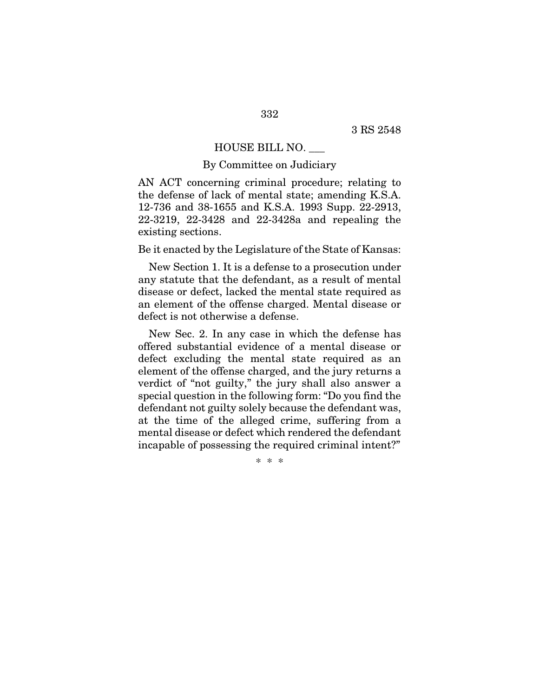### HOUSE BILL NO. \_\_\_

#### By Committee on Judiciary

AN ACT concerning criminal procedure; relating to the defense of lack of mental state; amending K.S.A. 12-736 and 38-1655 and K.S.A. 1993 Supp. 22-2913, 22-3219, 22-3428 and 22-3428a and repealing the existing sections.

Be it enacted by the Legislature of the State of Kansas:

New Section 1. It is a defense to a prosecution under any statute that the defendant, as a result of mental disease or defect, lacked the mental state required as an element of the offense charged. Mental disease or defect is not otherwise a defense.

New Sec. 2. In any case in which the defense has offered substantial evidence of a mental disease or defect excluding the mental state required as an element of the offense charged, and the jury returns a verdict of "not guilty," the jury shall also answer a special question in the following form: "Do you find the defendant not guilty solely because the defendant was, at the time of the alleged crime, suffering from a mental disease or defect which rendered the defendant incapable of possessing the required criminal intent?"

\* \* \*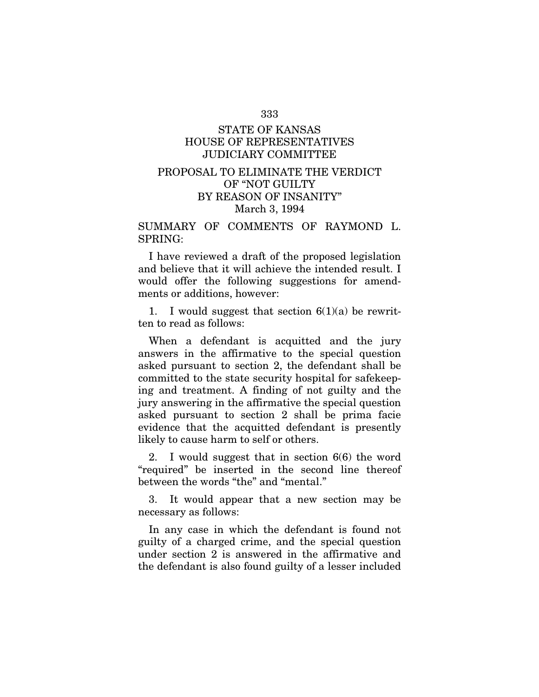#### 333

# STATE OF KANSAS HOUSE OF REPRESENTATIVES JUDICIARY COMMITTEE

# PROPOSAL TO ELIMINATE THE VERDICT OF "NOT GUILTY BY REASON OF INSANITY" March 3, 1994

SUMMARY OF COMMENTS OF RAYMOND L. SPRING:

I have reviewed a draft of the proposed legislation and believe that it will achieve the intended result. I would offer the following suggestions for amendments or additions, however:

1. I would suggest that section  $6(1)(a)$  be rewritten to read as follows:

When a defendant is acquitted and the jury answers in the affirmative to the special question asked pursuant to section 2, the defendant shall be committed to the state security hospital for safekeeping and treatment. A finding of not guilty and the jury answering in the affirmative the special question asked pursuant to section 2 shall be prima facie evidence that the acquitted defendant is presently likely to cause harm to self or others.

2. I would suggest that in section 6(6) the word "required" be inserted in the second line thereof between the words "the" and "mental."

3. It would appear that a new section may be necessary as follows:

In any case in which the defendant is found not guilty of a charged crime, and the special question under section 2 is answered in the affirmative and the defendant is also found guilty of a lesser included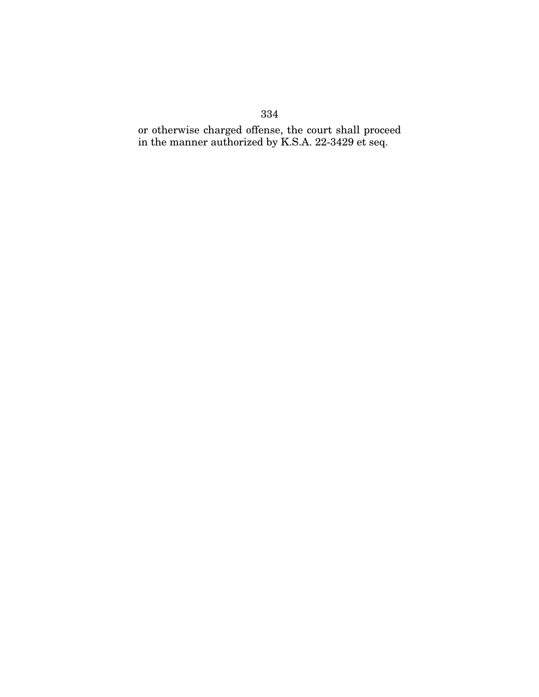# 334

or otherwise charged offense, the court shall proceed in the manner authorized by K.S.A. 22-3429 et seq.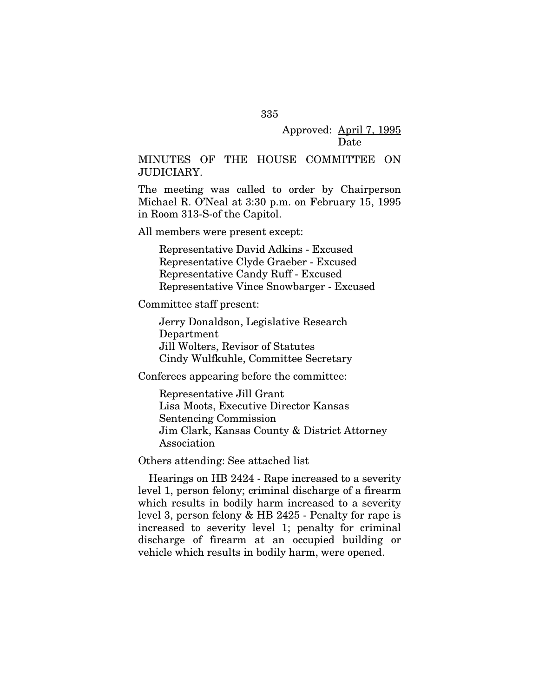### Approved: April 7, 1995 Date

## MINUTES OF THE HOUSE COMMITTEE ON JUDICIARY.

The meeting was called to order by Chairperson Michael R. O'Neal at 3:30 p.m. on February 15, 1995 in Room 313-S-of the Capitol.

All members were present except:

Representative David Adkins - Excused Representative Clyde Graeber - Excused Representative Candy Ruff - Excused Representative Vince Snowbarger - Excused

Committee staff present:

Jerry Donaldson, Legislative Research Department Jill Wolters, Revisor of Statutes Cindy Wulfkuhle, Committee Secretary

Conferees appearing before the committee:

Representative Jill Grant Lisa Moots, Executive Director Kansas Sentencing Commission Jim Clark, Kansas County & District Attorney Association

Others attending: See attached list

Hearings on HB 2424 - Rape increased to a severity level 1, person felony; criminal discharge of a firearm which results in bodily harm increased to a severity level 3, person felony & HB 2425 - Penalty for rape is increased to severity level 1; penalty for criminal discharge of firearm at an occupied building or vehicle which results in bodily harm, were opened.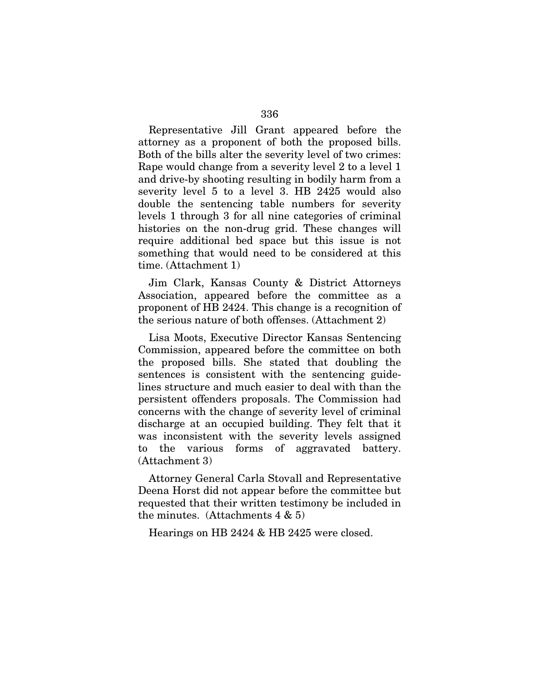Representative Jill Grant appeared before the attorney as a proponent of both the proposed bills. Both of the bills alter the severity level of two crimes: Rape would change from a severity level 2 to a level 1 and drive-by shooting resulting in bodily harm from a severity level 5 to a level 3. HB 2425 would also double the sentencing table numbers for severity levels 1 through 3 for all nine categories of criminal histories on the non-drug grid. These changes will require additional bed space but this issue is not something that would need to be considered at this time. (Attachment 1)

Jim Clark, Kansas County & District Attorneys Association, appeared before the committee as a proponent of HB 2424. This change is a recognition of the serious nature of both offenses. (Attachment 2)

Lisa Moots, Executive Director Kansas Sentencing Commission, appeared before the committee on both the proposed bills. She stated that doubling the sentences is consistent with the sentencing guidelines structure and much easier to deal with than the persistent offenders proposals. The Commission had concerns with the change of severity level of criminal discharge at an occupied building. They felt that it was inconsistent with the severity levels assigned to the various forms of aggravated battery. (Attachment 3)

Attorney General Carla Stovall and Representative Deena Horst did not appear before the committee but requested that their written testimony be included in the minutes. (Attachments  $4 \& 5$ )

Hearings on HB 2424 & HB 2425 were closed.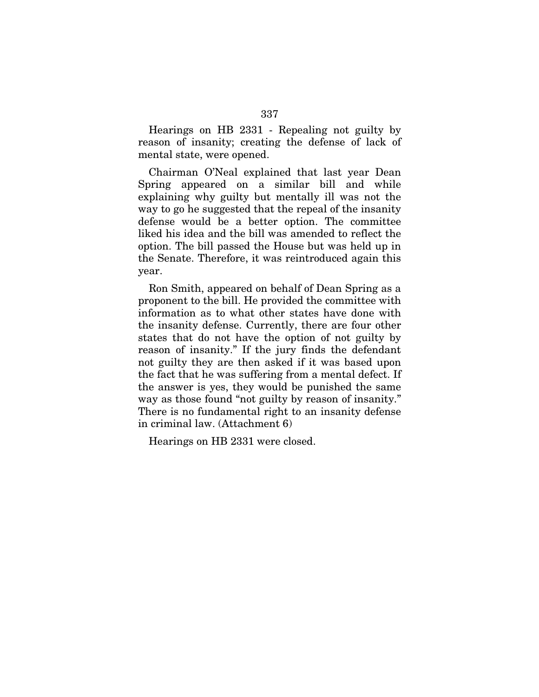Hearings on HB 2331 - Repealing not guilty by reason of insanity; creating the defense of lack of mental state, were opened.

Chairman O'Neal explained that last year Dean Spring appeared on a similar bill and while explaining why guilty but mentally ill was not the way to go he suggested that the repeal of the insanity defense would be a better option. The committee liked his idea and the bill was amended to reflect the option. The bill passed the House but was held up in the Senate. Therefore, it was reintroduced again this year.

Ron Smith, appeared on behalf of Dean Spring as a proponent to the bill. He provided the committee with information as to what other states have done with the insanity defense. Currently, there are four other states that do not have the option of not guilty by reason of insanity." If the jury finds the defendant not guilty they are then asked if it was based upon the fact that he was suffering from a mental defect. If the answer is yes, they would be punished the same way as those found "not guilty by reason of insanity." There is no fundamental right to an insanity defense in criminal law. (Attachment 6)

Hearings on HB 2331 were closed.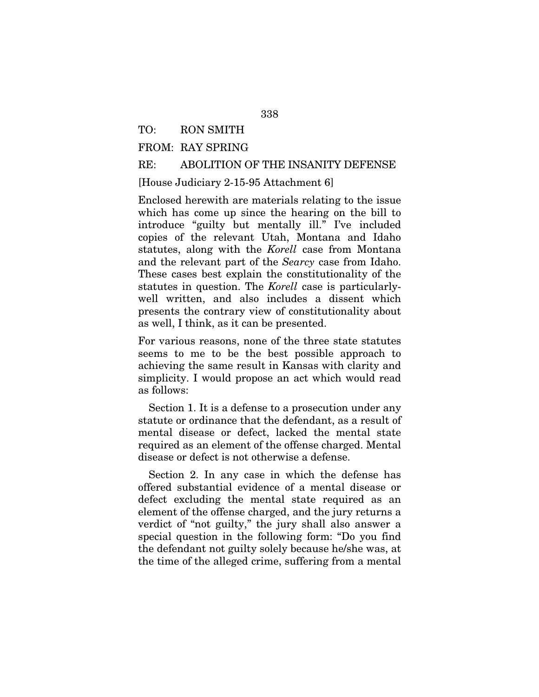### TO: RON SMITH

## FROM: RAY SPRING

### RE: ABOLITION OF THE INSANITY DEFENSE

[House Judiciary 2-15-95 Attachment 6]

Enclosed herewith are materials relating to the issue which has come up since the hearing on the bill to introduce "guilty but mentally ill." I've included copies of the relevant Utah, Montana and Idaho statutes, along with the *Korell* case from Montana and the relevant part of the *Searcy* case from Idaho. These cases best explain the constitutionality of the statutes in question. The *Korell* case is particularlywell written, and also includes a dissent which presents the contrary view of constitutionality about as well, I think, as it can be presented.

For various reasons, none of the three state statutes seems to me to be the best possible approach to achieving the same result in Kansas with clarity and simplicity. I would propose an act which would read as follows:

Section 1. It is a defense to a prosecution under any statute or ordinance that the defendant, as a result of mental disease or defect, lacked the mental state required as an element of the offense charged. Mental disease or defect is not otherwise a defense.

Section 2. In any case in which the defense has offered substantial evidence of a mental disease or defect excluding the mental state required as an element of the offense charged, and the jury returns a verdict of "not guilty," the jury shall also answer a special question in the following form: "Do you find the defendant not guilty solely because he/she was, at the time of the alleged crime, suffering from a mental